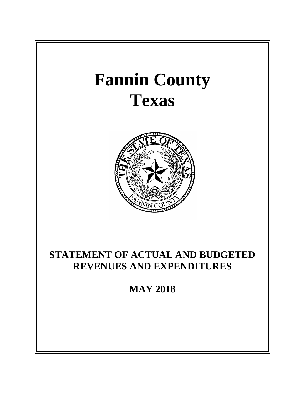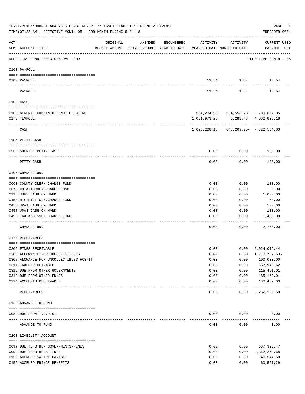|          | 06-01-2018**BUDGET ANALYSIS USAGE REPORT ** ASSET LIABILITY INCOME & EXPENSE<br>TIME: 07:38 AM - EFFECTIVE MONTH: 05 - FOR MONTH ENDING 5-31-18 |                                  |                                                                                |            |              |                                          | PAGE<br>1<br>PREPARER: 0004        |
|----------|-------------------------------------------------------------------------------------------------------------------------------------------------|----------------------------------|--------------------------------------------------------------------------------|------------|--------------|------------------------------------------|------------------------------------|
| ACT      | NUM ACCOUNT-TITLE                                                                                                                               | ORIGINAL                         | AMENDED<br>BUDGET-AMOUNT BUDGET-AMOUNT YEAR-TO-DATE YEAR-TO-DATE MONTH-TO-DATE | ENCUMBERED | ACTIVITY     | ACTIVITY                                 | <b>CURRENT USED</b><br>BALANCE PCT |
|          | REPORTING FUND: 0010 GENERAL FUND                                                                                                               |                                  |                                                                                |            |              |                                          | EFFECTIVE MONTH - 05               |
|          | 0100 PAYROLL                                                                                                                                    |                                  |                                                                                |            |              |                                          |                                    |
|          | 0100 PAYROLL                                                                                                                                    |                                  |                                                                                |            |              | 13.54 1.34 13.54                         |                                    |
| ---- --- | PAYROLL                                                                                                                                         |                                  |                                                                                |            | 13.54        | 1.34                                     | 13.54                              |
|          | 0103 CASH                                                                                                                                       |                                  |                                                                                |            |              |                                          |                                    |
|          | 0100 GENERAL-COMBINED FUNDS CHECKING                                                                                                            |                                  |                                                                                |            |              | 594, 234.93 654, 553.23 - 2, 739, 657.85 |                                    |
|          | 0175 TEXPOOL                                                                                                                                    |                                  |                                                                                |            | 1,031,973.25 |                                          | 6,283.48 4,582,896.18              |
|          | CASH                                                                                                                                            |                                  |                                                                                |            |              |                                          |                                    |
|          | 0104 PETTY CASH                                                                                                                                 |                                  |                                                                                |            |              |                                          |                                    |
|          |                                                                                                                                                 |                                  |                                                                                |            |              |                                          |                                    |
|          | 0560 SHERIFF PETTY CASH                                                                                                                         |                                  |                                                                                |            | 0.00         | 0.00                                     | 130.00                             |
|          | PETTY CASH                                                                                                                                      |                                  |                                                                                |            | 0.00         | 0.00                                     | 130.00                             |
|          | 0105 CHANGE FUND                                                                                                                                |                                  |                                                                                |            |              |                                          |                                    |
|          | 0003 COUNTY CLERK CHANGE FUND                                                                                                                   |                                  |                                                                                |            | 0.00         | 0.00                                     | 100.00                             |
|          | 0075 CO.ATTORNEY CHANGE FUND                                                                                                                    |                                  |                                                                                |            | 0.00         | 0.00                                     | 0.00                               |
|          | 0115 JURY CASH ON HAND                                                                                                                          |                                  |                                                                                |            | 0.00         | 0.00                                     | 1,000.00                           |
|          | 0450 DISTRICT CLK. CHANGE FUND                                                                                                                  |                                  |                                                                                |            | 0.00         | 0.00                                     | 50.00                              |
|          | 0455 JP#1 CASH ON HAND                                                                                                                          |                                  |                                                                                |            | 0.00         | 0.00                                     | 100.00                             |
|          | 0457 JP#3 CASH ON HAND                                                                                                                          |                                  |                                                                                |            | 0.00         | 0.00                                     | 100.00                             |
|          | 0499 TAX ASSESSOR CHANGE FUND<br>--------------                                                                                                 |                                  |                                                                                |            | 0.00         | 0.00                                     | 1,400.00                           |
|          | CHANGE FUND                                                                                                                                     |                                  |                                                                                |            | 0.00         | 0.00                                     | 2,750.00                           |
|          | 0120 RECEIVABLES                                                                                                                                |                                  |                                                                                |            |              |                                          |                                    |
|          | 0305 FINES RECEIVABLE                                                                                                                           |                                  |                                                                                |            | 0.00         | 0.00                                     | 6,024,016.44                       |
|          | 0306 ALLOWANCE FOR UNCOLLECTIBLES                                                                                                               |                                  |                                                                                |            | 0.00         | 0.00                                     | 1,710,769.53-                      |
|          | 0307 ALOWANCE FOR UNCOLLECTIBLES HOSPIT                                                                                                         |                                  |                                                                                |            | 0.00         | 0.00                                     | $100,000.00-$                      |
|          | 0311 TAXES RECEIVABLE                                                                                                                           |                                  |                                                                                |            | 0.00         | 0.00                                     | 567,943.62                         |
|          | 0312 DUE FROM OTHER GOVERNMENTS                                                                                                                 |                                  |                                                                                |            | 0.00         | 0.00                                     | 115,461.01                         |
|          | 0313 DUE FROM OTHER FUNDS                                                                                                                       |                                  |                                                                                |            | 0.00         | 0.00                                     | 185,152.01                         |
|          | 0314 ACCOUNTS RECEIVABLE                                                                                                                        | ________________________________ |                                                                                |            | 0.00         | 0.00<br>$- - - - -$                      | 180,459.03<br>-------------        |
|          | RECEIVABLES                                                                                                                                     |                                  |                                                                                |            | 0.00         | 0.00                                     | 5, 262, 262.58                     |
|          | 0133 ADVANCE TO FUND                                                                                                                            |                                  |                                                                                |            |              |                                          |                                    |
|          | 0089 DUE FROM T.J.P.C.                                                                                                                          |                                  |                                                                                |            | 0.00         | 0.00                                     | 0.00                               |
|          | --------------------- ------------<br>ADVANCE TO FUND                                                                                           |                                  |                                                                                |            | 0.00         | 0.00                                     | 0.00                               |
|          | 0200 LIABILITY ACCOUNT                                                                                                                          |                                  |                                                                                |            |              |                                          |                                    |
|          |                                                                                                                                                 |                                  |                                                                                |            |              |                                          |                                    |
|          | 0097 DUE TO OTHER GOVERNMENTS-FINES<br>0099 DUE TO OTHERS-FINES                                                                                 |                                  |                                                                                |            | 0.00<br>0.00 | 0.00<br>0.00                             | 687,325.47                         |
|          | 0150 ACCRUED SALARY PAYABLE                                                                                                                     |                                  |                                                                                |            | 0.00         | 0.00                                     | 2,362,259.68<br>143,544.58         |
|          | 0155 ACCRUED FRINGE BENEFITS                                                                                                                    |                                  |                                                                                |            | 0.00         | 0.00                                     | 60,521.29                          |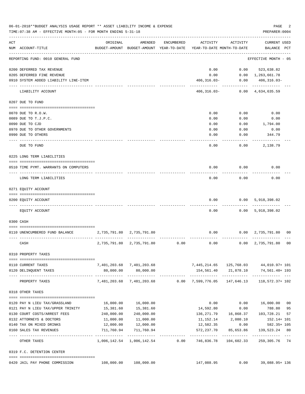| ACT<br>ORIGINAL<br>AMENDED<br>ENCUMBERED<br>ACTIVITY<br>ACTIVITY<br>CURRENT USED<br>NUM ACCOUNT-TITLE<br>BUDGET-AMOUNT BUDGET-AMOUNT YEAR-TO-DATE<br>YEAR-TO-DATE MONTH-TO-DATE<br>BALANCE PCT<br>REPORTING FUND: 0010 GENERAL FUND<br>EFFECTIVE MONTH - 05<br>0.00<br>523,638.82<br>0200 DEFERRED TAX REVENUE<br>0.00<br>0205 DEFERRED FINE REVENUE<br>0.00<br>$0.00 \quad 1,263,661.78$<br>0910 SYSTEM ADDED LIABILITY LINE-ITEM<br>$406, 316.03 -$<br>0.00<br>$406, 316.03 -$<br>------------<br>---------<br>406,316.03-<br>$0.00 \quad 4,634,635.59$<br>LIABILITY ACCOUNT<br>0207 DUE TO FUND<br>0070 DUE TO R.O.W.<br>0.00<br>0.00<br>0.00<br>0.00<br>0.00<br>0089 DUE TO T.J.P.C.<br>0.00<br>0090 DUE TO CJD<br>0.00<br>0.00<br>1,794.00<br>0970 DUE TO OTHER GOVERNMENTS<br>0.00<br>0.00<br>0.00<br>0990 DUE TO OTHERS<br>0.00<br>0.00<br>344.79<br>0.00<br>0.00<br>2,138.79<br>DUE TO FUND<br>0225 LONG TERM LIABILITIES<br>0.00<br>0.00<br>0.00<br>0510 TIME PYMT. WARRANTS ON COMPUTERS<br>0.00<br>0.00<br>0.00<br>LONG TERM LIABILITIES<br>0271 EQUITY ACCOUNT<br>0.00<br>0.00<br>5,918,398.02<br>0200 EQUITY ACCOUNT<br>0.00<br>0.00 5,918,398.02<br>EQUITY ACCOUNT<br>0300 CASH<br>0.00<br>2,735,791.80 2,735,791.80<br>$0.00 \quad 2,735,791.80 \quad 00$<br>0110 UNENCUMBERED FUND BALANCE<br>CASH<br>2,735,791.80<br>2,735,791.80<br>0.00<br>0.00<br>0.00<br>2,735,791.80<br>00<br>0310 PROPERTY TAXES<br>7,401,203.68 7,401,203.68<br>7,445,214.65  125,768.03  44,010.97+  101<br>0110 CURRENT TAXES<br>80,000.00<br>80,000.00<br>154,561.40 21,878.10<br>74,561.40+ 193<br>0120 DELINQUENT TAXES<br>-------------<br>7,481,203.68 7,481,203.68<br>0.00 7,599,776.05<br>147,646.13<br>118,572.37+ 102<br>PROPERTY TAXES<br>0318 OTHER TAXES<br>16,000.00    16,000.00<br>0.00<br>$0.00$ 16,000.00 00<br>0120 PAY N LIEU TAX/GRASSLAND<br>15,381.60<br>15,381.60<br>788.80 95<br>0121 PAY N LIEU TAX/UPPER TRINITY<br>14,592.80<br>0.00<br>240,000.00<br>0130 COURT COSTS/ARREST FEES<br>240,000.00<br>136,271.79 16,868.37<br>103,728.21<br>57<br>0132 ATTORNEYS & DOCTORS<br>11,000.00<br>11,000.00<br>11, 152. 14 2, 080. 10<br>152.14+ 101<br>12,000.00<br>12,000.00<br>582.35+ 105<br>0140 TAX ON MIXED DRINKS<br>12,582.35<br>0.00<br>711,760.94<br>711,760.94<br>572,237.70<br>85,653.86<br>139,523.24 80<br>0160 SALES TAX REVENUES<br>1,006,142.54 1,006,142.54 0.00 746,836.78 104,602.33<br>259,305.76 74<br>OTHER TAXES<br>0319 F.C. DETENTION CENTER | 06-01-2018**BUDGET ANALYSIS USAGE REPORT ** ASSET LIABILITY INCOME & EXPENSE<br>TIME: 07:38 AM - EFFECTIVE MONTH: 05 - FOR MONTH ENDING 5-31-18 |  |  | PAGE<br>PREPARER: 0004 | 2 |
|-------------------------------------------------------------------------------------------------------------------------------------------------------------------------------------------------------------------------------------------------------------------------------------------------------------------------------------------------------------------------------------------------------------------------------------------------------------------------------------------------------------------------------------------------------------------------------------------------------------------------------------------------------------------------------------------------------------------------------------------------------------------------------------------------------------------------------------------------------------------------------------------------------------------------------------------------------------------------------------------------------------------------------------------------------------------------------------------------------------------------------------------------------------------------------------------------------------------------------------------------------------------------------------------------------------------------------------------------------------------------------------------------------------------------------------------------------------------------------------------------------------------------------------------------------------------------------------------------------------------------------------------------------------------------------------------------------------------------------------------------------------------------------------------------------------------------------------------------------------------------------------------------------------------------------------------------------------------------------------------------------------------------------------------------------------------------------------------------------------------------------------------------------------------------------------------------------------------------------------------------------------------------------------------------------------------------------------------------------------------------------------------------------------------------------------------------------------------------------------|-------------------------------------------------------------------------------------------------------------------------------------------------|--|--|------------------------|---|
|                                                                                                                                                                                                                                                                                                                                                                                                                                                                                                                                                                                                                                                                                                                                                                                                                                                                                                                                                                                                                                                                                                                                                                                                                                                                                                                                                                                                                                                                                                                                                                                                                                                                                                                                                                                                                                                                                                                                                                                                                                                                                                                                                                                                                                                                                                                                                                                                                                                                                     |                                                                                                                                                 |  |  |                        |   |
|                                                                                                                                                                                                                                                                                                                                                                                                                                                                                                                                                                                                                                                                                                                                                                                                                                                                                                                                                                                                                                                                                                                                                                                                                                                                                                                                                                                                                                                                                                                                                                                                                                                                                                                                                                                                                                                                                                                                                                                                                                                                                                                                                                                                                                                                                                                                                                                                                                                                                     |                                                                                                                                                 |  |  |                        |   |
|                                                                                                                                                                                                                                                                                                                                                                                                                                                                                                                                                                                                                                                                                                                                                                                                                                                                                                                                                                                                                                                                                                                                                                                                                                                                                                                                                                                                                                                                                                                                                                                                                                                                                                                                                                                                                                                                                                                                                                                                                                                                                                                                                                                                                                                                                                                                                                                                                                                                                     |                                                                                                                                                 |  |  |                        |   |
|                                                                                                                                                                                                                                                                                                                                                                                                                                                                                                                                                                                                                                                                                                                                                                                                                                                                                                                                                                                                                                                                                                                                                                                                                                                                                                                                                                                                                                                                                                                                                                                                                                                                                                                                                                                                                                                                                                                                                                                                                                                                                                                                                                                                                                                                                                                                                                                                                                                                                     |                                                                                                                                                 |  |  |                        |   |
|                                                                                                                                                                                                                                                                                                                                                                                                                                                                                                                                                                                                                                                                                                                                                                                                                                                                                                                                                                                                                                                                                                                                                                                                                                                                                                                                                                                                                                                                                                                                                                                                                                                                                                                                                                                                                                                                                                                                                                                                                                                                                                                                                                                                                                                                                                                                                                                                                                                                                     |                                                                                                                                                 |  |  |                        |   |
|                                                                                                                                                                                                                                                                                                                                                                                                                                                                                                                                                                                                                                                                                                                                                                                                                                                                                                                                                                                                                                                                                                                                                                                                                                                                                                                                                                                                                                                                                                                                                                                                                                                                                                                                                                                                                                                                                                                                                                                                                                                                                                                                                                                                                                                                                                                                                                                                                                                                                     |                                                                                                                                                 |  |  |                        |   |
|                                                                                                                                                                                                                                                                                                                                                                                                                                                                                                                                                                                                                                                                                                                                                                                                                                                                                                                                                                                                                                                                                                                                                                                                                                                                                                                                                                                                                                                                                                                                                                                                                                                                                                                                                                                                                                                                                                                                                                                                                                                                                                                                                                                                                                                                                                                                                                                                                                                                                     |                                                                                                                                                 |  |  |                        |   |
|                                                                                                                                                                                                                                                                                                                                                                                                                                                                                                                                                                                                                                                                                                                                                                                                                                                                                                                                                                                                                                                                                                                                                                                                                                                                                                                                                                                                                                                                                                                                                                                                                                                                                                                                                                                                                                                                                                                                                                                                                                                                                                                                                                                                                                                                                                                                                                                                                                                                                     |                                                                                                                                                 |  |  |                        |   |
|                                                                                                                                                                                                                                                                                                                                                                                                                                                                                                                                                                                                                                                                                                                                                                                                                                                                                                                                                                                                                                                                                                                                                                                                                                                                                                                                                                                                                                                                                                                                                                                                                                                                                                                                                                                                                                                                                                                                                                                                                                                                                                                                                                                                                                                                                                                                                                                                                                                                                     |                                                                                                                                                 |  |  |                        |   |
|                                                                                                                                                                                                                                                                                                                                                                                                                                                                                                                                                                                                                                                                                                                                                                                                                                                                                                                                                                                                                                                                                                                                                                                                                                                                                                                                                                                                                                                                                                                                                                                                                                                                                                                                                                                                                                                                                                                                                                                                                                                                                                                                                                                                                                                                                                                                                                                                                                                                                     |                                                                                                                                                 |  |  |                        |   |
|                                                                                                                                                                                                                                                                                                                                                                                                                                                                                                                                                                                                                                                                                                                                                                                                                                                                                                                                                                                                                                                                                                                                                                                                                                                                                                                                                                                                                                                                                                                                                                                                                                                                                                                                                                                                                                                                                                                                                                                                                                                                                                                                                                                                                                                                                                                                                                                                                                                                                     |                                                                                                                                                 |  |  |                        |   |
|                                                                                                                                                                                                                                                                                                                                                                                                                                                                                                                                                                                                                                                                                                                                                                                                                                                                                                                                                                                                                                                                                                                                                                                                                                                                                                                                                                                                                                                                                                                                                                                                                                                                                                                                                                                                                                                                                                                                                                                                                                                                                                                                                                                                                                                                                                                                                                                                                                                                                     |                                                                                                                                                 |  |  |                        |   |
|                                                                                                                                                                                                                                                                                                                                                                                                                                                                                                                                                                                                                                                                                                                                                                                                                                                                                                                                                                                                                                                                                                                                                                                                                                                                                                                                                                                                                                                                                                                                                                                                                                                                                                                                                                                                                                                                                                                                                                                                                                                                                                                                                                                                                                                                                                                                                                                                                                                                                     |                                                                                                                                                 |  |  |                        |   |
|                                                                                                                                                                                                                                                                                                                                                                                                                                                                                                                                                                                                                                                                                                                                                                                                                                                                                                                                                                                                                                                                                                                                                                                                                                                                                                                                                                                                                                                                                                                                                                                                                                                                                                                                                                                                                                                                                                                                                                                                                                                                                                                                                                                                                                                                                                                                                                                                                                                                                     |                                                                                                                                                 |  |  |                        |   |
|                                                                                                                                                                                                                                                                                                                                                                                                                                                                                                                                                                                                                                                                                                                                                                                                                                                                                                                                                                                                                                                                                                                                                                                                                                                                                                                                                                                                                                                                                                                                                                                                                                                                                                                                                                                                                                                                                                                                                                                                                                                                                                                                                                                                                                                                                                                                                                                                                                                                                     |                                                                                                                                                 |  |  |                        |   |
|                                                                                                                                                                                                                                                                                                                                                                                                                                                                                                                                                                                                                                                                                                                                                                                                                                                                                                                                                                                                                                                                                                                                                                                                                                                                                                                                                                                                                                                                                                                                                                                                                                                                                                                                                                                                                                                                                                                                                                                                                                                                                                                                                                                                                                                                                                                                                                                                                                                                                     |                                                                                                                                                 |  |  |                        |   |
|                                                                                                                                                                                                                                                                                                                                                                                                                                                                                                                                                                                                                                                                                                                                                                                                                                                                                                                                                                                                                                                                                                                                                                                                                                                                                                                                                                                                                                                                                                                                                                                                                                                                                                                                                                                                                                                                                                                                                                                                                                                                                                                                                                                                                                                                                                                                                                                                                                                                                     |                                                                                                                                                 |  |  |                        |   |
|                                                                                                                                                                                                                                                                                                                                                                                                                                                                                                                                                                                                                                                                                                                                                                                                                                                                                                                                                                                                                                                                                                                                                                                                                                                                                                                                                                                                                                                                                                                                                                                                                                                                                                                                                                                                                                                                                                                                                                                                                                                                                                                                                                                                                                                                                                                                                                                                                                                                                     |                                                                                                                                                 |  |  |                        |   |
|                                                                                                                                                                                                                                                                                                                                                                                                                                                                                                                                                                                                                                                                                                                                                                                                                                                                                                                                                                                                                                                                                                                                                                                                                                                                                                                                                                                                                                                                                                                                                                                                                                                                                                                                                                                                                                                                                                                                                                                                                                                                                                                                                                                                                                                                                                                                                                                                                                                                                     |                                                                                                                                                 |  |  |                        |   |
|                                                                                                                                                                                                                                                                                                                                                                                                                                                                                                                                                                                                                                                                                                                                                                                                                                                                                                                                                                                                                                                                                                                                                                                                                                                                                                                                                                                                                                                                                                                                                                                                                                                                                                                                                                                                                                                                                                                                                                                                                                                                                                                                                                                                                                                                                                                                                                                                                                                                                     |                                                                                                                                                 |  |  |                        |   |
|                                                                                                                                                                                                                                                                                                                                                                                                                                                                                                                                                                                                                                                                                                                                                                                                                                                                                                                                                                                                                                                                                                                                                                                                                                                                                                                                                                                                                                                                                                                                                                                                                                                                                                                                                                                                                                                                                                                                                                                                                                                                                                                                                                                                                                                                                                                                                                                                                                                                                     |                                                                                                                                                 |  |  |                        |   |
|                                                                                                                                                                                                                                                                                                                                                                                                                                                                                                                                                                                                                                                                                                                                                                                                                                                                                                                                                                                                                                                                                                                                                                                                                                                                                                                                                                                                                                                                                                                                                                                                                                                                                                                                                                                                                                                                                                                                                                                                                                                                                                                                                                                                                                                                                                                                                                                                                                                                                     |                                                                                                                                                 |  |  |                        |   |
|                                                                                                                                                                                                                                                                                                                                                                                                                                                                                                                                                                                                                                                                                                                                                                                                                                                                                                                                                                                                                                                                                                                                                                                                                                                                                                                                                                                                                                                                                                                                                                                                                                                                                                                                                                                                                                                                                                                                                                                                                                                                                                                                                                                                                                                                                                                                                                                                                                                                                     |                                                                                                                                                 |  |  |                        |   |
|                                                                                                                                                                                                                                                                                                                                                                                                                                                                                                                                                                                                                                                                                                                                                                                                                                                                                                                                                                                                                                                                                                                                                                                                                                                                                                                                                                                                                                                                                                                                                                                                                                                                                                                                                                                                                                                                                                                                                                                                                                                                                                                                                                                                                                                                                                                                                                                                                                                                                     |                                                                                                                                                 |  |  |                        |   |
|                                                                                                                                                                                                                                                                                                                                                                                                                                                                                                                                                                                                                                                                                                                                                                                                                                                                                                                                                                                                                                                                                                                                                                                                                                                                                                                                                                                                                                                                                                                                                                                                                                                                                                                                                                                                                                                                                                                                                                                                                                                                                                                                                                                                                                                                                                                                                                                                                                                                                     |                                                                                                                                                 |  |  |                        |   |
|                                                                                                                                                                                                                                                                                                                                                                                                                                                                                                                                                                                                                                                                                                                                                                                                                                                                                                                                                                                                                                                                                                                                                                                                                                                                                                                                                                                                                                                                                                                                                                                                                                                                                                                                                                                                                                                                                                                                                                                                                                                                                                                                                                                                                                                                                                                                                                                                                                                                                     |                                                                                                                                                 |  |  |                        |   |
|                                                                                                                                                                                                                                                                                                                                                                                                                                                                                                                                                                                                                                                                                                                                                                                                                                                                                                                                                                                                                                                                                                                                                                                                                                                                                                                                                                                                                                                                                                                                                                                                                                                                                                                                                                                                                                                                                                                                                                                                                                                                                                                                                                                                                                                                                                                                                                                                                                                                                     |                                                                                                                                                 |  |  |                        |   |
|                                                                                                                                                                                                                                                                                                                                                                                                                                                                                                                                                                                                                                                                                                                                                                                                                                                                                                                                                                                                                                                                                                                                                                                                                                                                                                                                                                                                                                                                                                                                                                                                                                                                                                                                                                                                                                                                                                                                                                                                                                                                                                                                                                                                                                                                                                                                                                                                                                                                                     |                                                                                                                                                 |  |  |                        |   |
|                                                                                                                                                                                                                                                                                                                                                                                                                                                                                                                                                                                                                                                                                                                                                                                                                                                                                                                                                                                                                                                                                                                                                                                                                                                                                                                                                                                                                                                                                                                                                                                                                                                                                                                                                                                                                                                                                                                                                                                                                                                                                                                                                                                                                                                                                                                                                                                                                                                                                     |                                                                                                                                                 |  |  |                        |   |
|                                                                                                                                                                                                                                                                                                                                                                                                                                                                                                                                                                                                                                                                                                                                                                                                                                                                                                                                                                                                                                                                                                                                                                                                                                                                                                                                                                                                                                                                                                                                                                                                                                                                                                                                                                                                                                                                                                                                                                                                                                                                                                                                                                                                                                                                                                                                                                                                                                                                                     |                                                                                                                                                 |  |  |                        |   |
|                                                                                                                                                                                                                                                                                                                                                                                                                                                                                                                                                                                                                                                                                                                                                                                                                                                                                                                                                                                                                                                                                                                                                                                                                                                                                                                                                                                                                                                                                                                                                                                                                                                                                                                                                                                                                                                                                                                                                                                                                                                                                                                                                                                                                                                                                                                                                                                                                                                                                     |                                                                                                                                                 |  |  |                        |   |
|                                                                                                                                                                                                                                                                                                                                                                                                                                                                                                                                                                                                                                                                                                                                                                                                                                                                                                                                                                                                                                                                                                                                                                                                                                                                                                                                                                                                                                                                                                                                                                                                                                                                                                                                                                                                                                                                                                                                                                                                                                                                                                                                                                                                                                                                                                                                                                                                                                                                                     |                                                                                                                                                 |  |  |                        |   |
|                                                                                                                                                                                                                                                                                                                                                                                                                                                                                                                                                                                                                                                                                                                                                                                                                                                                                                                                                                                                                                                                                                                                                                                                                                                                                                                                                                                                                                                                                                                                                                                                                                                                                                                                                                                                                                                                                                                                                                                                                                                                                                                                                                                                                                                                                                                                                                                                                                                                                     |                                                                                                                                                 |  |  |                        |   |
|                                                                                                                                                                                                                                                                                                                                                                                                                                                                                                                                                                                                                                                                                                                                                                                                                                                                                                                                                                                                                                                                                                                                                                                                                                                                                                                                                                                                                                                                                                                                                                                                                                                                                                                                                                                                                                                                                                                                                                                                                                                                                                                                                                                                                                                                                                                                                                                                                                                                                     |                                                                                                                                                 |  |  |                        |   |
|                                                                                                                                                                                                                                                                                                                                                                                                                                                                                                                                                                                                                                                                                                                                                                                                                                                                                                                                                                                                                                                                                                                                                                                                                                                                                                                                                                                                                                                                                                                                                                                                                                                                                                                                                                                                                                                                                                                                                                                                                                                                                                                                                                                                                                                                                                                                                                                                                                                                                     |                                                                                                                                                 |  |  |                        |   |
|                                                                                                                                                                                                                                                                                                                                                                                                                                                                                                                                                                                                                                                                                                                                                                                                                                                                                                                                                                                                                                                                                                                                                                                                                                                                                                                                                                                                                                                                                                                                                                                                                                                                                                                                                                                                                                                                                                                                                                                                                                                                                                                                                                                                                                                                                                                                                                                                                                                                                     |                                                                                                                                                 |  |  |                        |   |
|                                                                                                                                                                                                                                                                                                                                                                                                                                                                                                                                                                                                                                                                                                                                                                                                                                                                                                                                                                                                                                                                                                                                                                                                                                                                                                                                                                                                                                                                                                                                                                                                                                                                                                                                                                                                                                                                                                                                                                                                                                                                                                                                                                                                                                                                                                                                                                                                                                                                                     |                                                                                                                                                 |  |  |                        |   |
| 108,000.00<br>108,000.00<br>147,088.95<br>0.00<br>39,088.95+136<br>0420 JAIL PAY PHONE COMMISSION                                                                                                                                                                                                                                                                                                                                                                                                                                                                                                                                                                                                                                                                                                                                                                                                                                                                                                                                                                                                                                                                                                                                                                                                                                                                                                                                                                                                                                                                                                                                                                                                                                                                                                                                                                                                                                                                                                                                                                                                                                                                                                                                                                                                                                                                                                                                                                                   |                                                                                                                                                 |  |  |                        |   |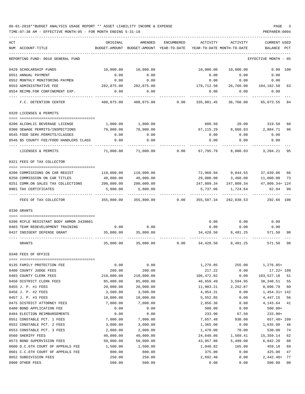| ACT                                                               | ORIGINAL                | AMENDED                                  | ENCUMBERED | ACTIVITY           | ACTIVITY                   | <b>CURRENT USED</b>          |
|-------------------------------------------------------------------|-------------------------|------------------------------------------|------------|--------------------|----------------------------|------------------------------|
| NUM ACCOUNT-TITLE                                                 |                         | BUDGET-AMOUNT BUDGET-AMOUNT YEAR-TO-DATE |            |                    | YEAR-TO-DATE MONTH-TO-DATE | BALANCE PCT                  |
| REPORTING FUND: 0010 GENERAL FUND                                 |                         |                                          |            |                    |                            | EFFECTIVE MONTH - 05         |
| 0429 SCHOLARSHIP FUNDS                                            | 10,000.00               | 10,000.00                                |            | 10,000.00          | 10,000.00                  | $0.00$ 100                   |
| 0551 ANNUAL PAYMENT                                               | 0.00                    | 0.00                                     |            | 0.00               | 0.00                       | 0.00                         |
| 0552 MONTHLY MONITORING PAYMEN                                    | 0.00                    | 0.00                                     |            | 0.00               | 0.00                       | 0.00                         |
| 0553 ADMINISTRATIVE FEE                                           | 282,875.00              | 282,875.00                               |            | 178,712.50         |                            | 26,760.00 104,162.50<br>63   |
| 0554 REIMB.FOR CONFINEMENT EXP.                                   | 0.00                    | 0.00                                     |            | 0.00               | 0.00                       | 0.00                         |
| F.C. DETENTION CENTER                                             |                         | 400,875.00 400,875.00                    | 0.00       | 335,801.45         | 36,760.00                  | 65,073.55 84                 |
| 0320 LICENSES & PERMITS                                           |                         |                                          |            |                    |                            |                              |
|                                                                   |                         |                                          |            |                    |                            |                              |
| 0200 ALCOHLIC BEVERAGE LICENSE                                    | 1,000.00<br>70,000.00   | 1,000.00                                 |            | 680.50             | 20.00                      | 319.50<br>68                 |
| 0300 SEWAGE PERMITS/INSPECTIONS<br>0545 FOOD SERV.PERMITS/CLASSES | 0.00                    | 70,000.00<br>0.00                        |            | 67,115.29<br>0.00  | 8,860.03<br>0.00           | 2,884.71<br>96<br>0.00       |
| 0546 \$5 COUNTY FEE/FOOD HANDLERS CLASS                           | 0.00                    | 0.00                                     |            | 0.00               | 0.00                       | 0.00                         |
|                                                                   |                         |                                          |            |                    |                            |                              |
| LICENSES & PERMITS                                                | 71,000.00               | 71,000.00                                | 0.00       | 67,795.79          | 8,880.03                   | 3,204.21 95                  |
| 0321 FEES OF TAX COLLECTOR                                        |                         |                                          |            |                    |                            |                              |
| 0200 COMMISSIONS ON CAR REGIST                                    |                         | 110,000.00                               |            |                    |                            | 72,960.94 9,044.55 37,039.06 |
| 0250 COMMISSION ON CAR TITLES                                     | 110,000.00<br>40,000.00 | 40,000.00                                |            | 29,000.00          |                            | 66<br>11,000.00<br>73        |
| 0251 COMM.ON SALES TAX COLLECTIONS                                | 200,000.00              | 200,000.00                               |            | 247,809.34         | 3,460.00<br>247,809.34     | 47,809.34+ 124               |
| 0901 TAX CERTIFICATES                                             | 5,800.00                | 5,800.00                                 |            | 5,737.06           | 1,724.64                   | 62.94<br>99                  |
|                                                                   |                         |                                          |            |                    |                            |                              |
| FEES OF TAX COLLECTOR                                             | 355,800.00              | 355,800.00                               | 0.00       | 355,507.34         | 262,038.53                 | 292.66 100                   |
| 0330 GRANTS                                                       |                         |                                          |            |                    |                            |                              |
| 0396 RIFLE RESISTANT BODY ARMOR 3439801                           |                         |                                          |            | 0.00               | 0.00                       | 0.00                         |
| 0403 TEAM REDEVELOPMENT TRAINING                                  |                         | $0.00$ 0.00                              |            | 0.00               | 0.00                       | 0.00                         |
| 0437 INDIGENT DEFENSE GRANT                                       | 35,000.00               | 35,000.00                                |            | 34,428.50          |                            | 8,481.25 571.50<br>98        |
| GRANTS                                                            |                         | 35,000.00 35,000.00                      | 0.00       | 34,428.50          | 8,481.25                   | 571.50<br>98                 |
| 0340 FEES OF OFFICE                                               |                         |                                          |            |                    |                            |                              |
|                                                                   |                         |                                          |            |                    |                            |                              |
| 0135 FAMILY PROTECTION FEE                                        | 0.00                    | 0.00                                     |            | 1,276.85           | 255.00                     | $1,276.85+$                  |
| 0400 COUNTY JUDGE FEES                                            | 200.00                  | 200.00                                   |            | 217.22             | 0.00                       | $17.22 + 109$                |
| 0403 COUNTY CLERK FEES                                            | 210,000.00              | 210,000.00                               |            | 106, 472.82        | 0.00                       | 103,527.18<br>51             |
| 0450 DISTRICT CLERK FEES                                          | 85,000.00               | 85,000.00                                |            | 46,659.49          | 3,594.95                   | 38,340.51<br>55              |
| 0455 J. P. #1 FEES                                                | 20,000.00               | 20,000.00                                |            | 11,903.21          | 2,252.87                   | 8,096.79<br>60               |
| 0456 J. P. #2 FEES                                                | 3,500.00                | 3,500.00                                 |            | 4,954.31           | 0.00                       | $1,454.31+142$               |
| 0457 J. P. #3 FEES                                                | 10,000.00               | 10,000.00                                |            | 5,552.85           | 0.00                       | 4,447.15<br>56               |
| 0475 DISTRICT ATTORNEY FEES                                       | 7,000.00                | 7,000.00                                 |            | 2,856.36           | 8.00                       | 4, 143.64<br>41              |
| 0480 BOND APPLICATION FEE                                         | 0.00                    | 0.00                                     |            | 500.00             | 0.00                       | $500.00+$                    |
| 0484 ELECTION REIMBURSEMENTS                                      | 0.00                    | 0.00                                     |            | 233.90             | 67.50                      | $233.90+$                    |
| 0551 CONSTABLE PCT. 1 FEES                                        | 7,000.00                | 7,000.00                                 |            | 7,657.48           | 930.00                     | $657.48 + 109$               |
| 0552 CONSTABLE PCT. 2 FEES                                        | 3,000.00                | 3,000.00                                 |            | 1,365.00           | 0.00                       | 1,635.00<br>46               |
| 0553 CONSTABLE PCT. 3 FEES                                        | 2,000.00                | 2,000.00                                 |            | 1,470.00           | 70.00                      | 74<br>530.00                 |
| 0560 SHERIFF FEES                                                 | 40,000.00               | 40,000.00                                |            | 24,640.86          | 1,569.41                   | 15,359.14<br>62              |
| 0573 BOND SUPERVISION FEES                                        | 50,000.00               | 50,000.00                                |            | 43,957.80          | 5,499.00                   | 6,042.20<br>88               |
| 0600 D.C.6TH COURT OF APPEALS FEE                                 | 1,500.00                | 1,500.00                                 |            | 1,040.82           | 165.00                     | 459.18<br>69<br>47           |
| 0601 C.C.6TH COURT OF APPEALS FEE<br>0652 SUBDIVISION FEES        | 800.00<br>250.00        | 800.00<br>250.00                         |            | 375.00<br>2,692.40 | 0.00<br>0.00               | 425.00<br>$2,442.40+$<br>77  |
| 0900 OTHER FEES                                                   | 500.00                  | 500.00                                   |            | 0.00               | 0.00                       | 500.00<br>00                 |
|                                                                   |                         |                                          |            |                    |                            |                              |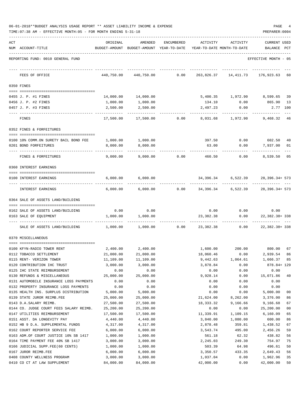| 06-01-2018**BUDGET ANALYSIS USAGE REPORT ** ASSET LIABILITY INCOME & EXPENSE |  |  | PAGE |  |
|------------------------------------------------------------------------------|--|--|------|--|
|                                                                              |  |  |      |  |

TIME:07:38 AM - EFFECTIVE MONTH:05 - FOR MONTH ENDING 5-31-18 PREPARER:0004

| ACT | NUM ACCOUNT-TITLE                                    | ORIGINAL               | AMENDED<br>BUDGET-AMOUNT BUDGET-AMOUNT YEAR-TO-DATE | ENCUMBERED | ACTIVITY               | ACTIVITY<br>YEAR-TO-DATE MONTH-TO-DATE | <b>CURRENT USED</b><br>BALANCE | PCT            |
|-----|------------------------------------------------------|------------------------|-----------------------------------------------------|------------|------------------------|----------------------------------------|--------------------------------|----------------|
|     |                                                      |                        |                                                     |            |                        |                                        |                                |                |
|     | REPORTING FUND: 0010 GENERAL FUND                    |                        |                                                     |            |                        |                                        | EFFECTIVE MONTH - 05           |                |
|     | FEES OF OFFICE                                       | 440,750.00             | 440,750.00                                          | 0.00       | 263,826.37             | 14,411.73                              | 176,923.63                     | 60             |
|     | 0350 FINES                                           |                        |                                                     |            |                        |                                        |                                |                |
|     |                                                      |                        |                                                     |            |                        |                                        |                                |                |
|     | 0455 J. P. #1 FINES                                  | 14,000.00<br>1,000.00  | 14,000.00                                           |            |                        | 5,400.35 1,972.90 8,599.65             | 865.90                         | 39<br>13       |
|     | 0456 J. P. #2 FINES<br>0457 J. P. #3 FINES           | 2,500.00               | 1,000.00<br>2,500.00                                |            | 134.10<br>2,497.23     | 0.00<br>0.00                           |                                | 2.77 100       |
|     |                                                      |                        |                                                     |            |                        |                                        |                                |                |
|     | FINES                                                | 17,500.00              | 17,500.00                                           | 0.00       | 8,031.68               | 1,972.90                               | 9,468.32                       | - 46           |
|     | 0352 FINES & FORFEITURES                             |                        |                                                     |            |                        |                                        |                                |                |
|     | 0100 10% COMM.ON SURETY BAIL BOND FEE                | 1,000.00               | 1,000.00                                            |            | 397.50                 | 0.00                                   | 602.50                         | 40             |
|     | 0201 BOND FORFEITURES                                | 8,000.00               | 8,000.00                                            |            | 63.00                  | 0.00                                   | 7,937.00                       | 01             |
|     | FINES & FORFEITURES                                  | 9,000.00               | 9,000.00                                            | 0.00       | 460.50                 | 0.00                                   | 8,539.50                       | 05             |
|     | 0360 INTEREST EARNINGS                               |                        |                                                     |            |                        |                                        |                                |                |
|     | 0100 INTEREST EARNINGS                               | 6,000.00               | 6,000.00                                            |            | 34,396.34              | 6,522.39                               | $28,396.34+573$                |                |
|     | INTEREST EARNINGS                                    | 6,000.00               | 6,000.00                                            | 0.00       | 34,396.34              | 6,522.39                               | $28,396.34+573$                |                |
|     | 0364 SALE OF ASSETS LAND/BUILDING                    |                        |                                                     |            |                        |                                        |                                |                |
|     | 0162 SALE OF ASSETS LAND/BUILDING                    | 0.00                   | 0.00                                                |            | 0.00                   | 0.00                                   | 0.00                           |                |
|     | 0163 SALE OF EQUIPMENT                               | 1,000.00               | 1,000.00                                            |            | 23,382.38              | 0.00                                   | 22, 382. 38+ 338               |                |
|     |                                                      |                        |                                                     |            | -------                |                                        |                                |                |
|     | SALE OF ASSETS LAND/BUILDING                         | 1,000.00               | 1,000.00                                            | 0.00       | 23,382.38              | 0.00                                   | 22, 382. 38+ 338               |                |
|     | 0370 MISCELLANEOUS                                   |                        |                                                     |            |                        |                                        |                                |                |
|     | 0100 KFYN-RADIO TOWER RENT                           | 2,400.00               | 2,400.00                                            |            | 1,600.00               |                                        | 200.00 800.00                  | 67             |
|     | 0112 TOBACCO SETTLEMENT                              | 21,000.00              | 21,000.00                                           |            | 18,060.46              | 0.00                                   | 2,939.54                       | 86             |
|     | 0115 RENT- VERIZON TOWER                             | 11,109.00              | 11,109.00                                           |            | 9,442.63               | 1,064.61                               | 1,666.37 85                    |                |
|     | 0120 CONTRIBUTION IHC TRUST                          | 3,000.00               | 3,000.00                                            |            | 3,878.84               | 0.00                                   | 878.84+ 129                    |                |
|     | 0125 IHC STATE REIMBURSEMENT                         | 0.00                   | 0.00                                                |            | 0.00                   | 0.00                                   | 0.00                           |                |
|     | 0130 REFUNDS & MISCELLANEOUS                         | 25,000.00              | 25,000.00                                           |            | 9,928.14               | 0.00                                   | 15,071.86                      | 40             |
|     | 0131 AUTOMOBILE INSURANCE LOSS PAYMENTS              | 0.00                   | 0.00                                                |            | 0.00                   | 0.00                                   | 0.00                           |                |
|     | 0132 PROPERTY INSURANCE LOSS PAYMENTS                | 0.00                   | 0.00                                                |            | 0.00                   | 0.00                                   | 0.00                           |                |
|     | 0135 HEALTH INS. SURPLUS DISTRIBUTION                | 5,000.00               | 5,000.00                                            |            | 0.00                   | 0.00                                   | 5,000.00                       | 0 <sub>0</sub> |
|     | 0139 STATE JUROR REIMB.FEE<br>0143 D.A.SALARY REIMB. | 25,000.00<br>27,500.00 | 25,000.00<br>27,500.00                              |            | 21,624.00<br>18,333.32 | 8,262.00<br>9,166.66                   | 3,376.00<br>9,166.68           | 86<br>67       |
|     | 0144 CO. JUDGE COURT FEES SALARY REIMB.              | 25,200.00              | 25,200.00                                           |            | 0.00                   | 0.00                                   | 25,200.00                      | 00             |
|     | 0147 UTILITIES REIMBURSEMENT                         | 17,500.00              | 17,500.00                                           |            | 11,339.91              | 1,109.15                               | 6,160.09                       | 65             |
|     | 0151 ASST. DA LONGEVITY PAY                          | 4,440.00               | 4,440.00                                            |            | 3,840.00               | 1,080.00                               | 600.00                         | 86             |
|     | 0152 HB 9 D.A. SUPPLEMENTAL FUNDS                    | 4,317.00               | 4,317.00                                            |            | 2,878.48               | 359.81                                 | 1,438.52                       | 67             |
|     | 0162 COURT REPORTER SERVICE FEE                      | 6,000.00               | 6,000.00                                            |            | 3,543.74               | 495.00                                 | 2,456.26                       | 59             |
|     | 0163 ADM.OF COURT JUSTICE 10% SB 1417                | 1,000.00               | 1,000.00                                            |            | 561.18                 | 62.32                                  | 438.82                         | 56             |
|     | 0164 TIME PAYMENT FEE 40% SB 1417                    | 3,000.00               | 3,000.00                                            |            | 2,245.03               | 249.30                                 | 754.97                         | 75             |
|     | 0166 JUDICIAL SUPP.FEE(60 CENTS)                     | 1,000.00               | 1,000.00                                            |            | 503.39                 | 64.98                                  | 496.61                         | 50             |
|     | 0167 JUROR REIMB.FEE                                 | 6,000.00               | 6,000.00                                            |            | 3,350.57               | 433.35                                 | 2,649.43                       | 56             |
|     | 0408 COUNTY WELLNESS PROGRAM                         | 3,000.00               | 3,000.00                                            |            | 1,037.04               | 0.00                                   | 1,962.96                       | 35             |

0410 CO CT AT LAW SUPPLEMENT  $84,000.00$   $84,000.00$   $84,000.00$   $42,000.00$   $9.00$   $42,000.00$   $50$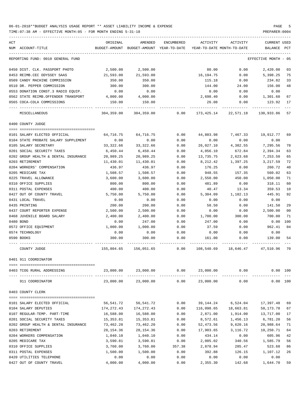TIME:07:38 AM - EFFECTIVE MONTH:05 - FOR MONTH ENDING 5-31-18 PREPARER:0004

| ACT<br>NUM ACCOUNT-TITLE                     | ORIGINAL           | AMENDED<br>BUDGET-AMOUNT BUDGET-AMOUNT YEAR-TO-DATE YEAR-TO-DATE MONTH-TO-DATE | ENCUMBERED   | ACTIVITY           | ACTIVITY                 | <b>CURRENT USED</b><br>BALANCE PCT |                       |
|----------------------------------------------|--------------------|--------------------------------------------------------------------------------|--------------|--------------------|--------------------------|------------------------------------|-----------------------|
|                                              |                    |                                                                                |              |                    |                          |                                    |                       |
| REPORTING FUND: 0010 GENERAL FUND            |                    |                                                                                |              |                    |                          | EFFECTIVE MONTH - 05               |                       |
| 0450 DIST. CLK. PASSPORT PHOTO               | 2,500.00           | 2,500.00                                                                       |              | 80.00              | 0.00                     | 2,420.00                           | 03                    |
| 0453 REIMB.CEC ODYSSEY SAAS                  | 21,593.00          | 21,593.00                                                                      |              | 16,194.75          | 0.00                     | 5,398.25                           | 75                    |
| 0509 CANDY MACHINE COMMISSION                | 350.00             | 350.00                                                                         |              | 115.18             | 0.00                     | 234.82                             | 33                    |
| 0510 DR. PEPPER COMMISSION                   | 300.00             | 300.00                                                                         |              | 144.00             | 24.00                    | 156.00                             | 48                    |
| 0553 DONATION CONST.3 RADIO EQUIP.           | 0.00               | 0.00                                                                           |              | 0.00               | 0.00                     | 0.00                               |                       |
| 0562 STATE REIMB.OFFENDER TRANSPORT          | 4,000.00           | 4,000.00                                                                       |              | 2,698.40           | 0.00                     | 1,301.60                           | 67                    |
| 0565 COCA-COLA COMMISSIONS                   | 150.00             | 150.00                                                                         |              | 26.08              | 0.00                     | 123.92                             | 17                    |
| MISCELLANEOUS                                | 304,359.00         | 304,359.00                                                                     | 0.00         |                    | 173, 425. 14 22, 571. 18 | 130,933.86                         | 57                    |
| 0400 COUNTY JUDGE                            |                    |                                                                                |              |                    |                          |                                    |                       |
| 0101 SALARY ELECTED OFFICIAL                 | 64,716.75          | 64,716.75                                                                      | 0.00         | 44,803.98          | 7,467.33                 | 19,912.77                          | 69                    |
| 0104 STATE PROBATE SALARY SUPPLEMENT         | 0.00               | 0.00                                                                           | 0.00         | 0.00               | 0.00                     | 0.00                               |                       |
| 0105 SALARY SECRETARY                        | 33, 322.66         | 33, 322.66                                                                     | 0.00         | 26,027.10          | 4,382.55                 | 7,295.56                           | 78                    |
| 0201 SOCIAL SECURITY TAXES                   | 6,450.44           | 6,450.44                                                                       | 0.00         | 4,056.10           | 672.84                   | 2,394.34                           | 63                    |
| 0202 GROUP HEALTH & DENTAL INSURANCE         | 20,989.25          | 20,989.25                                                                      | 0.00         | 13,735.75          | 2,623.68                 | 7,253.50                           | 65                    |
| 0203 RETIREMENT                              | 11,430.01          | 11,430.01                                                                      | 0.00         | 8,212.42           | 1,397.25                 | 3,217.59                           | 72                    |
| 0204 WORKERS' COMPENSATION                   | 436.97             | 436.97                                                                         | 0.00         | 176.25             | 0.00                     | 260.72                             | 40                    |
| 0205 MEDICARE TAX                            | 1,508.57           | 1,508.57                                                                       | 0.00         | 948.55             | 157.35                   | 560.02                             | 63                    |
| 0225 TRAVEL ALLOWANCE                        |                    | 3,600.00                                                                       |              | 2,550.00           |                          |                                    | 71                    |
|                                              | 3,600.00           |                                                                                | 0.00         |                    | 450.00                   | 1,050.00                           | 60                    |
| 0310 OFFICE SUPPLIES<br>0311 POSTAL EXPENSES | 800.00             | 800.00<br>400.00                                                               | 0.00<br>0.00 | 481.89<br>40.47    | 0.00<br>13.34            | 318.11<br>359.53                   | 10                    |
| 0427 OUT OF COUNTY TRAVEL                    | 400.00<br>5,750.00 |                                                                                | 0.00         | 5,304.09           |                          | 445.91                             | 92                    |
| 0431 LOCAL TRAVEL                            |                    | 5,750.00                                                                       | 0.00         |                    | 1,182.13                 |                                    |                       |
|                                              | 0.00<br>200.00     | 0.00                                                                           | 0.00         | 0.00               | 0.00                     | 0.00                               | 29                    |
| 0435 PRINTING                                |                    | 200.00                                                                         |              | 58.50              | 0.00                     | 141.50                             | 0 <sub>0</sub>        |
| 0437 COURT REPORTER EXPENSE                  | 2,500.00           | 2,500.00                                                                       | 0.00         | 0.00               | 0.00<br>300.00           | 2,500.00                           | 71                    |
| 0468 JUVENILE BOARD SALARY<br>0480 BOND      | 2,400.00           | 2,400.00<br>247.00                                                             | 0.00         | 1,700.00<br>247.00 |                          | 700.00                             |                       |
|                                              | 0.00               |                                                                                | 0.00         |                    | 0.00                     | 0.00<br>962.41                     | 100<br>0 <sub>4</sub> |
| 0572 OFFICE EQUIPMENT<br>0574 TECHNOLOGY     | 1,000.00<br>0.00   | 1,000.00<br>0.00                                                               | 0.00         | 37.59              | 0.00                     | 0.00                               |                       |
|                                              |                    |                                                                                | 0.00         | 0.00               | 0.00                     |                                    |                       |
| 0590 BOOKS                                   | 300.00             | 300.00                                                                         | 0.00         | 161.00             | 0.00                     | 139.00                             | 54                    |
| COUNTY JUDGE                                 |                    | 155,804.65 156,051.65                                                          | 0.00         |                    | 108,540.69 18,646.47     | 47,510.96                          | 70                    |
| 0401 911 COORDINATOR                         |                    |                                                                                |              |                    |                          |                                    |                       |
| 0403 TCOG RURAL ADDRESSING                   | 23,000.00          | 23,000.00                                                                      | 0.00         | 23,000.00          | 0.00                     | 0.00 100                           |                       |
| 911 COORDINATOR                              | 23,000.00          | 23,000.00                                                                      | 0.00         | 23,000.00          | 0.00                     | 0.00 100                           |                       |
| 0403 COUNTY CLERK                            |                    |                                                                                |              |                    |                          |                                    |                       |
| 0101 SALARY ELECTED OFFICIAL                 | 56,541.72          | 56,541.72                                                                      | 0.00         | 39,144.24          | 6,524.04                 | 17,397.48                          | 69                    |
| 0104 SALARY DEPUTIES                         | 174,272.43         | 174,272.43                                                                     | 0.00         |                    | 116,098.65 18,663.81     | 58,173.78                          | 67                    |
| 0107 REGULAR-TEMP. PART-TIME                 | 16,588.00          | 16,588.00                                                                      | 0.00         | 2,871.00           | 1,914.00                 | 13,717.00                          | 17                    |
| 0201 SOCIAL SECURITY TAXES                   | 15,353.81          | 15,353.81                                                                      | 0.00         | 8,572.61           | 1,456.13                 | 6,781.20                           | 56                    |
| 0202 GROUP HEALTH & DENTAL INSURANCE         | 73,462.20          | 73,462.20                                                                      | 0.00         | 52,473.56          | 9,620.16                 | 20,988.64                          | 71                    |
| 0203 RETIREMENT                              | 28, 154.36         | 28,154.36                                                                      | 0.00         | 17,903.65          | 3,116.72                 | 10,250.71                          | 64                    |
| 0204 WORKERS COMPENSATION                    | 1,040.10           | 1,040.10                                                                       | 0.00         | 434.14             | 0.00                     | 605.96                             | 42                    |
| 0205 MEDICARE TAX                            | 3,590.81           | 3,590.81                                                                       | 0.00         | 2,005.02           | 340.56                   | 1,585.79                           | 56                    |
| 0310 OFFICE SUPPLIES                         | 3,760.00           | 3,760.00                                                                       | 357.38       | 2,878.94           | 285.47                   | 523.68                             | 86                    |
| 0311 POSTAL EXPENSES                         | 1,500.00           | 1,500.00                                                                       | 0.00         | 392.88             | 126.15                   | 1,107.12                           | 26                    |
| 0420 UTILITIES TELEPHONE                     | 0.00               | 0.00                                                                           | 0.00         | 0.00               | 0.00                     | 0.00                               |                       |
|                                              |                    |                                                                                |              |                    |                          |                                    |                       |

0427 OUT OF COUNTY TRAVEL 4,000.00 4,000.00 0.00 2,355.30 142.68 1,644.70 59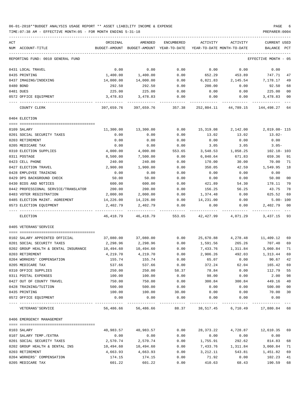### 06-01-2018\*\*BUDGET ANALYSIS USAGE REPORT \*\* ASSET LIABILITY INCOME & EXPENSE PAGE 6 TIME:07:38 AM - EFFECTIVE MONTH:05 - FOR MONTH ENDING 5-31-18 PREPARER:0004

-----------------------------------------------------------------------------------------------------------------------------------

| ACT |                                      | ORIGINAL   | AMENDED                                  | ENCUMBERED | ACTIVITY                   | ACTIVITY                        | <b>CURRENT USED</b>  |                |
|-----|--------------------------------------|------------|------------------------------------------|------------|----------------------------|---------------------------------|----------------------|----------------|
|     | NUM ACCOUNT-TITLE                    |            | BUDGET-AMOUNT BUDGET-AMOUNT YEAR-TO-DATE |            | YEAR-TO-DATE MONTH-TO-DATE |                                 | BALANCE              | $_{\rm PCT}$   |
|     |                                      |            |                                          |            |                            |                                 |                      |                |
|     | REPORTING FUND: 0010 GENERAL FUND    |            |                                          |            |                            |                                 | EFFECTIVE MONTH - 05 |                |
|     | 0431 LOCAL TRAVEL                    | 0.00       | 0.00                                     | 0.00       | 0.00                       | 0.00                            | 0.00                 |                |
|     | 0435 PRINTING                        | 1,400.00   | 1,400.00                                 | 0.00       | 652.29                     | 453.89                          | 747.71               | 47             |
|     | 0437 IMAGING/INDEXING                | 14,000.00  | 14,000.00                                | 0.00       | 6,821.83                   | 2,145.54                        | 7,178.17             | 49             |
|     | 0480 BOND                            | 292.50     | 292.50                                   | 0.00       | 200.00                     | 0.00                            | 92.50                | 68             |
|     | 0481 DUES                            | 225.00     | 225.00                                   | 0.00       | 0.00                       | 0.00                            | 225.00               | 0 <sub>0</sub> |
|     | 0572 OFFICE EQUIPMENT                | 3,478.83   | 3,478.83                                 | 0.00       | 0.00                       | 0.00                            | 3,478.83             | 00             |
|     | COUNTY CLERK                         | 397,659.76 | 397,659.76                               | 357.38     | 252,804.11                 | 44,789.15                       | 144,498.27           | 64             |
|     | 0404 ELECTION                        |            |                                          |            |                            |                                 |                      |                |
|     |                                      |            |                                          |            |                            |                                 |                      |                |
|     | 0109 SALARY                          | 11,300.00  | 13,300.00                                | 0.00       | 15,319.08                  | 2,142.00                        | 2,019.08-115         |                |
|     | 0201 SOCIAL SECURITY TAXES           | 0.00       | 0.00                                     | 0.00       | 13.02                      | 13.02                           | 13.02-               |                |
|     | 0203 RETIREMENT                      | 0.00       | 0.00                                     | 0.00       | 0.00                       | 0.00                            | 0.00                 |                |
|     | 0205 MEDICARE TAX                    | 0.00       | 0.00                                     | 0.00       | 3.05                       | 3.05                            | $3.05-$              |                |
|     | 0310 ELECTION SUPPLIES               | 4,000.00   | 4,000.00                                 | 553.65     | 3,548.53                   | 1,058.25                        | 102.18- 103          |                |
|     | 0311 POSTAGE                         | 8,500.00   | 7,500.00                                 | 0.00       | 6,840.64                   | 671.83                          | 659.36               | 91             |
|     | 0423 CELL PHONE                      | 240.00     | 240.00                                   | 0.00       | 170.00                     | 30.00                           | 70.00                | 71             |
|     | 0427 ELECTION TRAVEL                 | 2,900.00   | 1,900.00                                 | 0.00       | 350.05                     | 42.59                           | 1,549.95             | 18             |
|     |                                      | 0.00       | 0.00                                     |            |                            |                                 |                      |                |
|     | 0428 EMPLOYEE TRAINING               |            |                                          | 0.00       | 0.00                       | 0.00                            | 0.00                 |                |
|     | 0429 DPS BACKGROUND CHECK            | 50.00      | 50.00                                    | 0.00       | 0.00                       | 0.00                            | 50.00                | 00             |
|     | 0430 BIDS AND NOTICES                | 600.00     | 600.00                                   | 0.00       | 421.89                     | 54.30                           | 178.11               | 70             |
|     | 0442 PROFESSIONAL SERVICE/TRANSLATOR | 200.00     | 200.00                                   | 0.00       | 156.25                     | 56.25                           | 43.75                | 78             |
|     | 0483 VOTER REGISTRATION              | 2,000.00   | 2,000.00                                 | 0.00       | 1,374.48                   | 0.00                            | 625.52               | 69             |
|     | 0485 ELECTION MAINT. AGREEMENT       | 14,226.00  | 14,226.00                                | 0.00       | 14,231.00                  | 0.00                            | $5.00 - 100$         |                |
|     | 0573 ELECTION EQUIPMENT              | 2,402.79   | 2,402.79                                 | 0.00       | 0.00                       | 0.00                            | 2,402.79             | 0 <sub>0</sub> |
|     | ELECTION                             | 46,418.79  | 46,418.79                                | 553.65     | 42,427.99                  | 4,071.29                        | 3,437.15 93          |                |
|     | 0405 VETERANS'SERVICE                |            |                                          |            |                            |                                 |                      |                |
|     |                                      |            |                                          |            |                            |                                 |                      |                |
|     | 0102 SALARY APPOINTED OFFICIAL       | 37,080.00  | 37,080.00                                | 0.00       |                            | 25,670.88 4,278.48              | 11,409.12            | 69             |
|     | 0201 SOCIAL SECURITY TAXES           | 2,298.96   | 2,298.96                                 | 0.00       | 1,591.56                   | 265.26                          | 707.40               | 69             |
|     | 0202 GROUP HEALTH & DENTAL INSURANCE | 10,494.60  | 10,494.60                                | 0.00       | 7,433.76                   | 1,311.84                        | 3,060.84             | 71             |
|     | 0203 RETIREMENT                      | 4,219.70   | 4,219.70                                 | 0.00       | 2,906.26                   | 492.03                          | 1,313.44             | 69             |
|     | 0204 WORKERS' COMPENSATION           | 155.74     | 155.74                                   | 0.00       | 65.07                      | 0.00                            | 90.67                | 42             |
|     | 0205 MEDICARE TAX                    | 537.66     | 537.66                                   | 0.00       | 372.24                     | 62.04                           | 165.42               | 69             |
|     | 0310 OFFICE SUPPLIES                 | 250.00     | 250.00                                   | 58.37      | 78.84                      | 0.00                            | 112.79               | 55             |
|     | 0311 POSTAL EXPENSES                 | 100.00     | 100.00                                   | 0.00       | 98.00                      | 0.00                            | 2.00                 | 98             |
|     | 0427 OUT OF COUNTY TRAVEL            | 750.00     | 750.00                                   | 0.00       | 300.84                     | 300.84                          | 449.16               | 40             |
|     | 0428 TRAINING/TUITION                | 500.00     | 500.00                                   | 0.00       | 0.00                       | 0.00                            | 500.00               | 00             |
|     | 0435 PRINTING                        | 100.00     | 100.00                                   | 30.00      | 0.00                       | 0.00                            | 70.00                | 30             |
|     | 0572 OFFICE EQUIPMENT                | 0.00       | 0.00                                     | 0.00       | 0.00                       | 0.00                            | 0.00                 |                |
|     | VETERANS 'SERVICE                    | 56,486.66  | 56,486.66                                | 88.37      |                            | 38,517.45 6,710.49 17,880.84 68 |                      |                |
|     | 0406 EMERGENCY MANAGEMENT            |            |                                          |            |                            |                                 |                      |                |
|     | 0103 SALARY                          | 40,983.57  | 40,983.57                                | 0.00       | 28,373.22                  | 4,728.87                        | 12,610.35            | 69             |
|     | 0107 SALARY TEMP./EXTRA              | 0.00       | 0.00                                     | 0.00       | 0.00                       | 0.00                            | 0.00                 |                |
|     | 0201 SOCIAL SECURITY TAXES           | 2,570.74   | 2,570.74                                 | 0.00       | 1,755.91                   | 292.62                          | 814.83               | 68             |
|     | 0202 GROUP HEALTH & DENTAL INS       | 10,494.60  | 10,494.60                                | 0.00       | 7,433.76                   | 1,311.84                        | 3,060.84             | 71             |
|     | 0203 RETIREMENT                      | 4,663.93   | 4,663.93                                 | 0.00       | 3,212.11                   | 543.81                          | 1,451.82             | 69             |
|     | 0204 WORKERS' COMPENSATION           | 174.15     | 174.15                                   | 0.00       | 71.92                      | 0.00                            | 102.23               | 41             |
|     | 0205 MEDICARE TAX                    | 601.22     | 601.22                                   | 0.00       | 410.63                     | 68.43                           | 190.59               | 68             |
|     |                                      |            |                                          |            |                            |                                 |                      |                |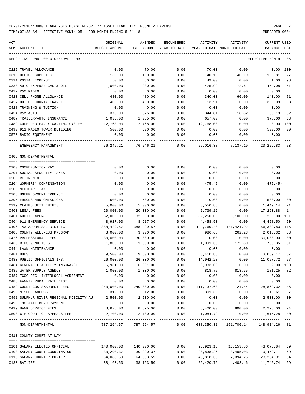| ACT |                                                  | ORIGINAL   | AMENDED                                  | <b>ENCUMBERED</b> | ACTIVITY   | ACTIVITY                                     | <b>CURRENT USED</b>       |             |
|-----|--------------------------------------------------|------------|------------------------------------------|-------------------|------------|----------------------------------------------|---------------------------|-------------|
|     | NUM ACCOUNT-TITLE                                |            | BUDGET-AMOUNT BUDGET-AMOUNT YEAR-TO-DATE |                   |            | YEAR-TO-DATE MONTH-TO-DATE                   | BALANCE                   | PCT         |
|     |                                                  |            |                                          |                   |            |                                              |                           |             |
|     | REPORTING FUND: 0010 GENERAL FUND                |            |                                          |                   |            |                                              | EFFECTIVE MONTH - 05      |             |
|     | 0225 TRAVEL ALLOWANCE                            | 0.00       | 70.00                                    | 0.00              | 70.00      | 0.00                                         | 0.00                      | 100         |
|     | 0310 OFFICE SUPPLIES                             | 150.00     | 150.00                                   | 0.00              | 40.19      | 40.19                                        | 109.81                    | 27          |
|     | 0311 POSTAL EXPENSE                              | 50.00      | 50.00                                    | 0.00              | 49.00      | 0.00                                         | 1.00                      | 98          |
|     | 0330 AUTO EXPENSE-GAS & OIL                      | 1,000.00   | 930.00                                   | 0.00              | 475.92     | 72.61                                        | 454.08                    | 51          |
|     | 0422 R&M RADIO                                   | 0.00       | 0.00                                     | 0.00              | 0.00       | 0.00                                         | 0.00                      |             |
|     | 0423 CELL PHONE ALLOWANCE                        | 480.00     | 480.00                                   | 0.00              | 340.00     | 60.00                                        | 140.00                    | 71          |
|     | 0427 OUT OF COUNTY TRAVEL                        | 400.00     | 400.00                                   | 0.00              | 13.91      | 0.00                                         | 386.09                    | 03          |
|     | 0428 TRAINING & TUITION                          | 0.00       | 0.00                                     | 0.00              | 0.00       | 0.00                                         | 0.00                      |             |
|     | 0454 R&M AUTO                                    | 375.00     | 375.00                                   | 0.00              | 344.81     | 18.82                                        | 30.19                     | 92          |
|     | 0487 TRAILER/AUTO INSURANCE                      | 1,035.00   | 1,035.00                                 | 0.00              | 657.00     | 0.00                                         | 378.00                    | 63          |
|     | 0489 CODE RED EARLY WARNING SYSTEM               | 12,768.00  | 12,768.00                                | 0.00              | 12,768.00  | 0.00                                         | 0.00                      | 100         |
|     | 0490 911 RADIO TOWER BUILDING                    | 500.00     | 500.00                                   | 0.00              | 0.00       | 0.00                                         | 500.00                    | 00          |
|     | 0573 RADIO EQUIPMENT                             | 0.00       | 0.00                                     | 0.00              | 0.00       | 0.00                                         | 0.00                      |             |
|     | EMERGENCY MANAGEMENT                             | 76,246.21  | 76,246.21                                | 0.00              | 56,016.38  | 7,137.19                                     | 20, 229, 83 73            |             |
|     | 0409 NON-DEPARTMENTAL                            |            |                                          |                   |            |                                              |                           |             |
|     |                                                  |            |                                          |                   |            |                                              |                           |             |
|     | 0100 COMPENSATION PAY                            | 0.00       | 0.00                                     | 0.00              | 0.00       | 0.00                                         | 0.00                      |             |
|     | 0201 SOCIAL SECURITY TAXES                       | 0.00       | 0.00                                     | 0.00              | 0.00       | 0.00                                         | 0.00                      |             |
|     | 0203 RETIREMENT                                  | 0.00       | 0.00                                     | 0.00              | 0.00       | 0.00                                         | 0.00                      |             |
|     | 0204 WORKERS' COMPENSATION                       | 0.00       | 0.00                                     | 0.00              | 475.45     | 0.00                                         | $475.45-$                 |             |
|     | 0205 MEDICARE TAX                                | 0.00       | 0.00                                     | 0.00              | 0.00       | 0.00                                         | 0.00                      |             |
|     | 0206 UNEMPLOYMENT EXPENSE                        | 0.00       | 0.00                                     | 0.00              | 0.00       | 0.00                                         | 0.00                      |             |
|     | 0395 ERRORS AND OMISSIONS                        | 500.00     | 500.00                                   | 0.00              | 0.00       | 0.00                                         | 500.00                    | 00          |
|     | 0399 CLAIMS SETTLEMENTS                          | 5,000.00   | 5,000.00                                 | 0.00              | 3,550.86   | 0.00                                         | 1,449.14                  | 71          |
|     | 0400 LEGAL FEES                                  | 20,000.00  | 20,000.00                                | 0.00              | 2,739.12   | 0.00                                         | 17,260.88                 | 14          |
|     | 0401 AUDIT EXPENSE                               | 32,000.00  | 32,000.00                                | 0.00              | 32,250.00  | 8,100.00                                     | 250.00- 101               |             |
|     | 0404 911 EMERGENCY SERVICE                       | 8,917.00   | 8,917.00                                 | 0.00              | 4,458.50   | 0.00                                         | 4,458.50                  | 50          |
|     | 0406 TAX APPRAISAL DISTRICT                      | 388,429.57 | 388, 429.57                              | 0.00              | 444,769.40 | 141,421.92                                   | 56, 339.83- 115           |             |
|     | 0408 COUNTY WELLNESS PROGRAM                     | 3,000.00   | 3,000.00                                 | 0.00              | 986.68     | 262.23                                       | 2,013.32                  | 33          |
|     | 0426 PROFESSIONAL FEES                           | 30,000.00  | 30,000.00                                | 0.00              | 0.00       | 0.00                                         | 30,000.00                 | 00          |
|     | 0430 BIDS & NOTICES                              | 1,800.00   | 1,800.00                                 | 0.00              | 1,091.65   | 172.80                                       | 708.35                    | 61          |
|     | 0444 LAWN MAINTENANCE                            | 0.00       | 0.00                                     | 0.00              | 0.00       | 0.00                                         | 0.00                      |             |
|     | 0481 DUES                                        | 9,500.00   | 9,500.00                                 | 0.00              | 6,410.83   | 0.00                                         | 3,089.17                  | 67          |
|     | 0483 PUBLIC OFFICIALS INS.                       | 26,000.00  | 26,000.00                                | 0.00              | 14,942.28  | 0.00                                         | 11,057.72 57              |             |
|     | 0484 GENERAL LIABILITY INSURANCE                 | 6,931.00   | 6,931.00                                 | 0.00              | 6,933.00   | 0.00                                         | $2.00 - 100$              |             |
|     | 0485 WATER SUPPLY AGENCY                         | 1,000.00   | 1,000.00                                 | 0.00              | 818.75     | 818.75                                       | 181.25                    | 82          |
|     | 0487 TCOG-REG. INTERLOCAL AGREEMENT              | 0.00       | 0.00                                     | 0.00              | 0.00       | 0.00                                         | 0.00                      |             |
|     | 0488 FANNIN RURAL RAIL DIST                      | 0.00       | 0.00                                     | 0.00              | 0.00       | 0.00                                         | 0.00                      |             |
|     | 0489 COURT COSTS/ARREST FEES                     | 240,000.00 | 240,000.00                               | 0.00              | 111,137.68 | 124.44                                       | 128,862.32                | 46          |
|     | 0490 MISCELLANEOUS                               | 312.00     | 312.00                                   | 0.00              | 301.39     | 0.00                                         | 10.61                     | 97          |
|     | 0491 SULPHUR RIVER REGIONAL MOBILITY AU 2,500.00 |            | 2,500.00                                 | 0.00              | 0.00       | 0.00                                         | 2,500.00                  | $00\,$      |
|     | 0495 '98 JAIL BOND PAYMENT                       | 0.00       | 0.00                                     | 0.00              | 0.00       | 0.00                                         | 0.00                      |             |
|     | 0499 BANK SERVICE FEES                           |            |                                          | 0.00              |            | 800.00                                       | 2,275.00                  | 74          |
|     | 0500 6TH COURT OF APPEALS FEE                    | 8,675.00   | 8,675.00<br>2,700.00                     |                   | 6,400.00   |                                              |                           |             |
|     |                                                  | 2,700.00   |                                          | 0.00              | 1,084.72   | 0.00                                         | 1,615.28<br>------------- | 40<br>$---$ |
|     | NON-DEPARTMENTAL                                 |            | 787,264.57 787,264.57 0.00               |                   |            | 638, 350. 31  151, 700. 14  148, 914. 26  81 |                           |             |
|     | 0410 COUNTY COURT AT LAW                         |            |                                          |                   |            |                                              |                           |             |
|     |                                                  |            |                                          |                   |            |                                              |                           |             |
|     | 0101 SALARY ELECTED OFFICIAL                     | 140,000.00 | 140,000.00                               | 0.00              | 96,923.16  |                                              | 16, 153.86 43, 076.84     | 69          |
|     | 0103 SALARY COURT COORDINATOR                    | 30,290.37  | 30,290.37                                | 0.00              | 20,838.26  | 3,495.03                                     | 9,452.11                  | 69          |
|     | 0110 SALARY COURT REPORTER                       | 64,083.59  | 64,083.59                                | 0.00              | 40,818.68  | 7,394.25                                     | 23,264.91                 | 64          |
|     | 0130 BAILIFF                                     | 38,163.50  | 38,163.50                                | 0.00              | 26,420.76  | 4,403.46                                     | 11,742.74                 | 69          |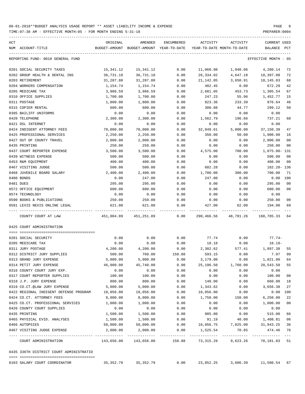TIME:07:38 AM - EFFECTIVE MONTH:05 - FOR MONTH ENDING 5-31-18 PREPARER:0004

| ACT<br>ACCOUNT-TITLE<br>NUM             | ORIGINAL<br>BUDGET-AMOUNT | AMENDED<br>BUDGET-AMOUNT YEAR-TO-DATE     | ENCUMBERED           | ACTIVITY   | ACTIVITY<br>YEAR-TO-DATE MONTH-TO-DATE | <b>CURRENT USED</b><br>BALANCE | PCT             |
|-----------------------------------------|---------------------------|-------------------------------------------|----------------------|------------|----------------------------------------|--------------------------------|-----------------|
| REPORTING FUND: 0010 GENERAL FUND       |                           |                                           |                      |            |                                        | EFFECTIVE MONTH - 05           |                 |
| 0201 SOCIAL SECURITY TAXES              | 15,341.12                 | 15,341.12                                 | 0.00                 | 11,060.98  | 1,940.06                               | 4,280.14                       | 72              |
| 0202 GROUP HEALTH & DENTAL INS          | 36,731.10                 | 36,731.10                                 | 0.00                 | 26,334.02  | 4,647.18                               | 10,397.08                      | 72              |
| 0203 RETIREMENT                         | 31,287.88                 | 31,287.88                                 | 0.00                 | 21,142.05  | 3,650.91                               | 10,145.83                      | 68              |
| 0204 WORKERS COMPENSATION               | 1,154.74                  | 1,154.74                                  | 0.00                 | 482.45     | 0.00                                   | 672.29                         | 42              |
| 0205 MEDICARE TAX                       | 3,986.59                  | 3,986.59                                  | 0.00                 | 2,681.05   | 453.73                                 | 1,305.54                       | 67              |
| 0310 OFFICE SUPPLIES                    | 1,700.00                  | 1,700.00                                  | 0.00                 | 247.23     | 55.96                                  | 1,452.77                       | 15              |
| 0311 POSTAGE                            | 1,800.00                  | 1,800.00                                  | 0.00                 | 823.36     | 233.39                                 | 976.64                         | 46              |
| 0315 COPIER RENTAL                      | 600.00                    | 600.00                                    | 0.00                 | 300.88     | 44.77                                  | 299.12                         | 50              |
| 0395 BAILIFF UNIFORMS                   | 0.00                      | 0.00                                      | 0.00                 | 0.00       | 0.00                                   | 0.00                           |                 |
| 0420 TELEPHONE                          | 2,300.00                  | 2,300.00                                  | 0.00                 | 1,562.79   | 196.66                                 | 737.21                         | 68              |
| 0421 DSL INTERNET                       | 0.00                      | 0.00                                      | 0.00                 | 0.00       | 0.00                                   | 0.00                           |                 |
| 0424 INDIGENT ATTORNEY FEES             | 70,000.00                 | 70,000.00                                 | 0.00                 | 32,849.61  | 5,000.00                               | 37,150.39                      | 47              |
| 0425 PROFESSIONAL SERVICES              | 2,250.00                  | 2,250.00                                  | 0.00                 | 350.00     | 50.00                                  | 1,900.00                       | 16              |
| 0427 OUT OF COUNTY TRAVEL               | 2,000.00                  | 2,000.00                                  | 0.00                 | 0.00       | 0.00                                   | 2,000.00                       | 00              |
| 0435 PRINTING                           | 250.00                    | 250.00                                    | 0.00                 | 0.00       | 0.00                                   | 250.00                         | 00              |
| 0437 COURT REPORTER EXPENSE             | 3,500.00                  | 3,500.00                                  | 0.00                 | 4,575.00   | 700.00                                 | 1,075.00- 131                  |                 |
| 0439 WITNESS EXPENSE                    | 500.00                    | 500.00                                    | 0.00                 | 0.00       | 0.00                                   | 500.00                         | 00              |
| 0453 R&M EQUIPMENT                      | 400.00                    | 400.00                                    | 0.00                 | 0.00       | 0.00                                   | 400.00                         | 00              |
| 0467 VISITING JUDGE                     | 500.00                    | 500.00                                    | 0.00                 | 682.28     | 0.00                                   | 182.28-136                     |                 |
| 0468 JUVENILE BOARD SALARY              | 2,400.00                  | 2,400.00                                  | 0.00                 | 1,700.00   | 300.00                                 | 700.00                         | 71              |
|                                         |                           |                                           |                      |            |                                        |                                |                 |
| 0480 BONDS                              | 0.00                      | 247.00                                    | 0.00                 | 247.00     | 0.00                                   | 0.00                           | 100             |
| 0481 DUES                               | 295.00                    | 295.00                                    | 0.00                 | 0.00       | 0.00                                   | 295.00                         | 00              |
| 0572 OFFICE EQUIPMENT                   | 600.00                    | 600.00                                    | 0.00                 | 0.00       | 0.00                                   | 600.00                         | 00              |
| 0574 TECHNOLOGY                         | 0.00                      | 0.00                                      | 0.00                 | 0.00       | 0.00                                   | 0.00                           |                 |
| 0590 BOOKS & PUBLICATIONS               | 250.00                    | 250.00                                    | 0.00                 | 0.00       | 0.00                                   | 250.00                         | 00              |
| 0591 LEXIS NEXIS ONLINE LEGAL           | 621.00                    | 621.00                                    | 0.00                 | 427.00     | 62.00                                  | 194.00                         | 69              |
| COUNTY COURT AT LAW                     | 451,004.89                | 451,251.89                                | 0.00                 | 290,466.56 | 48,781.26                              | 160,785.33                     | 64              |
| 0425 COURT ADMINISTRATION               |                           |                                           |                      |            |                                        |                                |                 |
| 0201 SOCIAL SECURITY                    | 0.00                      | 0.00                                      | 0.00                 | 77.74      | 0.00                                   | 77.74-                         |                 |
| 0205 MEDICARE TAX                       | 0.00                      | 0.00                                      | 0.00                 | 18.18      | 0.00                                   | $18.18 -$                      |                 |
| 0311 JURY POSTAGE                       | 4,200.00                  | 4,200.00                                  | 0.00                 | 2,302.62   | 577.41                                 | 1,897.38                       | 55              |
| 0312 DISTRICT JURY SUPPLIES             | 500.00                    | 760.00                                    | 158.88               | 593.15     | 0.00                                   | 7.97                           | 99              |
| 0313 GRAND JURY EXPENSE                 | 5,000.00                  | 5,000.00                                  | 0.00                 | 3,179.00   | 0.00                                   | 1,821.00                       | 64              |
| 0314 PETIT JURY EXPENSE                 | 46,000.00                 | 45,740.00                                 | 0.00                 | 25,196.50  | 1,760.00                               | 20,543.50                      | 55              |
| 0316 COUNTY COURT JURY EXP.             | 0.00                      | 0.00                                      | 0.00                 | 0.00       | 0.00                                   | 0.00                           |                 |
| 0317 COURT REPORTER SUPPLIES            | 100.00                    | 100.00                                    | 0.00                 | 0.00       | 0.00                                   | 100.00                         | $00\,$          |
| 0318 J.P. JURY EXPENSE                  | 800.00                    | 800.00                                    | 0.00                 | 140.00     | 0.00                                   | 660.00                         | 18              |
| 0319 CO.CT.@LAW JURY EXPENSE            | 5,000.00                  | 5,000.00                                  | 0.00                 | 1,343.62   | 0.00                                   | 3,656.38                       | 27              |
| 0422 REGIONAL INDIGENT DEFENSE PROGRAM  | 18,056.00                 | 18,056.00                                 | 0.00                 | 18,056.00  | 0.00                                   | 0.00                           | 100             |
| 0424 CO.CT. ATTORNEY FEES               | 8,000.00                  | 8,000.00                                  |                      | 1,750.00   |                                        | 6, 250.00                      | 22              |
|                                         | 1,000.00                  |                                           | 0.00                 |            | 150.00                                 |                                |                 |
| 0425 CO.CT. PROFESSIONAL SERVICES       |                           | 1,000.00                                  | 0.00                 | 0.00       | 0.00                                   | 1,000.00                       | 00              |
| 0426 COUNTY COURT SUPPLIES              | 0.00                      | 0.00                                      | 0.00                 | 0.00       | 0.00                                   | 0.00                           |                 |
| 0435 PRINTING                           | 1,500.00                  | 1,500.00                                  | 0.00                 | 985.00     | 0.00                                   | 515.00                         | 66              |
| 0465 PHYSICAL EVID. ANALYSES            | 1,500.00                  | 1,500.00                                  | 0.00                 | 91.19      | 40.00                                  | 1,408.81                       | 06              |
| 0466 AUTOPSIES                          | 50,000.00                 | 50,000.00                                 | 0.00                 | 18,056.75  | 7,025.00                               | 31,943.25                      | 36              |
| 0467 VISITING JUDGE EXPENSE             | 2,000.00                  | 2,000.00<br>------------                  | 0.00<br>------------ | 1,525.54   | 70.85                                  | 474.46                         | 76<br>$- - - -$ |
| COURT ADMINISTRATION                    |                           | 143,656.00  143,656.00  158.88  73,315.29 |                      |            | 9,623.26                               | 70,181.83 51                   |                 |
| 0435 336TH DISTRICT COURT ADMINISTRATIO |                           |                                           |                      |            |                                        |                                |                 |

0103 SALARY COURT COORDINATOR 35,352.79 35,352.79 0.00 23,852.25 3,606.39 11,500.54 67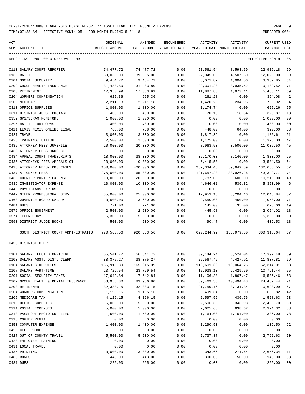TIME:07:38 AM - EFFECTIVE MONTH:05 - FOR MONTH ENDING 5-31-18 PREPARER:0004

| ACT<br>NUM ACCOUNT-TITLE                                                                          | ORIGINAL           | AMENDED<br>BUDGET-AMOUNT BUDGET-AMOUNT YEAR-TO-DATE YEAR-TO-DATE MONTH-TO-DATE | ENCUMBERED   | ACTIVITY   | ACTIVITY      | <b>CURRENT USED</b><br>BALANCE PCT        |                |
|---------------------------------------------------------------------------------------------------|--------------------|--------------------------------------------------------------------------------|--------------|------------|---------------|-------------------------------------------|----------------|
| REPORTING FUND: 0010 GENERAL FUND                                                                 |                    |                                                                                |              |            |               | EFFECTIVE MONTH - 05                      |                |
| 0110 SALARY COURT REPORTER                                                                        | 74,477.72          | 74,477.72                                                                      | 0.00         | 51,561.54  | 8,593.59      | 22,916.18                                 | 69             |
| 0130 BAILIFF                                                                                      | 39,065.00          | 39,065.00                                                                      | 0.00         | 27,045.00  | 4,507.50      | 12,020.00                                 | 69             |
| 0201 SOCIAL SECURITY                                                                              | 9,454.72           | 9,454.72                                                                       | 0.00         | 6,071.87   | 1,004.56      | 3,382.85                                  | 64             |
| 0202 GROUP HEALTH INSURANCE                                                                       | 31,483.80          | 31,483.80                                                                      | 0.00         | 22,301.28  | 3,935.52      | 9,182.52                                  | 71             |
| 0203 RETIREMENT                                                                                   | 17,353.99          | 17,353.99                                                                      | 0.00         | 11,887.88  | 1,973.11      | 5,466.11                                  | 69             |
| 0204 WORKERS COMPENSATION                                                                         | 625.36             | 625.36                                                                         | 0.00         | 261.28     | 0.00          | 364.08                                    | 42             |
| 0205 MEDICARE                                                                                     | 2,211.18           | 2,211.18                                                                       | 0.00         | 1,420.26   | 234.96        | 790.92                                    | 64             |
| 0310 OFFICE SUPPLIES                                                                              | 1,800.00           | 1,800.00                                                                       | 0.00         | 1,174.74   | 0.00          | 625.26                                    | 65             |
| 0311 DISTRICT JUDGE POSTAGE                                                                       | 400.00             | 400.00                                                                         | 0.00         | 70.13      | 18.54         | 329.87                                    | 18             |
| 0352 GPS/SCRAM MONITORS                                                                           | 1,000.00           | 1,000.00                                                                       | 0.00         | 0.00       | 0.00          | 1,000.00                                  | 0 <sub>0</sub> |
| 0395 BAILIFF UNIFORMS                                                                             | 400.00             | 400.00                                                                         | 0.00         | 0.00       | 0.00          | 400.00                                    | 0 <sub>0</sub> |
| 0421 LEXIS NEXIS ONLINE LEGAL                                                                     | 768.00             | 768.00                                                                         | 0.00         | 448.00     | 64.00         | 320.00                                    | 58             |
| 0427 TRAVEL                                                                                       | 3,000.00           | 3,000.00                                                                       | 0.00         | 1,817.39   | 0.00          | 1,182.61                                  | 61             |
| 0428 TRAINING/TUITION                                                                             | 2,500.00           | 2,500.00                                                                       | 0.00         | 1,175.00   | 0.00          | 1,325.00                                  | 47             |
| 0432 ATTORNEY FEES JUVENILE                                                                       | 20,000.00          | 20,000.00                                                                      | 0.00         | 8,963.50   | 3,500.00      | 11,036.50                                 | 45             |
| 0433 ATTORNEY FEES DRUG CT                                                                        | 0.00               | 0.00                                                                           | 0.00         | 0.00       | 0.00          | 0.00                                      |                |
| 0434 APPEAL COURT TRANSCRIPTS                                                                     | 18,000.00          | 38,000.00                                                                      | 0.00         | 36,170.00  | 8,140.00      | 1,830.00                                  | 95             |
| 0435 ATTORNEYS FEES APPEALS CT                                                                    | 20,000.00          | 10,000.00                                                                      | 0.00         | 6,415.50   | 0.00          | 3,584.50                                  | 64             |
| 0436 ATTORNEY FEES- CPS CASES                                                                     | 150,000.00         | 400,000.00                                                                     | 0.00         | 267,334.45 | 59,649.39     | 132,665.55                                | 67             |
| 0437 ATTORNEY FEES                                                                                | 275,000.00         | 165,000.00                                                                     | 0.00         | 121,657.23 | 33,926.26     | 43,342.77                                 | 74             |
| 0438 COURT REPORTER EXPENSE                                                                       | 10,000.00          | 20,000.00                                                                      | 0.00         | 9,787.00   | 600.00        | 10,213.00                                 | 49             |
| 0439 INVESTIGATOR EXPENSE                                                                         | 10,000.00          | 10,000.00                                                                      | 0.00         | 4,646.01   | 536.32        | 5,353.99                                  | 46             |
| 0440 PHYSICIANS EXPENSE                                                                           | 0.00               | 0.00                                                                           | 0.00         | 0.00       | 0.00          | 0.00                                      |                |
| 0442 OTHER PROFESSIONAL SERV.                                                                     | 35,000.00          | 25,000.00                                                                      | 0.00         | 12,953.16  | 3,204.16      | 12,046.84                                 | 52             |
| 0468 JUVENILE BOARD SALARY                                                                        |                    |                                                                                | 0.00         | 2,550.00   |               |                                           | 71             |
| 0481 DUES                                                                                         | 3,600.00<br>771.00 | 3,600.00<br>771.00                                                             |              |            | 450.00        | 1,050.00<br>626.00                        | 19             |
|                                                                                                   | 2,500.00           | 2,500.00                                                                       | 0.00<br>0.00 | 145.00     | 35.00<br>0.00 | 2,054.02                                  | 18             |
| 0572 OFFICE EQUIPMENT                                                                             |                    |                                                                                |              | 445.98     |               |                                           | 0 <sub>0</sub> |
| 0574 TECHNOLOGY                                                                                   | 5,300.00<br>500.00 | 5,300.00                                                                       | 0.00         | 0.00       | 0.00          | 5,300.00                                  | 18             |
| 0590 DISTRICT JUDGE BOOKS                                                                         |                    | 500.00                                                                         | 0.00         | 90.47      | 0.00          | 409.53                                    |                |
| 336TH DISTRICT COURT ADMINISTRATIO 770,563.56 920,563.56 0.00 620,244.92 133,979.30 300,318.64 67 |                    |                                                                                |              |            |               |                                           |                |
| 0450 DISTRICT CLERK                                                                               |                    |                                                                                |              |            |               |                                           |                |
| 0101 SALARY ELECTED OFFICIAL                                                                      | 56,541.72          | 56,541.72                                                                      |              |            |               | $0.00$ $39,144.24$ $6,524.04$ $17,397.48$ | 69             |
| 0103 SALARY ASST. DIST. CLERK                                                                     | 38,375.27          | 38, 375. 27                                                                    | 0.00         | 26,567.46  | 4,427.91      | 11,807.81                                 | 69             |
| 0104 SALARIES DEPUTIES                                                                            | 165,915.39         | 165,915.39                                                                     | 0.00         | 113,601.38 | 19,064.25     | 52, 314.01                                | 68             |
| 0107 SALARY PART-TIME                                                                             | 23,729.54          | 23,729.54                                                                      | 0.00         | 12,938.10  | 2,429.70      | 10,791.44                                 | 55             |
| 0201 SOCIAL SECURITY TAXES                                                                        | 17,642.84          | 17,642.84                                                                      | 0.00         | 11,106.38  | 1,867.47      | 6,536.46                                  | 63             |
| 0202 GROUP HEALTH & DENTAL INSURANCE                                                              | 83,956.80          | 83,956.80                                                                      | 0.00         | 59,469.36  | 10,494.48     | 24,487.44                                 | 71             |
| 0203 RETIREMENT                                                                                   | 32,383.15          | 32, 383. 15                                                                    | 0.00         | 21,759.16  | 3,731.34      | 10,623.99                                 | 67             |
| 0204 WORKERS COMPENSATION                                                                         | 1,195.16           | 1,195.16                                                                       | 0.00         | 499.34     | 0.00          | 695.82                                    | 42             |
| 0205 MEDICARE TAX                                                                                 | 4,126.15           | 4,126.15                                                                       | 0.00         | 2,597.52   | 436.76        | 1,528.63                                  | 63             |
| 0310 OFFICE SUPPLIES                                                                              | 5,000.00           | 5,000.00                                                                       | 0.00         | 2,506.30   | 343.93        | 2,493.70                                  | 50             |
| 0311 POSTAL EXPENSES                                                                              | 5,000.00           | 5,000.00                                                                       | 0.00         | 2,625.68   | 638.62        | 2,374.32                                  | 53             |
| 0313 PASSPORT PHOTO SUPPLIES                                                                      | 1,500.00           | 1,500.00                                                                       | 0.00         | 1,164.00   | 1,164.00      | 336.00                                    | 78             |
| 0315 COPIER RENTAL                                                                                | 0.00               | 0.00                                                                           | 0.00         | 0.00       | 0.00          | 0.00                                      |                |
| 0353 COMPUTER EXPENSE                                                                             | 1,400.00           | 1,400.00                                                                       | 0.00         | 1,290.50   | 0.00          | 109.50                                    | 92             |
| 0423 CELL PHONE                                                                                   | 0.00               | 0.00                                                                           | 0.00         | 0.00       | 0.00          | 0.00                                      |                |
| 0427 OUT OF COUNTY TRAVEL                                                                         | 5,500.00           | 5,500.00                                                                       | 0.00         | 2,737.37   | 0.00          | 2,762.63                                  | 50             |
| 0428 EMPLOYEE TRAINING                                                                            | 0.00               | 0.00                                                                           | 0.00         | 0.00       | 0.00          | 0.00                                      |                |
| 0431 LOCAL TRAVEL                                                                                 | 0.00               | 0.00                                                                           | 0.00         | 0.00       | 0.00          | 0.00                                      |                |
| 0435 PRINTING                                                                                     | 3,000.00           | 3,000.00                                                                       | 0.00         | 343.66     | 271.64        | 2,656.34                                  | 11             |
| 0480 BONDS                                                                                        | 443.00             | 443.00                                                                         | 0.00         | 300.00     | 50.00         | 143.00                                    | 68             |
|                                                                                                   |                    |                                                                                |              |            |               |                                           |                |

0481 DUES 225.00 225.00 0.00 0.00 0.00 225.00 00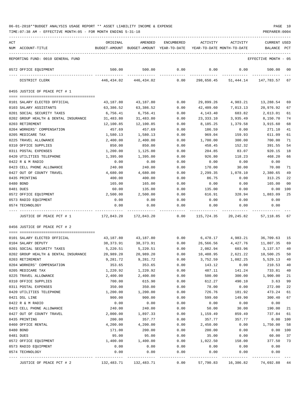| ACT |                                      | ORIGINAL               | AMENDED                                                             | ENCUMBERED      | ACTIVITY               | ACTIVITY  | <b>CURRENT USED</b>    |                |
|-----|--------------------------------------|------------------------|---------------------------------------------------------------------|-----------------|------------------------|-----------|------------------------|----------------|
|     | NUM ACCOUNT-TITLE                    |                        | BUDGET-AMOUNT BUDGET-AMOUNT YEAR-TO-DATE YEAR-TO-DATE MONTH-TO-DATE |                 |                        |           | BALANCE                | $_{\rm PCT}$   |
|     | REPORTING FUND: 0010 GENERAL FUND    |                        |                                                                     |                 |                        |           | EFFECTIVE MONTH - 05   |                |
|     | 0572 OFFICE EQUIPMENT                | 500.00                 | 500.00                                                              | 0.00            | 0.00                   | 0.00      | 500.00                 | 00             |
|     | DISTRICT CLERK                       | 446,434.02             | 446,434.02                                                          | 0.00            | 298,650.45             |           | 51,444.14 147,783.57   | 67             |
|     | 0455 JUSTICE OF PEACE PCT # 1        |                        |                                                                     |                 |                        |           |                        |                |
|     | 0101 SALARY ELECTED OFFICIAL         |                        |                                                                     | 0.00            |                        | 4,983.21  |                        | 69             |
|     | 0103 SALARY ASSISTANTS               | 43,187.80<br>63,386.52 | 43,187.80<br>63,386.52                                              | 0.00            | 29,899.26<br>42,409.60 | 7,013.13  | 13,288.54<br>20,976.92 | 67             |
|     | 0201 SOCIAL SECURITY TAXES           | 6,756.41               | 6,756.41                                                            | 0.00            | 4,143.40               | 683.82    | 2,613.01               | 61             |
|     | 0202 GROUP HEALTH & DENTAL INSURANCE | 31,483.80              | 31,483.80                                                           | 0.00            | 23,333.10              | 3,935.49  | 8,150.70               | 74             |
|     | 0203 RETIREMENT                      | 12,100.85              | 12,100.85                                                           | 0.00            | 8,185.25               | 1,379.58  | 3,915.60               | 68             |
|     | 0204 WORKERS' COMPENSATION           | 457.69                 | 457.69                                                              | 0.00            | 186.59                 | 0.00      | 271.10                 | 41             |
|     | 0205 MEDICARE TAX                    | 1,580.13               | 1,580.13                                                            | 0.00            | 969.04                 | 159.93    | 611.09                 | 61             |
|     | 0225 TRAVEL ALLOWANCE                | 2,400.00               | 2,400.00                                                            | 0.00            | 1,700.00               | 300.00    | 700.00                 | 71             |
|     | 0310 OFFICE SUPPLIES                 | 850.00                 | 850.00                                                              | 0.00            | 458.45                 | 152.32    | 391.55                 | 54             |
|     | 0311 POSTAL EXPENSES                 | 1,200.00               | 1,125.00                                                            | 0.00            | 204.85                 | 83.07     | 920.15                 | 18             |
|     | 0420 UTILITIES TELEPHONE             | 1,395.00               | 1,395.00                                                            | 0.00            | 926.80                 | 118.23    | 468.20                 | 66             |
|     | 0422 R & M RADIO                     | 0.00                   | 0.00                                                                | 0.00            | 0.00                   | 0.00      | 0.00                   |                |
|     | 0423 CELL PHONE ALLOWANCE            | 240.00                 | 240.00                                                              | 0.00            | 170.00                 | 30.00     | 70.00                  | 71             |
|     | 0427 OUT OF COUNTY TRAVEL            | 4,680.00               | 4,680.00                                                            | 0.00            | 2,299.35               | 1,078.10  | 2,380.65               | 49             |
|     | 0435 PRINTING                        | 400.00                 | 400.00                                                              | 0.00            | 86.75                  | 0.00      | 313.25                 | 22             |
|     | 0480 BOND                            | 165.00                 | 165.00                                                              | 0.00            | 0.00                   | 0.00      | 165.00                 | 0 <sub>0</sub> |
|     | 0481 DUES                            | 60.00                  | 135.00                                                              | 0.00            | 135.00                 | 0.00      | 0.00                   | 100            |
|     | 0572 OFFICE EQUIPMENT                | 2,500.00               | 2,500.00                                                            | 0.00            | 616.91                 | 328.94    | 1,883.09               | 25             |
|     | 0573 RADIO EQUIPMENT                 | 0.00                   | 0.00                                                                | 0.00            | 0.00                   | 0.00      | 0.00                   |                |
|     | 0574 TECHNOLOGY                      | 0.00                   | 0.00                                                                | 0.00<br>------- | 0.00<br>---------      | 0.00      | 0.00                   |                |
|     | JUSTICE OF PEACE PCT # 1             | 172,843.20             | 172,843.20                                                          | 0.00            | 115,724.35             | 20,245.82 | 57,118.85              | 67             |
|     | 0456 JUSTICE OF PEACE PCT # 2        |                        |                                                                     |                 |                        |           |                        |                |
|     | 0101 SALARY ELECTED OFFICIAL         | 43,187.80              | 43,187.80                                                           | 0.00            | 6,478.17 4,983.21      |           | 36,709.63              | 15             |
|     | 0104 SALARY DEPUTY                   | 38,373.91              | 38,373.91                                                           | 0.00            | 26,566.56              | 4,427.76  | 11,807.35              | 69             |
|     | 0201 SOCIAL SECURITY TAXES           | 5,220.51               | 5,220.51                                                            | 0.00            | 2,082.94               | 603.96    | 3,137.57               | 40             |
|     | 0202 GROUP HEALTH & DENTAL INSURANCE | 20,989.20              | 20,989.20                                                           | 0.00            | 10,488.95              | 2,621.22  | 10,500.25              | 50             |
|     | 0203 RETIREMENT                      | 9,281.72               | 9,281.72                                                            | 0.00            | 3,752.59               | 1,082.25  | 5,529.13               | 40             |
|     | 0204 WORKERS' COMPENSATION           | 353.65                 | 353.65                                                              | 0.00            | 143.12                 | 0.00      | 210.53                 | 40             |
|     | 0205 MEDICARE TAX                    | 1,220.92               | 1,220.92                                                            | 0.00            | 487.11                 | 141.24    | 733.81                 | 40             |
|     | 0225 TRAVEL ALLOWANCE                | 2,400.00               | 2,400.00                                                            | 0.00            | 500.00                 | 300.00    | 1,900.00               | 21             |
|     | 0310 OFFICE SUPPLIES                 | 700.00                 | 615.90                                                              | 0.00            | 612.27                 | 490.10    | 3.63                   | 99             |
|     | 0311 POSTAL EXPENSES                 | 350.00                 | 350.00                                                              | 0.00            | 78.00                  | 0.00      | 272.00                 | 22             |
|     | 0420 UTILITIES TELEPHONE             | 1,200.00               | 1,200.00                                                            | 0.00            | 726.76                 | 181.92    | 473.24                 | 61             |
|     | 0421 DSL LINE                        | 900.00                 | 900.00                                                              | 0.00            | 599.60                 | 149.90    | 300.40                 | 67             |
|     | 0422 R & M RADIO                     | 0.00                   | 0.00                                                                | 0.00            | 0.00                   | 0.00      | 0.00                   |                |
|     | 0423 CELL PHONE ALLOWANCE            | 240.00                 | 240.00                                                              | 0.00            | 50.00                  | 30.00     | 190.00                 | 21             |
|     | 0427 OUT OF COUNTY TRAVEL            | 2,000.00               | 1,897.33                                                            | 0.00            | 1,159.49               | 859.49    | 737.84                 | 61             |
|     | 0435 PRINTING                        | 200.00                 | 357.77                                                              | 0.00            | 357.77                 | 357.77    | 0.00                   | 100            |
|     | 0460 OFFICE RENTAL                   | 4,200.00               | 4,200.00                                                            | 0.00            | 2,450.00               | 0.00      | 1,750.00               | 58             |
|     | 0480 BOND                            | 171.00                 | 200.00                                                              | 0.00            | 200.00                 | 0.00      | 0.00                   | 100            |
|     | 0481 DUES                            | 95.00                  | 95.00                                                               | 0.00            | 35.00                  | 0.00      | 60.00                  | 37             |
|     | 0572 OFFICE EQUIPMENT                | 1,400.00               | 1,400.00                                                            | 0.00            | 1,022.50               | 158.00    | 377.50                 | 73             |
|     | 0573 RADIO EQUIPMENT                 | 0.00                   | 0.00                                                                | 0.00            | 0.00                   | 0.00      | 0.00                   |                |
|     | 0574 TECHNOLOGY                      | 0.00                   | 0.00                                                                | 0.00            | 0.00                   | 0.00      | 0.00                   |                |
|     | JUSTICE OF PEACE PCT # 2             | 132,483.71             | 132,483.71                                                          | 0.00            | 57,790.83              | 16,386.82 | 74,692.88              | 44             |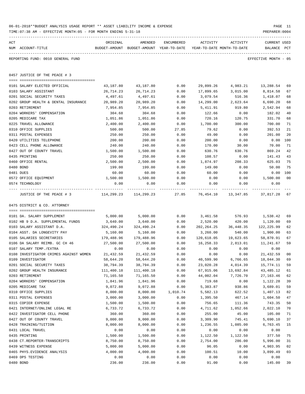|     | TIME: 07:38 AM - EFFECTIVE MONTH: 05 - FOR MONTH ENDING 5-31-18 |                                                                                 |                         |                         |                       |                           | PREPARER: 0004                     |                |
|-----|-----------------------------------------------------------------|---------------------------------------------------------------------------------|-------------------------|-------------------------|-----------------------|---------------------------|------------------------------------|----------------|
| ACT | NUM ACCOUNT-TITLE                                               | ORIGINAL<br>BUDGET-AMOUNT BUDGET-AMOUNT YEAR-TO-DATE YEAR-TO-DATE MONTH-TO-DATE | AMENDED                 | ENCUMBERED              | ACTIVITY              | ACTIVITY                  | <b>CURRENT USED</b><br>BALANCE PCT |                |
|     | REPORTING FUND: 0010 GENERAL FUND                               |                                                                                 |                         |                         |                       |                           | EFFECTIVE MONTH - 05               |                |
|     | 0457 JUSTICE OF THE PEACE # 3                                   |                                                                                 |                         |                         |                       |                           |                                    |                |
|     |                                                                 |                                                                                 |                         |                         |                       |                           |                                    |                |
|     | 0101 SALARY ELECTED OFFICIAL<br>0103 SALARY ASSISTANT           | 43,187.80<br>26,714.23                                                          | 43,187.80<br>26,714.23  | 0.00<br>0.00            | 29,899.26             | 4,983.21<br>3,015.00      | 13,288.54<br>8,814.58              | 69<br>67       |
|     | 0201 SOCIAL SECURITY TAXES                                      | 4,497.61                                                                        | 4,497.61                | 0.00                    | 17,899.65<br>3,079.54 | 516.36                    | 1,418.07                           | 68             |
|     | 0202 GROUP HEALTH & DENTAL INSURANCE                            | 20,989.20                                                                       | 20,989.20               | 0.00                    | 14,299.00             | 2,623.64                  | 6,690.20                           | 68             |
|     | 0203 RETIREMENT                                                 | 7,954.85                                                                        | 7,954.85                | 0.00                    | 5,411.91              | 919.80                    | 2,542.94                           | 68             |
|     | 0204 WORKERS' COMPENSATION                                      | 304.68                                                                          | 304.68                  | 0.00                    | 122.66                | 0.00                      | 182.02                             | 40             |
|     | 0205 MEDICARE TAX                                               | 1,051.86                                                                        | 1,051.86                | 0.00                    | 720.16                | 120.75                    | 331.70                             | 68             |
|     | 0225 TRAVEL ALLOWANCE                                           | 2,400.00                                                                        | 2,400.00                | 0.00                    | 1,700.00              | 300.00                    | 700.00                             | 71             |
|     | 0310 OFFICE SUPPLIES                                            | 500.00                                                                          | 500.00                  | 27.85                   | 79.62                 | 0.00                      | 392.53                             | 21             |
|     | 0311 POSTAL EXPENSES                                            | 250.00                                                                          | 250.00                  | 0.00                    | 49.00                 | 0.00                      | 201.00                             | 20             |
|     | 0420 UTILITIES TELEPHONE                                        | 200.00                                                                          | 200.00                  | 0.00                    | 200.00                | 0.00                      | 0.00                               | 100            |
|     | 0423 CELL PHONE ALLOWANCE                                       | 240.00                                                                          | 240.00                  | 0.00                    | 170.00                | 30.00                     | 70.00                              | 71             |
|     | 0427 OUT OF COUNTY TRAVEL                                       | 1,500.00                                                                        | 1,500.00                | 0.00                    | 630.76                | 630.76                    | 869.24                             | 42             |
|     | 0435 PRINTING                                                   | 250.00                                                                          | 250.00                  | 0.00                    | 108.57                | 0.00                      | 141.43                             | 43             |
|     | 0460 OFFICE RENTAL                                              | 2,500.00                                                                        | 2,500.00                | 0.00                    | 1,874.97              | 208.33                    | 625.03                             | 75             |
|     | 0480 BOND                                                       | 199.00                                                                          | 199.00                  | 0.00                    | 149.00                | 0.00                      | 50.00                              | 75             |
|     | 0481 DUES                                                       | 60.00                                                                           | 60.00                   | 0.00                    | 60.00                 | 0.00                      | 0.00                               | 100            |
|     | 0572 OFFICE EQUIPMENT                                           | 1,500.00                                                                        | 1,500.00                | 0.00                    | 0.00                  | 0.00                      | 1,500.00                           | 0 <sup>0</sup> |
|     | 0574 TECHNOLOGY                                                 | 0.00                                                                            | 0.00                    | 0.00<br>- - - - - - - - | 0.00<br>----------    | 0.00                      | 0.00                               |                |
|     | JUSTICE OF THE PEACE # 3                                        |                                                                                 | 114,299.23 114,299.23   |                         |                       | 27.85 76,454.10 13,347.85 | 37,817.28                          | 67             |
|     | 0475 DISTRICT & CO. ATTORNEY                                    |                                                                                 |                         |                         |                       |                           |                                    |                |
|     |                                                                 |                                                                                 |                         |                         |                       |                           |                                    |                |
|     | 0101 DA. SALARY SUPPLEMENT                                      | 5,000.00                                                                        | 5,000.00                | 0.00                    | 3,461.58              | 576.93                    | 1,538.42                           | 69             |
|     | 0102 HB 9 D.A. SUPPLEMENTAL FUNDS                               | 3,640.00                                                                        | 3,640.00                | 0.00                    | 2,520.00              | 420.00                    | 1,120.00                           | 69             |
|     | 0103 SALARY ASSISTANT D.A.                                      | 324,490.24                                                                      | 324,490.24              | 0.00                    | 202,264.25            | 36,448.35                 | 122,225.99                         | 62             |
|     | 0104 ASST. DA LONGEVITY PAY                                     | 5,160.00                                                                        | 5,160.00                | 0.00                    | 3,260.00              | 540.00                    | 1,900.00                           | 63             |
|     | 0105 SALARIES SECRETARIES                                       | 179,488.96                                                                      | 179,488.96              | 0.00                    | 120,618.05            | 19,623.65                 | 58,870.91                          | 67             |
|     | 0106 DA SALARY REIMB. GC CH 46                                  | 27,500.00<br>0.00                                                               | 27,500.00               | 0.00                    | 16,258.33<br>0.00     | 2,813.01                  | 11,241.67                          | 59             |
|     | 0107 SALARY TEMP./EXTRA                                         |                                                                                 | 0.00                    | 0.00                    |                       | 0.00                      | 0.00                               |                |
|     | 0108 INVESTIGATOR CRIMES AGAINST WOMEN<br>0109 INVESTIGATOR     | 21,432.59<br>58,644.20                                                          | 21, 432.59<br>58,644.20 | 0.00<br>0.00            | 0.00<br>40,599.90     | 0.00<br>6,766.65          | 21,432.59<br>18,044.30             | 00<br>69       |
|     | 0201 SOCIAL SECURITY TAXES                                      | 38,794.39                                                                       | 38,794.39               | 0.00                    | 23,020.28             | 4,014.39                  | 15,774.11                          | 59             |
|     | 0202 GROUP HEALTH INSURANCE                                     | 111,400.18                                                                      | 111,400.18              | 0.00                    | 67,915.06             | 13,692.84                 | 43, 485. 12                        | 61             |
|     | 0203 RETIREMENT                                                 | 71,165.50                                                                       | 71,165.50               | 0.00                    | 44,002.04             | 7,726.70                  | 27, 163. 46                        | 62             |
|     | 0204 WORKERS' COMPENSATION                                      | 1,841.96                                                                        | 1,841.96                | 0.00                    | 719.68                | 0.00                      | 1,122.28                           | 39             |
|     | 0205 MEDICARE TAX                                               | 9,072.88                                                                        | 9,072.88                | 0.00                    | 5,383.87              | 938.86                    | 3,689.01                           | 59             |
|     | 0310 OFFICE SUPPLIES                                            | 8,000.00                                                                        | 8,000.00                | 1,010.74                | 5,582.13              | 622.52                    | 1,407.13                           | 82             |
|     | 0311 POSTAL EXPENSES                                            | 3,000.00                                                                        | 3,000.00                | 0.00                    | 1,395.50              | 467.14                    | 1,604.50                           | 47             |
|     | 0315 COPIER EXPENSE                                             | 1,500.00                                                                        | 1,500.00                | 0.00                    | 756.65                | 111.36                    | 743.35                             | 50             |
|     | 0421 INTERNET/ONLINE LEGAL RE                                   | 6,733.72                                                                        | 6,733.72                | 0.00                    | 4,711.62              | 1,052.66                  | 2,022.10                           | 70             |
|     | 0422 INVESTIGATOR CELL PHONE                                    | 360.00                                                                          | 360.00                  | 0.00                    | 255.00                | 45.00                     | 105.00                             | 71             |
|     | 0427 OUT OF COUNTY TRAVEL                                       | 9,000.00                                                                        | 9,000.00                | 0.00                    | 3,309.90              | 745.41                    | 5,690.10                           | 37             |
|     | 0428 TRAINING/TUITION                                           | 8,000.00                                                                        | 8,000.00                | 0.00                    | 1,236.55              | 1,085.00                  | 6,763.45                           | 15             |
|     | 0431 LOCAL TRAVEL                                               | 0.00                                                                            | 0.00                    | 0.00                    | 0.00                  | 0.00                      | 0.00                               |                |
|     | 0435 PRINTING                                                   | 1,500.00                                                                        | 1,500.00                | 0.00                    | 1,122.50              | 1,122.50                  | 377.50                             | 75             |
|     | 0438 CT.REPORTER-TRANSCRIPTS                                    | 8,750.00                                                                        | 8,750.00                | 0.00                    | 2,754.00              | 286.00                    | 5,996.00                           | 31             |
|     | 0439 WITNESS EXPENSE                                            | 5,000.00                                                                        | 5,000.00                | 0.00                    | 96.05                 | 0.00                      | 4,903.95                           | 02             |
|     | 0465 PHYS. EVIDENCE ANALYSIS                                    | 4,000.00                                                                        | 4,000.00                | 0.00                    | 100.51                | 10.00                     | 3,899.49                           | 03             |
|     | 0469 DPS TESTING                                                | 0.00                                                                            | 0.00                    | 0.00                    | 0.00                  | 0.00                      | 0.00                               |                |
|     | 0480 BOND                                                       | 236.00                                                                          | 236.00                  | 0.00                    | 91.00                 | 0.00                      | 145.00                             | 39             |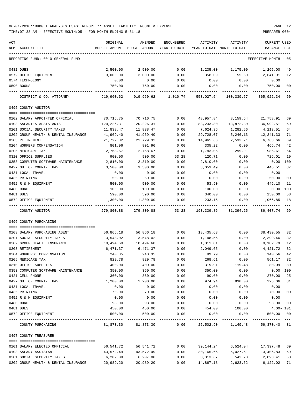| ACT                                          | ORIGINAL            | AMENDED                    | ENCUMBERED   | ACTIVITY                   | ACTIVITY                               | CURRENT USED         |              |
|----------------------------------------------|---------------------|----------------------------|--------------|----------------------------|----------------------------------------|----------------------|--------------|
| NUM ACCOUNT-TITLE                            | BUDGET-AMOUNT       | BUDGET-AMOUNT YEAR-TO-DATE |              | YEAR-TO-DATE MONTH-TO-DATE |                                        | BALANCE              | $_{\rm PCT}$ |
| REPORTING FUND: 0010 GENERAL FUND            |                     |                            |              |                            |                                        | EFFECTIVE MONTH - 05 |              |
| 0481 DUES                                    | 2,500.00            | 2,500.00                   | 0.00         | 1,235.00                   | 1,175.00                               | 1,265.00             | 49           |
| 0572 OFFICE EQUIPMENT                        | 3,000.00            | 3,000.00                   | 0.00         | 358.09                     | 55.60                                  | 2,641.91             | 12           |
| 0574 TECHNOLOGY                              | 0.00                | 0.00                       | 0.00         | 0.00                       | 0.00                                   | 0.00                 |              |
| 0590 BOOKS                                   | 750.00              | 750.00                     | 0.00         | 0.00                       | 0.00                                   | 750.00               | 00           |
| DISTRICT & CO. ATTORNEY                      | 919,960.62          | 919,960.62                 | 1,010.74     | 553,027.54                 | 100,339.57                             | 365,922.34 60        |              |
| 0495 COUNTY AUDITOR                          |                     |                            |              |                            |                                        |                      |              |
|                                              |                     |                            |              |                            |                                        |                      |              |
| 0102 SALARY APPOINTED OFFICIAL               | 70,716.75           | 70,716.75                  | 0.00         | 48,957.84                  | 8,159.64                               | 21,758.91            | 69           |
| 0103 SALARIES ASSISTANTS                     | 120,226.31          | 120,226.31                 | 0.00         | 83,233.80                  | 13,872.30                              | 36,992.51            | 69           |
| 0201 SOCIAL SECURITY TAXES                   | 11,838.47           | 11,838.47                  | 0.00         | 7,624.96                   | 1,282.56                               | 4,213.51             | 64           |
| 0202 GROUP HEALTH & DENTAL INSURANCE         | 41,969.40           | 41,969.40                  | 0.00         | 29,728.07                  | 5,246.13                               | 12,241.33            | 71<br>69     |
| 0203 RETIREMENT<br>0204 WORKERS COMPENSATION | 21,729.32<br>801.96 | 21,729.32<br>801.96        | 0.00<br>0.00 | 14,965.66<br>335.22        | 2,533.71<br>0.00                       | 6,763.66<br>466.74   | 42           |
| 0205 MEDICARE TAX                            | 2,768.67            | 2,768.67                   | 0.00         | 1,783.06                   | 299.91                                 | 985.61               | 64           |
| 0310 OFFICE SUPPLIES                         | 900.00              | 900.00                     | 53.28        | 120.71                     | 0.00                                   | 726.01               | 19           |
| 0353 COMPUTER SOFTWARE MAINTENANCE           | 2,810.00            | 2,810.00                   | 0.00         | 2,810.00                   | 0.00                                   | 0.00                 | 100          |
| 0427 OUT OF COUNTY TRAVEL                    | 3,500.00            | 3,500.00                   | 0.00         | 3,053.49                   | 0.00                                   | 446.51               | 87           |
| 0431 LOCAL TRAVEL                            | 0.00                | 0.00                       | 0.00         | 0.00                       | 0.00                                   | 0.00                 |              |
| 0435 PRINTING                                | 50.00               | 50.00                      | 0.00         | 0.00                       | 0.00                                   | 50.00                | 00           |
| 0452 R & M EQUIPMENT                         | 500.00              | 500.00                     | 0.00         | 53.90                      | 0.00                                   | 446.10               | 11           |
| 0480 BOND                                    | 100.00              | 100.00                     | 0.00         | 100.00                     | 0.00                                   | $0.00$ 100           |              |
| 0481 DUES                                    | 590.00              | 590.00                     | 0.00         | 340.00                     | 0.00                                   | 250.00               | 58           |
| 0572 OFFICE EQUIPMENT                        | 1,300.00            | 1,300.00                   | 0.00         | 233.15                     | 0.00                                   | 1,066.85             | 18           |
| COUNTY AUDITOR                               | 279,800.88          | 279,800.88                 | 53.28        | 193,339.86                 | 31,394.25                              | 86,407.74 69         |              |
| 0496 COUNTY PURCHASING                       |                     |                            |              |                            |                                        |                      |              |
| 0103 SALARY PURCHASING AGENT                 | 56,866.18           | 56,866.18                  | 0.00         | 18,435.63                  | 0.00                                   | 38,430.55            | -32          |
| 0201 SOCIAL SECURITY TAXES                   | 3,548.02            | 3,548.02                   | 0.00         | 1,148.56                   | 0.00                                   | 2,399.46             | 32           |
| 0202 GROUP HEALTH INSURANCE                  | 10,494.60           | 10,494.60                  | 0.00         | 1,311.81                   | 0.00                                   | 9,182.79             | 12           |
| 0203 RETIREMENT                              | 6,471.37            | 6,471.37                   | 0.00         | 2,049.65                   | 0.00                                   | 4,421.72             | 32           |
| 0204 WORKERS' COMPENSATION                   | 240.35              | 240.35                     | 0.00         | 99.79                      | 0.00                                   | 140.56               | 42           |
| 0205 MEDICARE TAX                            | 829.78              | 829.78                     | 0.00         | 268.61                     | 0.00                                   | 561.17 32            |              |
| 0310 OFFICE SUPPLIES                         | 400.00              | 400.00                     | 0.00         | 319.91                     | 119.48                                 | 80.09                | 80           |
| 0353 COMPUTER SOFTWARE MAINTENANCE           | 350.00              | 350.00                     | 0.00         | 350.00                     | 0.00                                   | $0.00$ 100           |              |
| 0421 CELL PHONE                              | 360.00              | 360.00                     | 0.00         | 90.00                      | 0.00                                   | 270.00               | 25           |
| 0427 OUT OF COUNTY TRAVEL                    | 1,200.00            | 1,200.00                   | 0.00         | 974.94                     | 930.00                                 | 225.06               | 81           |
| 0431 LOCAL TRAVEL                            | 0.00                | 0.00                       | 0.00         | 0.00                       | 0.00                                   | 0.00                 |              |
| 0435 PRINTING                                | 70.00               | 70.00                      | 0.00         | 0.00                       | 0.00                                   | 70.00                | 00           |
| 0452 R & M EQUIPMENT                         | 0.00<br>93.00       | 0.00<br>93.00              | 0.00         | 0.00                       | 0.00                                   | 0.00<br>93.00        |              |
| 0480 BOND<br>0481 DUES                       | 450.00              | 450.00                     | 0.00<br>0.00 | 0.00<br>454.00             | 0.00<br>100.00                         | $4.00 - 101$         | 00           |
| 0572 OFFICE EOUIPMENT                        | 500.00              | 500.00                     | 0.00         | 0.00                       | 0.00                                   | 500.00               | 00           |
|                                              |                     |                            |              |                            |                                        |                      |              |
| COUNTY PURCHASING                            |                     | 81,873.30 81,873.30        |              |                            | $0.00$ 25,502.90 1,149.48 56,370.40 31 |                      |              |
| 0497 COUNTY TREASURER                        |                     |                            |              |                            |                                        |                      |              |
| 0101 SALARY ELECTED OFFICIAL                 | 56,541.72           | 56,541.72                  | 0.00         | 39,144.24                  | 6,524.04                               | 17,397.48 69         |              |
| 0103 SALARY ASSISTANT                        | 43,572.49           | 43,572.49                  | 0.00         | 30,165.66                  | 5,027.61                               | 13,406.83 69         |              |
| 0201 SOCIAL SECURITY TAXES                   | 6,207.08            | 6,207.08                   | 0.00         | 3,313.67                   | 542.73                                 | 2,893.41             | 53           |
| 0202 GROUP HEALTH & DENTAL INSURANCE         | 20,989.20           | 20,989.20                  | 0.00         | 14,867.18                  | 2,623.62                               | 6,122.02             | 71           |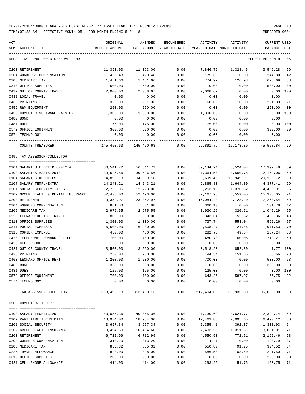| ACT                                  | ORIGINAL               | AMENDED                                  | ENCUMBERED           | ACTIVITY                   | ACTIVITY                          | CURRENT USED         |              |
|--------------------------------------|------------------------|------------------------------------------|----------------------|----------------------------|-----------------------------------|----------------------|--------------|
| NUM ACCOUNT-TITLE                    |                        | BUDGET-AMOUNT BUDGET-AMOUNT YEAR-TO-DATE |                      | YEAR-TO-DATE MONTH-TO-DATE |                                   | BALANCE              | $_{\rm PCT}$ |
| REPORTING FUND: 0010 GENERAL FUND    |                        |                                          |                      |                            |                                   | EFFECTIVE MONTH - 05 |              |
| 0203 RETIREMENT                      | 11,393.00              | 11,393.00                                | 0.00                 | 7,846.72                   | 1,328.46                          | 3,546.28             | 69           |
| 0204 WORKERS' COMPENSATION           | 420.48                 | 420.48                                   | 0.00                 | 175.68                     | 0.00                              | 244.80               | 42           |
| 0205 MEDICARE TAX                    | 1,451.66               | 1,451.66                                 | 0.00                 | 774.97                     | 126.93                            | 676.69               | 53           |
| 0310 OFFICE SUPPLIES                 | 500.00                 | 500.00                                   | 0.00                 | 0.00                       | 0.00                              | 500.00               | 00           |
| 0427 OUT OF COUNTY TRAVEL            | 2,000.00               | 2,068.67                                 | 0.00                 | 2,068.67                   | 0.00                              | 0.00                 | 100          |
| 0431 LOCAL TRAVEL                    | 0.00                   | 0.00                                     | 0.00                 | 0.00                       | 0.00                              | 0.00                 |              |
| 0435 PRINTING                        | 350.00                 | 281.33                                   | 0.00                 | 60.00                      | 0.00                              | 221.33               | 21           |
| 0452 R&M EQUIPMENT                   | 250.00                 | 250.00                                   | 0.00                 | 0.00                       | 0.00                              | 250.00               | 00           |
| 0453 COMPUTER SOFTWARE MAINTEN       | 1,300.00               | 1,300.00                                 | 0.00                 | 1,300.00                   | 0.00                              | 0.00 100             |              |
| 0480 BOND                            | 0.00                   | 0.00                                     | 0.00                 | 0.00                       | 0.00                              | 0.00                 |              |
| 0481 DUES                            | 175.00                 | 175.00                                   | 0.00                 | 175.00                     | 0.00                              | 0.00 100             |              |
| 0572 OFFICE EQUIPMENT                | 300.00                 | 300.00                                   | 0.00                 | 0.00                       | 0.00                              | 300.00               | 00           |
| 0574 TECHNOLOGY                      | 0.00                   | 0.00                                     | 0.00                 | 0.00                       | 0.00                              | 0.00                 |              |
| COUNTY TREASURER                     |                        | 145,450.63 145,450.63                    | 0.00                 | 99,891.79                  | 16,173.39                         | 45,558.84 69         |              |
| 0499 TAX ASSESSOR-COLLECTOR          |                        |                                          |                      |                            |                                   |                      |              |
|                                      |                        |                                          |                      |                            |                                   |                      |              |
| 0101 SALARIES ELECTED OFFICIAL       | 56,541.72              | 56,541.72                                | 0.00                 | 39,144.24                  | 6,524.04                          | 17,397.48            | 69           |
| 0103 SALARIES ASSISTANTS             | 39,526.56              | 39,526.56                                | 0.00                 | 27,364.50                  | 4,560.75                          | 12,162.06            | 69           |
| 0104 SALARIES DEPUTIES               | 94,899.18              | 94,899.18                                | 0.00                 | 65,699.46                  | 10,949.91                         | 29,199.72            | 69           |
| 0107 SALARY TEMP./EXTRA              | 14, 243. 21            | 14,243.21                                | 0.00                 | 9,865.80                   | 1,644.30                          | 4,377.41             | 69           |
| 0201 SOCIAL SECURITY TAXES           | 12,723.06              | 12,723.06                                | 0.00                 | 8,253.15                   | 1,370.82                          | 4,469.91             | 65           |
| 0202 GROUP HEALTH & DENTAL INSURANCE | 52,473.00              | 52,473.00                                | 0.00                 | 37,167.95                  | 6,559.05                          | 15,305.05            | 71           |
| 0203 RETIREMENT                      | 23,352.97              | 23, 352.97                               | 0.00                 | 16,084.43                  | 2,723.10                          | 7,268.54             | 69           |
| 0204 WORKERS COMPENSATION            | 861.88                 | 861.88                                   | 0.00                 | 360.10                     | 0.00                              | 501.78               | 42           |
| 0205 MEDICARE TAX                    | 2,975.55               | 2,975.55                                 | 0.00                 | 1,930.26                   | 320.61                            | 1,045.29             | 65           |
| 0225 LEONARD OFFICE TRAVEL           | 800.00                 | 800.00                                   | 0.00                 | 343.64                     | 52.32                             | 456.36               | 43           |
| 0310 OFFICE SUPPLIES                 | 1,300.00               | 1,300.00                                 | 0.00                 | 737.74                     | 553.04                            | 562.26               | 57           |
| 0311 POSTAL EXPENSES                 | 6,500.00               | 6,480.00                                 | 0.00                 | 4,508.47                   | 24.46-                            | 1,971.53             | 70           |
| 0315 COPIER EXPENSE                  | 450.00                 | 450.00                                   | 0.00                 | 282.76                     | 49.84                             | 167.24               | 63           |
| 0420 TELEPHONE LEONARD OFFICE        | 700.00                 | 700.00                                   | 0.00                 | 480.73                     | 60.06                             | 219.27               | 69           |
| 0423 CELL PHONE                      | 0.00                   | 0.00                                     | 0.00                 | 0.00                       | 0.00                              | 0.00                 |              |
| 0427 OUT OF COUNTY TRAVEL            | 3,500.00               | 3,520.00                                 | 0.00                 | 3,518.23                   | 852.30                            | 1.77 100             |              |
| 0435 PRINTING                        | 250.00                 | 250.00                                   | 0.00                 | 194.34                     | 151.65                            | 55.66                | 78           |
| 0460 LEONARD OFFICE RENT             | 1,200.00               | 1,200.00                                 | 0.00                 | 700.00                     | 0.00                              | 500.00 58            |              |
| 0480 BOND                            | 368.00                 | 368.00                                   | 0.00                 | 0.00                       | 0.00                              | 368.00               | 00           |
| 0481 DUES                            | 125.00                 | 125.00                                   | 0.00                 | 125.00                     | 0.00                              | 0.00 100             |              |
| 0572 OFFICE EQUIPMENT                | 700.00                 | 700.00                                   | 0.00                 | 643.25                     | 587.97                            | 56.75 92             |              |
| 0574 TECHNOLOGY                      | 0.00<br>-------------- | 0.00                                     | 0.00<br>------------ | 0.00                       | 0.00<br>-------------             | 0.00                 |              |
| TAX ASSESSOR-COLLECTOR               |                        | 313,490.13 313,490.13                    | 0.00                 |                            | 217,404.05 36,935.30 96,086.08 69 |                      |              |
| 0503 COMPUTER/IT DEPT.               |                        |                                          |                      |                            |                                   |                      |              |
|                                      |                        |                                          |                      |                            |                                   |                      |              |
| 0103 SALARY-TECHNICIAN               | 40,055.36              | 40,055.36                                | 0.00                 | 27,730.62                  | 4,621.77                          | 12,324.74            | 69           |
| 0107 PART TIME TECHNICIAN            | 18,934.00              | 18,934.00                                | 0.00                 | 12,463.88                  | 2,095.65                          | 6,470.12             | 66           |
| 0201 SOCIAL SECURITY                 | 3,657.34               | 3,657.34                                 | 0.00                 | 2,355.41                   | 392.37                            | 1,301.93             | 64           |
| 0202 GROUP HEALTH INSURANCE          | 10,494.60              | 10,494.60                                | 0.00                 | 7,433.59                   | 1,311.81                          | 3,061.01             | 71           |
| 0203 RETIREMENT                      | 6,712.99               | 6,712.99                                 | 0.00                 | 4,550.53                   | 772.51                            | 2,162.46             | 68           |
| 0204 WORKERS COMPENSATION            | 313.20                 | 313.20                                   | 0.00                 | 114.41                     | 0.00                              | 198.79               | 37           |
| 0205 MEDICARE TAX                    | 855.32                 | 855.32                                   | 0.00                 | 550.80                     | 91.75                             | 304.52               | 64           |
| 0225 TRAVEL ALLOWANCE                | 828.00                 | 828.00                                   | 0.00                 | 586.50                     | 103.50                            | 241.50               | 71           |
| 0310 OFFICE SUPPLIES                 | 200.00                 | 200.00                                   | 0.00                 | 0.00                       | 0.00                              | 200.00               | 00           |
| 0421 CELL PHONE ALLOWANCE            | 414.00                 | 414.00                                   | 0.00                 | 293.25                     | 51.75                             | 120.75               | 71           |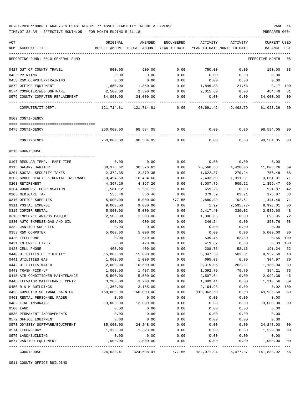TIME:07:38 AM - EFFECTIVE MONTH:05 - FOR MONTH ENDING 5-31-18 PREPARER:0004

| ACT                                  | ORIGINAL      | AMENDED                    | ENCUMBERED   | ACTIVITY   | ACTIVITY                   | <b>CURRENT USED</b> |                |
|--------------------------------------|---------------|----------------------------|--------------|------------|----------------------------|---------------------|----------------|
| ACCOUNT-TITLE<br>NUM                 | BUDGET-AMOUNT | BUDGET-AMOUNT              | YEAR-TO-DATE |            | YEAR-TO-DATE MONTH-TO-DATE | BALANCE             | PCT            |
| REPORTING FUND: 0010 GENERAL FUND    |               |                            |              |            |                            | EFFECTIVE MONTH     | - 05           |
| 0427 OUT OF COUNTY TRAVEL            | 900.00        | 900.00                     | 0.00         | 750.00     | 0.00                       | 150.00              | 83             |
| 0435 PRINTING                        | 0.00          | 0.00                       | 0.00         | 0.00       | 0.00                       | 0.00                |                |
| 0453 R&M COMPUTER/TRAINING           | 0.00          | 0.00                       | 0.00         | 0.00       | 0.00                       | 0.00                |                |
| 0572 OFFICE EQUIPMENT                | 1,850.00      | 1,850.00                   | 0.00         | 1,846.83   | 21.68                      | 3.17                | 100            |
| 0574 COMPUTER/WEB SOFTWARE           | 2,500.00      | 2,500.00                   | 0.00         | 2,015.60   | 0.00                       | 484.40              | 81             |
| 0576 COUNTY COMPUTER REPLACEMENT     | 34,000.00     | 34,000.00                  | 0.00         | 0.00       | 0.00                       | 34,000.00           | 00             |
| COMPUTER/IT DEPT.                    | 121,714.81    | 121,714.81                 | 0.00         | 60,691.42  | 9,462.79                   | 61,023.39           | 50             |
| 0509 CONTINGENCY                     |               |                            |              |            |                            |                     |                |
|                                      |               |                            |              |            |                            |                     |                |
| 0475 CONTINGENCY                     | 250,000.00    | 98,584.05                  | 0.00         | 0.00       | 0.00                       | 98,584.05           | 00             |
| CONTINGENCY                          | 250,000.00    | 98,584.05                  | 0.00         | 0.00       | 0.00                       | 98,584.05           | 00             |
| 0510 COURTHOUSE                      |               |                            |              |            |                            |                     |                |
|                                      |               |                            |              |            |                            |                     |                |
| 0107 REGULAR TEMP. - PART TIME       | 0.00          | 0.00                       | 0.00         | 0.00       | 0.00                       | 0.00                |                |
| 0115 SALARY JANITOR                  | 38,376.62     | 38,376.62                  | 0.00         | 26,568.36  | 4,428.06                   | 11,808.26           | 69             |
| 0201 SOCIAL SECURITY TAXES           | 2,379.35      | 2,379.35                   | 0.00         | 1,622.87   | 270.24                     | 756.48              | 68             |
| 0202 GROUP HEALTH & DENTAL INSURANCE | 10,494.60     | 10,494.60                  | 0.00         | 7,433.59   | 1,311.81                   | 3,061.01            | 71             |
| 0203 RETIREMENT                      | 4,367.26      | 4,367.26                   | 0.00         | 3,007.79   | 509.22                     | 1,359.47            | 69             |
| 0204 WORKERS' COMPENSATION           | 1,581.12      | 1,581.12                   | 0.00         | 659.25     | 0.00                       | 921.87              | 42             |
| 0205 MEDICARE TAX                    | 556.46        | 556.46                     | 0.00         | 379.59     | 63.21                      | 176.87              | 68             |
| 0310 OFFICE SUPPLIES                 | 5,000.00      | 5,000.00                   | 677.55       | 2,880.99   | 192.51                     | 1,441.46            | 71             |
| 0311 POSTAL EXPENSE                  | 9,000.00      | 9,000.00                   | 0.00         | 1.99       | $2,595.77-$                | 8,998.01            | 0 <sub>0</sub> |
| 0315 COPIER RENTAL                   | 5,000.00      | 5,000.00                   | 0.00         | 2,417.40   | 339.02                     | 2,582.60            | 48             |
| 0316 EMPLOYEE AWARDS BANQUET         | 2,500.00      | 2,500.00                   | 0.00         | 1,806.05   | 0.00                       | 693.95              | 72             |
| 0330 AUTO EXPENSE-GAS AND OIL        | 600.00        | 600.00                     | 0.00         | 346.24     | 0.00                       | 253.76              | 58             |
| 0332 JANITOR SUPPLIES                | 0.00          | 0.00                       | 0.00         | 0.00       | 0.00                       | 0.00                |                |
| 0353 R&M COMPUTER                    | 5,000.00      | 5,000.00                   | 0.00         | 0.00       | 0.00                       | 5,000.00            | 00             |
| 0420 TELEPHONE                       | 0.00          | 540.00                     | 0.00         | 539.45     | 62.80                      | 0.55                | 100            |
| 0421 INTERNET LINES                  | 0.00          | 420.00                     | 0.00         | 419.67     | 0.00                       | 0.33                | 100            |
| 0423 CELL PHONE                      | 400.00        | 400.00                     | 0.00         | 208.76     | 52.16                      | 191.24              | 52             |
| 0440 UTILITIES ELECTRICITY           | 15,000.00     | 15,000.00                  | 0.00         | 6,047.50   | 502.01                     | 8,952.50            | 40             |
| 0441 UTILITIES GAS                   | 1,000.00      | 1,000.00                   | 0.00         | 695.03     | 0.00                       | 304.97              | 70             |
| 0442 UTILITIES WATER                 | 2,000.00      | 10,500.00                  | 0.00         | 9,319.06   | 262.81                     | 1,180.94            | 89             |
| 0443 TRASH PICK-UP                   | 1,000.00      | 1,487.00                   | 0.00         | 1,092.79   | 79.79                      | 394.21              | 73             |
| 0445 AIR CONDITIONER MAINTENANCE     | 5,500.00      | 5,500.00                   | 0.00         | 2,507.64   | 0.00                       | 2,992.36            | 46             |
| 0446 ELEVATOR MAINTENANCE CONTR      | 3,200.00      | 3,200.00                   | 0.00         | 1,889.44   | 0.00                       | 1,310.56            | 59             |
| 0450 R & M BUILDINGS                 | 1,360.00      | 2,165.00                   | 0.00         | 2,164.98   | 0.00                       | 0.02                | 100            |
| 0453 COMPUTER SOFTWARE MAINTEN       | 160,000.00    | 160,000.00                 | 0.00         | 110,063.50 | 0.00                       | 49,936.50           | 69             |
| 0463 RENTAL PERSONNEL PAGER          | 0.00          | 0.00                       | 0.00         | 0.00       | 0.00                       | 0.00                |                |
| 0482 FIRE INSURANCE                  | 13,000.00     | 13,000.00                  | 0.00         | 0.00       | 0.00                       | 13,000.00           | 00             |
| 0500 LAND                            | 0.00          | 0.00                       | 0.00         | 0.00       | 0.00                       | 0.00                |                |
| 0530 PERMANENT IMPROVEMENTS          | 0.00          | 0.00                       | 0.00         | 0.00       | 0.00                       | 0.00                |                |
| 0572 OFFICE EQUIPMENT                | 0.00          | 0.00                       | 0.00         | 0.00       | 0.00                       | 0.00                |                |
| 0573 ODYSSEY SOFTWARE/EQUIPMENT      | 35,000.00     | 24, 248.00                 | 0.00         | 0.00       | 0.00                       | 24, 248.00          | 00             |
| 0574 TECHNOLOGY                      | 1,323.00      | 1,323.00                   | 0.00         | 0.00       | 0.00                       | 1,323.00            | 00             |
| 0575 LAND/BUILDING                   | 0.00          | 0.00                       | 0.00         | 0.00       | 0.00                       | 0.00                |                |
| 0577 JANITOR EQUIPMENT               | 1,000.00      | 1,000.00                   | 0.00         | 0.00       | 0.00                       | 1,000.00            | 00             |
| COURTHOUSE                           | 324,638.41    | ------------<br>324,638.41 | 677.55       | 182,071.94 | 5,477.87                   | 141,888.92          | 56             |

0511 COUNTY OFFICE BUILDING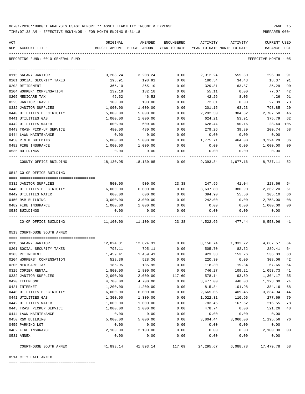| 06-01-2018**BUDGET ANALYSIS USAGE REPORT ** ASSET LIABILITY INCOME & EXPENSE |  |  |  |  | PAGE |  |
|------------------------------------------------------------------------------|--|--|--|--|------|--|
|                                                                              |  |  |  |  |      |  |

TIME:07:38 AM - EFFECTIVE MONTH:05 - FOR MONTH ENDING 5-31-18

| ACT                               | ORIGINAL  | AMENDED                                                             | ENCUMBERED | ACTIVITY  | ACTIVITY              | <b>CURRENT USED</b>  |              |
|-----------------------------------|-----------|---------------------------------------------------------------------|------------|-----------|-----------------------|----------------------|--------------|
| NUM ACCOUNT-TITLE                 |           | BUDGET-AMOUNT BUDGET-AMOUNT YEAR-TO-DATE YEAR-TO-DATE MONTH-TO-DATE |            |           |                       | BALANCE              | $_{\rm PCT}$ |
|                                   |           |                                                                     |            |           |                       |                      |              |
| REPORTING FUND: 0010 GENERAL FUND |           |                                                                     |            |           |                       | EFFECTIVE MONTH - 05 |              |
|                                   |           |                                                                     |            |           |                       |                      |              |
| 0115 SALARY JANITOR               | 3,208.24  | 3,208.24                                                            | 0.00       | 2,912.24  | 555.30                | 296.00               | 91           |
| 0201 SOCIAL SECURITY TAXES        | 198.91    | 198.91                                                              | 0.00       | 180.54    | 34.43                 | 18.37                | 91           |
| 0203 RETIREMENT                   | 365.10    | 365.10                                                              | 0.00       | 329.81    | 63.87                 | 35.29                | 90           |
| 0204 WORKER' COMPENSATION         | 132.18    | 132.18                                                              | 0.00       | 55.11     | 0.00                  | 77.07                | 42           |
| 0205 MEDICARE TAX                 | 46.52     | 46.52                                                               | 0.00       | 42.26     | 8.05                  | 4.26                 | 91           |
| 0225 JANITOR TRAVEL               | 100.00    | 100.00                                                              | 0.00       | 72.61     | 0.00                  | 27.39                | 73           |
| 0332 JANITOR SUPPLIES             | 1,000.00  | 1,000.00                                                            | 0.00       | 201.15    | 63.23                 | 798.85               | 20           |
| 0440 UTILITIES ELECTRICITY        | 5,000.00  | 5,000.00                                                            | 0.00       | 2,292.50  | 304.32                | 2,707.50             | 46           |
| 0441 UTILITIES GAS                | 1,000.00  | 1,000.00                                                            | 0.00       | 624.21    | 53.91                 | 375.79               | 62           |
| 0442 UTILITIES WATER              | 600.00    | 600.00                                                              | 0.00       | 628.44    | 90.16                 | 28.44- 105           |              |
| 0443 TRASH PICK-UP SERVICE        | 480.00    | 480.00                                                              | 0.00       | 279.26    | 39.89                 | 200.74               | 58           |
| 0444 LAWN MAINTENANCE             | 0.00      | 0.00                                                                | 0.00       | 0.00      | 0.00                  | 0.00                 |              |
| 0450 R & M BUILDING               | 5,000.00  | 5,000.00                                                            | 0.00       | 1,775.71  | 464.00                | 3,224.29             | 36           |
| 0482 FIRE INSURANCE               | 1,000.00  | 1,000.00                                                            | 0.00       | 0.00      | 0.00                  | 1,000.00             | 00           |
| 0535 BUILDINGS                    | 0.00      | 0.00                                                                | 0.00       | 0.00      | 0.00                  | 0.00                 |              |
| COUNTY OFFICE BUILDING            | 18,130.95 | 18,130.95                                                           | 0.00       | 9,393.84  | 1,677.16              | 8,737.11 52          |              |
| 0512 CO-OP OFFICE BUILDING        |           |                                                                     |            |           |                       |                      |              |
|                                   |           |                                                                     |            |           |                       |                      |              |
| 0332 JANITOR SUPPLIES             | 500.00    | 500.00                                                              | 23.38      | 247.96    | 41.04                 | 228.66               | 54           |
| 0440 UTILITIES ELECTRICITY        | 6,000.00  | 6,000.00                                                            | 0.00       | 3,637.80  | 380.90                | 2,362.20             | 61           |
| 0442 UTILITIES WATER              | 600.00    | 600.00                                                              | 0.00       | 394.90    | 55.50                 | 205.10               | 66           |
| 0450 R&M BUILDING                 | 3,000.00  | 3,000.00                                                            | 0.00       | 242.00    | 0.00                  | 2,758.00             | 08           |
| 0482 FIRE INSURANCE               | 1,000.00  | 1,000.00                                                            | 0.00       | 0.00      | 0.00                  | 1,000.00             | 00           |
| 0535 BUILDINGS                    | 0.00      | 0.00                                                                | 0.00       | 0.00      | 0.00                  | 0.00                 |              |
| CO-OP OFFICE BUILDING             | 11,100.00 | 11,100.00                                                           | 23.38      | 4,522.66  | 477.44                | 6,553.96 41          |              |
| 0513 COURTHOUSE SOUTH ANNEX       |           |                                                                     |            |           |                       |                      |              |
| 0115 SALARY JANITOR               |           | 12,824.31    12,824.31                                              | 0.00       |           | 8, 156. 74 1, 332. 72 | 4,667.57             | 64           |
| 0201 SOCIAL SECURITY TAXES        | 795.11    | 795.11                                                              | 0.00       | 505.70    | 82.62                 | 289.41               | 64           |
| 0203 RETIREMENT                   | 1,459.41  | 1,459.41                                                            | 0.00       | 923.38    | 153.26                | 536.03               | 63           |
| 0204 WORKERS' COMPENSATION        | 528.36    | 528.36                                                              | 0.00       | 220.30    | 0.00                  | 308.06               | 42           |
| 0205 MEDICARE TAX                 | 185.95    | 185.95                                                              | 0.00       | 118.30    | 19.34                 | 67.65                | 64           |
| 0315 COPIER RENTAL                | 1,800.00  | 1,800.00                                                            | 0.00       | 746.27    | 109.21                | 1,053.73             | 41           |
| 0332 JANITOR SUPPLIES             | 2,000.00  | 2,000.00                                                            | 117.69     | 578.14    | 93.69                 | 1,304.17             | 35           |
| 0420 TELEPHONE                    | 4,700.00  | 4,700.00                                                            | 0.00       | 3,477.00  | 448.03                | 1,223.00             | 74           |
| 0421 INTERNET                     | 1,200.00  | 1,200.00                                                            | 0.00       | 815.84    | 101.98                | 384.16               | 68           |
| 0440 UTILITIES ELECTRICITY        | 6,000.00  | 6,000.00                                                            | 0.00       | 2,665.06  | 409.45                | 3,334.94             | 44           |
| 0441 UTILITIES GAS                | 1,300.00  | 1,300.00                                                            | 0.00       | 1,022.31  | 110.96                | 277.69               | 79           |
| 0442 UTILITIES WATER              | 1,000.00  | 1,000.00                                                            | 0.00       | 783.45    | 167.52                | 216.55               | 78           |
| 0443 TRASH PICKUP SERVICE         | 1,000.00  | 1,000.00                                                            | 0.00       | 478.74    | 0.00                  | 521.26               | 48           |
| 0444 LAWN MAINTENANCE             | 0.00      | 0.00                                                                | 0.00       | 0.00      | 0.00                  | 0.00                 |              |
| 0450 R&M BUILDING                 | 5,000.00  | 5,000.00                                                            | 0.00       | 3,804.44  | 3,060.00              | 1,195.56             | 76           |
| 0455 PARKING LOT                  | 0.00      | 0.00                                                                | 0.00       | 0.00      | 0.00                  | 0.00                 |              |
| 0482 FIRE INSURANCE               | 2,100.00  | 2,100.00                                                            | 0.00       | 0.00      | 0.00                  | 2,100.00             | 00           |
| 0531 ANNEX                        | 0.00      | 0.00                                                                | 0.00       | 0.00      | 0.00                  | 0.00                 |              |
| COURTHOUSE SOUTH ANNEX            | 41,893.14 | 41,893.14                                                           | 117.69     | 24,295.67 | 6,088.78              | 17,479.78            | 58           |

0514 CITY HALL ANNEX

==== ===================================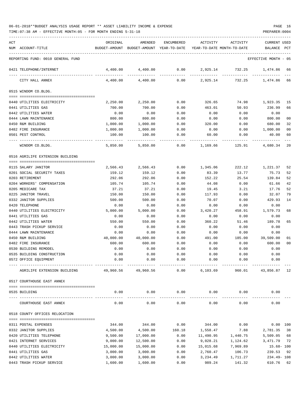TIME:07:38 AM - EFFECTIVE MONTH:05 - FOR MONTH ENDING 5-31-18 PREPARER:0004

| ACT |                                   | ORIGINAL            | AMENDED                                                             | ENCUMBERED           | ACTIVITY               | ACTIVITY | <b>CURRENT USED</b>  |                |
|-----|-----------------------------------|---------------------|---------------------------------------------------------------------|----------------------|------------------------|----------|----------------------|----------------|
|     | NUM ACCOUNT-TITLE                 |                     | BUDGET-AMOUNT BUDGET-AMOUNT YEAR-TO-DATE YEAR-TO-DATE MONTH-TO-DATE |                      |                        |          | BALANCE PCT          |                |
|     |                                   |                     |                                                                     |                      |                        |          |                      |                |
|     | REPORTING FUND: 0010 GENERAL FUND |                     |                                                                     |                      |                        |          | EFFECTIVE MONTH - 05 |                |
|     | 0421 TELEPHONE/INTERNET           | 4,400.00            | 4,400.00                                                            | 0.00                 | 2,925.14               | 732.25   | 1,474.86             | 66             |
|     | CITY HALL ANNEX                   | 4,400.00            | 4,400.00                                                            | 0.00                 | 2,925.14               | 732.25   | 1,474.86             | 66             |
|     | 0515 WINDOM CO.BLDG.              |                     |                                                                     |                      |                        |          |                      |                |
|     |                                   |                     |                                                                     |                      |                        |          |                      |                |
|     | 0440 UTILITIES ELECTRICITY        | 2,250.00            | 2,250.00                                                            | 0.00                 | 326.65                 | 74.98    | 1,923.35             | 15             |
|     | 0441 UTILITIES GAS                | 700.00              | 700.00                                                              | 0.00                 | 463.01                 | 50.93    | 236.99               | 66             |
|     | 0442 UTILITIES WATER              | 0.00                | 0.00                                                                | 0.00                 | 0.00                   | 0.00     | 0.00                 |                |
|     | 0444 LAWN MAINTENANCE             | 800.00              | 800.00                                                              | 0.00                 | 0.00                   | 0.00     | 800.00               | 0 <sub>0</sub> |
|     | 0450 R&M BUILDING                 | 1,000.00            | 1,000.00                                                            | 0.00                 | 320.00                 | 0.00     | 680.00               | 32             |
|     | 0482 FIRE INSURANCE               | 1,000.00            | 1,000.00                                                            | 0.00                 | 0.00                   | 0.00     | 1,000.00             | 00             |
|     | 0501 PEST CONTROL                 | 100.00<br>--------- | 100.00<br>-------------                                             | 0.00<br>------------ | 60.00<br>------------- | 0.00     | 40.00                | 60             |
|     | WINDOM CO.BLDG.                   | 5,850.00            | 5,850.00                                                            |                      | $0.00$ 1,169.66        | 125.91   | 4,680.34             | 20             |
|     | 0516 AGRILIFE EXTENSION BUILDING  |                     |                                                                     |                      |                        |          |                      |                |
|     | 0115 SALARY JANITOR               | 2,566.43            | 2,566.43                                                            | 0.00                 | 1,345.06               |          | 222.12 1,221.37      | 52             |
|     | 0201 SOCIAL SECURITY TAXES        | 159.12              | 159.12                                                              | 0.00                 | 83.39                  | 13.77    | 75.73                | 52             |
|     | 0203 RETIREMENT                   | 292.06              | 292.06                                                              | 0.00                 | 152.22                 | 25.54    | 139.84               | 52             |
|     | 0204 WORKERS' COMPENSATION        | 105.74              | 105.74                                                              | 0.00                 | 44.08                  | 0.00     | 61.66                | 42             |
|     | 0205 MEDICARE TAX                 | 37.21               | 37.21                                                               | 0.00                 | 19.45                  | 3.21     | 17.76                | 52             |
|     | 0225 JANITOR TRAVEL               | 150.00              | 150.00                                                              | 0.00                 | 117.93                 | 0.00     | 32.07                | 79             |
|     | 0332 JANITOR SUPPLIES             | 500.00              | 500.00                                                              | 0.00                 | 70.07                  | 0.00     | 429.93               | 14             |
|     | 0420 TELEPHONE                    | 0.00                | 0.00                                                                | 0.00                 | 0.00                   | 0.00     | 0.00                 |                |
|     | 0440 UTILITIES ELECTRICITY        | 5,000.00            | 5,000.00                                                            | 0.00                 | 3,420.27               | 458.91   | 1,579.73             | 68             |
|     | 0441 UTILITIES GAS                | 0.00                | 0.00                                                                | 0.00                 | 0.00                   | 0.00     | 0.00                 |                |
|     | 0442 UTILITIES WATER              | 550.00              | 550.00                                                              | 0.00                 | 360.22                 | 51.46    | 189.78               | 65             |
|     | 0443 TRASH PICKUP SERVICE         | 0.00                | 0.00                                                                | 0.00                 | 0.00                   | 0.00     | 0.00                 |                |
|     | 0444 LAWN MAINTENANCE             | 0.00                | 0.00                                                                | 0.00                 | 0.00                   | 0.00     | 0.00                 |                |
|     | 0450 R&M BUILDING                 | 40,000.00           | 40,000.00                                                           | 0.00                 | 491.00                 | 185.00   | 39,509.00            | 01             |
|     | 0482 FIRE INSURANCE               | 600.00              | 600.00                                                              | 0.00                 | 0.00                   | 0.00     | 600.00               | 0 <sub>0</sub> |
|     | 0530 BUILDING REMODEL             | 0.00                | 0.00                                                                | 0.00                 | 0.00                   | 0.00     | 0.00                 |                |
|     | 0535 BUILDING CONSTRUCTION        | 0.00                | 0.00                                                                | 0.00                 | 0.00                   | 0.00     | 0.00                 |                |
|     | 0572 OFFICE EQUIPMENT             | 0.00                | 0.00                                                                | 0.00                 | 0.00                   | 0.00     | 0.00                 |                |
|     | AGRILIFE EXTENSION BUILDING       | 49,960.56           | 49,960.56                                                           | 0.00                 | 6,103.69               | 960.01   | 43,856.87 12         |                |
|     | 0517 COURTHOUSE EAST ANNEX        |                     |                                                                     |                      |                        |          |                      |                |
|     |                                   |                     |                                                                     |                      |                        |          |                      |                |
|     | 0535 BUILDING                     | 0.00                | 0.00                                                                | 0.00                 | 0.00                   | 0.00     | 0.00                 |                |
|     | COURTHOUSE EAST ANNEX             | 0.00                | 0.00                                                                | 0.00                 | 0.00                   | 0.00     | 0.00                 |                |
|     | 0518 COUNTY OFFICES RELOCATION    |                     |                                                                     |                      |                        |          |                      |                |
|     | 0311 POSTAL EXPENSES              | 344.00              | 344.00                                                              | 0.00                 | 344.00                 | 0.00     | 0.00 100             |                |
|     | 0332 JANITOR SUPPLIES             | 4,500.00            | 4,500.00                                                            | 160.18               | 1,558.47               | 7.88     | 2,781.35             | 38             |
|     | 0420 UTILITIES TELEPHONE          | 9,500.00            | 17,000.00                                                           | 0.00                 | 11,490.95              | 1,440.75 | 5,509.05             | 68             |
|     | 0421 INTERNET SERVICES            | 9,000.00            | 12,500.00                                                           | 0.00                 | 9,028.21               | 1,124.62 | 3,471.79             | 72             |
|     | 0440 UTILITIES ELECTRICITY        | 15,000.00           | 15,000.00                                                           | 0.00                 | 15,015.68              | 7,969.89 | $15.68 - 100$        |                |
|     | 0441 UTILITIES GAS                | 3,000.00            | 3,000.00                                                            | 0.00                 | 2,760.47               | 106.73   | 239.53               | 92             |
|     | 0442 UTILITIES WATER              | 3,000.00            | 3,000.00                                                            | 0.00                 | 3,234.49               | 1,711.27 | $234.49 - 108$       |                |

0443 TRASH PICKUP SERVICE 1,600.00 1,600.00 0.00 989.24 141.32 610.76 62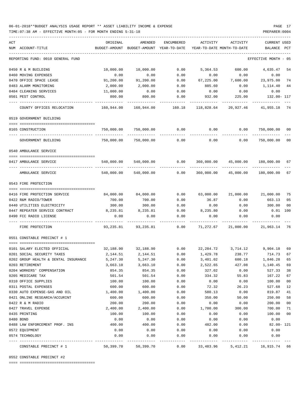### 06-01-2018\*\*BUDGET ANALYSIS USAGE REPORT \*\* ASSET LIABILITY INCOME & EXPENSE PAGE 17 TIME:07:38 AM - EFFECTIVE MONTH:05 - FOR MONTH ENDING 5-31-18 PREPARER:0004

| ACT |                                                         | ORIGINAL                   | AMENDED               | ENCUMBERED   | ACTIVITY              | ACTIVITY                                                        | CURRENT USED                |          |
|-----|---------------------------------------------------------|----------------------------|-----------------------|--------------|-----------------------|-----------------------------------------------------------------|-----------------------------|----------|
|     | NUM ACCOUNT-TITLE                                       | BUDGET-AMOUNT              | BUDGET-AMOUNT         | YEAR-TO-DATE |                       | YEAR-TO-DATE MONTH-TO-DATE                                      | BALANCE                     | PCT      |
|     | REPORTING FUND: 0010 GENERAL FUND                       |                            |                       |              |                       |                                                                 | EFFECTIVE MONTH - 05        |          |
|     | 0450 R & M BUILDING                                     | 10,000.00                  | 10,000.00             | 0.00         | 5,364.53              | 600.00                                                          | 4,635.47                    | 54       |
|     | 0460 MOVING EXPENSES                                    | 0.00                       | 0.00                  | 0.00         | 0.00                  | 0.00                                                            | 0.00                        |          |
|     | 0470 OFFICE SPACE LEASE                                 | 91,200.00                  | 91,200.00             | 0.00         | 67,225.00             | 7,600.00                                                        | 23,975.00                   | 74       |
|     | 0483 ALARM MONITORING                                   | 2,000.00                   | 2,000.00              | 0.00         | 885.60                | 0.00                                                            | 1,114.40                    | 44       |
|     | 0484 CLEANING SERVICES                                  | 11,000.00                  | 0.00                  | 0.00         | 0.00                  | 0.00                                                            | 0.00                        |          |
|     | 0501 PEST CONTROL                                       | 800.00                     | 800.00                | 0.00         | 932.00<br>----------- | 225.00<br>. <u>.</u> .                                          | 132.00- 117<br>.            |          |
|     | COUNTY OFFICES RELOCATION                               | 160,944.00                 | 160,944.00            | 160.18       | 118,828.64            |                                                                 | 20,927.46 41,955.18 74      |          |
|     | 0519 GOVERNMENT BUILDING                                |                            |                       |              |                       |                                                                 |                             |          |
|     |                                                         |                            |                       |              |                       |                                                                 |                             |          |
|     | 0165 CONSTRUCTION<br>---- ----------------              | 750,000.00<br>. <u>.</u> . | 750,000.00            |              |                       | $0.00$ $0.00$ $0.00$ $0.00$                                     | 750,000.00 00<br>---------- |          |
|     | GOVERNMENT BUILDING                                     | 750,000.00                 | 750,000.00            | 0.00         | 0.00                  | 0.00                                                            | 750,000.00 00               |          |
|     | 0540 AMBULANCE SERVICE                                  |                            |                       |              |                       |                                                                 |                             |          |
|     |                                                         |                            |                       |              |                       |                                                                 |                             |          |
|     | 0417 AMBULANCE SERVICE                                  |                            | 540,000.00 540,000.00 | 0.00         |                       | 360,000.00 45,000.00 180,000.00                                 |                             | 67       |
|     | AMBULANCE SERVICE                                       | 540,000.00                 | 540,000.00 0.00       |              |                       | 360,000.00 45,000.00 180,000.00                                 |                             | 67       |
|     | 0543 FIRE PROTECTION                                    |                            |                       |              |                       |                                                                 |                             |          |
|     |                                                         |                            |                       |              |                       |                                                                 |                             |          |
|     | 0416 FIRE PROTECTION SERVICE                            | 84,000.00                  | 84,000.00             | 0.00         | 63,000.00             |                                                                 | 21,000.00 21,000.00         | 75       |
|     | 0422 R&M RADIO/TOWER                                    | 700.00                     | 700.00                | 0.00         | 36.87                 | 0.00                                                            | 663.13                      | 05       |
|     | 0440 UTILITIES ELECTRICITY                              | 300.00                     | 300.00                | 0.00         | 0.00                  | 0.00                                                            | 300.00                      | 00       |
|     | 0447 REPEATER SERVICE CONTRACT                          | 8,235.81                   | 8,235.81              | 0.00         | 8,235.80              | 0.00                                                            | $0.01$ 100                  |          |
|     | 0490 FCC RADIO LICENSE                                  | 0.00                       | 0.00                  | 0.00         | 0.00                  | 0.00                                                            | 0.00                        |          |
|     | FIRE PROTECTION                                         |                            |                       |              |                       | 93,235.81  93,235.81  0.00  71,272.67  21,000.00  21,963.14  76 |                             |          |
|     | 0551 CONSTABLE PRECINCT # 1                             |                            |                       |              |                       |                                                                 |                             |          |
|     |                                                         |                            |                       |              |                       |                                                                 |                             |          |
|     | 0101 SALARY ELECTED OFFICIAL                            |                            |                       |              |                       | 32,188.90 32,188.90 0.00 22,284.72 3,714.12 9,904.18 69         |                             |          |
|     | 0201 SOCIAL SECURITY TAXES                              | 2,144.51                   | 2,144.51              | 0.00         | 1,429.78              | 238.77                                                          | 714.73                      | 67       |
|     | 0202 GROUP HEALTH & DENTAL INSURANCE<br>0203 RETIREMENT | 5,247.30<br>3,663.10       | 5,247.30              | 0.00         | 3,401.02              | 600.18<br>427.08                                                | 1,846.28 65                 |          |
|     | 0204 WORKERS' COMPENSATION                              | 854.35                     | 3,663.10<br>854.35    | 0.00<br>0.00 | 2,522.65<br>327.02    | 0.00                                                            | 1,140.45<br>527.33          | 69<br>38 |
|     | 0205 MEDICARE TAX                                       | 501.54                     | 501.54                | 0.00         | 334.32                | 55.83                                                           | 167.22                      | 67       |
|     | 0310 OFFICE SUPPLIES                                    | 100.00                     | 100.00                | 0.00         | 0.00                  | 0.00                                                            | 100.00                      | 00       |
|     | 0311 POSTAL EXPENSES                                    | 600.00                     | 600.00                | 0.00         | 72.32                 | 26.23                                                           | 527.68                      | 12       |
|     | 0330 AUTO EXPENSE-GAS AND OIL                           | 1,400.00                   | 1,400.00              | 0.00         | 580.13                | 0.00                                                            | 819.87                      | 41       |
|     | 0421 ONLINE RESEARCH/ACCURINT                           | 600.00                     | 600.00                | 0.00         | 350.00                | 50.00                                                           | 250.00                      | 58       |
|     | 0422 R & M RADIO                                        | 200.00                     | 200.00                | 0.00         | 0.00                  | 0.00                                                            | 200.00                      | 00       |
|     | 0427 TRAVEL EXPENSE                                     | 2,400.00                   | 2,400.00              | 0.00         | 1,700.00              | 300.00                                                          | 700.00                      | 71       |
|     | 0435 PRINTING                                           | 100.00                     | 100.00                | 0.00         | 0.00                  | 0.00                                                            | 100.00                      | 00       |
|     | 0480 BOND                                               | 0.00                       | 0.00                  | 0.00         | 0.00                  | 0.00                                                            | 0.00                        |          |
|     | 0488 LAW ENFORCEMENT PROF. INS                          | 400.00                     | 400.00                | 0.00         | 482.00                | 0.00                                                            | $82.00 - 121$               |          |
|     | 0572 EQUIPMENT                                          | 0.00                       | 0.00                  | 0.00         | 0.00                  | 0.00                                                            | 0.00                        |          |
|     | 0574 TECHNOLOGY                                         | 0.00                       | 0.00                  | 0.00         | 0.00                  | 0.00                                                            | 0.00                        |          |
|     | CONSTABLE PRECINCT # 1                                  | 50,399.70                  | 50,399.70             | 0.00         | 33,483.96             | 5,412.21                                                        | 16,915.74 66                |          |

0552 CONSTABLE PRECINCT #2

==== ===================================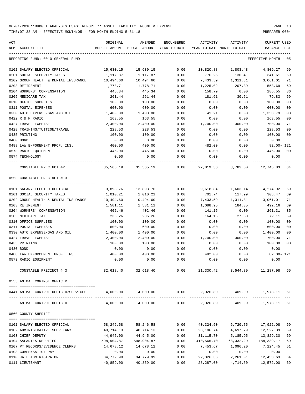| ACT | NUM ACCOUNT-TITLE                    | ORIGINAL                                                              | AMENDED<br>BUDGET-AMOUNT BUDGET-AMOUNT YEAR-TO-DATE | ENCUMBERED | ACTIVITY<br>YEAR-TO-DATE MONTH-TO-DATE | ACTIVITY                        | CURRENT USED<br>BALANCE | PCT            |
|-----|--------------------------------------|-----------------------------------------------------------------------|-----------------------------------------------------|------------|----------------------------------------|---------------------------------|-------------------------|----------------|
|     | REPORTING FUND: 0010 GENERAL FUND    |                                                                       |                                                     |            |                                        |                                 | EFFECTIVE MONTH - 05    |                |
|     | 0101 SALARY ELECTED OFFICIAL         | 15,630.15                                                             | 15,630.15                                           | 0.00       |                                        |                                 | 4,809.27                | 69             |
|     | 0201 SOCIAL SECURITY TAXES           | 1,117.87                                                              | 1,117.87                                            | 0.00       | 776.26                                 | 130.41                          | 341.61                  | 69             |
|     | 0202 GROUP HEALTH & DENTAL INSURANCE | 10,494.60                                                             | 10,494.60                                           | 0.00       | 7,433.59                               | 1,311.81                        | 3,061.01                | 71             |
|     | 0203 RETIREMENT                      | 1,778.71                                                              | 1,778.71                                            | 0.00       | 1,225.02                               | 207.39                          | 553.69                  | 69             |
|     | 0204 WORKERS' COMPENSATION           | 445.34                                                                | 445.34                                              | 0.00       | 158.79                                 | 0.00                            | 286.55                  | 36             |
|     | 0205 MEDICARE TAX                    | 261.44                                                                | 261.44                                              | 0.00       | 181.61                                 | 30.51                           | 79.83                   | 69             |
|     | 0310 OFFICE SUPPLIES                 | 100.00                                                                | 100.00                                              | 0.00       | 0.00                                   | 0.00                            | 100.00                  | 0 <sup>0</sup> |
|     | 0311 POSTAL EXPENSES                 | 600.00                                                                | 600.00                                              | 0.00       | 0.00                                   | 0.00                            | 600.00                  | 00             |
|     | 0330 AUTO EXPENSE-GAS AND OIL        | 1,400.00                                                              | 1,400.00                                            | 0.00       | 41.21                                  | 0.00                            | 1,358.79                | 03             |
|     | 0422 R & M RADIO                     | 163.55                                                                | 163.55                                              | 0.00       | 0.00                                   | 0.00                            | 163.55                  | 00             |
|     | 0427 TRAVEL EXPENSE                  | 2,400.00                                                              | 2,400.00                                            | 0.00       | 1,700.00                               | 300.00                          | 700.00                  | 71             |
|     | 0428 TRAINING/TUITION/TRAVEL         | 228.53                                                                | 228.53                                              | 0.00       | 0.00                                   | 0.00                            | 228.53                  | 0 <sub>0</sub> |
|     | 0435 PRINTING                        | 100.00                                                                | 100.00                                              | 0.00       | 0.00                                   | 0.00                            | 100.00                  | 00             |
|     | 0480 BOND                            | 0.00                                                                  | 0.00                                                | 0.00       | 0.00                                   | 0.00                            | 0.00                    |                |
|     | 0488 LAW ENFOREMENT PROF. INS.       | 400.00                                                                | 400.00                                              | 0.00       | 482.00                                 | 0.00                            | 82.00- 121              |                |
|     | 0573 RADIO EQUIPMENT                 | 445.00                                                                | 445.00                                              | 0.00       | 0.00                                   | 0.00                            | 445.00                  | 00             |
|     | 0574 TECHNOLOGY                      | 0.00                                                                  | 0.00                                                | 0.00       | 0.00                                   | 0.00                            | 0.00                    |                |
|     | CONSTABLE PRECINCT #2                | 35,565.19   35,565.19     0.00   22,819.36   3,783.60   12,745.83  64 |                                                     |            |                                        |                                 |                         |                |
|     | 0553 CONSTABLE PRECINCT # 3          |                                                                       |                                                     |            |                                        |                                 |                         |                |
|     | 0101 SALARY ELECTED OFFICIAL         | 13,893.76                                                             | 13,893.76                                           | 0.00       |                                        | 9,618.84 1,603.14 4,274.92      |                         | 69             |
|     | 0201 SOCIAL SECURITY TAXES           | 1,010.21                                                              | 1,010.21                                            | 0.00       | 701.74                                 | 117.99                          | 308.47                  | 69             |
|     | 0202 GROUP HEALTH & DENTAL INSURANCE | 10,494.60                                                             | 10,494.60                                           | 0.00       | 7,433.59                               | 1,311.81                        | 3,061.01                | 71             |
|     | 0203 RETIREMENT                      | 1,581.11                                                              | 1,581.11                                            | 0.00       | 1,088.95                               | 184.35                          | 492.16                  | 69             |
|     | 0204 WORKERS' COMPENSATION           | 402.46                                                                | 402.46                                              | 0.00       | 141.15                                 | 0.00                            | 261.31                  | 35             |
|     | 0205 MEDICARE TAX                    | 236.26                                                                | 236.26                                              | 0.00       | 164.15                                 | 27.60                           | 72.11                   | 69             |
|     | 0310 OFFICE SUPPLIES                 | 100.00                                                                | 100.00                                              | 0.00       | 0.00                                   | 0.00                            | 100.00                  | 0 <sub>0</sub> |
|     | 0311 POSTAL EXPENSES                 | 600.00                                                                | 600.00                                              | 0.00       | 0.00                                   | 0.00                            | 600.00                  | 00             |
|     | 0330 AUTO EXPENSE-GAS AND OIL        | 1,400.00                                                              | 1,400.00                                            | 0.00       | 0.00                                   | 0.00                            | 1,400.00                | $00\,$         |
|     | 0427 TRAVEL EXPENSE                  | 2,400.00                                                              | 2,400.00                                            | 0.00       | 1,700.00                               | 300.00                          | 700.00                  | 71             |
|     | 0435 PRINTING                        | 100.00                                                                | 100.00                                              | 0.00       | 0.00                                   | 0.00                            | 100.00                  | 00             |
|     | 0480 BOND                            | 0.00                                                                  | 0.00                                                | 0.00       | 0.00                                   | 0.00                            | 0.00                    |                |
|     | 0488 LAW ENFORCEMENT PROF. INS       | 400.00                                                                | 400.00                                              | 0.00       | 482.00                                 | 0.00                            | $82.00 - 121$           |                |
|     | 0573 RADIO EQUIPMENT                 | 0.00                                                                  | 0.00                                                | 0.00       | 0.00                                   | 0.00                            | 0.00                    |                |
|     | CONSTABLE PRECINCT # 3               | 32,618.40                                                             | 32,618.40                                           | 0.00       |                                        | 21,330.42 3,544.89 11,287.98 65 |                         |                |
|     | 0555 ANIMAL CONTROL OFFICER          |                                                                       |                                                     |            |                                        |                                 |                         |                |
|     |                                      |                                                                       |                                                     |            |                                        |                                 |                         |                |
|     | 0441 ANIMAL CONTROL OFFICER/SERVICES |                                                                       | 4,000.00 4,000.00                                   |            |                                        | $0.00$ 2,026.89 409.99          | 1,973.11 51             |                |
|     | ANIMAL CONTROL OFFICER               |                                                                       | 4,000.00 4,000.00                                   |            | 0.00 2,026.89                          |                                 | 409.99 1,973.11 51      |                |
|     | 0560 COUNTY SHERIFF                  |                                                                       |                                                     |            |                                        |                                 |                         |                |
|     | 0101 SALARY ELECTED OFFICIAL         | 58,246.58                                                             | 58,246.58                                           | 0.00       | 40,324.50                              | 6,720.75                        | 17,922.08               | 69             |
|     | 0102 ADMINISTRATIVE SECRETARY        | 40,714.13                                                             | 40,714.13                                           | 0.00       | 28,186.74                              | 4,697.79                        | 12,527.39               | 69             |
|     | 0103 CHIEF DEPUTY                    | 44,945.00                                                             | 44,945.00                                           | 0.00       | 31,115.70                              | 5,185.95                        | 13,829.30               | 69             |
|     | 0104 SALARIES DEPUTIES               | 598,904.87                                                            | 598,904.87                                          | 0.00       | 410,565.70                             | 68,332.29                       | 188,339.17              | 69             |
|     | 0107 PT RECORDS/EVIDENCE CLERKS      | 14,678.12                                                             | 14,678.12                                           | 0.00       | 7,453.67                               | 1,096.20                        | 7,224.45                | 51             |
|     | 0108 COMPENSATION PAY                | 0.00                                                                  | 0.00                                                | 0.00       | 0.00                                   | 0.00                            | 0.00                    |                |
|     | 0110 JAIL ADMINISTRATOR              | 34,779.99                                                             | 34,779.99                                           | 0.00       | 22,326.36                              | 2,261.01                        | 12,453.63               | 64             |
|     | 0111 LIEUTENANT                      | 40,859.00                                                             | 40,859.00                                           | 0.00       | 28,287.00                              | 4,714.50                        | 12,572.00               | 69             |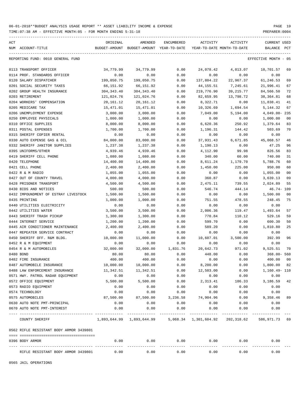TIME:07:38 AM - EFFECTIVE MONTH:05 - FOR MONTH ENDING 5-31-18 PREPARER:0004

| ACT |                                         | ORIGINAL    | AMENDED                                               | <b>ENCUMBERED</b> | ACTIVITY    | <b>ACTIVITY</b>            | <b>CURRENT USED</b>     |
|-----|-----------------------------------------|-------------|-------------------------------------------------------|-------------------|-------------|----------------------------|-------------------------|
|     | NUM ACCOUNT-TITLE                       |             | BUDGET-AMOUNT BUDGET-AMOUNT YEAR-TO-DATE              |                   |             | YEAR-TO-DATE MONTH-TO-DATE | BALANCE<br>$_{\rm PCT}$ |
|     | REPORTING FUND: 0010 GENERAL FUND       |             |                                                       |                   |             |                            | EFFECTIVE MONTH - 05    |
|     | 0113 TRANSPORT OFFICER                  | 34,779.99   | 34,779.99                                             | 0.00              | 24,078.42   | 4,013.07                   | 10,701.57<br>69         |
|     | 0114 PROF. STANDARDS OFFICER            | 0.00        | 0.00                                                  | 0.00              | 0.00        | 0.00                       | 0.00                    |
|     | 0120 SALARY DISPATCHER                  | 199,050.75  | 199,050.75                                            | 0.00              | 137,804.22  | 22,967.37                  | 61,246.53<br>69         |
|     | 0201 SOCIAL SECURITY TAXES              | 66,151.92   | 66,151.92                                             | 0.00              | 44, 155. 51 | 7,245.61                   | 21,996.41<br>67         |
|     | 0202 GROUP HEALTH INSURANCE             | 304, 343.40 | 304, 343.40                                           | 0.00              | 219,776.90  | 39, 215.77                 | 84,566.50<br>72         |
|     | 0203 RETIREMENT                         | 121,024.76  | 121,024.76                                            | 0.00              | 82,659.95   | 13,798.72                  | 38, 364.81<br>68        |
|     | 0204 WORKERS' COMPENSATION              | 20,161.12   | 20, 161. 12                                           | 0.00              | 8,322.71    | 0.00                       | 11,838.41<br>41         |
|     | 0205 MEDICARE TAX                       | 15,471.01   | 15,471.01                                             | 0.00              | 10,326.69   | 1,694.54                   | 5, 144. 32<br>67        |
|     | 0206 UNEMPLOYMENT EXPENSE               | 3,000.00    | 3,000.00                                              | 0.00              | 7,049.00    | 5,194.00                   | 4,049.00-235            |
|     | 0250 EMPLOYEE PHYSICALS                 | 1,000.00    | 1,000.00                                              | 0.00              | 0.00        | 0.00                       | 1,000.00<br>00          |
|     | 0310 OFFICE SUPPLIES                    | 8,000.00    | 8,000.00                                              | 0.00              | 6,620.36    | 250.92                     | 1,379.64<br>83          |
|     | 0311 POSTAL EXPENSES                    | 1,700.00    | 1,700.00                                              | 0.00              | 1,196.31    | 144.42                     | 503.69<br>70            |
|     | 0315 SHERIFF COPIER RENTAL              | 0.00        | 0.00                                                  | 0.00              | 0.00        | 0.00                       | 0.00                    |
|     | 0330 AUTO EXPENSE GAS & OIL             | 84,000.00   | 83,000.00                                             | 0.00              | 37,931.43   | 6,671.85                   | 45,068.57<br>46         |
|     | 0332 SHERIFF JANITOR SUPPLIES           | 1,237.38    | 1,237.38                                              | 0.00              | 1,190.13    | 0.00                       | 47.25<br>96             |
|     | 0395 UNIFORMS/OTHER                     | 4,939.46    | 4,939.46                                              | 0.00              | 4,112.90    | 99.98                      | 826.56<br>83            |
|     | 0419 SHERIFF CELL PHONE                 | 1,080.00    | 1,080.00                                              | 0.00              | 340.00      | 60.00                      | 740.00<br>31            |
|     | 0420 TELEPHONE                          | 14,400.00   | 14,400.00                                             | 0.00              | 8,611.24    | 1,179.70                   | 5,788.76<br>60          |
|     | 0421 CELL PHONE                         | 2,400.00    | 2,400.00                                              | 0.00              | 1,450.00    | 225.00                     | 950.00<br>60            |
|     | 0422 R & M RADIO                        | 1,055.00    | 1,055.00                                              | 0.00              | 0.00        | 0.00                       | 1,055.00<br>00          |
|     | 0427 OUT OF COUNTY TRAVEL               | 4,000.00    | 4,000.00                                              | 0.00              | 360.87      | 0.00                       | 3,639.13<br>09          |
|     | 0428 PRISONER TRANSPORT                 | 4,500.00    | 4,500.00                                              | 0.00              | 2,475.11    | 739.55                     | 2,024.89<br>55          |
|     | 0430 BIDS AND NOTICES                   | 500.00      | 500.00                                                | 0.00              | 546.74      | 444.14                     | $46.74 - 109$           |
|     | 0432 IMPOUNDMENT OF ESTRAY LIVESTOCK    | 1,500.00    | 1,500.00                                              | 0.00              | 0.00        | 0.00                       | 1,500.00<br>00          |
|     | 0435 PRINTING                           | 1,000.00    | 1,000.00                                              | 0.00              | 751.55      | 478.55                     | 248.45<br>75            |
|     | 0440 UTILITIES ELECTRICITY              | 0.00        | 0.00                                                  | 0.00              | 0.00        | 0.00                       | 0.00                    |
|     | 0442 UTILITIES WATER                    | 3,500.00    | 3,500.00                                              | 0.00              | 2,006.36    | 119.47                     | 1,493.64<br>57          |
|     | 0443 SHERIFF TRASH PICKUP               | 1,300.00    | 1,300.00                                              | 0.00              | 770.84      | 110.12                     | 529.16<br>59            |
|     | 0444 INTERNET SERVICE                   | 1,200.00    | 1,200.00                                              | 0.00              | 599.70      | 0.00                       | 600.30<br>50            |
|     | 0445 AIR CONDITIONER MAINTENANCE        | 2,400.00    | 2,400.00                                              | 0.00              | 589.20      | 0.00                       | 1,810.80<br>25          |
|     | 0447 REPEATER SERVICE CONTRACT          | 0.00        | 0.00                                                  | 0.00              | 0.00        | 0.00                       | 0.00                    |
|     | 0450 SHERIFF OFF. R&M BLDG.             | 10,000.00   | 11,000.00                                             | 0.00              | 10,607.01   | 3,500.00                   | 392.99<br>96            |
|     | 0452 R & M EQUIPMENT                    | 0.00        | 0.00                                                  | 0.00              | 0.00        | 0.00                       | 0.00                    |
|     | 0454 R & M AUTOMOBILES                  | 32,000.00   | 32,000.00                                             | 1,831.76          | 20,642.73   | 971.02                     | 9,525.51<br>70          |
|     | 0480 BOND                               | 80.00       | 80.00                                                 | 0.00              | 448.00      | 0.00                       | $368.00 - 560$          |
|     | 0482 FIRE INSURANCE                     | 400.00      | 400.00                                                | 0.00              | 0.00        | 0.00                       | 400.00<br>00            |
|     | 0487 AUTOMOBILE INSURANCE               | 10,000.00   | 10,000.00                                             | 0.00              | 8,200.00    | 0.00                       | 1,800.00 82             |
|     | 0488 LAW ENFORCEMENT INSURANCE          | 11,342.51   | 11,342.51                                             | 0.00              | 12,503.00   | 0.00                       | 1,160.49- 110           |
|     | 0571 HWY. PATROL RADAR EQUIPMENT        | 0.00        | 0.00                                                  | 0.00              | 0.00        | 0.00                       | 0.00                    |
|     | 0572 OFFICE EQUIPMENT                   | 5,500.00    | 5,500.00                                              | 0.00              | 2,313.41    | 186.33                     | 3,186.59<br>42          |
|     | 0573 RADIO EQUIPMENT                    | 0.00        | 0.00                                                  | 0.00              | 0.00        | 0.00                       | 0.00                    |
|     | 0574 TECHNOLOGY                         | 0.00        | 0.00                                                  | 0.00              | 0.00        | 0.00                       | 0.00                    |
|     | 0575 AUTOMOBILES                        | 87,500.00   | 87,500.00                                             | 3,236.58          | 74,904.96   | 0.00                       | 9,358.46<br>89          |
|     | 0630 AUTO NOTE PMT-PRINCIPAL            | 0.00        | 0.00                                                  | 0.00              | 0.00        | 0.00                       | 0.00                    |
|     | 0670 AUTO NOTE PMT-INTEREST             | 0.00        | 0.00                                                  | 0.00<br>--------  | 0.00        | 0.00                       | 0.00                    |
|     | COUNTY SHERIFF                          |             | 1,893,644.99   1,893,644.99   5,068.34   1,301,604.92 |                   |             | 202,318.62                 | 586,971.73 69           |
|     | 0562 RIFLE RESISTANT BODY ARMOR 3439801 |             |                                                       |                   |             |                            |                         |
|     |                                         |             |                                                       |                   |             |                            |                         |
|     | 0396 BODY ARMOR                         | 0.00        | 0.00                                                  | 0.00              | 0.00        | 0.00                       | 0.00                    |
|     |                                         |             |                                                       |                   |             |                            |                         |

RIFLE RESISTANT BODY ARMOR 3439801 0.00 0.00 0.00 0.00 0.00 0.00

-----------------------------------------------------------------------------------------------------------------------------------

0565 JAIL OPERATIONS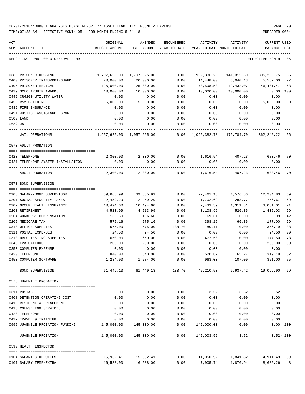| 06-01-2018**BUDGET ANALYSIS USAGE REPORT ** ASSET LIABILITY INCOME & EXPENSE | PAGE 20        |
|------------------------------------------------------------------------------|----------------|
| TIME: 07:38 AM - EFFECTIVE MONTH: 05 - FOR MONTH ENDING 5-31-18              | PREPARER: 0004 |

| ACT | NUM ACCOUNT-TITLE                  | ORIGINAL     | AMENDED<br>BUDGET-AMOUNT BUDGET-AMOUNT YEAR-TO-DATE | ENCUMBERED | ACTIVITY<br>YEAR-TO-DATE MONTH-TO-DATE | ACTIVITY              | CURRENT USED<br>BALANCE PCT                                 |                |
|-----|------------------------------------|--------------|-----------------------------------------------------|------------|----------------------------------------|-----------------------|-------------------------------------------------------------|----------------|
|     | REPORTING FUND: 0010 GENERAL FUND  |              |                                                     |            |                                        |                       | EFFECTIVE MONTH - 05                                        |                |
|     | 0380 PRISONER HOUSING              | 1,797,625.00 | 1,797,625.00                                        | 0.00       |                                        | 992,336.25 141,312.50 | 805,288.75                                                  | 55             |
|     | 0400 PRISONER TRANSPORT/GUARD      | 20,000.00    | 20,000.00                                           | 0.00       | 14,448.00                              | 6,040.13              | 5,552.00                                                    | 72             |
|     | 0405 PRISONER MEDICAL              | 125,000.00   | 125,000.00                                          | 0.00       | 78,598.53                              | 19,432.07             | 46,401.47                                                   | 63             |
|     | 0429 SCHOLARSHIP AWARDS            | 10,000.00    | 10,000.00                                           | 0.00       | 10,000.00                              | 10,000.00             | $0.00$ 100                                                  |                |
|     | 0442 CR4200 UTILITY WATER          | 0.00         | 0.00                                                | 0.00       | 0.00                                   | 0.00                  | 0.00                                                        |                |
|     | 0450 R&M BUILDING                  | 5,000.00     | 5,000.00                                            | 0.00       | 0.00                                   | 0.00                  | 5,000.00                                                    | 0 <sub>0</sub> |
|     | 0482 FIRE INSURANCE                | 0.00         | 0.00                                                | 0.00       | 0.00                                   | 0.00                  | 0.00                                                        |                |
|     | 0491 JUSTICE ASSISTANCE GRANT      | 0.00         | 0.00                                                | 0.00       | 0.00                                   | 0.00                  | 0.00                                                        |                |
|     | 0500 LAND                          | 0.00         | 0.00                                                | 0.00       | 0.00                                   | 0.00                  | 0.00                                                        |                |
|     | 0532 JAIL                          | 0.00         | 0.00                                                | 0.00       | 0.00                                   | 0.00                  | 0.00                                                        |                |
|     | JAIL OPERATIONS                    |              | 1,957,625.00 1,957,625.00                           | -----      |                                        |                       | $0.00 \quad 1.095.382.78 \quad 176.784.70 \quad 862.242.22$ | 56             |
|     | 0570 ADULT PROBATION               |              |                                                     |            |                                        |                       |                                                             |                |
|     | 0420 TELEPHONE                     |              | 2,300.00 2,300.00                                   |            |                                        |                       | $0.00$ 1,616.54 $407.23$ 683.46                             | 70             |
|     | 0421 TELEPHONE SYSTEM INSTALLATION | 0.00         | 0.00                                                | 0.00       | 0.00                                   | 0.00                  | 0.00                                                        |                |
|     | ADULT PROBATION                    | 2,300.00     | 2,300.00                                            | 0.00       | 1,616.54                               | 407.23                | 683.46                                                      | 70             |
|     | 0573 BOND SUPERVISION              |              |                                                     |            |                                        |                       |                                                             |                |
|     | 0103 SALARY-BOND SUPERVISOR        | 39,665.99    | 39,665.99                                           | 0.00       | 27,461.16                              | 4,576.86              | 12,204.83                                                   | 69             |
|     | 0201 SOCIAL SECURITY TAXES         | 2,459.29     | 2,459.29                                            | 0.00       | 1,702.62                               | 283.77                | 756.67                                                      | 69             |
|     | 0202 GROUP HEALTH INSURANCE        | 10,494.60    | 10,494.60                                           | 0.00       | 7,433.59                               | 1,311.81              | 3,061.01                                                    | 71             |
|     | 0203 RETIREMENT                    | 4,513.99     | 4,513.99                                            | 0.00       | 3,108.96                               | 526.35                | 1,405.03                                                    | 69             |
|     | 0204 WORKERS' COMPENSATION         | 166.60       | 166.60                                              | 0.00       | 69.61                                  | 0.00                  | 96.99                                                       | 42             |
|     | 0205 MEDICARE TAX                  | 575.16       | 575.16                                              | 0.00       | 398.16                                 | 66.36                 | 177.00                                                      | 69             |
|     | 0310 OFFICE SUPPLIES               | 575.00       | 575.00                                              | 138.70     | 80.11                                  | 0.00                  | 356.19                                                      | 38             |
|     | 0311 POSTAL EXPENSES               | 24.50        | 24.50                                               | 0.00       | 0.00                                   | 0.00                  | 24.50                                                       | 0 <sub>0</sub> |
|     | 0313 DRUG TESTING SUPPLIES         | 650.00       | 650.00                                              | 0.00       | 472.50                                 | 0.00                  | 177.50                                                      | 73             |
|     | 0340 EVALUATIONS                   | 200.00       | 200.00                                              | 0.00       | 0.00                                   | 0.00                  | 200.00                                                      | 0 <sub>0</sub> |
|     | 0353 COMPUTER EXPENSE              | 0.00         | 0.00                                                | 0.00       | 0.00                                   | 0.00                  | 0.00                                                        |                |
|     | 0420 TELEPHONE                     | 840.00       | 840.00                                              | 0.00       | 520.82                                 | 65.27                 | 319.18                                                      | 62             |
|     | 0453 COMPUTER SOFTWARE             | 1,284.00     | 1,284.00                                            | 0.00       | 963.00                                 | 107.00                | 321.00 75                                                   |                |
|     | BOND SUPERVISION                   |              | 61,449.13 61,449.13                                 |            |                                        |                       | 138.70 42,210.53 6,937.42 19,099.90 69                      |                |
|     | 0575 JUVENILE PROBATION            |              |                                                     |            |                                        |                       |                                                             |                |
|     | 0311 POSTAGE                       | 0.00         | 0.00                                                | 0.00       | 3.52                                   | 3.52                  | $3.52-$                                                     |                |
|     | 0408 DETENTION OPERATING COST      | 0.00         | 0.00                                                | 0.00       | 0.00                                   | 0.00                  | 0.00                                                        |                |
|     | 0415 RESIDENTIAL PLACEMENT         | 0.00         | 0.00                                                | 0.00       | 0.00                                   | 0.00                  | 0.00                                                        |                |
|     | 0416 COUNSELING SERVICES           | 0.00         | 0.00                                                | 0.00       | 0.00                                   | 0.00                  | 0.00                                                        |                |
|     | 0420 TELEPHONE                     | 0.00         | 0.00                                                | 0.00       | 0.00                                   | 0.00                  | 0.00                                                        |                |
|     | 0427 TRAVEL & TRAINING             | 0.00         | 0.00                                                | 0.00       | 0.00                                   | 0.00                  | 0.00                                                        |                |
|     | 0995 JUVENILE PROBATION FUNDING    | 145,000.00   | 145,000.00                                          | 0.00       | 145,000.00                             | 0.00                  | 0.00 100                                                    |                |
|     | JUVENILE PROBATION                 |              |                                                     | 0.00       | 145,003.52                             | 3.52                  | . _ _ _ _ _ _ _ _ _ _<br>$3.52 - 100$                       |                |
|     | 0590 HEALTH INSPECTOR              |              |                                                     |            |                                        |                       |                                                             |                |
|     | 0104 SALARIES DEPUTIES             | 15,962.41    | 15,962.41                                           |            | $0.00$ 11,050.92                       | 1,841.82              | 4,911.49                                                    | 69             |

0107 SALARY TEMP/EXTRA 16,588.00 16,588.00 0.00 7,905.74 1,870.94 8,682.26 48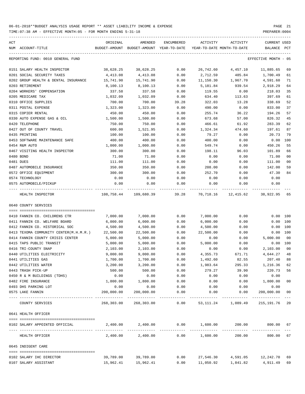TIME:07:38 AM - EFFECTIVE MONTH:05 - FOR MONTH ENDING 5-31-18 PREPARER:0004

| ACT | NUM ACCOUNT-TITLE                                                        | ORIGINAL              | AMENDED<br>BUDGET-AMOUNT BUDGET-AMOUNT YEAR-TO-DATE | ENCUMBERED   | ACTIVITY              | ACTIVITY<br>YEAR-TO-DATE MONTH-TO-DATE | <b>CURRENT USED</b><br>BALANCE PCT |                |
|-----|--------------------------------------------------------------------------|-----------------------|-----------------------------------------------------|--------------|-----------------------|----------------------------------------|------------------------------------|----------------|
|     | REPORTING FUND: 0010 GENERAL FUND                                        |                       |                                                     |              |                       |                                        | EFFECTIVE MONTH - 05               |                |
|     | 0151 SALARY HEALTH INSPECTOR                                             | 38,628.25             | 38,628.25                                           | 0.00         | 26,742.60             | 4,457.10                               | 11,885.65                          | 69             |
|     | 0201 SOCIAL SECURITY TAXES                                               | 4,413.08              | 4,413.08                                            | 0.00         | 2,712.59              | 485.84                                 | 1,700.49                           | 61             |
|     | 0202 GROUP HEALTH & DENTAL INSURANCE                                     | 15,741.90             | 15,741.90                                           | 0.00         | 11,150.30             | 1,967.70                               | 4,591.60                           | 71             |
|     | 0203 RETIREMENT                                                          | 8,100.13              | 8,100.13                                            | 0.00         | 5,181.84              | 939.54                                 | 2,918.29                           | 64             |
|     | 0204 WORKERS' COMPENSATION                                               | 337.58                | 337.58                                              | 0.00         | 119.55                | 0.00                                   | 218.03                             | 35             |
|     | 0205 MEDICARE TAX                                                        | 1,032.09              | 1,032.09                                            | 0.00         | 634.40                | 113.63                                 | 397.69                             | 61             |
|     | 0310 OFFICE SUPPLIES                                                     | 700.00                | 700.00                                              | 39.28        | 322.03                | 13.28                                  | 338.69                             | 52             |
|     | 0311 POSTAL EXPENSE                                                      | 1,323.00              | 1,323.00                                            | 0.00         | 490.00                | 0.00                                   | 833.00                             | 37             |
|     | 0315 COPIER RENTAL                                                       | 450.00                | 450.00                                              | 0.00         | 255.74                | 36.22                                  | 194.26                             | 57             |
|     | 0330 AUTO EXPENSE GAS & OIL                                              | 1,500.00              | 1,500.00                                            | 0.00         | 673.68                | 57.00                                  | 826.32                             | 45             |
|     | 0420 TELEPHONE                                                           | 750.00                | 750.00                                              | 0.00         | 466.61                | 61.92                                  | 283.39                             | 62             |
|     | 0427 OUT OF COUNTY TRAVEL                                                | 600.00                | 1,521.95                                            | 0.00         | 1,324.34              | 474.60                                 | 197.61                             | 87             |
|     | 0435 PRINTING                                                            | 100.00                | 100.00                                              | 0.00         | 79.27                 | 0.00                                   | 20.73                              | 79             |
|     | 0453 SOFTWARE MAINTENANCE SAFE                                           | 400.00                | 400.00                                              | 0.00         | 400.00                | 0.00                                   | 0.00 100                           |                |
|     | 0454 R&M AUTO                                                            | 1,000.00              | 1,000.00                                            | 0.00         | 549.74                | 0.00                                   | 450.26                             | 55             |
|     | 0467 VISITING HEALTH INSPECTOR                                           | 300.00                | 300.00                                              | 0.00         | 198.11                | 96.03                                  | 101.89                             | 66             |
|     | 0480 BOND                                                                | 71.00                 | 71.00                                               | 0.00         | 0.00                  | 0.00                                   | 71.00                              | 0 <sub>0</sub> |
|     | 0481 DUES                                                                | 111.00                | 111.00                                              | 0.00         | 0.00                  | 0.00                                   | 111.00                             | 0 <sub>0</sub> |
|     | 0487 AUTOMOBILE INSURANCE                                                | 350.00                | 350.00                                              | 0.00         | 208.00                | 0.00                                   | 142.00                             | 59             |
|     | 0572 OFFICE EQUIPMENT                                                    | 300.00                | 300.00                                              | 0.00         | 252.70                | 0.00                                   | 47.30                              | 84             |
|     | 0574 TECHNOLOGY                                                          | 0.00                  | 0.00                                                | 0.00         | 0.00                  | 0.00                                   | 0.00                               |                |
|     | 0575 AUTOMOBILE/PICKUP                                                   | 0.00                  | 0.00                                                | 0.00         | 0.00                  | 0.00                                   | 0.00                               |                |
|     | HEALTH INSPECTOR                                                         |                       | 108,758.44 109,680.39                               | 39.28        |                       |                                        |                                    | 65             |
|     | 0640 COUNTY SERVICES                                                     |                       |                                                     |              |                       |                                        |                                    |                |
|     |                                                                          |                       |                                                     |              |                       |                                        |                                    |                |
|     | 0410 FANNIN CO. CHILDRENS CTR                                            | 7,000.00              | 7,000.00                                            | 0.00         | 7,000.00              | 0.00                                   | 0.00 100                           |                |
|     | 0411 FANNIN CO. WELFARE BOARD                                            | 6,000.00              | 6,000.00                                            | 0.00         | 6,000.00              | 0.00                                   | 0.00 100                           |                |
|     | 0412 FANNIN CO. HISTORICAL SOC<br>0413 TEXOMA COMMUNITY CENTER(M.H.M.R.) | 4,500.00<br>22,500.00 | 4,500.00<br>22,500.00                               | 0.00<br>0.00 | 4,500.00<br>22,500.00 | 0.00<br>0.00                           | 0.00 100<br>0.00 100               |                |
|     | 0414 FANNIN COUNTY CRISIS CENTER                                         | 5,000.00              | 5,000.00                                            | 0.00         |                       | 0.00                                   | 5,000.00                           | 0 <sub>0</sub> |
|     | 0415 TAPS PUBLIC TRANSIT                                                 | 5,000.00              | 5,000.00                                            | 0.00         | 0.00<br>5,000.00      | 0.00                                   | 0.00 100                           |                |
|     | 0416 TRI-COUNTY SNAP                                                     | 2,103.00              | 2,103.00                                            | 0.00         | 0.00                  | 0.00                                   | 2,103.00                           | 0 <sub>0</sub> |
|     | 0440 UTILITIES ELECTRICITY                                               | 9,000.00              | 9,000.00                                            | 0.00         | 4,355.73              | 671.71                                 | 4,644.27                           | 48             |
|     | 0441 UTILITIES GAS                                                       | 1,700.00              | 1,700.00                                            | 0.00         | 1,492.60              | 82.55                                  | 207.40 88                          |                |
|     | 0442 UTILITIES WATER                                                     | 3,200.00              | 3,200.00                                            | 0.00         | 1,983.64              | 295.33                                 | 1,216.36                           | 62             |
|     | 0443 TRASH PICK-UP                                                       | 500.00                | 500.00                                              | 0.00         | 279.27                | 39.90                                  | 220.73                             | 56             |
|     | 0450 R & M BUILDINGS (TDHS)                                              | 0.00                  | 0.00                                                | 0.00         | 0.00                  | 0.00                                   | 0.00                               |                |
|     | 0482 FIRE INSURANCE                                                      | 1,800.00              | 1,800.00                                            | 0.00         | 0.00                  | 0.00                                   | 1,800.00                           | 0 <sub>0</sub> |
|     | 0493 DHS PARKING LOT                                                     | 0.00                  | 0.00                                                | 0.00         | 0.00                  | 0.00                                   | 0.00                               |                |
|     | 0575 LAKE FANNIN                                                         | 200,000.00            | 200,000.00                                          | 0.00         | 0.00                  | 0.00                                   | 200,000.00                         | 0 <sub>0</sub> |
|     | COUNTY SERVICES                                                          |                       | 268,303.00 268,303.00                               | 0.00         |                       | 53,111.24 1,089.49                     | 215,191.76                         | $- - -$<br>20  |
|     | 0641 HEALTH OFFICER                                                      |                       |                                                     |              |                       |                                        |                                    |                |
|     |                                                                          |                       |                                                     |              |                       |                                        |                                    |                |
|     | 0102 SALARY APPOINTED OFFICIAL                                           |                       | 2,400.00 2,400.00                                   |              | 0.00 1,600.00         | 200.00                                 | 800.00 67                          |                |
|     | HEALTH OFFICER                                                           |                       | 2,400.00 2,400.00                                   |              | $0.00$ 1,600.00       | 200.00                                 | 800.00                             | 67             |
|     | 0645 INDIGENT CARE                                                       |                       |                                                     |              |                       |                                        |                                    |                |
|     |                                                                          |                       |                                                     |              |                       |                                        |                                    |                |
|     | 0102 SALARY IHC DIRECTOR                                                 | 39,789.00             | 39,789.00                                           |              | 0.00 27,546.30        |                                        | 4,591.05 12,242.70 69              |                |
|     | 0107 SALARY ASSISTANT                                                    | 15.962.41             | 15.962.41                                           | 0.00         |                       |                                        |                                    | 69             |

0107 SALARY ASSISTANT 15,962.41 15,962.41 0.00 11,050.92 1,841.82 4,911.49 69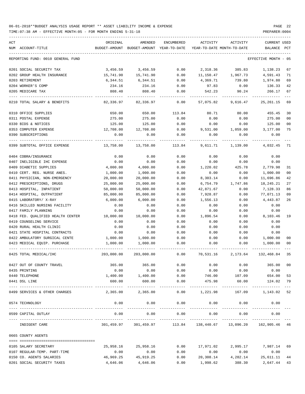| ACT |                                   | ORIGINAL   | AMENDED                                                         | ENCUMBERED            | ACTIVITY                   | ACTIVITY              | <b>CURRENT USED</b>      |                |
|-----|-----------------------------------|------------|-----------------------------------------------------------------|-----------------------|----------------------------|-----------------------|--------------------------|----------------|
|     | NUM ACCOUNT-TITLE                 |            | BUDGET-AMOUNT BUDGET-AMOUNT YEAR-TO-DATE                        |                       | YEAR-TO-DATE MONTH-TO-DATE |                       | <b>BALANCE</b>           | PCT            |
|     | REPORTING FUND: 0010 GENERAL FUND |            |                                                                 |                       |                            |                       | EFFECTIVE MONTH - 05     |                |
|     | 0201 SOCIAL SECURITY TAX          | 3,456.59   | 3,456.59                                                        | 0.00                  | 2,318.36                   | 385.83                | 1,138.23                 | 67             |
|     | 0202 GROUP HEALTH INSURANCE       | 15,741.90  | 15,741.90                                                       | 0.00                  | 11,150.47                  | 1,967.73              | 4,591.43                 | 71             |
|     | 0203 RETIREMENT                   | 6,344.51   | 6,344.51                                                        | 0.00                  | 4,369.71                   | 739.80                | 1,974.80                 | 69             |
|     | 0204 WORKER'S COMP                | 234.16     | 234.16                                                          | 0.00                  | 97.83                      | 0.00                  | 136.33                   | 42             |
|     | 0205 MEDICARE TAX                 | 808.40     | 808.40                                                          | 0.00                  | 542.23                     | 90.24                 | 266.17                   | 67             |
|     | 0210 TOTAL SALARY & BENEFITS      | 82,336.97  | 82,336.97                                                       | 0.00                  | 57,075.82                  | 9,616.47              | 25, 261.15               | 69             |
|     | 0310 OFFICE SUPPLIES              | 650.00     | 650.00                                                          | 113.84                | 80.71                      | 80.00                 | 455.45                   | 30             |
|     | 0311 POSTAL EXPENSE               | 275.00     | 275.00                                                          | 0.00                  | 0.00                       | 0.00                  | 275.00                   | 00             |
|     | 0330 BIDS & NOTICES               | 125.00     | 125.00                                                          | 0.00                  | 0.00                       | 0.00                  | 125.00                   | 0 <sub>0</sub> |
|     | 0353 COMPUTER EXPENSE             | 12,708.00  | 12,708.00                                                       | 0.00                  | 9,531.00                   | 1,059.00              | 3,177.00                 | 75             |
|     | 0390 SUBSCRIPTIONS                | 0.00       | 0.00                                                            | 0.00                  | 0.00                       | 0.00                  | 0.00                     |                |
|     | 0399 SUBTOTAL OFFICE EXPENSE      | 13,758.00  | 13,758.00                                                       | 113.84                | 9,611.71                   | 1,139.00              | 4,032.45                 | 71             |
|     | 0404 COBRA/INSURANCE              | 0.00       | 0.00                                                            | 0.00                  | 0.00                       | 0.00                  | 0.00                     |                |
|     | 0407 INELIGIBLE IHC EXPENSE       | 0.00       | 0.00                                                            | 0.00                  | 0.00                       | 0.00                  | 0.00                     |                |
|     | 0409 DIABETIC SUPPLIES            | 4,000.00   | 4,000.00                                                        | 0.00                  | 1,220.02                   | 425.78                | 2,779.98                 | 31             |
|     | 0410 CERT. REG. NURSE ANES.       | 1,000.00   | 1,000.00                                                        | 0.00                  | 0.00                       | 0.00                  | 1,000.00                 | 00             |
|     | 0411 PHYSICIAN, NON-EMERGENCY     | 20,000.00  | 20,000.00                                                       | 0.00                  | 8,303.14                   | 0.00                  | 11,696.86                | 42             |
|     | 0412 PRESCRIPTIONS, DRUGS         | 25,000.00  | 25,000.00                                                       | 0.00                  | 6,754.79                   | 1,747.86              | 18,245.21                | 27             |
|     | 0413 HOSPITAL, INPATIENT          | 50,000.00  | 50,000.00                                                       | 0.00                  | 42,871.67                  | 0.00                  | 7,128.33                 | 86             |
|     | 0414 HOSPITAL, OUTPATIENT         | 85,000.00  | 85,000.00                                                       | 0.00                  | 7,928.87                   | 0.00                  | 77,071.13                | 09             |
|     | 0415 LABORATORY/ X-RAY            | 6,000.00   | 6,000.00                                                        | 0.00                  | 1,556.13                   | 0.00                  | 4,443.87                 | 26             |
|     | 0416 SKILLED NURSING FACILITY     | 0.00       | 0.00                                                            | 0.00                  | 0.00                       | 0.00                  | 0.00                     |                |
|     | 0417 FAMILY PLANNING              | 0.00       | 0.00                                                            | 0.00                  | 0.00                       | 0.00                  | 0.00                     |                |
|     | 0418 FED. QUALIFIED HEALTH CENTER | 10,000.00  | 10,000.00                                                       | 0.00                  | 1,896.54                   | 0.00                  | 8,103.46                 | 19             |
|     | 0419 COUNSELING SERVICE           | 0.00       | 0.00                                                            | 0.00                  | 0.00                       | 0.00                  | 0.00                     |                |
|     | 0420 RURAL HEALTH CLINIC          | 0.00       | 0.00                                                            | 0.00                  | 0.00                       | 0.00                  | 0.00                     |                |
|     | 0421 STATE HOSPITAL CONTRACTS     | 0.00       | 0.00                                                            | 0.00                  | 0.00                       | 0.00                  | 0.00                     |                |
|     | 0422 AMBULATORY SURGICAL CENTE    | 1,000.00   | 1,000.00                                                        | 0.00                  | 0.00                       | 0.00                  | 1,000.00                 | 00             |
|     | 0423 MEDICAL EQUIP. PURCHASE      | 1,000.00   | 1,000.00                                                        | 0.00                  | 0.00                       | 0.00                  | 1,000.00                 | 00             |
|     | 0425 TOTAL MEDICAL/IHC            | 203,000.00 | 203,000.00                                                      | 0.00                  | 70,531.16                  | 2,173.64              | 132,468.84               | 35             |
|     | 0427 OUT OF COUNTY TRAVEL         | 365.00     | 365.00                                                          | 0.00                  | 0.00                       | 0.00                  | 365.00                   | 00             |
|     | 0435 PRINTING                     | 0.00       | 0.00                                                            | 0.00                  | 0.00                       | 0.00                  | 0.00                     |                |
|     | 0440 TELEPHONE                    | 1,400.00   | 1,400.00                                                        | 0.00                  | 746.00                     | 107.09                | 654.00                   | 53             |
|     | 0441 DSL LINE                     | 600.00     | 600.00<br>-------------                                         | 0.00<br>------------- | 475.98<br>-------------    | 60.00<br>------------ | 124.02<br>-------------- | 79             |
|     | 0499 SERVICES & OTHER CHARGES     | 2,365.00   | 2,365.00                                                        | 0.00                  | 1,221.98                   | 167.09                | 1,143.02                 | 52             |
|     | 0574 TECHNOLOGY                   | 0.00       | 0.00                                                            | 0.00                  | 0.00                       | 0.00                  | 0.00                     |                |
|     | 0599 CAPITAL OUTLAY               | 0.00       | 0.00                                                            | 0.00                  | 0.00                       | 0.00                  | 0.00                     |                |
|     | INDIGENT CARE                     |            | 301,459.97 301,459.97 113.84 138,440.67 13,096.20 162,905.46 46 |                       |                            |                       |                          |                |
|     | 0665 COUNTY AGENTS                |            |                                                                 |                       |                            |                       |                          |                |
|     |                                   |            |                                                                 |                       |                            |                       |                          |                |

| 0105 SALARY SECRETARY        | 25,958.16 | 25,958.16 | 0.00 | 17,971.02 | 2,995.17 | 7,987.14  | 69 |
|------------------------------|-----------|-----------|------|-----------|----------|-----------|----|
| 0107 REGULAR-TEMP. PART-TIME | 0.00      | 0.00      | 0.00 | 0.00      | 0.00     | 0.00      |    |
| 0150 CO. AGENTS SALARIES     | 46,969.25 | 45,919.25 | 0.00 | 20,308.14 | 4,282.14 | 25,611.11 | 44 |
| 0201 SOCIAL SECURITY TAXES   | 4,646.06  | 4,646.06  | 0.00 | 1,998.62  | 388.30   | 2,647.44  | 43 |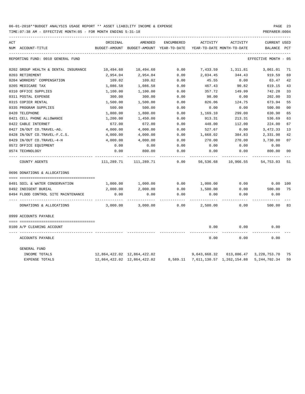| ACT |                                      | ORIGINAL      | AMENDED                     | <b>ENCUMBERED</b> | ACTIVITY     | ACTIVITY                           | <b>CURRENT USED</b>     |       |
|-----|--------------------------------------|---------------|-----------------------------|-------------------|--------------|------------------------------------|-------------------------|-------|
| NUM | ACCOUNT-TITLE                        | BUDGET-AMOUNT | BUDGET-AMOUNT               | YEAR-TO-DATE      |              | YEAR-TO-DATE MONTH-TO-DATE         | <b>BALANCE</b>          | PCT   |
|     | REPORTING FUND: 0010 GENERAL FUND    |               |                             |                   |              |                                    | EFFECTIVE MONTH         | $-05$ |
|     | 0202 GROUP HEALTH & DENTAL INSURANCE | 10,494.60     | 10,494.60                   | 0.00              | 7,433.59     | 1,311.81                           | 3,061.01                | 71    |
|     | 0203 RETIREMENT                      | 2,954.04      | 2,954.04                    | 0.00              | 2,034.45     | 344.43                             | 919.59                  | 69    |
|     | 0204 WORKERS' COMPENSATION           | 109.02        | 109.02                      | 0.00              | 45.55        | 0.00                               | 63.47                   | 42    |
|     | 0205 MEDICARE TAX                    | 1,086.58      | 1,086.58                    | 0.00              | 467.43       | 90.82                              | 619.15                  | 43    |
|     | 0310 OFFICE SUPPLIES                 | 1,100.00      | 1,100.00                    | 0.00              | 357.72       | 149.99                             | 742.28                  | 33    |
|     | 0311 POSTAL EXPENSE                  | 300.00        | 300.00                      | 0.00              | 98.00        | 0.00                               | 202.00                  | 33    |
|     | 0315 COPIER RENTAL                   | 1,500.00      | 1,500.00                    | 0.00              | 826.06       | 124.75                             | 673.94                  | 55    |
|     | 0335 PROGRAM SUPPLIES                | 500.00        | 500.00                      | 0.00              | 0.00         | 0.00                               | 500.00                  | 00    |
|     | 0420 TELEPHONE                       | 1,800.00      | 1,800.00                    | 0.00              | 1,169.10     | 299.00                             | 630.90                  | 65    |
|     | 0421 CELL PHONE ALLOWANCE            | 1,200.00      | 1,450.00                    | 0.00              | 913.31       | 213.31                             | 536.69                  | 63    |
|     | 0422 CABLE INTERNET                  | 672.00        | 672.00                      | 0.00              | 448.00       | 112.00                             | 224.00                  | 67    |
|     | 0427 IN/OUT CO.TRAVEL-AG.            | 4,000.00      | 4,000.00                    | 0.00              | 527.67       | 0.00                               | 3,472.33                | 13    |
|     | 0428 IN/OUT CO.TRAVEL-F.C.S.         | 4,000.00      | 4,000.00                    | 0.00              | 1,668.02     | 384.83                             | 2,331.98                | 42    |
|     | 0429 IN/OUT CO.TRAVEL-4-H            | 4,000.00      | 4,000.00                    | 0.00              | 270.00       | 270.00                             | 3,730.00                | 07    |
|     | 0572 OFFICE EQUIPMENT                | 0.00          | 0.00                        | 0.00              | 0.00         | 0.00                               | 0.00                    |       |
|     | 0574 TECHNOLOGY                      | 0.00          | 800.00                      | 0.00              | 0.00         | 0.00                               | 800.00                  | 00    |
|     | COUNTY AGENTS                        | 111,289.71    | 111,289.71                  | 0.00              | 56,536.68    | 10,966.55                          | 54,753.03               | 51    |
|     | 0696 DONATIONS & ALLOCATIONS         |               |                             |                   |              |                                    |                         |       |
|     |                                      |               |                             |                   |              |                                    |                         |       |
|     | 0491 SOIL & WATER CONSERVATION       | 1,000.00      | 1,000.00                    | 0.00              | 1,000.00     | 0.00                               | 0.00 100                |       |
|     | 0492 INDIGENT BURIAL                 | 2,000.00      | 2,000.00                    | 0.00              | 1,500.00     | 0.00                               | 500.00                  | 75    |
|     | 0494 FLOOD CONTROL SITE MAINTENANCE  | 0.00          | 0.00                        | 0.00              | 0.00         | 0.00                               | 0.00                    |       |
|     | DONATIONS & ALLOCATIONS              | 3,000.00      | 3,000.00                    | 0.00              | 2,500.00     | 0.00                               | 500.00                  | 83    |
|     | 0999 ACCOUNTS PAYABLE                |               |                             |                   |              |                                    |                         |       |
|     |                                      |               |                             |                   |              |                                    |                         |       |
|     | 0100 A/P CLEARING ACCOUNT            |               |                             |                   | 0.00         | 0.00                               | 0.00                    |       |
|     | ACCOUNTS PAYABLE                     |               |                             |                   | 0.00         | 0.00                               | 0.00                    |       |
|     | <b>GENERAL FUND</b>                  |               |                             |                   |              |                                    |                         |       |
|     | INCOME TOTALS                        |               | 12,864,422.02 12,864,422.02 |                   | 9,643,668.32 |                                    | 613,886.47 3,220,753.70 | 75    |
|     | <b>EXPENSE TOTALS</b>                |               | 12,864,422.02 12,864,422.02 |                   |              | 8,589.11 7,611,130.57 1,262,154.88 | 5, 244, 702. 34         | 59    |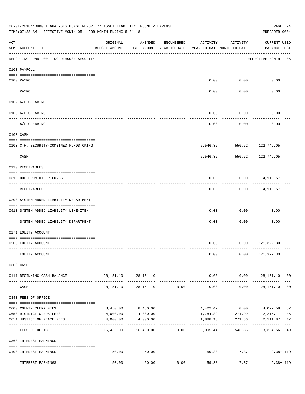|                    | 06-01-2018**BUDGET ANALYSIS USAGE REPORT ** ASSET LIABILITY INCOME & EXPENSE<br>TIME: 07:38 AM - EFFECTIVE MONTH: 05 - FOR MONTH ENDING 5-31-18                                                                                                                                                                                                                                                                                                                        |           |                                                     |                |                                        |                            | PREPARER: 0004                                          | PAGE 24        |
|--------------------|------------------------------------------------------------------------------------------------------------------------------------------------------------------------------------------------------------------------------------------------------------------------------------------------------------------------------------------------------------------------------------------------------------------------------------------------------------------------|-----------|-----------------------------------------------------|----------------|----------------------------------------|----------------------------|---------------------------------------------------------|----------------|
| $\mathop{\rm ACT}$ | NUM ACCOUNT-TITLE                                                                                                                                                                                                                                                                                                                                                                                                                                                      | ORIGINAL  | AMENDED<br>BUDGET-AMOUNT BUDGET-AMOUNT YEAR-TO-DATE | ENCUMBERED     | ACTIVITY<br>YEAR-TO-DATE MONTH-TO-DATE | ACTIVITY                   | <b>CURRENT USED</b><br>BALANCE PCT                      |                |
|                    | REPORTING FUND: 0011 COURTHOUSE SECURITY                                                                                                                                                                                                                                                                                                                                                                                                                               |           |                                                     |                |                                        |                            | EFFECTIVE MONTH - 05                                    |                |
|                    | 0100 PAYROLL                                                                                                                                                                                                                                                                                                                                                                                                                                                           |           |                                                     |                |                                        |                            |                                                         |                |
|                    | 0100 PAYROLL                                                                                                                                                                                                                                                                                                                                                                                                                                                           |           |                                                     |                |                                        | $0.00$ 0.00                | 0.00                                                    |                |
|                    | PAYROLL                                                                                                                                                                                                                                                                                                                                                                                                                                                                |           |                                                     |                | 0.00                                   | 0.00                       | 0.00                                                    |                |
|                    | 0102 A/P CLEARING                                                                                                                                                                                                                                                                                                                                                                                                                                                      |           |                                                     |                |                                        |                            |                                                         |                |
|                    | 0100 A/P CLEARING                                                                                                                                                                                                                                                                                                                                                                                                                                                      |           |                                                     |                | 0.00                                   | 0.00                       | 0.00                                                    |                |
|                    | A/P CLEARING                                                                                                                                                                                                                                                                                                                                                                                                                                                           |           |                                                     |                | 0.00                                   | 0.00                       | 0.00                                                    |                |
|                    | 0103 CASH                                                                                                                                                                                                                                                                                                                                                                                                                                                              |           |                                                     |                |                                        |                            |                                                         |                |
|                    | 0100 C.H. SECURITY-COMBINED FUNDS CKING                                                                                                                                                                                                                                                                                                                                                                                                                                |           |                                                     |                |                                        |                            | 5,546.32 550.72 122,749.05                              |                |
|                    | CASH                                                                                                                                                                                                                                                                                                                                                                                                                                                                   |           |                                                     |                | 5,546.32                               | . <u>.</u> .<br>550.72     | ---------<br>122,749.05                                 |                |
|                    | 0120 RECEIVABLES                                                                                                                                                                                                                                                                                                                                                                                                                                                       |           |                                                     |                |                                        |                            |                                                         |                |
|                    | 0313 DUE FROM OTHER FUNDS                                                                                                                                                                                                                                                                                                                                                                                                                                              |           |                                                     |                | 0.00                                   |                            | $0.00$ $4,119.57$                                       |                |
|                    | RECEIVABLES                                                                                                                                                                                                                                                                                                                                                                                                                                                            |           |                                                     |                | 0.00                                   | 0.00                       | 4,119.57                                                |                |
|                    | 0200 SYSTEM ADDED LIABILITY DEPARTMENT                                                                                                                                                                                                                                                                                                                                                                                                                                 |           |                                                     |                |                                        |                            |                                                         |                |
|                    | 0910 SYSTEM ADDED LIABILITY LINE-ITEM                                                                                                                                                                                                                                                                                                                                                                                                                                  |           |                                                     |                | 0.00                                   | 0.00                       | 0.00                                                    |                |
|                    | SYSTEM ADDED LIABILITY DEPARTMENT                                                                                                                                                                                                                                                                                                                                                                                                                                      |           |                                                     |                | 0.00                                   | 0.00                       | 0.00                                                    |                |
|                    | 0271 EQUITY ACCOUNT                                                                                                                                                                                                                                                                                                                                                                                                                                                    |           |                                                     |                |                                        |                            |                                                         |                |
|                    | 0200 EQUITY ACCOUNT                                                                                                                                                                                                                                                                                                                                                                                                                                                    |           |                                                     |                |                                        |                            | $0.00$ $0.00$ $121,322.30$                              |                |
|                    | EQUITY ACCOUNT                                                                                                                                                                                                                                                                                                                                                                                                                                                         |           |                                                     |                | 0.00                                   |                            | $0.00$ 121,322.30                                       |                |
|                    | 0300 CASH                                                                                                                                                                                                                                                                                                                                                                                                                                                              |           |                                                     |                |                                        |                            |                                                         |                |
|                    | $\begin{minipage}{0.03\textwidth} \centering \begin{tabular}{ l l l } \hline \textbf{1} & \textbf{2} & \textbf{2} & \textbf{2} & \textbf{2} & \textbf{2} & \textbf{2} & \textbf{2} & \textbf{2} & \textbf{2} & \textbf{2} & \textbf{2} & \textbf{2} & \textbf{2} & \textbf{2} & \textbf{2} & \textbf{2} & \textbf{2} & \textbf{2} & \textbf{2} & \textbf{2} & \textbf{2} & \textbf{2} & \textbf{2} & \textbf{2} & \textbf{2} & \textbf$<br>0111 BEGINNING CASH BALANCE |           | 28, 151. 10 28, 151. 10                             |                | 0.00                                   | 0.00                       | 28,151.10 00                                            |                |
|                    | CASH                                                                                                                                                                                                                                                                                                                                                                                                                                                                   | 28,151.10 |                                                     | 28,151.10 0.00 | --------------<br>0.00                 | ----------                 | . <u>.</u><br>0.00<br>28,151.10                         | 0 <sub>0</sub> |
|                    | 0340 FEES OF OFFICE                                                                                                                                                                                                                                                                                                                                                                                                                                                    |           |                                                     |                |                                        |                            |                                                         |                |
|                    | 0600 COUNTY CLERK FEES                                                                                                                                                                                                                                                                                                                                                                                                                                                 | 8,450.00  | 8,450.00                                            |                |                                        |                            | 4,422.42 0.00 4,027.58                                  | 52             |
|                    | 0650 DISTRICT CLERK FEES                                                                                                                                                                                                                                                                                                                                                                                                                                               | 4,000.00  | 4,000.00                                            |                |                                        |                            | 1,784.89 271.99 2,215.11                                | 45             |
|                    | 0651 JUSTICE OF PEACE FEES                                                                                                                                                                                                                                                                                                                                                                                                                                             | 4,000.00  | 4,000.00                                            |                | 1,888.13<br>-----------                |                            | 2, 111.87 47<br>271.36<br>----------------------------- |                |
|                    | FEES OF OFFICE                                                                                                                                                                                                                                                                                                                                                                                                                                                         |           | $16,450.00$ $16,450.00$ $0.00$ $8,095.44$           |                |                                        |                            | 543.35 8,354.56 49                                      |                |
|                    | 0360 INTEREST EARNINGS                                                                                                                                                                                                                                                                                                                                                                                                                                                 |           |                                                     |                |                                        |                            |                                                         |                |
|                    | 0100 INTEREST EARNINGS                                                                                                                                                                                                                                                                                                                                                                                                                                                 | 50.00     | 50.00                                               |                |                                        | 59.38 7.37<br>------------ |                                                         | $9.38 + 119$   |
|                    | INTEREST EARNINGS                                                                                                                                                                                                                                                                                                                                                                                                                                                      | 50.00     | 50.00                                               | 0.00           | 59.38                                  | 7.37                       |                                                         | $9.38 + 119$   |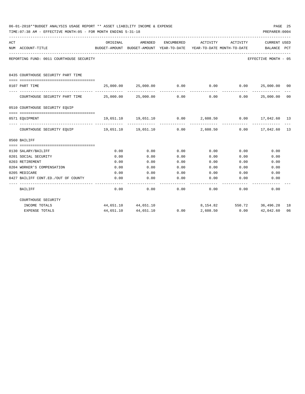|     | 06-01-2018**BUDGET ANALYSIS USAGE REPORT ** ASSET LIABILITY INCOME & EXPENSE<br>TIME: 07:38 AM - EFFECTIVE MONTH: 05 - FOR MONTH ENDING 5-31-18 |                     |                                                               |                   |          |                                        | PAGE 25<br>PREPARER: 0004        |                |
|-----|-------------------------------------------------------------------------------------------------------------------------------------------------|---------------------|---------------------------------------------------------------|-------------------|----------|----------------------------------------|----------------------------------|----------------|
| ACT | NUM ACCOUNT-TITLE                                                                                                                               | ORIGINAL            | AMENDED<br>BUDGET-AMOUNT BUDGET-AMOUNT YEAR-TO-DATE           | ENCUMBERED        | ACTIVITY | ACTIVITY<br>YEAR-TO-DATE MONTH-TO-DATE | CURRENT USED<br>BALANCE PCT      |                |
|     | REPORTING FUND: 0011 COURTHOUSE SECURITY                                                                                                        |                     |                                                               |                   |          |                                        | EFFECTIVE MONTH - 05             |                |
|     | 0435 COURTHOUSE SECURITY PART TIME                                                                                                              |                     |                                                               |                   |          |                                        |                                  |                |
|     | 0107 PART TIME                                                                                                                                  |                     | $25,000.00$ $25,000.00$ $0.00$ $0.00$ $0.00$ $25,000.00$ $00$ |                   |          |                                        |                                  |                |
|     | COURTHOUSE SECURITY PART TIME $25,000.00$ $25,000.00$ 0.00                                                                                      |                     |                                                               | -------------     |          | 0.00                                   | --------------<br>0.00 25,000.00 | 0 <sup>0</sup> |
|     | 0510 COURTHOUSE SECURITY EQUIP                                                                                                                  |                     |                                                               |                   |          |                                        |                                  |                |
|     | --------------------------------------<br>0571 EQUIPMENT                                                                                        |                     | 19,651.10 19,651.10 0.00 2,608.50 0.00 17,042.60 13           |                   |          |                                        |                                  |                |
|     | COURTHOUSE SECURITY EQUIP 19,651.10 19,651.10 0.00 2,608.50 0.00 17,042.60 13                                                                   |                     |                                                               | _____________     |          | -----------                            |                                  |                |
|     | 0560 BAILIFF                                                                                                                                    |                     |                                                               |                   |          |                                        |                                  |                |
|     |                                                                                                                                                 |                     |                                                               |                   |          |                                        |                                  |                |
|     | 0130 SALARY/BAILIFF                                                                                                                             | 0.00                | 0.00                                                          | 0.00              | 0.00     | 0.00                                   | 0.00                             |                |
|     | 0201 SOCIAL SECURITY                                                                                                                            | 0.00                | 0.00                                                          | 0.00              | 0.00     | 0.00                                   | 0.00                             |                |
|     | 0203 RETIREMENT                                                                                                                                 | 0.00                | 0.00                                                          | 0.00              | 0.00     | 0.00                                   | 0.00                             |                |
|     | 0204 WORKER'S COMPENSATION                                                                                                                      | 0.00                | 0.00                                                          | 0.00              | 0.00     | 0.00                                   | 0.00                             |                |
|     | 0205 MEDICARE                                                                                                                                   | 0.00                | 0.00                                                          | 0.00              | 0.00     | 0.00                                   | 0.00                             |                |
|     | 0427 BAILIFF CONT.ED./OUT OF COUNTY                                                                                                             | 0.00<br>$- - - - -$ | 0.00                                                          | 0.00<br>--------- | 0.00     | 0.00                                   | 0.00                             |                |
|     | BAILIFF                                                                                                                                         | 0.00                | 0.00                                                          | 0.00              |          | 0.00<br>0.00                           | 0.00                             |                |
|     | COURTHOUSE SECURITY                                                                                                                             |                     |                                                               |                   |          |                                        |                                  |                |
|     | INCOME TOTALS                                                                                                                                   |                     | 44,651.10 44,651.10                                           |                   |          |                                        | 8, 154.82 550.72 36, 496.28      | 18             |
|     | <b>EXPENSE TOTALS</b>                                                                                                                           | 44,651.10           | 44,651.10                                                     | 0.00              | 2,608.50 | 0.00                                   | 42,042.60                        | 06             |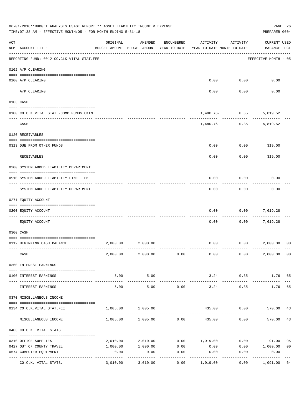|                | 06-01-2018**BUDGET ANALYSIS USAGE REPORT ** ASSET LIABILITY INCOME & EXPENSE<br>TIME: 07:38 AM - EFFECTIVE MONTH: 05 - FOR MONTH ENDING 5-31-18 |                                      |                                                     |                     |                                        |                        | PREPARER: 0004                     | PAGE 26        |
|----------------|-------------------------------------------------------------------------------------------------------------------------------------------------|--------------------------------------|-----------------------------------------------------|---------------------|----------------------------------------|------------------------|------------------------------------|----------------|
| $\mathtt{ACT}$ | NUM ACCOUNT-TITLE                                                                                                                               | ORIGINAL                             | AMENDED<br>BUDGET-AMOUNT BUDGET-AMOUNT YEAR-TO-DATE | ENCUMBERED          | ACTIVITY<br>YEAR-TO-DATE MONTH-TO-DATE | ACTIVITY               | <b>CURRENT USED</b><br>BALANCE PCT |                |
|                | REPORTING FUND: 0012 CO.CLK.VITAL STAT.FEE                                                                                                      |                                      |                                                     |                     |                                        |                        | EFFECTIVE MONTH - 05               |                |
|                | 0102 A/P CLEARING                                                                                                                               |                                      |                                                     |                     |                                        |                        |                                    |                |
|                | 0100 A/P CLEARING                                                                                                                               |                                      |                                                     |                     | 0.00                                   | 0.00                   | 0.00                               |                |
|                | ---- ----------<br>A/P CLEARING                                                                                                                 |                                      |                                                     |                     | 0.00                                   | 0.00                   | 0.00                               |                |
|                | 0103 CASH                                                                                                                                       |                                      |                                                     |                     |                                        |                        |                                    |                |
|                | 0100 CO.CLK.VITAL STAT.-COMB.FUNDS CKIN                                                                                                         |                                      |                                                     |                     |                                        | $1,480.76 - 0.35$      | 5,819.52                           |                |
|                | CASH                                                                                                                                            |                                      |                                                     |                     |                                        | .<br>$1,480.76 - 0.35$ | 5,819.52                           |                |
|                | 0120 RECEIVABLES                                                                                                                                |                                      |                                                     |                     |                                        |                        |                                    |                |
|                | 0313 DUE FROM OTHER FUNDS                                                                                                                       |                                      |                                                     |                     | 0.00                                   | 0.00                   | 319.00                             |                |
|                | RECEIVABLES                                                                                                                                     |                                      |                                                     |                     | 0.00                                   | 0.00                   | 319.00                             |                |
|                | 0200 SYSTEM ADDED LIABILITY DEPARTMENT                                                                                                          |                                      |                                                     |                     |                                        |                        |                                    |                |
|                | 0910 SYSTEM ADDED LIABILITY LINE-ITEM                                                                                                           |                                      |                                                     |                     | 0.00                                   | 0.00                   | 0.00                               |                |
|                | SYSTEM ADDED LIABILITY DEPARTMENT                                                                                                               |                                      |                                                     |                     | 0.00                                   | 0.00                   | 0.00                               |                |
|                | 0271 EQUITY ACCOUNT                                                                                                                             |                                      |                                                     |                     |                                        |                        |                                    |                |
|                | 0200 EQUITY ACCOUNT                                                                                                                             |                                      |                                                     |                     | 0.00                                   | 0.00                   | 7,619.28                           |                |
|                | EQUITY ACCOUNT                                                                                                                                  |                                      |                                                     |                     | 0.00                                   | 0.00                   | 7,619.28                           |                |
|                | 0300 CASH                                                                                                                                       |                                      |                                                     |                     |                                        |                        |                                    |                |
|                | 0112 BEGINNING CASH BALANCE                                                                                                                     |                                      | 2,000.00 2,000.00                                   |                     |                                        |                        | $0.00$ $0.00$ $2,000.00$           | 0 <sup>0</sup> |
|                | CASH                                                                                                                                            |                                      | $2,000.00$ $2,000.00$ $0.00$                        |                     | 0.00                                   | 0.00                   | 2,000.00 00                        |                |
|                | 0360 INTEREST EARNINGS                                                                                                                          |                                      |                                                     |                     |                                        |                        |                                    |                |
|                | 0100 INTEREST EARNINGS                                                                                                                          | 5.00                                 | 5.00                                                |                     | 3.24                                   | 0.35                   | 1.76 65                            |                |
|                | INTEREST EARNINGS                                                                                                                               | ------------- --------------<br>5.00 | -----------<br>5.00                                 | 0.00                | -------------<br>3.24                  | ----------<br>0.35     | 1.76                               | 65             |
|                | 0370 MISCELLANEOUS INCOME                                                                                                                       |                                      |                                                     |                     |                                        |                        |                                    |                |
|                | 0134 CO. CLK. VITAL STAT. FEE                                                                                                                   | 1,005.00                             | 1,005.00                                            |                     |                                        |                        | 435.00   0.00   570.00   43        |                |
|                | MISCELLANEOUS INCOME                                                                                                                            |                                      | $1,005.00$ $1,005.00$ 0.00                          |                     | 435.00                                 | 0.00                   | 570.00                             | 43             |
|                | 0403 CO.CLK. VITAL STATS.                                                                                                                       |                                      |                                                     |                     |                                        |                        |                                    |                |
|                | 0310 OFFICE SUPPLIES                                                                                                                            |                                      | 2,010.00 2,010.00                                   |                     | $0.00$ 1,919.00                        |                        | $0.00$ 91.00                       | 95             |
|                | 0427 OUT OF COUNTY TRAVEL                                                                                                                       | 1,000.00                             |                                                     | $1,000.00$ 0.00     | 0.00                                   |                        | 0.00 1,000.00                      | 0 <sub>0</sub> |
|                | 0574 COMPUTER EQUIPMENT                                                                                                                         | 0.00                                 | 0.00                                                | 0.00                | 0.00                                   | 0.00                   | 0.00                               |                |
|                | CO.CLK. VITAL STATS.                                                                                                                            | 3,010.00                             | .<br>3,010.00                                       | -----------<br>0.00 | 1,919.00                               | 0.00                   | -----------<br>1,091.00 64         |                |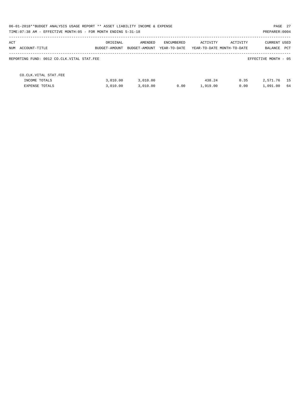|                                            | 06-01-2018**BUDGET ANALYSIS USAGE REPORT ** ASSET LIABILITY INCOME & EXPENSE<br>PAGE 27<br>TIME: 07:38 AM - EFFECTIVE MONTH: 05 - FOR MONTH ENDING 5-31-18<br>PREPARER: 0004 |               |              |          |                            |                      |  |  |  |
|--------------------------------------------|------------------------------------------------------------------------------------------------------------------------------------------------------------------------------|---------------|--------------|----------|----------------------------|----------------------|--|--|--|
| ACT                                        | ORIGINAL                                                                                                                                                                     | AMENDED       | ENCUMBERED   | ACTIVITY | ACTIVITY                   | <b>CURRENT USED</b>  |  |  |  |
| NUM ACCOUNT-TITLE                          | BUDGET-AMOUNT                                                                                                                                                                | BUDGET-AMOUNT | YEAR-TO-DATE |          | YEAR-TO-DATE MONTH-TO-DATE | PCT<br>BALANCE       |  |  |  |
| REPORTING FUND: 0012 CO.CLK.VITAL STAT.FEE |                                                                                                                                                                              |               |              |          |                            | EFFECTIVE MONTH - 05 |  |  |  |
| CO. CLK. VITAL STAT. FEE                   |                                                                                                                                                                              |               |              |          |                            |                      |  |  |  |
| INCOME TOTALS                              | 3.010.00                                                                                                                                                                     | 3,010.00      |              | 438.24   | 0.35                       | 15<br>2,571.76       |  |  |  |
| EXPENSE TOTALS                             | 3.010.00                                                                                                                                                                     | 3.010.00      | 0.00         | 1,919.00 | 0.00                       | 1,091.00<br>64       |  |  |  |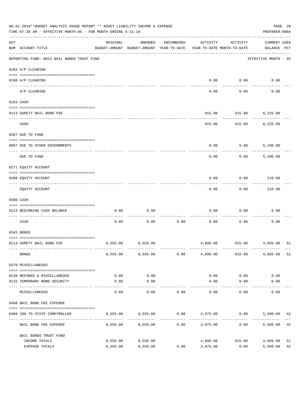|     | 06-01-2018**BUDGET ANALYSIS USAGE REPORT ** ASSET LIABILITY INCOME & EXPENSE<br>TIME: 07:38 AM - EFFECTIVE MONTH: 05 - FOR MONTH ENDING 5-31-18 |                                                      |                                                |             |                             |                                        | PAGE 28<br>PREPARER: 0004          |          |
|-----|-------------------------------------------------------------------------------------------------------------------------------------------------|------------------------------------------------------|------------------------------------------------|-------------|-----------------------------|----------------------------------------|------------------------------------|----------|
| ACT | NUM ACCOUNT-TITLE                                                                                                                               | ORIGINAL<br>BUDGET-AMOUNT BUDGET-AMOUNT YEAR-TO-DATE | AMENDED                                        | ENCUMBERED  | ACTIVITY                    | ACTIVITY<br>YEAR-TO-DATE MONTH-TO-DATE | <b>CURRENT USED</b><br>BALANCE PCT |          |
|     | REPORTING FUND: 0013 BAIL BONDS TRUST FUND                                                                                                      |                                                      |                                                |             |                             |                                        | EFFECTIVE MONTH - 05               |          |
|     | 0102 A/P CLEARING                                                                                                                               |                                                      |                                                |             |                             |                                        |                                    |          |
|     | 0100 A/P CLEARING<br>---- ---------                                                                                                             |                                                      |                                                |             | 0.00                        | 0.00                                   | 0.00                               |          |
|     | A/P CLEARING                                                                                                                                    |                                                      |                                                |             | 0.00                        | 0.00                                   | 0.00                               |          |
|     | 0103 CASH                                                                                                                                       |                                                      |                                                |             |                             |                                        |                                    |          |
|     | 0113 SURETY BAIL BOND FEE                                                                                                                       |                                                      |                                                |             | 915.00                      | 915.00                                 | 6,225.00                           |          |
|     | CASH                                                                                                                                            |                                                      |                                                |             | 915.00                      | 915.00                                 | 6,225.00                           |          |
|     | 0207 DUE TO FUND                                                                                                                                |                                                      |                                                |             |                             |                                        |                                    |          |
|     |                                                                                                                                                 |                                                      |                                                |             |                             |                                        |                                    |          |
|     | 0097 DUE TO OTHER GOVERNMENTS                                                                                                                   |                                                      |                                                |             | 0.00                        | 0.00                                   | 5,100.00                           |          |
|     | DUE TO FUND                                                                                                                                     |                                                      |                                                |             | 0.00                        | 0.00                                   | 5,100.00                           |          |
|     | 0271 EQUITY ACCOUNT                                                                                                                             |                                                      |                                                |             |                             |                                        |                                    |          |
|     | 0200 EQUITY ACCOUNT                                                                                                                             |                                                      |                                                |             | 0.00                        | 0.00                                   | 210.00                             |          |
|     | EQUITY ACCOUNT                                                                                                                                  |                                                      |                                                |             | 0.00                        | 0.00                                   | 210.00                             |          |
|     | 0300 CASH                                                                                                                                       |                                                      |                                                |             |                             |                                        |                                    |          |
|     | 0113 BEGINNING CASH BALANCE<br>-----------------------------                                                                                    | 0.00                                                 | 0.00                                           |             | 0.00                        | 0.00                                   | 0.00                               |          |
|     | CASH                                                                                                                                            | 0.00                                                 | 0.00                                           | 0.00        | 0.00                        | 0.00                                   | 0.00                               |          |
|     | 0345 BONDS                                                                                                                                      |                                                      |                                                |             |                             |                                        |                                    |          |
|     | 0113 SURETY BAIL BOND FEE                                                                                                                       |                                                      | 9,555.00 9,555.00                              |             |                             |                                        | 4,890.00 915.00 4,665.00           | 51       |
|     | <b>BONDS</b>                                                                                                                                    |                                                      | $9,555.00$ $9,555.00$ $0.00$ $4,890.00$        |             |                             | 915.00                                 | 4,665.00                           | 51       |
|     | 0370 MISCELLANEOUS                                                                                                                              |                                                      |                                                |             |                             |                                        |                                    |          |
|     | 0130 REFUNDS & MISCELLANEOUS                                                                                                                    | 0.00                                                 | 0.00                                           |             | 0.00                        | 0.00                                   | 0.00                               |          |
|     | 0132 TEMPORARY BOND SECURITY                                                                                                                    | 0.00                                                 | 0.00                                           |             | 0.00                        | 0.00                                   | 0.00                               |          |
|     | MISCELLANEOUS                                                                                                                                   | 0.00                                                 | ----------<br>0.00                             | 0.00        | 0.00                        | 0.00                                   | 0.00                               |          |
|     | 0498 BAIL BOND FEE EXPENSE                                                                                                                      |                                                      |                                                |             |                             |                                        |                                    |          |
|     | 0489 10% TO STATE COMPTROLLER                                                                                                                   |                                                      | $9,555.00$ $9,555.00$ $0.00$ $3,975.00$ $0.00$ | ----------- | -----------                 | -----------                            | 5,580.00<br>-------------          | 42       |
|     | BAIL BOND FEE EXPENSE                                                                                                                           | 9,555.00                                             | 9,555.00                                       | 0.00        |                             | 3,975.00 0.00                          | 5,580.00                           | 42       |
|     | BAIL BONDS TRUST FUND                                                                                                                           |                                                      |                                                |             |                             |                                        |                                    |          |
|     | INCOME TOTALS<br>EXPENSE TOTALS                                                                                                                 | 9,555.00<br>9,555.00                                 | 9,555.00<br>9,555.00                           |             | 4,890.00<br>$0.00$ 3,975.00 | 915.00<br>0.00                         | 4,665.00<br>5,580.00               | 51<br>42 |
|     |                                                                                                                                                 |                                                      |                                                |             |                             |                                        |                                    |          |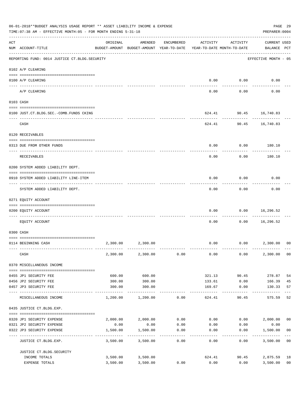|     | 06-01-2018**BUDGET ANALYSIS USAGE REPORT ** ASSET LIABILITY INCOME & EXPENSE<br>TIME: 07:38 AM - EFFECTIVE MONTH: 05 - FOR MONTH ENDING 5-31-18 |                                                                                 |                        |                   |                   |                                        | PAGE 29<br>PREPARER: 0004          |                |
|-----|-------------------------------------------------------------------------------------------------------------------------------------------------|---------------------------------------------------------------------------------|------------------------|-------------------|-------------------|----------------------------------------|------------------------------------|----------------|
| ACT | NUM ACCOUNT-TITLE                                                                                                                               | ORIGINAL<br>BUDGET-AMOUNT BUDGET-AMOUNT YEAR-TO-DATE YEAR-TO-DATE MONTH-TO-DATE | AMENDED                | ENCUMBERED        | ACTIVITY          | ACTIVITY                               | <b>CURRENT USED</b><br>BALANCE PCT |                |
|     | REPORTING FUND: 0014 JUSTICE CT. BLDG. SECURITY                                                                                                 |                                                                                 |                        |                   |                   |                                        | EFFECTIVE MONTH - 05               |                |
|     | 0102 A/P CLEARING                                                                                                                               |                                                                                 |                        |                   |                   |                                        |                                    |                |
|     | 0100 A/P CLEARING                                                                                                                               |                                                                                 |                        |                   | 0.00              | 0.00                                   | 0.00                               |                |
|     | A/P CLEARING                                                                                                                                    |                                                                                 |                        |                   | 0.00              | 0.00                                   | 0.00                               |                |
|     | 0103 CASH                                                                                                                                       |                                                                                 |                        |                   |                   |                                        |                                    |                |
|     | 0100 JUST.CT.BLDG.SEC.-COMB.FUNDS CKING                                                                                                         |                                                                                 |                        |                   |                   | 624.41 90.45 16,740.83                 |                                    |                |
|     | -----------------------------------<br>CASH                                                                                                     |                                                                                 |                        |                   |                   | ---------<br>624.41 90.45 16,740.83    |                                    |                |
|     | 0120 RECEIVABLES                                                                                                                                |                                                                                 |                        |                   |                   |                                        |                                    |                |
|     | 0313 DUE FROM OTHER FUNDS                                                                                                                       |                                                                                 |                        |                   | 0.00              | 0.00                                   | 180.10                             |                |
|     | RECEIVABLES                                                                                                                                     |                                                                                 |                        |                   | 0.00              | 0.00                                   | 180.10                             |                |
|     | 0200 SYSTEM ADDED LIABILITY DEPT.                                                                                                               |                                                                                 |                        |                   |                   |                                        |                                    |                |
|     | 0910 SYSTEM ADDED LIABILITY LINE-ITEM                                                                                                           |                                                                                 |                        |                   | 0.00              | 0.00                                   | 0.00                               |                |
|     | SYSTEM ADDED LIABILITY DEPT.                                                                                                                    |                                                                                 |                        |                   | 0.00              | 0.00                                   | 0.00                               |                |
|     | 0271 EQUITY ACCOUNT                                                                                                                             |                                                                                 |                        |                   |                   |                                        |                                    |                |
|     | 0200 EQUITY ACCOUNT                                                                                                                             |                                                                                 |                        |                   | 0.00              | 0.00                                   | 16,296.52                          |                |
|     | ----------------------- ----------<br>---- ------------<br>EQUITY ACCOUNT                                                                       |                                                                                 |                        |                   | 0.00              | 0.00                                   | ---------<br>16,296.52             |                |
|     | 0300 CASH                                                                                                                                       |                                                                                 |                        |                   |                   |                                        |                                    |                |
|     | 0114 BEGINNING CASH                                                                                                                             | 2,300.00                                                                        | 2,300.00               |                   | 0.00              |                                        | $0.00$ 2,300.00                    | 00             |
|     | CASH                                                                                                                                            |                                                                                 | 2,300.00 2,300.00      | 0.00              | 0.00              | 0.00                                   | 2,300.00                           | 0 <sub>0</sub> |
|     | 0370 MISCELLANEOUS INCOME                                                                                                                       |                                                                                 |                        |                   |                   |                                        |                                    |                |
|     |                                                                                                                                                 |                                                                                 |                        |                   |                   |                                        |                                    |                |
|     | 0455 JP1 SECURITY FEE                                                                                                                           | 600.00                                                                          | 600.00                 |                   | 321.13            | 90.45                                  | 278.87                             | 54             |
|     | 0456 JP2 SECURITY FEE<br>0457 JP3 SECURITY FEE                                                                                                  | 300.00<br>300.00                                                                | 300.00<br>300.00       |                   | 133.61<br>169.67  | 0.00<br>0.00                           | 166.39<br>130.33                   | 45<br>57       |
|     | ---- ----------------<br>MISCELLANEOUS INCOME                                                                                                   | ------------- -------------<br>1,200.00                                         | 1,200.00               | 0.00              | -------<br>624.41 | 90.45                                  | -------<br>575.59                  | 52             |
|     | 0435 JUSTICE CT.BLDG.EXP.                                                                                                                       |                                                                                 |                        |                   |                   |                                        |                                    |                |
|     | 0320 JP1 SECURITY EXPENSE                                                                                                                       |                                                                                 | 2,000.00 2,000.00      |                   |                   | $0.00$ $0.00$ $0.00$ $0.00$ $2,000.00$ |                                    | 0 <sub>0</sub> |
|     | 0321 JP2 SECURITY EXPENSE                                                                                                                       | 0.00                                                                            | 0.00                   | 0.00              | 0.00              | 0.00                                   | 0.00                               |                |
|     | 0322 JP3 SECURITY EXPENSE                                                                                                                       | 1,500.00                                                                        | 1,500.00<br>---------- | 0.00<br>--------- | 0.00              | 0.00<br>---------                      | 1,500.00                           | 0 <sub>0</sub> |
|     | JUSTICE CT.BLDG.EXP.                                                                                                                            | 3,500.00                                                                        | 3,500.00               | 0.00              | 0.00              | 0.00                                   | 3,500.00                           | 0 <sub>0</sub> |
|     | JUSTICE CT.BLDG.SECURITY                                                                                                                        |                                                                                 |                        |                   |                   |                                        |                                    |                |
|     | INCOME TOTALS                                                                                                                                   |                                                                                 | 3,500.00 3,500.00      |                   | 624.41            | 90.45                                  | 2,875.59                           | 18             |
|     | EXPENSE TOTALS                                                                                                                                  | 3,500.00                                                                        | 3,500.00               | 0.00              | 0.00              | 0.00                                   | 3,500.00                           | 0 <sub>0</sub> |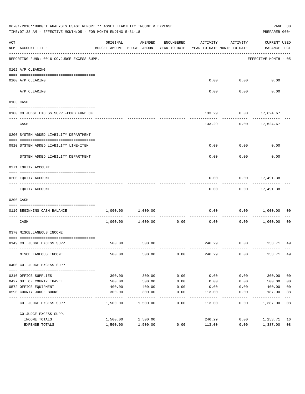|     | 06-01-2018**BUDGET ANALYSIS USAGE REPORT ** ASSET LIABILITY INCOME & EXPENSE<br>TIME: 07:38 AM - EFFECTIVE MONTH: 05 - FOR MONTH ENDING 5-31-18 |          |                                                     |                   |                                        |                    | PREPARER: 0004                  | PAGE 30        |
|-----|-------------------------------------------------------------------------------------------------------------------------------------------------|----------|-----------------------------------------------------|-------------------|----------------------------------------|--------------------|---------------------------------|----------------|
| ACT | NUM ACCOUNT-TITLE                                                                                                                               | ORIGINAL | AMENDED<br>BUDGET-AMOUNT BUDGET-AMOUNT YEAR-TO-DATE | ENCUMBERED        | ACTIVITY<br>YEAR-TO-DATE MONTH-TO-DATE | ACTIVITY           | CURRENT USED<br>BALANCE PCT     |                |
|     | --------------------------------------<br>REPORTING FUND: 0016 CO.JUDGE EXCESS SUPP.                                                            |          |                                                     |                   |                                        |                    | EFFECTIVE MONTH - 05            |                |
|     | 0102 A/P CLEARING                                                                                                                               |          |                                                     |                   |                                        |                    |                                 |                |
|     | 0100 A/P CLEARING                                                                                                                               |          |                                                     |                   | 0.00                                   | 0.00               | 0.00                            |                |
|     | ---- -------<br>A/P CLEARING                                                                                                                    |          |                                                     |                   | 0.00                                   | 0.00               | 0.00                            |                |
|     | 0103 CASH                                                                                                                                       |          |                                                     |                   |                                        |                    |                                 |                |
|     | 0100 CO.JUDGE EXCESS SUPP.-COMB.FUND CK                                                                                                         |          |                                                     |                   | 133.29                                 |                    | $0.00$ 17,624.67                |                |
|     | CASH                                                                                                                                            |          |                                                     |                   | 133.29                                 |                    | $0.00$ 17,624.67                |                |
|     | 0200 SYSTEM ADDED LIABILITY DEPARTMENT                                                                                                          |          |                                                     |                   |                                        |                    |                                 |                |
|     | 0910 SYSTEM ADDED LIABILITY LINE-ITEM                                                                                                           |          |                                                     |                   | 0.00                                   | 0.00               | 0.00                            |                |
|     | SYSTEM ADDED LIABILITY DEPARTMENT                                                                                                               |          |                                                     |                   | 0.00                                   | 0.00               | 0.00                            |                |
|     | 0271 EQUITY ACCOUNT                                                                                                                             |          |                                                     |                   |                                        |                    |                                 |                |
|     | 0200 EQUITY ACCOUNT                                                                                                                             |          |                                                     |                   | 0.00                                   |                    | $0.00$ 17,491.38                |                |
|     | EQUITY ACCOUNT                                                                                                                                  |          |                                                     |                   | 0.00                                   |                    | -----------<br>$0.00$ 17,491.38 |                |
|     | 0300 CASH                                                                                                                                       |          |                                                     |                   |                                        |                    |                                 |                |
|     | 0116 BEGINNING CASH BALANCE                                                                                                                     | 1,000.00 | 1,000.00                                            |                   | 0.00                                   | 0.00               | 1,000.00                        | 00             |
|     | CASH                                                                                                                                            | 1,000.00 | 1,000.00                                            | 0.00              | ------------- -------------<br>0.00    | ----------<br>0.00 | 1,000.00                        | 00             |
|     | 0370 MISCELLANEOUS INCOME                                                                                                                       |          |                                                     |                   |                                        |                    |                                 |                |
|     | 0149 CO. JUDGE EXCESS SUPP.                                                                                                                     |          | 500.00 500.00                                       |                   |                                        |                    | 246.29 0.00 253.71 49           |                |
|     | MISCELLANEOUS INCOME                                                                                                                            | 500.00   | 500.00                                              | 0.00              | 246.29                                 | 0.00               | 253.71 49                       |                |
|     | 0400 CO. JUDGE EXCESS SUPP.                                                                                                                     |          |                                                     |                   |                                        |                    |                                 |                |
|     | 0310 OFFICE SUPPLIES                                                                                                                            | 300.00   | 300.00                                              | 0.00              | 0.00                                   | 0.00               | 300.00                          | 0 <sub>0</sub> |
|     | 0427 OUT OF COUNTY TRAVEL                                                                                                                       | 500.00   | 500.00                                              | 0.00              | 0.00                                   | 0.00               | 500.00                          | 0 <sub>0</sub> |
|     | 0572 OFFICE EQUIPMENT                                                                                                                           | 400.00   | 400.00                                              | 0.00              | 0.00                                   | 0.00               | 400.00                          | 0 <sub>0</sub> |
|     | 0590 COUNTY JUDGE BOOKS                                                                                                                         | 300.00   | 300.00                                              | 0.00              | 113.00                                 | 0.00               | 187.00                          | 38             |
|     | CO. JUDGE EXCESS SUPP.                                                                                                                          | 1,500.00 | 1,500.00                                            | $--- - -$<br>0.00 | 113.00                                 | 0.00               | 1,387.00                        | 08             |
|     | CO.JUDGE EXCESS SUPP.                                                                                                                           |          |                                                     |                   |                                        |                    |                                 |                |
|     | INCOME TOTALS                                                                                                                                   | 1,500.00 | 1,500.00                                            |                   | 246.29                                 | 0.00               | 1,253.71                        | 16             |
|     | EXPENSE TOTALS                                                                                                                                  | 1,500.00 | 1,500.00                                            | 0.00              | 113.00                                 | 0.00               | 1,387.00                        | 08             |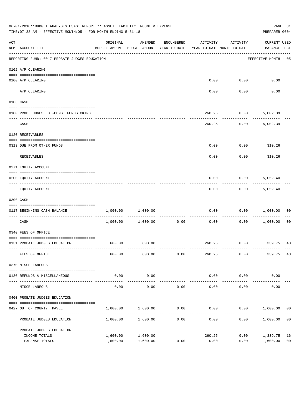|     | 06-01-2018**BUDGET ANALYSIS USAGE REPORT ** ASSET LIABILITY INCOME & EXPENSE<br>TIME: 07:38 AM - EFFECTIVE MONTH: 05 - FOR MONTH ENDING 5-31-18 |                                                                                 |                   |                                         |          |                               | PREPARER: 0004                     | PAGE 31        |
|-----|-------------------------------------------------------------------------------------------------------------------------------------------------|---------------------------------------------------------------------------------|-------------------|-----------------------------------------|----------|-------------------------------|------------------------------------|----------------|
| ACT | NUM ACCOUNT-TITLE                                                                                                                               | ORIGINAL<br>BUDGET-AMOUNT BUDGET-AMOUNT YEAR-TO-DATE YEAR-TO-DATE MONTH-TO-DATE | AMENDED           | ENCUMBERED                              | ACTIVITY | ACTIVITY                      | <b>CURRENT USED</b><br>BALANCE PCT |                |
|     | REPORTING FUND: 0017 PROBATE JUDGES EDUCATION                                                                                                   |                                                                                 |                   |                                         |          |                               | EFFECTIVE MONTH - 05               |                |
|     | 0102 A/P CLEARING                                                                                                                               |                                                                                 |                   |                                         |          |                               |                                    |                |
|     | 0100 A/P CLEARING                                                                                                                               |                                                                                 |                   |                                         | 0.00     | 0.00                          | 0.00                               |                |
|     | A/P CLEARING                                                                                                                                    |                                                                                 |                   |                                         | 0.00     | 0.00                          | 0.00                               |                |
|     | 0103 CASH                                                                                                                                       |                                                                                 |                   |                                         |          |                               |                                    |                |
|     | 0100 PROB.JUDGES ED. - COMB. FUNDS CKING                                                                                                        |                                                                                 |                   |                                         | 260.25   | 0.00                          | 5,002.39                           |                |
|     | CASH                                                                                                                                            |                                                                                 |                   |                                         | 260.25   | 0.00                          | 5,002.39                           |                |
|     | 0120 RECEIVABLES                                                                                                                                |                                                                                 |                   |                                         |          |                               |                                    |                |
|     | 0313 DUE FROM OTHER FUNDS                                                                                                                       |                                                                                 |                   |                                         | 0.00     |                               | $0.00$ 310.26                      |                |
|     | RECEIVABLES                                                                                                                                     |                                                                                 |                   |                                         | 0.00     | 0.00                          | 310.26                             |                |
|     | 0271 EQUITY ACCOUNT                                                                                                                             |                                                                                 |                   |                                         |          |                               |                                    |                |
|     | 0200 EQUITY ACCOUNT                                                                                                                             |                                                                                 |                   |                                         | 0.00     | 0.00                          | 5,052.40                           |                |
|     | EQUITY ACCOUNT                                                                                                                                  |                                                                                 |                   |                                         | 0.00     | 0.00                          | 5,052.40                           |                |
|     | 0300 CASH                                                                                                                                       |                                                                                 |                   |                                         |          |                               |                                    |                |
|     | 0117 BEGINNING CASH BALANCE                                                                                                                     | 1,000.00                                                                        | 1,000.00          |                                         | 0.00     | 0.00                          | 1,000.00                           | 00             |
|     | CASH                                                                                                                                            |                                                                                 | 1,000.00 1,000.00 | -------------------------------<br>0.00 | 0.00     | . <u>.</u>                    | 0.00 1,000.00                      | 0 <sub>0</sub> |
|     | 0340 FEES OF OFFICE                                                                                                                             |                                                                                 |                   |                                         |          |                               |                                    |                |
|     | 0131 PROBATE JUDGES EDUCATION                                                                                                                   |                                                                                 | 600.00 600.00     |                                         |          |                               | 260.25 0.00 339.75 43              |                |
|     | FEES OF OFFICE                                                                                                                                  | 600.00                                                                          | 600.00            | 0.00                                    | 260.25   | 0.00                          | 339.75                             | 43             |
|     | 0370 MISCELLANEOUS                                                                                                                              |                                                                                 |                   |                                         |          |                               |                                    |                |
|     | 0130 REFUNDS & MISCELLANEOUS                                                                                                                    | 0.00                                                                            | 0.00              |                                         | 0.00     | 0.00                          | 0.00                               |                |
|     | MISCELLANEOUS                                                                                                                                   | 0.00                                                                            | .<br>0.00         | 0.00                                    | 0.00     | . _ _ _ _ _ _ _ _ _ _<br>0.00 | 0.00                               |                |
|     | 0400 PROBATE JUDGES EDUCATION                                                                                                                   |                                                                                 |                   |                                         |          |                               |                                    |                |
|     | 0427 OUT OF COUNTY TRAVEL                                                                                                                       | 1,600.00                                                                        | 1,600.00          | 0.00                                    | 0.00     | 0.00                          | 1,600.00                           | 00             |
|     | PROBATE JUDGES EDUCATION                                                                                                                        | 1,600.00                                                                        | 1,600.00          | 0.00                                    | 0.00     | 0.00                          | 1,600.00                           | 0 <sub>0</sub> |
|     | PROBATE JUDGES EDUCATION                                                                                                                        |                                                                                 |                   |                                         |          |                               |                                    |                |
|     | INCOME TOTALS                                                                                                                                   | 1,600.00                                                                        | 1,600.00          |                                         | 260.25   | 0.00                          | 1,339.75                           | 16             |
|     | EXPENSE TOTALS                                                                                                                                  | 1,600.00                                                                        | 1,600.00          | 0.00                                    | 0.00     | 0.00                          | 1,600.00                           | 0 <sub>0</sub> |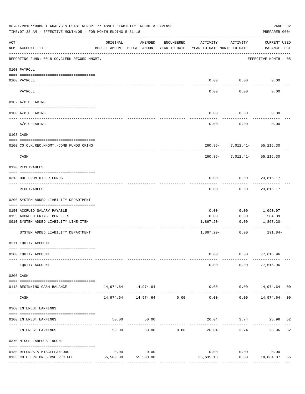|               | 06-01-2018**BUDGET ANALYSIS USAGE REPORT ** ASSET LIABILITY INCOME & EXPENSE<br>TIME: 07:38 AM - EFFECTIVE MONTH: 05 - FOR MONTH ENDING 5-31-18 |           |                                                     |               |                                        |                                      | PAGE 32<br>PREPARER: 0004                    |
|---------------|-------------------------------------------------------------------------------------------------------------------------------------------------|-----------|-----------------------------------------------------|---------------|----------------------------------------|--------------------------------------|----------------------------------------------|
| ACT           | NUM ACCOUNT-TITLE                                                                                                                               | ORIGINAL  | AMENDED<br>BUDGET-AMOUNT BUDGET-AMOUNT YEAR-TO-DATE | ENCUMBERED    | ACTIVITY<br>YEAR-TO-DATE MONTH-TO-DATE | ACTIVITY                             | CURRENT USED<br>BALANCE PCT                  |
|               | REPORTING FUND: 0018 CO.CLERK RECORD MNGMT.                                                                                                     |           |                                                     |               |                                        |                                      | EFFECTIVE MONTH - 05                         |
|               | 0100 PAYROLL                                                                                                                                    |           |                                                     |               |                                        |                                      |                                              |
| $\frac{1}{2}$ | 0100 PAYROLL                                                                                                                                    |           |                                                     |               |                                        | $0.00$ $0.00$                        | 0.00                                         |
|               | PAYROLL                                                                                                                                         |           |                                                     |               | 0.00                                   | 0.00                                 | 0.00                                         |
|               | 0102 A/P CLEARING                                                                                                                               |           |                                                     |               |                                        |                                      |                                              |
|               | 0100 A/P CLEARING                                                                                                                               |           |                                                     |               | 0.00                                   | 0.00                                 | 0.00                                         |
|               | A/P CLEARING                                                                                                                                    |           |                                                     |               | 0.00                                   | 0.00                                 | 0.00                                         |
|               | 0103 CASH                                                                                                                                       |           |                                                     |               |                                        |                                      |                                              |
|               | 0100 CO.CLK.REC.MNGMT.-COMB.FUNDS CKING                                                                                                         |           |                                                     |               |                                        | 260.85- 7,012.41- 55,216.30          |                                              |
|               | CASH                                                                                                                                            |           |                                                     |               |                                        | .<br>$260.85 - 7,012.41 - 55,216.30$ |                                              |
|               | 0120 RECEIVABLES                                                                                                                                |           |                                                     |               |                                        |                                      |                                              |
|               | 0313 DUE FROM OTHER FUNDS                                                                                                                       |           |                                                     |               | 0.00                                   | $0.00$ 23,815.17                     |                                              |
|               | RECEIVABLES                                                                                                                                     |           |                                                     |               | 0.00                                   |                                      | $0.00$ 23,815.17                             |
|               | 0200 SYSTEM ADDED LIABILITY DEPARTMENT                                                                                                          |           |                                                     |               |                                        |                                      |                                              |
|               | 0150 ACCRUED SALARY PAYABLE                                                                                                                     |           |                                                     |               | 0.00                                   | 0.00                                 | 1,090.97                                     |
|               | 0155 ACCRUED FRINGE BENEFITS<br>0910 SYSTEM ADDED LIABILITY LINE-ITEM                                                                           |           |                                                     |               | 0.00<br>1,867.20-                      | 0.00<br>0.00                         | 584.39<br>1,867.20-                          |
|               |                                                                                                                                                 |           |                                                     |               |                                        |                                      |                                              |
|               | SYSTEM ADDED LIABILITY DEPARTMENT                                                                                                               |           |                                                     |               | $1,867.20-$                            | 0.00                                 | 191.84-                                      |
|               | 0271 EQUITY ACCOUNT                                                                                                                             |           |                                                     |               |                                        |                                      |                                              |
|               | 0200 EQUITY ACCOUNT                                                                                                                             |           |                                                     |               | 0.00                                   |                                      | $0.00$ 77,616.96                             |
|               | EQUITY ACCOUNT                                                                                                                                  |           |                                                     |               | 0.00                                   | 0.00                                 | 77,616.96                                    |
|               | 0300 CASH                                                                                                                                       |           |                                                     |               |                                        |                                      |                                              |
|               | 0118 BEGINNING CASH BALANCE                                                                                                                     |           | 14,974.64 14,974.64                                 |               |                                        |                                      | $0.00$ $0.00$ $14,974.64$ 00<br>------------ |
|               | CASH                                                                                                                                            |           | 14,974.64    14,974.64    0.00                      | ------------- | $- - - - - -$<br>0.00                  | ----------                           | $0.00$ 14,974.64 00                          |
|               | 0360 INTEREST EARNINGS                                                                                                                          |           |                                                     |               |                                        |                                      |                                              |
|               | 0100 INTEREST EARNINGS                                                                                                                          | 50.00     | 50.00                                               |               |                                        |                                      | 26.04 3.74 23.96<br>52                       |
|               | INTEREST EARNINGS                                                                                                                               | 50.00     | 50.00                                               | 0.00          | 26.04                                  | 3.74                                 | 52<br>23.96                                  |
|               | 0370 MISCELLANEOUS INCOME                                                                                                                       |           |                                                     |               |                                        |                                      |                                              |
|               | 0130 REFUNDS & MISCELLANEOUS                                                                                                                    | 0.00      | 0.00                                                |               | 0.00                                   | 0.00                                 | 0.00                                         |
|               | 0133 CO.CLERK PRESERVE REC FEE                                                                                                                  | 55,500.00 | 55,500.00                                           |               | 36,635.13                              | $0.00$ 18,864.87                     | 66                                           |
|               |                                                                                                                                                 |           |                                                     |               |                                        |                                      |                                              |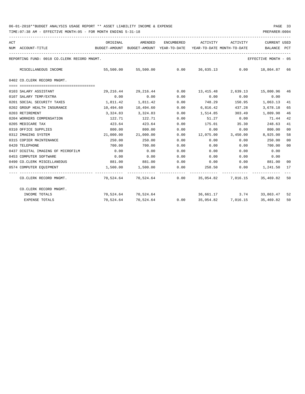| ACT                                         | NUM ACCOUNT-TITLE                 | ORIGINAL  | AMENDED<br>BUDGET-AMOUNT BUDGET-AMOUNT YEAR-TO-DATE | ENCUMBERED | ACTIVITY<br>YEAR-TO-DATE MONTH-TO-DATE | ACTIVITY           | <b>CURRENT USED</b><br>BALANCE                        | PCT            |
|---------------------------------------------|-----------------------------------|-----------|-----------------------------------------------------|------------|----------------------------------------|--------------------|-------------------------------------------------------|----------------|
|                                             |                                   |           |                                                     |            |                                        |                    |                                                       |                |
| REPORTING FUND: 0018 CO.CLERK RECORD MNGMT. |                                   |           |                                                     |            |                                        |                    | EFFECTIVE MONTH - 05                                  |                |
|                                             | MISCELLANEOUS INCOME              | 55,500.00 |                                                     |            |                                        |                    |                                                       |                |
|                                             | 0402 CO.CLERK RECORD MNGMT.       |           |                                                     |            |                                        |                    |                                                       |                |
|                                             |                                   |           |                                                     |            |                                        |                    |                                                       |                |
|                                             | 0103 SALARY ASSISTANT             | 29,216.44 | 29,216.44                                           | 0.00       |                                        |                    | 13,415.48 2,639.13 15,800.96                          | 46             |
|                                             | 0107 SALARY TEMP/EXTRA            | 0.00      | 0.00                                                | 0.00       | 0.00                                   | 0.00               | 0.00                                                  |                |
|                                             | 0201 SOCIAL SECURITY TAXES        | 1,811.42  | 1,811.42                                            | 0.00       | 748.29                                 | 150.95             | 1,063.13                                              | 41             |
|                                             | 0202 GROUP HEALTH INSURANCE       | 10,494.60 | 10,494.60                                           | 0.00       | 6,816.42                               | 437.28             | 3,678.18                                              | 65             |
|                                             | 0203 RETIREMENT                   | 3,324.83  | 3,324.83                                            | 0.00       | 1,514.85                               | 303.49             | 1,809.98                                              | 46             |
|                                             | 0204 WORKERS COMPENSATION         | 122.71    | 122.71                                              | 0.00       | 51.27                                  | 0.00               | 71.44                                                 | 42             |
|                                             | 0205 MEDICARE TAX                 | 423.64    | 423.64                                              | 0.00       | 175.01                                 | 35.30              | 248.63                                                | 41             |
|                                             | 0310 OFFICE SUPPLIES              | 800.00    | 800.00                                              | 0.00       | 0.00                                   | 0.00               | 800.00                                                | 00             |
|                                             | 0312 IMAGING SYSTEM               | 21,000.00 | 21,000.00                                           | 0.00       |                                        | 12,075.00 3,450.00 | 8,925.00                                              | 58             |
|                                             | 0315 COPIER MAINTENANCE           | 250.00    | 250.00                                              | 0.00       | 0.00                                   | 0.00               | 250.00                                                | 0 <sup>0</sup> |
|                                             | 0420 TELEPHONE                    | 700.00    | 700.00                                              | 0.00       | 0.00                                   | 0.00               | 700.00                                                | 00             |
|                                             | 0437 DIGITAL IMAGING OF MICROFILM | 0.00      | 0.00                                                | 0.00       | 0.00                                   | 0.00               | 0.00                                                  |                |
|                                             | 0453 COMPUTER SOFTWARE            | 0.00      | 0.00                                                | 0.00       | 0.00                                   | 0.00               | 0.00                                                  |                |
|                                             | 0490 CO. CLERK MISCELLANEOUS      | 881.00    | 881.00                                              | 0.00       |                                        |                    | $0.00$ $0.00$ $881.00$                                | 00             |
|                                             | 0574 COMPUTER EQUIPMENT           | 1,500.00  | 1,500.00                                            | 0.00       |                                        |                    | 258.50 0.00 1,241.50                                  | 17             |
|                                             | CO.CLERK RECORD MNGMT.            |           |                                                     |            |                                        |                    | 70,524.64 70,524.64 0.00 35,054.82 7,016.15 35,469.82 | 50             |
|                                             | CO.CLERK RECORD MNGMT.            |           |                                                     |            |                                        |                    |                                                       |                |
|                                             | INCOME TOTALS                     |           | 70,524.64 70,524.64                                 |            |                                        |                    | 36,661.17 3.74 33,863.47 52                           |                |
|                                             | <b>EXPENSE TOTALS</b>             | 70,524.64 |                                                     |            |                                        |                    | 70,524.64   0.00   35,054.82   7,016.15   35,469.82   | 50             |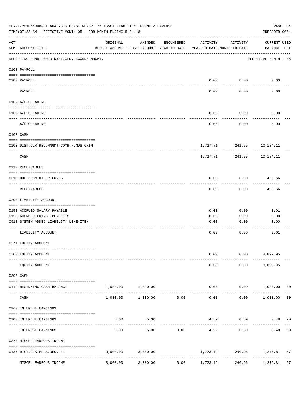|     | 06-01-2018**BUDGET ANALYSIS USAGE REPORT ** ASSET LIABILITY INCOME & EXPENSE<br>PAGE 34<br>TIME: 07:38 AM - EFFECTIVE MONTH: 05 - FOR MONTH ENDING 5-31-18<br>PREPARER: 0004 |          |                                                     |            |                                        |                           |                             |                |
|-----|------------------------------------------------------------------------------------------------------------------------------------------------------------------------------|----------|-----------------------------------------------------|------------|----------------------------------------|---------------------------|-----------------------------|----------------|
| ACT | NUM ACCOUNT-TITLE                                                                                                                                                            | ORIGINAL | AMENDED<br>BUDGET-AMOUNT BUDGET-AMOUNT YEAR-TO-DATE | ENCUMBERED | ACTIVITY<br>YEAR-TO-DATE MONTH-TO-DATE | ACTIVITY                  | CURRENT USED<br>BALANCE PCT |                |
|     | REPORTING FUND: 0019 DIST.CLK.RECORDS MNGMT.                                                                                                                                 |          |                                                     |            |                                        |                           | EFFECTIVE MONTH - 05        |                |
|     | 0100 PAYROLL                                                                                                                                                                 |          |                                                     |            |                                        |                           |                             |                |
|     | 0100 PAYROLL<br>----- -------                                                                                                                                                |          |                                                     |            | 0.00                                   | 0.00                      | 0.00                        |                |
|     | PAYROLL                                                                                                                                                                      |          |                                                     |            | 0.00                                   | 0.00                      | 0.00                        |                |
|     | 0102 A/P CLEARING                                                                                                                                                            |          |                                                     |            |                                        |                           |                             |                |
|     | 0100 A/P CLEARING                                                                                                                                                            |          |                                                     |            | 0.00                                   | 0.00                      | 0.00                        |                |
|     | A/P CLEARING                                                                                                                                                                 |          |                                                     |            | 0.00                                   | 0.00                      | 0.00                        |                |
|     | 0103 CASH                                                                                                                                                                    |          |                                                     |            |                                        |                           |                             |                |
|     | 0100 DIST.CLK.REC.MNGMT-COMB.FUNDS CKIN                                                                                                                                      |          |                                                     |            |                                        | 1,727.71 241.55 10,184.11 |                             |                |
|     | CASH                                                                                                                                                                         |          |                                                     |            | 1,727.71                               | ----------<br>241.55      | ---------<br>10,184.11      |                |
|     | 0120 RECEIVABLES                                                                                                                                                             |          |                                                     |            |                                        |                           |                             |                |
|     | 0313 DUE FROM OTHER FUNDS                                                                                                                                                    |          |                                                     |            | 0.00                                   | 0.00                      | 436.56                      |                |
|     | RECEIVABLES                                                                                                                                                                  |          |                                                     |            | 0.00                                   | 0.00                      | ----------<br>436.56        |                |
|     | 0200 LIABILITY ACCOUNT                                                                                                                                                       |          |                                                     |            |                                        |                           |                             |                |
|     | 0150 ACCRUED SALARY PAYABLE                                                                                                                                                  |          |                                                     |            | 0.00                                   | 0.00                      | 0.01                        |                |
|     | 0155 ACCRUED FRINGE BENEFITS                                                                                                                                                 |          |                                                     |            | 0.00                                   | 0.00                      | 0.00                        |                |
|     | 0910 SYSTEM ADDED LIABILITY LINE-ITEM                                                                                                                                        |          |                                                     |            | 0.00                                   | 0.00                      | 0.00                        |                |
|     | LIABILITY ACCOUNT                                                                                                                                                            |          |                                                     |            | 0.00                                   | 0.00                      | 0.01                        |                |
|     | 0271 EQUITY ACCOUNT                                                                                                                                                          |          |                                                     |            |                                        |                           |                             |                |
|     | 0200 EQUITY ACCOUNT                                                                                                                                                          |          |                                                     |            | 0.00                                   |                           | $0.00$ 8,892.95             |                |
|     | EQUITY ACCOUNT                                                                                                                                                               |          |                                                     |            | 0.00                                   |                           | $0.00$ $8,892.95$           |                |
|     | 0300 CASH                                                                                                                                                                    |          |                                                     |            |                                        |                           |                             |                |
|     | 0119 BEGINNING CASH BALANCE                                                                                                                                                  |          | 1,030.00 1,030.00                                   |            |                                        |                           | $0.00$ $0.00$ $1,030.00$ 00 |                |
|     | CASH                                                                                                                                                                         | 1,030.00 | $1,030.00$ 0.00                                     |            | 0.00                                   |                           | $0.00$ 1,030.00             | 0 <sub>0</sub> |
|     | 0360 INTEREST EARNINGS                                                                                                                                                       |          |                                                     |            |                                        |                           |                             |                |
|     | 0100 INTEREST EARNINGS                                                                                                                                                       | 5.00     | 5.00                                                |            |                                        | 4.52 0.59                 | 0.48                        | 90             |
|     | INTEREST EARNINGS                                                                                                                                                            | 5.00     | 5.00                                                | 0.00       | 4.52                                   | 0.59                      | 0.48                        | 90             |
|     | 0370 MISCELLEANEOUS INCOME                                                                                                                                                   |          |                                                     |            |                                        |                           |                             |                |
|     |                                                                                                                                                                              |          |                                                     |            |                                        |                           |                             |                |
|     | 0136 DIST.CLK.PRES.REC.FEE<br>---------------- --------------<br>----------------                                                                                            |          | 3,000.00 3,000.00                                   |            |                                        | ------------              | 1,723.19 240.96 1,276.81    | 57             |
|     | MISCELLEANEOUS INCOME                                                                                                                                                        | 3,000.00 | 3,000.00                                            | 0.00       | 1,723.19                               | 240.96                    | 1,276.81                    | 57             |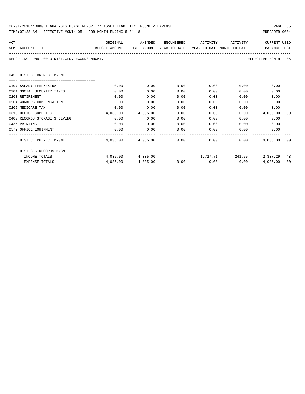| 06-01-2018**BUDGET ANALYSIS USAGE REPORT ** ASSET LIABILITY INCOME & EXPENSE | PAGE 35        |
|------------------------------------------------------------------------------|----------------|
| TIME: 07:38 AM - EFFECTIVE MONTH: 05 - FOR MONTH ENDING 5-31-18              | PREPARER: 0004 |

| ACT |                                                                                          | ORIGINAL | AMENDED                                    |      | ENCUMBERED ACTIVITY  | ACTIVITY | <b>CURRENT USED</b>                                       |    |
|-----|------------------------------------------------------------------------------------------|----------|--------------------------------------------|------|----------------------|----------|-----------------------------------------------------------|----|
|     | BUDGET-AMOUNT BUDGET-AMOUNT YEAR-TO-DATE YEAR-TO-DATE_MONTH-TO-DATE<br>NUM ACCOUNT-TITLE |          |                                            |      |                      |          | BALANCE PCT                                               |    |
|     | REPORTING FUND: 0019 DIST.CLK.RECORDS MNGMT.                                             |          |                                            |      |                      |          | EFFECTIVE MONTH - 05                                      |    |
|     |                                                                                          |          |                                            |      |                      |          |                                                           |    |
|     | 0450 DIST.CLERK REC. MNGMT.                                                              |          |                                            |      |                      |          |                                                           |    |
|     | ___________________________________                                                      |          |                                            |      |                      |          |                                                           |    |
|     | 0107 SALARY TEMP/EXTRA                                                                   | 0.00     | 0.00                                       | 0.00 | $0.00$ 0.00          |          | 0.00                                                      |    |
|     | 0201 SOCIAL SECURITY TAXES                                                               | 0.00     | 0.00                                       | 0.00 | 0.00                 | 0.00     | 0.00                                                      |    |
|     | 0203 RETIREMENT                                                                          | 0.00     | 0.00                                       | 0.00 | 0.00                 | 0.00     | 0.00                                                      |    |
|     | 0204 WORKERS COMPENSATION                                                                | 0.00     | 0.00                                       | 0.00 | 0.00                 | 0.00     | 0.00                                                      |    |
|     | 0205 MEDICARE TAX                                                                        | 0.00     | 0.00                                       | 0.00 | 0.00                 | 0.00     | 0.00                                                      |    |
|     | 0310 OFFICE SUPPLIES                                                                     | 4,035.00 | 4,035.00                                   | 0.00 | 0.00                 |          | $0.00$ 4,035.00                                           | 00 |
|     | 0400 RECORDS STORAGE SHELVING                                                            | 0.00     | 0.00                                       | 0.00 |                      | 0.00     | 0.00<br>0.00                                              |    |
|     | 0435 PRINTING                                                                            | 0.00     | 0.00                                       | 0.00 |                      | 0.00     | 0.00<br>0.00                                              |    |
|     | 0572 OFFICE EQUIPMENT                                                                    | 0.00     | 0.00                                       |      | $0.00$ 0.00          |          | 0.00<br>0.00                                              |    |
|     | DIST.CLERK REC. MNGMT.                                                                   |          | $4,035.00$ $4,035.00$ $0.00$ $0.00$ $0.00$ |      |                      |          | 4,035,00 00                                               |    |
|     | DIST.CLK.RECORDS MNGMT.                                                                  |          |                                            |      |                      |          |                                                           |    |
|     | INCOME TOTALS                                                                            |          |                                            |      |                      |          | $4,035.00$ $4,035.00$ $1,727.71$ $241.55$ $2,307.29$ $43$ |    |
|     | <b>EXPENSE TOTALS</b>                                                                    | 4,035.00 | 4,035.00                                   |      | $0.00$ $0.00$ $0.00$ |          | 4,035.00                                                  | 00 |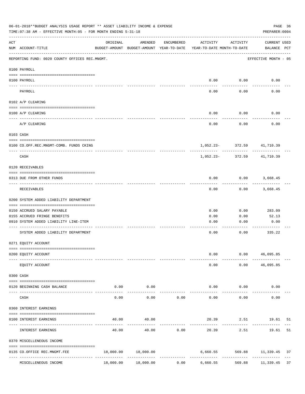|                    | 06-01-2018**BUDGET ANALYSIS USAGE REPORT ** ASSET LIABILITY INCOME & EXPENSE<br>TIME: 07:38 AM - EFFECTIVE MONTH: 05 - FOR MONTH ENDING 5-31-18 |           |                                                                                |            |           |                        | PREPARER: 0004              | PAGE 36 |
|--------------------|-------------------------------------------------------------------------------------------------------------------------------------------------|-----------|--------------------------------------------------------------------------------|------------|-----------|------------------------|-----------------------------|---------|
| $\mathop{\rm ACT}$ | NUM ACCOUNT-TITLE                                                                                                                               | ORIGINAL  | AMENDED<br>BUDGET-AMOUNT BUDGET-AMOUNT YEAR-TO-DATE YEAR-TO-DATE MONTH-TO-DATE | ENCUMBERED | ACTIVITY  | ACTIVITY               | CURRENT USED<br>BALANCE PCT |         |
|                    | REPORTING FUND: 0020 COUNTY OFFICES REC.MNGMT.                                                                                                  |           |                                                                                |            |           |                        | EFFECTIVE MONTH - 05        |         |
|                    | 0100 PAYROLL                                                                                                                                    |           |                                                                                |            |           |                        |                             |         |
|                    | 0100 PAYROLL                                                                                                                                    |           |                                                                                |            |           | $0.00$ 0.00            | 0.00                        |         |
|                    | PAYROLL                                                                                                                                         |           |                                                                                |            | 0.00      | 0.00                   | 0.00                        |         |
|                    | 0102 A/P CLEARING                                                                                                                               |           |                                                                                |            |           |                        |                             |         |
|                    | 0100 A/P CLEARING                                                                                                                               |           |                                                                                |            | 0.00      | 0.00                   | 0.00                        |         |
|                    | A/P CLEARING                                                                                                                                    |           |                                                                                |            | 0.00      | 0.00                   | 0.00                        |         |
|                    | 0103 CASH                                                                                                                                       |           |                                                                                |            |           |                        |                             |         |
|                    | 0100 CO.OFF.REC.MNGMT-COMB. FUNDS CKING                                                                                                         |           |                                                                                |            |           |                        | 1,052.23- 372.59 41,710.39  |         |
|                    | _______________________________<br>CASH                                                                                                         |           |                                                                                |            | 1,052.23- | -----------<br>372.59  | 41,710.39                   |         |
|                    | 0120 RECEIVABLES                                                                                                                                |           |                                                                                |            |           |                        |                             |         |
|                    | 0313 DUE FROM OTHER FUNDS                                                                                                                       |           |                                                                                |            | 0.00      |                        | $0.00$ 3,668.45             |         |
|                    | RECEIVABLES                                                                                                                                     |           |                                                                                |            | 0.00      | 0.00                   | 3,668.45                    |         |
|                    | 0200 SYSTEM ADDED LIABILITY DEPARTMENT                                                                                                          |           |                                                                                |            |           |                        |                             |         |
|                    | 0150 ACCRUED SALARY PAYABLE                                                                                                                     |           |                                                                                |            | 0.00      | 0.00                   | 283.09                      |         |
|                    | 0155 ACCRUED FRINGE BENEFITS                                                                                                                    |           |                                                                                |            | 0.00      | 0.00                   | 52.13                       |         |
|                    | 0910 SYSTEM ADDED LIABILITY LINE-ITEM                                                                                                           |           |                                                                                |            | 0.00      | 0.00                   | 0.00                        |         |
|                    | SYSTEM ADDED LIABILITY DEPARTMENT                                                                                                               |           |                                                                                |            | 0.00      | 0.00                   | 335.22                      |         |
|                    | 0271 EQUITY ACCOUNT                                                                                                                             |           |                                                                                |            |           |                        |                             |         |
|                    | 0200 EQUITY ACCOUNT                                                                                                                             |           |                                                                                |            | 0.00      |                        | 0.00 46,095.85              |         |
|                    | EQUITY ACCOUNT                                                                                                                                  |           |                                                                                |            | 0.00      |                        | $0.00$ 46,095.85            |         |
|                    | 0300 CASH                                                                                                                                       |           |                                                                                |            |           |                        |                             |         |
|                    | 0120 BEGINNING CASH BALANCE                                                                                                                     | 0.00      | 0.00                                                                           |            |           | $0.00$ $0.00$          | 0.00                        |         |
|                    | CASH                                                                                                                                            | 0.00      | . <u>.</u><br>0.00                                                             | 0.00       | 0.00      | ----------<br>0.00     | 0.00                        |         |
|                    | 0360 INTEREST EARNINGS                                                                                                                          |           |                                                                                |            |           |                        |                             |         |
|                    | 0100 INTEREST EARNINGS                                                                                                                          | 40.00     | 40.00                                                                          |            |           |                        | 20.39 2.51 19.61 51         |         |
|                    | INTEREST EARNINGS                                                                                                                               | 40.00     | 40.00                                                                          | 0.00       | 20.39     | 2.51                   | 19.61                       | 51      |
|                    | 0370 MISCELLENEOUS INCOME                                                                                                                       |           |                                                                                |            |           |                        |                             |         |
|                    | 0135 CO.OFFICE REC.MNGMT.FEE                                                                                                                    | 18,000.00 | 18,000.00<br>-------------                                                     |            | 6,660.55  |                        | 569.88 11,339.45            | 37      |
|                    | MISCELLENEOUS INCOME                                                                                                                            | 18,000.00 | 18,000.00                                                                      | 0.00       | 6,660.55  | ------------<br>569.88 | 11,339.45 37                |         |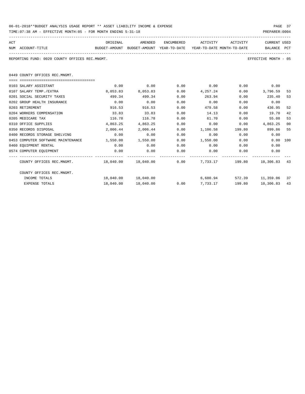| 06-01-2018**BUDGET ANALYSIS USAGE REPORT ** ASSET LIABILITY INCOME & EXPENSE | PAGE 37        |
|------------------------------------------------------------------------------|----------------|
| TIME: 07:38 AM - EFFECTIVE MONTH: 05 - FOR MONTH ENDING 5-31-18              | PREPARER: 0004 |

| ACT |                                                                                          | ORIGINAL          | AMENDED              | ENCUMBERED | ACTIVITY     | ACTIVITY | <b>CURRENT USED</b>  |    |
|-----|------------------------------------------------------------------------------------------|-------------------|----------------------|------------|--------------|----------|----------------------|----|
|     | NUM ACCOUNT-TITLE<br>BUDGET-AMOUNT BUDGET-AMOUNT YEAR-TO-DATE YEAR-TO-DATE MONTH-TO-DATE |                   |                      |            |              |          | BALANCE PCT          |    |
|     | REPORTING FUND: 0020 COUNTY OFFICES REC.MNGMT.                                           |                   |                      |            |              |          | EFFECTIVE MONTH - 05 |    |
|     |                                                                                          |                   |                      |            |              |          |                      |    |
|     | 0449 COUNTY OFFICES REC.MNGMT.                                                           |                   |                      |            |              |          |                      |    |
|     |                                                                                          |                   |                      |            |              |          |                      |    |
|     | 0103 SALARY ASSISTANT                                                                    | 0.00              | 0.00                 | 0.00       | 0.00         |          | $0.00$ 0.00          |    |
|     | 0107 SALARY TEMP./EXTRA                                                                  | 8,053.83          | 8,053.83             | 0.00       | 4,257.24     | 0.00     | 3,796.59             | 53 |
|     | 0201 SOCIAL SECURITY TAXES                                                               | 499.34            | 499.34               | 0.00       | 263.94       | 0.00     | 235.40               | 53 |
|     | 0202 GROUP HEALTH INSURANCE                                                              | 0.00              | 0.00                 | 0.00       | 0.00         | 0.00     | 0.00                 |    |
|     | 0203 RETIREMENT                                                                          | 916.53            | 916.53               | 0.00       | 479.58       | 0.00     | 436.95               | 52 |
|     | 0204 WORKERS COMPENSATION                                                                | 33.83             | 33.83                | 0.00       | 14.13        | 0.00     | 19.70                | 42 |
|     | 0205 MEDICARE TAX                                                                        | 116.78            | 116.78               | 0.00       | 61.70        | 0.00     | 55.08                | 53 |
|     | 0310 OFFICE SUPPLIES                                                                     | 4,863.25          | 4,863.25             | 0.00       | 0.00         | 0.00     | 4,863.25             | 00 |
|     | 0350 RECORDS DISPOSAL                                                                    | 2,006.44          | 2,006.44             | 0.00       | 1,106.58     |          | 199.80 899.86        | 55 |
|     | 0400 RECORDS STORAGE SHELVING                                                            | 0.00              | 0.00                 | 0.00       | 0.00         | 0.00     | 0.00                 |    |
|     | 0453 COMPUTER SOFTWARE MAINTENANCE                                                       | 1,550.00 1,550.00 |                      | 0.00       | 1,550.00     | 0.00     | $0.00$ 100           |    |
|     | 0460 EOUIPMENT RENTAL                                                                    | 0.00              | 0.00                 | 0.00       | 0.00         | 0.00     | 0.00                 |    |
|     | 0574 COMPUTER EQUIPMENT                                                                  | 0.00              | 0.00                 | 0.00       | 0.00         | 0.00     | 0.00                 |    |
|     | COUNTY OFFICES REC.MNGMT. 48,040.00 18,040.00 0.00 7,733.17 199.80 10,306.83             |                   |                      |            |              |          |                      | 43 |
|     | COUNTY OFFICES REC.MNGMT.                                                                |                   |                      |            |              |          |                      |    |
|     | INCOME TOTALS                                                                            |                   | 18,040.00  18,040.00 |            | 6,680.94     |          | 572.39 11,359.06     | 37 |
|     | <b>EXPENSE TOTALS</b>                                                                    |                   | 18,040.00 18,040.00  |            | 0.007,733.17 | 199.80   | 10,306.83            | 43 |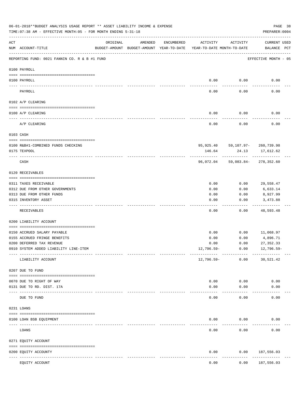|            | 06-01-2018**BUDGET ANALYSIS USAGE REPORT ** ASSET LIABILITY INCOME & EXPENSE<br>TIME: 07:38 AM - EFFECTIVE MONTH: 05 - FOR MONTH ENDING 5-31-18 |                            |                                                     |            |                                        |                                                        | PREPARER: 0004                     | PAGE 38 |
|------------|-------------------------------------------------------------------------------------------------------------------------------------------------|----------------------------|-----------------------------------------------------|------------|----------------------------------------|--------------------------------------------------------|------------------------------------|---------|
| ACT        | NUM ACCOUNT-TITLE                                                                                                                               | ORIGINAL                   | AMENDED<br>BUDGET-AMOUNT BUDGET-AMOUNT YEAR-TO-DATE | ENCUMBERED | ACTIVITY<br>YEAR-TO-DATE MONTH-TO-DATE | ACTIVITY                                               | <b>CURRENT USED</b><br>BALANCE PCT |         |
|            | REPORTING FUND: 0021 FANNIN CO. R & B #1 FUND                                                                                                   |                            |                                                     |            |                                        |                                                        | EFFECTIVE MONTH - 05               |         |
|            | 0100 PAYROLL                                                                                                                                    |                            |                                                     |            |                                        |                                                        |                                    |         |
|            | 0100 PAYROLL                                                                                                                                    |                            |                                                     |            | 0.00                                   | 0.00                                                   | 0.00                               |         |
| ----- ---- | PAYROLL                                                                                                                                         |                            |                                                     |            | 0.00                                   | 0.00                                                   | 0.00                               |         |
|            | 0102 A/P CLEARING                                                                                                                               |                            |                                                     |            |                                        |                                                        |                                    |         |
|            | 0100 A/P CLEARING                                                                                                                               |                            |                                                     |            | 0.00                                   | 0.00                                                   | 0.00                               |         |
|            | A/P CLEARING                                                                                                                                    |                            |                                                     |            | 0.00                                   | 0.00                                                   | 0.00                               |         |
|            | 0103 CASH                                                                                                                                       |                            |                                                     |            |                                        |                                                        |                                    |         |
|            |                                                                                                                                                 |                            |                                                     |            |                                        |                                                        |                                    |         |
|            | 0100 R&B#1-COMBINED FUNDS CHECKING<br>0175 TEXPOOL                                                                                              |                            |                                                     |            | 146.64                                 | 95,925.40 59,107.97- 260,739.98<br>24.13<br>---------- | 17,612.62                          |         |
|            | CASH                                                                                                                                            |                            |                                                     |            |                                        | 96,072.04 59,083.84- 278,352.60                        | ----------                         |         |
|            | 0120 RECEIVABLES                                                                                                                                |                            |                                                     |            |                                        |                                                        |                                    |         |
|            | 0311 TAXES RECEIVABLE                                                                                                                           |                            |                                                     |            | 0.00                                   | 0.00                                                   | 29,558.47                          |         |
|            | 0312 DUE FROM OTHER GOVERNMENTS                                                                                                                 |                            |                                                     |            | 0.00                                   | 0.00                                                   | 6,633.14                           |         |
|            | 0313 DUE FROM OTHER FUNDS                                                                                                                       |                            |                                                     |            | 0.00                                   | 0.00                                                   | 8,927.99                           |         |
|            | 0315 INVENTORY ASSET                                                                                                                            |                            |                                                     |            | 0.00                                   | 0.00                                                   | 3,473.88<br>. <u>.</u>             |         |
|            | RECEIVABLES                                                                                                                                     |                            |                                                     |            | 0.00                                   | 0.00                                                   | 48,593.48                          |         |
|            | 0200 LIABILITY ACCOUNT                                                                                                                          |                            |                                                     |            |                                        |                                                        |                                    |         |
|            | 0150 ACCRUED SALARY PAYABLE                                                                                                                     |                            |                                                     |            | 0.00                                   | 0.00                                                   | 11,068.97                          |         |
|            | 0155 ACCRUED FRINGE BENEFITS                                                                                                                    |                            |                                                     |            | 0.00                                   | 0.00                                                   | 4,896.71                           |         |
|            | 0200 DEFERRED TAX REVENUE                                                                                                                       |                            |                                                     |            | 0.00                                   | 0.00                                                   | 27, 352.33                         |         |
|            | 0910 SYSTEM ADDED LIABILITY LINE-ITEM                                                                                                           |                            |                                                     |            | 12,796.59-                             | 0.00                                                   | $12,796.59-$                       |         |
|            | LIABILITY ACCOUNT                                                                                                                               |                            |                                                     |            | 12,796.59-                             | 0.00                                                   | 30,521.42                          |         |
|            | 0207 DUE TO FUND                                                                                                                                |                            |                                                     |            |                                        |                                                        |                                    |         |
|            | 0070 DUE TO RIGHT OF WAY                                                                                                                        |                            |                                                     |            | 0.00                                   | 0.00                                                   | 0.00                               |         |
|            | 0131 DUE TO RD. DIST. 17A                                                                                                                       |                            |                                                     |            | 0.00                                   | 0.00                                                   | 0.00                               |         |
|            | DUE TO FUND                                                                                                                                     | ------------ ------------- |                                                     |            | 0.00                                   | 0.00                                                   | 0.00                               |         |
|            | 0231 LOANS                                                                                                                                      |                            |                                                     |            |                                        |                                                        |                                    |         |
|            | 0100 LOAN BSB EQUIPMENT                                                                                                                         |                            |                                                     |            | 0.00                                   | 0.00                                                   | 0.00                               |         |
|            | LOANS                                                                                                                                           |                            |                                                     |            | 0.00                                   | 0.00                                                   | 0.00                               |         |
|            | 0271 EQUITY ACCOUNT                                                                                                                             |                            |                                                     |            |                                        |                                                        |                                    |         |
|            | 0200 EQUITY ACCOUNTY                                                                                                                            |                            |                                                     |            | 0.00                                   | 0.00                                                   | 187,556.03                         |         |
|            | EQUITY ACCOUNT                                                                                                                                  | ----- -------------        |                                                     |            | 0.00                                   | 0.00                                                   | ---------<br>187,556.03            |         |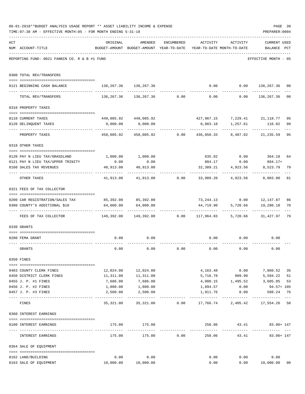|     | 06-01-2018**BUDGET ANALYSIS USAGE REPORT ** ASSET LIABILITY INCOME & EXPENSE                                                                     |                                   |                                                                     |               |             |                                                         | PAGE 39                 |                |
|-----|--------------------------------------------------------------------------------------------------------------------------------------------------|-----------------------------------|---------------------------------------------------------------------|---------------|-------------|---------------------------------------------------------|-------------------------|----------------|
|     | TIME: 07:38 AM - EFFECTIVE MONTH: 05 - FOR MONTH ENDING 5-31-18                                                                                  |                                   |                                                                     |               |             |                                                         | PREPARER: 0004          |                |
| ACT |                                                                                                                                                  | ORIGINAL                          | AMENDED                                                             | ENCUMBERED    |             | ACTIVITY ACTIVITY                                       | CURRENT USED            |                |
|     | NUM ACCOUNT-TITLE                                                                                                                                |                                   | BUDGET-AMOUNT BUDGET-AMOUNT YEAR-TO-DATE YEAR-TO-DATE MONTH-TO-DATE |               |             |                                                         | BALANCE PCT             |                |
|     | REPORTING FUND: 0021 FANNIN CO. R & B #1 FUND                                                                                                    |                                   |                                                                     |               |             |                                                         | EFFECTIVE MONTH - 05    |                |
|     | 0300 TOTAL REV/TRANSFERS                                                                                                                         |                                   |                                                                     |               |             |                                                         |                         |                |
|     | 0121 BEGINNING CASH BALANCE                                                                                                                      | 136, 267.36 136, 267.36           |                                                                     |               |             | $0.00$ $0.00$ $136,267.36$                              |                         | 00             |
|     | TOTAL REV/TRANSFERS                                                                                                                              |                                   | $136,267.36$ $136,267.36$ $0.00$ $0.00$ $0.00$ $136,267.36$         |               |             |                                                         |                         | 0 <sub>0</sub> |
|     | 0310 PROPERTY TAXES                                                                                                                              |                                   |                                                                     |               |             |                                                         |                         |                |
|     | 0110 CURRENT TAXES                                                                                                                               |                                   | 449,085.92 449,085.92                                               |               |             | 427,967.15 7,229.41 21,118.77                           |                         | 95             |
|     | 0120 DELINQUENT TAXES                                                                                                                            |                                   | 9,000.00 9,000.00                                                   |               |             | 8,883.18 1,257.61 116.82                                |                         | 99             |
|     | PROPERTY TAXES                                                                                                                                   | ------------------- ------------- | 458,085.92 458,085.92 0.00 436,850.33 8,487.02 21,235.59            |               | ----------- | ---------                                               |                         | 95             |
|     | 0318 OTHER TAXES                                                                                                                                 |                                   |                                                                     |               |             |                                                         |                         |                |
|     | 0120 PAY N LIEU TAX/GRASSLAND                                                                                                                    |                                   | 1,000.00 1,000.00                                                   |               |             | 635.82 0.00                                             | 364.18                  | 64             |
|     | 0121 PAY N LIEU TAX/UPPER TRINITY                                                                                                                | 0.00                              | 0.00                                                                |               | 884.17      | 0.00                                                    | 884.17+                 |                |
|     | 0160 SALES TAX REVENUES                                                                                                                          | 40,913.00<br>. <u>.</u>           | 40,913.00                                                           |               | 32,389.21   | 4,923.56                                                | 8,523.79                | 79             |
|     | OTHER TAXES                                                                                                                                      |                                   | $41,913.00$ $41,913.00$ $0.00$ $33,909.20$ $4,923.56$               |               |             |                                                         | 8,003.80                | 81             |
|     | 0321 FEES OF TAX COLLECTOR                                                                                                                       |                                   |                                                                     |               |             |                                                         |                         |                |
|     | 0200 CAR REGISTRATION/SALES TAX                                                                                                                  |                                   | 85,392.00 85,392.00                                                 |               |             | 73, 244.13 0.00 12, 147.87                              |                         | 86             |
|     | 0300 COUNTY'S ADDITIONAL \$10                                                                                                                    |                                   | 64,000.00 64,000.00                                                 |               | . <u>.</u>  | 44,719.90 5,720.66 19,280.10<br>------------            | -------------           | 70             |
|     | FEES OF TAX COLLECTOR                             149,392.00         149,392.00             0.00       117,964.03       5,720.66       31,427.97 |                                   |                                                                     |               |             |                                                         |                         | 79             |
|     | 0330 GRANTS                                                                                                                                      |                                   |                                                                     |               |             |                                                         |                         |                |
|     | 0200 FEMA GRANT                                                                                                                                  | 0.00                              | 0.00                                                                |               |             | $0.00$ $0.00$<br>------------                           | 0.00                    |                |
|     | GRANTS                                                                                                                                           | 0.00                              | 0.00                                                                | 0.00          | 0.00        | 0.00                                                    | 0.00                    |                |
|     | 0350 FINES                                                                                                                                       |                                   |                                                                     |               |             |                                                         |                         |                |
|     | 0403 COUNTY CLERK FINES                                                                                                                          |                                   | 12,024.00 12,024.00                                                 |               |             | 4, 163. 48 0.00 7, 860. 52                              |                         | 35             |
|     | 0450 DISTRICT CLERK FINES                                                                                                                        |                                   | 11,311.00   11,311.00                                               |               |             | 5,716.78 909.90                                         | 5,594.22                | 51             |
|     | 0455 J. P. #1 FINES                                                                                                                              | 7,686.00                          | 7,686.00<br>1,800.00                                                |               |             | $4,080.15$ $1,495.52$<br>$1,894.57$ $0.00$              | 3,605.85                | 53             |
|     | 0456 J. P. #2 FINES                                                                                                                              | 1,800.00                          |                                                                     |               |             |                                                         | 94.57+ 105              |                |
|     | 0457 J. P. #3 FINES<br>-- -----------------------------------                                                                                    | 2,500.00<br>-----------           | 2,500.00<br>-------------                                           | ------------- | 1,911.76    | 0.00                                                    | 588.24<br>------------- | 76<br>$---$    |
|     | FINES                                                                                                                                            | 35,321.00                         |                                                                     |               |             | 35, 321.00   0.00   17, 766.74   2, 405.42   17, 554.26 |                         | 50             |
|     | 0360 INTEREST EARNINGS                                                                                                                           |                                   |                                                                     |               |             |                                                         |                         |                |
|     | 0100 INTEREST EARNINGS                                                                                                                           |                                   | 175.00 175.00                                                       |               |             | 258.06 43.41 83.06+147                                  |                         |                |
|     | INTEREST EARNINGS                                                                                                                                | 175.00                            |                                                                     | $175.00$ 0.00 |             | 258.06 43.41                                            | 83.06+ 147              |                |
|     | 0364 SALE OF EQUIPMENT                                                                                                                           |                                   |                                                                     |               |             |                                                         |                         |                |
|     | 0162 LAND/BUILDING                                                                                                                               | 0.00                              | 0.00                                                                |               | 0.00        |                                                         | 0.00<br>0.00            |                |
|     | 0163 SALE OF EQUIPMENT                                                                                                                           | 10,000.00  10,000.00              |                                                                     |               | 0.00        |                                                         | 0.00 10,000.00          | 0 <sub>0</sub> |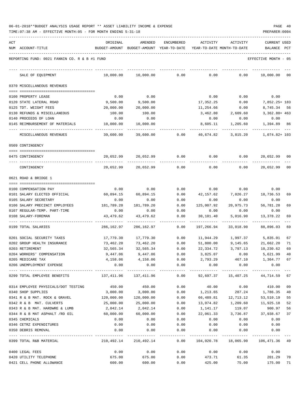| 06-01-2018**BUDGET ANALYSIS USAGE REPORT ** ASSET LIABILITY INCOME & EXPENSE |  |  |  |  | PAGE | 40 |
|------------------------------------------------------------------------------|--|--|--|--|------|----|
|                                                                              |  |  |  |  |      |    |

TIME:07:38 AM - EFFECTIVE MONTH:05 - FOR MONTH ENDING 5-31-18 PREPARER:0004

| ACT |                                                                | ORIGINAL                                                                         | AMENDED                                                             | ENCUMBERED           | ACTIVITY                   | ACTIVITY                           | CURRENT USED                                      |    |
|-----|----------------------------------------------------------------|----------------------------------------------------------------------------------|---------------------------------------------------------------------|----------------------|----------------------------|------------------------------------|---------------------------------------------------|----|
|     | NUM ACCOUNT-TITLE                                              |                                                                                  | BUDGET-AMOUNT BUDGET-AMOUNT YEAR-TO-DATE YEAR-TO-DATE MONTH-TO-DATE |                      |                            |                                    | BALANCE PCT                                       |    |
|     | REPORTING FUND: 0021 FANNIN CO. R & B #1 FUND                  |                                                                                  |                                                                     |                      |                            |                                    | EFFECTIVE MONTH - 05                              |    |
|     | SALE OF EQUIPMENT                                              | 10,000.00                                                                        | 10,000.00                                                           | 0.00                 | 0.00                       | 0.00                               | 10,000.00                                         | 00 |
|     | 0370 MISCELLANEOUS REVENUES                                    |                                                                                  |                                                                     |                      |                            |                                    |                                                   |    |
|     | 0100 PROPERTY LEASE                                            | 0.00                                                                             | 0.00                                                                |                      | 0.00                       | 0.00                               | 0.00                                              |    |
|     | 0120 STATE LATERAL ROAD                                        | 9,500.00                                                                         | 9,500.00                                                            |                      | 17,352.25                  | 0.00                               | 7,852.25+ 183                                     |    |
|     | 0125 TDT. WEIGHT FEES                                          | 20,000.00                                                                        | 20,000.00                                                           |                      | 11,254.66                  | 0.00                               | 8,745.34 56                                       |    |
|     | 0130 REFUNDS & MISCELLANEOUS                                   | 100.00                                                                           | 100.00                                                              |                      |                            | 3,462.80 2,609.60                  | 3,362.80+ 463                                     |    |
|     | 0140 PROCEEDS OF LOAN                                          | 0.00                                                                             | 0.00                                                                |                      | 0.00                       | 0.00                               | 0.00                                              |    |
|     | 0145 REIMBURSEMENT OF MATERIALS                                | 10,000.00                                                                        | 10,000.00                                                           |                      | 8,605.11                   | 1,205.60                           | 1,394.89 86                                       |    |
|     | MISCELLANEOUS REVENUES                                         | 39,600.00                                                                        | 39,600.00                                                           | 0.00                 | 40,674.82                  | 3,815.20                           | 1,074.82+ 103                                     |    |
|     | 0509 CONTINGENCY                                               |                                                                                  |                                                                     |                      |                            |                                    |                                                   |    |
|     |                                                                |                                                                                  |                                                                     |                      |                            |                                    |                                                   |    |
|     | 0475 CONTINGENCY                                               | 20,652.99                                                                        | 20,652.99                                                           | 0.00                 | 0.00                       | 0.00                               | 20,652.99                                         | 00 |
|     | CONTINGENCY                                                    | 20,652.99                                                                        | 20,652.99                                                           | 0.00                 | 0.00                       | 0.00                               | 20,652.99                                         | 00 |
|     | 0621 ROAD & BRIDGE 1                                           |                                                                                  |                                                                     |                      |                            |                                    |                                                   |    |
|     |                                                                |                                                                                  |                                                                     |                      |                            |                                    |                                                   |    |
|     | 0100 COMPENSATION PAY                                          | 0.00                                                                             | 0.00                                                                | 0.00                 |                            | $0.00$ $0.00$                      | 0.00                                              |    |
|     | 0101 SALARY ELECTED OFFICIAL                                   | 60,894.15                                                                        | 60,894.15                                                           | 0.00                 | 42,157.62                  | 7,026.27                           | 18,736.53                                         | 69 |
|     | 0105 SALARY SECRETARY                                          | 0.00<br>181,789.20                                                               | 0.00<br>181,789.20                                                  | 0.00                 | 0.00<br>125,007.92         | 0.00<br>20,975.73                  | 0.00<br>56,781.28                                 |    |
|     | 0106 SALARY PRECINCT EMPLOYEES<br>0107 REGULAR-TEMP. PART-TIME | 0.00                                                                             | 0.00                                                                | 0.00<br>0.00         | 0.00                       | 0.00                               | 0.00                                              | 69 |
|     | 0108 SALARY-FOREMAN                                            | 43,479.62                                                                        | 43,479.62                                                           | 0.00                 | 30,101.40                  | 5,016.90                           | 13,378.22                                         | 69 |
|     |                                                                |                                                                                  |                                                                     | --------             |                            |                                    |                                                   |    |
|     | 0199 TOTAL SALARIES                                            | 286,162.97                                                                       | 286,162.97                                                          | 0.00                 | 197,266.94                 | 33,018.90                          | 88,896.03                                         | 69 |
|     | 0201 SOCIAL SECURITY TAXES                                     | 17,779.30                                                                        | 17,779.30                                                           | 0.00                 |                            |                                    | 11,944.29    1,997.37    5,835.01                 | 67 |
|     | 0202 GROUP HEALTH INSURANCE                                    | 73,462.20                                                                        | 73,462.20                                                           | 0.00                 | 51,800.00                  | 9,145.65                           | 21,662.20                                         | 71 |
|     | 0203 RETIREMENT                                                | 32,565.34                                                                        | 32,565.34                                                           | 0.00                 | 22,334.72                  |                                    | 3,797.13 10,230.62                                | 69 |
|     | 0204 WORKERS' COMPENSATION                                     | 9,447.06                                                                         | 9,447.06                                                            | 0.00                 | 3,825.07                   | 0.00                               | 5,621.99                                          | 40 |
|     | 0205 MEDICARE TAX                                              |                                                                                  | 4, 158.06 4, 158.06                                                 |                      | $0.00$ $2,793.29$          | 467.10                             | 1,364.77 67                                       |    |
|     | 0206 UNEMPLOYMENT EXPENSE                                      | 0.00                                                                             | 0.00<br>.                                                           | 0.00<br>------------ | 0.00<br>.                  | 0.00<br>------------               | 0.00                                              |    |
|     | 0299 TOTAL EMPLOYEE BENEFITS                                   | 137,411.96  137,411.96   0.00  92,697.37  15,407.25  44,714.59                67 |                                                                     |                      |                            |                                    |                                                   |    |
|     | 0314 EMPLOYEE PHYSICALS/DOT TESTING                            | 450.00                                                                           | 450.00                                                              | 0.00                 | 40.00                      | 0.00                               | 410.00 09                                         |    |
|     | 0340 SHOP SUPPLIES                                             | 3,000.00                                                                         | 3,000.00                                                            |                      | $0.00$ 1, 213.65           |                                    | 287.24 1,786.35 40                                |    |
|     | 0341 R & B MAT. ROCK & GRAVEL 120,000.00                       |                                                                                  | 120,000.00                                                          |                      | $0.00$ 66,489.81 12,713.12 |                                    | 53,510.19                                         | 55 |
|     | 0342 R & B MAT. CULVERTS                                       | 25,000.00                                                                        | 25,000.00                                                           | 0.00                 | 13,074.82                  | 1,209.60                           | 11,925.18                                         | 52 |
|     | 0343 R & B MAT. HARDWRE & LUMB                                 | 2,042.14                                                                         | 2,042.14                                                            | 0.00                 | 1,141.17                   | 119.07                             | 900.97                                            | 56 |
|     | 0344 R & B MAT ASPHALT /RD OIL                                 | 60,000.00                                                                        | 60,000.00                                                           | 0.00                 | 22,061.33                  | 3,736.87                           | 37,938.67                                         | 37 |
|     | 0345 CHEMICALS                                                 | 0.00                                                                             | 0.00                                                                | 0.00                 | 0.00                       | 0.00                               | 0.00                                              |    |
|     | 0346 CETRZ EXPENDITURES                                        | 0.00                                                                             | 0.00                                                                | 0.00                 | 0.00                       | 0.00                               | 0.00                                              |    |
|     | 0350 DEBRIS REMOVAL                                            | 0.00                                                                             | 0.00<br>-------------                                               | 0.00<br>------------ | 0.00                       | 0.00<br>------------- ------------ | 0.00                                              |    |
|     | 0399 TOTAL R&B MATERIAL                                        |                                                                                  | 210,492.14 210,492.14                                               |                      |                            |                                    | $0.00$ $104,020.78$ $18,065.90$ $106,471.36$ $49$ |    |
|     | 0400 LEGAL FEES                                                | 0.00                                                                             | 0.00                                                                | 0.00                 |                            | $0.00$ 0.00                        | 0.00                                              |    |
|     | 0420 UTILITY TELEPHONE                                         | 675.00                                                                           | 675.00                                                              | 0.00                 |                            | 473.71 61.35                       | 201.29 70                                         |    |

0421 CELL PHONE ALLOWANCE 600.00 600.00 0.00 425.00 75.00 175.00 71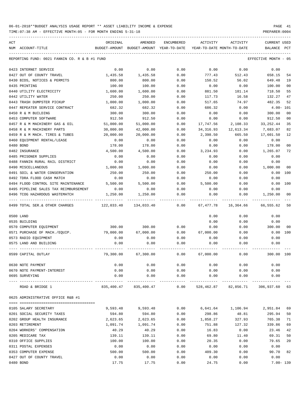TIME:07:38 AM - EFFECTIVE MONTH:05 - FOR MONTH ENDING 5-31-18 PREPARER:0004

| ACT |                                               | ORIGINAL      | AMENDED                    | ENCUMBERED | ACTIVITY   | ACTIVITY                           | <b>CURRENT USED</b>  |                |
|-----|-----------------------------------------------|---------------|----------------------------|------------|------------|------------------------------------|----------------------|----------------|
|     | NUM ACCOUNT-TITLE                             | BUDGET-AMOUNT | BUDGET-AMOUNT YEAR-TO-DATE |            |            | YEAR-TO-DATE MONTH-TO-DATE         | BALANCE              | PCT            |
|     |                                               |               |                            |            |            |                                    |                      |                |
|     | REPORTING FUND: 0021 FANNIN CO. R & B #1 FUND |               |                            |            |            |                                    | EFFECTIVE MONTH - 05 |                |
|     | 0423 INTERNET SERVICE                         | 0.00          | 0.00                       | 0.00       | 0.00       | 0.00                               | 0.00                 |                |
|     | 0427 OUT OF COUNTY TRAVEL                     | 1,435.58      | 1,435.58                   | 0.00       | 777.43     | 512.43                             | 658.15               | 54             |
|     | 0430 BIDS, NOTICES & PERMITS                  | 800.00        | 800.00                     | 0.00       | 150.52     | 56.02                              | 649.48               | 19             |
|     | 0435 PRINTING                                 | 100.00        | 100.00                     | 0.00       | 0.00       | 0.00                               | 100.00               | 00             |
|     | 0440 UTILITY ELECTRICITY                      | 1,600.00      | 1,600.00                   | 0.00       | 881.50     | 181.14                             | 718.50               | 55             |
|     | 0442 UTILITY WATER                            | 250.00        | 250.00                     | 0.00       | 117.73     | 16.58                              | 132.27               | 47             |
|     | 0443 TRASH DUMPSTER PICKUP                    | 1,000.00      | 1,000.00                   | 0.00       | 517.65     | 74.97                              | 482.35               | 52             |
|     | 0447 REPEATER SERVICE CONTRACT                | 682.32        | 682.32                     | 0.00       | 686.32     | 0.00                               | $4.00 - 101$         |                |
|     | 0450 R & M BUILDING                           | 300.00        | 300.00                     | 0.00       | 0.00       | 0.00                               | 300.00               | 00             |
|     | 0453 COMPUTER SOFTWARE                        | 912.50        | 912.50                     | 0.00       | 0.00       | 0.00                               | 912.50               | 0 <sub>0</sub> |
|     | 0457 R & M MACHINERY GAS & OIL                | 51,000.00     | 51,000.00                  | 0.00       | 17,747.56  | 2,108.33                           | 33, 252.44           | 35             |
|     | 0458 R & M MACHINERY PARTS                    | 30,000.00     | 42,000.00                  | 0.00       | 34, 316.93 | 12,613.34                          | 7,683.07             | 82             |
|     | 0459 R & M MACH. TIRES & TUBES                | 20,000.00     | 20,000.00                  | 0.00       | 2,398.50   | 665.50                             | 17,601.50            | 12             |
|     | 0460 EQUIPMENT RENTAL/LEASE                   | 0.00          | 0.00                       | 0.00       | 0.00       | 0.00                               | 0.00                 |                |
|     | 0480 BOND                                     | 178.00        | 178.00                     | 0.00       | 0.00       | 0.00                               | 178.00               | 00             |
|     | 0482 INSURANCE                                | 4,500.00      | 4,500.00                   | 0.00       | 3,234.93   | 0.00                               | 1,265.07             | 72             |
|     | 0485 PRISONER SUPPLIES                        |               | 0.00                       | 0.00       | 0.00       |                                    | 0.00                 |                |
|     |                                               | 0.00          |                            |            |            | 0.00                               |                      |                |
|     | 0488 FANNIN RURAL RAIL DISTRICT               | 0.00          | 0.00                       | 0.00       | 0.00       | 0.00                               | 0.00                 |                |
|     | 0490 MISCELLANEOUS                            | 1,000.00      | 1,000.00                   | 0.00       | 0.00       | 0.00                               | 1,000.00             | 00             |
|     | 0491 SOIL & WATER CONSERVATION                | 250.00        | 250.00                     | 0.00       | 250.00     | 0.00                               | 0.00                 | 100            |
|     | 0492 TDRA FLOOD CASH MATCH                    | 0.00          | 0.00                       | 0.00       | 0.00       | 0.00                               | 0.00                 |                |
|     | 0494 FLOOD CONTROL SITE MAINTENANCE           | 5,500.00      | 5,500.00                   | 0.00       | 5,500.00   | 0.00                               | 0.00                 | 100            |
|     | 0495 PIPELINE SALES TAX REIMBURSEMENT         | 0.00          | 0.00                       | 0.00       | 0.00       | 0.00                               | 0.00                 |                |
|     | 0496 TCOG HAZARDOUS WASTEMATCH                | 1,250.00      | 1,250.00                   | 0.00       | 0.00       | 0.00                               | 1,250.00             | 00             |
|     | 0499 TOTAL SER. & OTHER CHARGES               | 122,033.40    | 134,033.40                 | 0.00       | 67, 477.78 | 16,364.66                          | 66,555.62            | 50             |
|     |                                               |               |                            |            |            |                                    |                      |                |
|     | 0500 LAND                                     |               |                            |            | 0.00       | 0.00                               | 0.00                 |                |
|     | 0535 BUILDING                                 |               |                            |            | 0.00       | 0.00                               | 0.00                 |                |
|     | 0570 COMPUTER EQUIPMENT                       | 300.00        | 300.00                     | 0.00       | 0.00       | 0.00                               | 300.00               | 00             |
|     | 0571 PURCHASE OF MACH./EOUIP.                 | 79,000.00     | 67,000.00                  | 0.00       | 67,000.00  | 0.00                               | 0.00 100             |                |
|     | 0573 RADIO EQUIPMENT                          | 0.00          | 0.00                       | 0.00       | 0.00       | 0.00                               | 0.00                 |                |
|     | 0575 LAND AND BUILDING                        | 0.00          | 0.00                       | 0.00       | 0.00       | 0.00                               | 0.00                 |                |
|     | 0599 CAPITAL OUTLAY                           | 79,300.00     | 67,300.00                  | 0.00       | 67,000.00  | 0.00                               | 300.00               | 100            |
|     | 0630 NOTE PAYMENT                             | 0.00          | 0.00                       | 0.00       |            | 0.00<br>0.00                       | 0.00                 |                |
|     | 0670 NOTE PAYMENT-INTEREST                    | 0.00          | 0.00                       | 0.00       |            | $0.00$ 0.00                        | 0.00                 |                |
|     | 0695 SURVEYING                                | 0.00          | 0.00                       | 0.00       | 0.00       | 0.00                               | 0.00                 |                |
|     | ROAD & BRIDGE 1                               |               | 835,400.47 835,400.47      | 0.00       |            | 528,462.87 82,856.71 306,937.60 63 |                      |                |
|     | 0625 ADMINISTRATIVE OFFICE R&B #1             |               |                            |            |            |                                    |                      |                |
|     |                                               |               |                            |            |            |                                    |                      |                |
|     | 0105 SALARY SECRETARY                         | 9,593.48      | 9,593.48                   | 0.00       | 6,641.64   | 1,106.94                           | 2,951.84             | 69             |
|     | 0201 SOCIAL SECURITY TAXES                    | 594.80        | 594.80                     | 0.00       | 298.86     | 48.81                              | 295.94               | 50             |
|     | 0202 GROUP HEALTH INSURANCE                   | 2,623.65      | 2,623.65                   | 0.00       | 1,858.27   | 327.93                             | 765.38               | 71             |
|     | 0203 RETIREMENT                               | 1,091.74      | 1,091.74                   | 0.00       | 751.88     | 127.32                             | 339.86               | 69             |
|     | 0204 WORKERS' COMPENSATION                    | 40.29         | 40.29                      | 0.00       | 16.83      | 0.00                               | 23.46                | 42             |
|     | 0205 MEDICARE TAX                             | 139.11        | 139.11                     | 0.00       | 69.80      | 11.40                              | 69.31                | 50             |
|     | 0310 OFFICE SUPPLIES                          | 100.00        | 100.00                     | 0.00       | 20.35      | 0.00                               | 79.65                | 20             |
|     | 0311 POSTAL EXPENSES                          | 0.00          | 0.00                       | 0.00       | 0.00       | 0.00                               | 0.00                 |                |
|     | 0353 COMPUTER EXPENSE                         | 500.00        | 500.00                     | 0.00       | 409.30     | 0.00                               | 90.70                | 82             |
|     | 0427 OUT OF COUNTY TRAVEL                     | 0.00          | 0.00                       | 0.00       | 0.00       | 0.00                               | 0.00                 |                |

0480 BOND 17.75 17.75 0.00 24.75 0.00 7.00- 139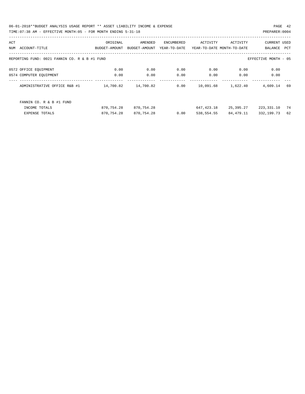06-01-2018\*\*BUDGET ANALYSIS USAGE REPORT \*\* ASSET LIABILITY INCOME & EXPENSE PAGE 42 TIME:07:38 AM - EFFECTIVE MONTH:05 - FOR MONTH ENDING 5-31-18 PREPARER:0004

| ACT |                                               | ORIGINAL      | AMENDED       | ENCUMBERED   | ACTIVITY                   | ACTIVITY  | <b>CURRENT USED</b>  |            |
|-----|-----------------------------------------------|---------------|---------------|--------------|----------------------------|-----------|----------------------|------------|
| NUM | ACCOUNT-TITLE                                 | BUDGET-AMOUNT | BUDGET-AMOUNT | YEAR-TO-DATE | YEAR-TO-DATE MONTH-TO-DATE |           | BALANCE              | <b>PCT</b> |
|     | REPORTING FUND: 0021 FANNIN CO. R & B #1 FUND |               |               |              |                            |           | EFFECTIVE MONTH - 05 |            |
|     | 0572 OFFICE EQUIPMENT                         | 0.00          | 0.00          | 0.00         | 0.00                       | 0.00      | 0.00                 |            |
|     | 0574 COMPUTER EOUIPMENT                       | 0.00          | 0.00          | 0.00         | 0.00                       | 0.00      | 0.00                 |            |
|     | ADMINISTRATIVE OFFICE R&B #1                  | 14,700.82     | 14,700.82     | 0.00         | 10,091.68                  | 1,622.40  | 4,609.14             | 69         |
|     | FANNIN CO. R & B #1 FUND                      |               |               |              |                            |           |                      |            |
|     | INCOME TOTALS                                 | 870,754.28    | 870,754.28    |              | 647,423.18                 | 25,395.27 | 223,331.10           | 74         |
|     | <b>EXPENSE TOTALS</b>                         | 870,754.28    | 870,754.28    | 0.00         | 538,554.55                 | 84,479.11 | 332,199.73           | 62         |
|     |                                               |               |               |              |                            |           |                      |            |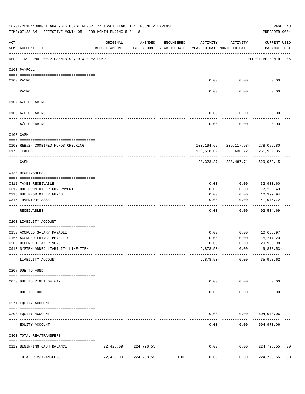|     | 06-01-2018**BUDGET ANALYSIS USAGE REPORT ** ASSET LIABILITY INCOME & EXPENSE<br>TIME: 07:38 AM - EFFECTIVE MONTH: 05 - FOR MONTH ENDING 5-31-18 |               |                      |              |                                                                                 |                      | PREPARER: 0004                            | PAGE 43        |
|-----|-------------------------------------------------------------------------------------------------------------------------------------------------|---------------|----------------------|--------------|---------------------------------------------------------------------------------|----------------------|-------------------------------------------|----------------|
| ACT | NUM ACCOUNT-TITLE                                                                                                                               | ORIGINAL      | AMENDED              | ENCUMBERED   | ACTIVITY<br>BUDGET-AMOUNT BUDGET-AMOUNT YEAR-TO-DATE YEAR-TO-DATE MONTH-TO-DATE | ACTIVITY             | <b>CURRENT USED</b><br>BALANCE PCT        |                |
|     | REPORTING FUND: 0022 FANNIN CO. R & B #2 FUND                                                                                                   |               |                      |              |                                                                                 |                      | EFFECTIVE MONTH - 05                      |                |
|     | 0100 PAYROLL                                                                                                                                    |               |                      |              |                                                                                 |                      |                                           |                |
|     | 0100 PAYROLL                                                                                                                                    |               |                      |              | 0.00                                                                            | 0.00                 | 0.00                                      |                |
|     | PAYROLL                                                                                                                                         |               |                      |              | 0.00                                                                            | 0.00                 | 0.00                                      |                |
|     | 0102 A/P CLEARING                                                                                                                               |               |                      |              |                                                                                 |                      |                                           |                |
|     | 0100 A/P CLEARING                                                                                                                               |               |                      |              | 0.00                                                                            | 0.00                 | 0.00                                      |                |
|     | A/P CLEARING                                                                                                                                    |               |                      |              | 0.00                                                                            | 0.00                 | 0.00                                      |                |
|     | 0103 CASH                                                                                                                                       |               |                      |              |                                                                                 |                      |                                           |                |
|     | 0100 R&B#2- COMBINED FUNDS CHECKING                                                                                                             |               |                      |              |                                                                                 |                      | 100,194.65 239,117.93- 278,056.80         |                |
|     | 0175 TEXPOOL                                                                                                                                    |               |                      |              | 128,518.02-                                                                     | 630.22               | 251,902.35                                |                |
|     | CASH                                                                                                                                            |               |                      |              |                                                                                 | ------------         | 28, 323. 37 - 238, 487. 71 - 529, 959. 15 |                |
|     | 0120 RECEIVABLES                                                                                                                                |               |                      |              |                                                                                 |                      |                                           |                |
|     | 0311 TAXES RECEIVABLE                                                                                                                           |               |                      |              | 0.00                                                                            | 0.00                 | 32,900.60                                 |                |
|     | 0312 DUE FROM OTHER GOVERNMENT                                                                                                                  |               |                      |              | 0.00                                                                            | 0.00                 | 7,258.43                                  |                |
|     | 0313 DUE FROM OTHER FUNDS                                                                                                                       |               |                      |              | 0.00                                                                            | 0.00                 | 10,399.94                                 |                |
|     | 0315 INVENTORY ASSET                                                                                                                            |               |                      |              | 0.00                                                                            | 0.00                 | 41,975.72<br>.                            |                |
|     | RECEIVABLES                                                                                                                                     |               |                      |              | 0.00                                                                            | 0.00                 | 92,534.69                                 |                |
|     | 0200 LIABILITY ACCOUNT                                                                                                                          |               |                      |              |                                                                                 |                      |                                           |                |
|     | 0150 ACCRUED SALARY PAYABLE                                                                                                                     |               |                      |              | 0.00                                                                            | 0.00                 | 10,638.97                                 |                |
|     | 0155 ACCRUED FRINGE BENEFITS                                                                                                                    |               |                      |              | 0.00                                                                            | 0.00                 | 5,217.20                                  |                |
|     | 0200 DEFERRED TAX REVENUE                                                                                                                       |               |                      |              | 0.00                                                                            | 0.00                 | 29,990.98                                 |                |
|     | 0910 SYSTEM ADDED LIABILITY LINE-ITEM                                                                                                           |               |                      |              | $9,878.53-$                                                                     | 0.00<br>------------ | $9,878.53-$                               |                |
|     | LIABILITY ACCOUNT                                                                                                                               |               |                      |              | $9,878.53-$                                                                     | 0.00                 | 35,968.62                                 |                |
|     | 0207 DUE TO FUND                                                                                                                                |               |                      |              |                                                                                 |                      |                                           |                |
|     | 0070 DUE TO RIGHT OF WAY                                                                                                                        | ------------- |                      |              | 0.00                                                                            | 0.00                 | 0.00                                      |                |
|     | DUE TO FUND                                                                                                                                     |               |                      |              | 0.00                                                                            | 0.00                 | 0.00                                      |                |
|     | 0271 EQUITY ACCOUNT                                                                                                                             |               |                      |              |                                                                                 |                      |                                           |                |
|     | 0200 EQUITY ACCOUNT                                                                                                                             |               |                      |              | 0.00                                                                            |                      | 0.00 604,970.06                           |                |
|     | EQUITY ACCOUNT                                                                                                                                  |               |                      |              | 0.00                                                                            | ---------<br>0.00    | 604,970.06                                |                |
|     | 0300 TOTAL REV/TRANSFERS                                                                                                                        |               |                      |              |                                                                                 |                      |                                           |                |
|     | 0122 BEGINNING CASH BALANCE<br>---- -----------------                                                                                           |               | 72,428.09 224,798.55 | ------------ | 0.00<br>--------------                                                          | 0.00                 | 224,798.55<br>-----------                 | 00             |
|     | TOTAL REV/TRANSFERS                                                                                                                             | 72,428.09     | 224,798.55           | 0.00         | 0.00                                                                            | 0.00                 | 224,798.55                                | 0 <sub>0</sub> |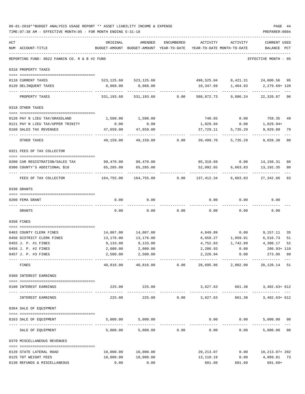|     | 06-01-2018**BUDGET ANALYSIS USAGE REPORT ** ASSET LIABILITY INCOME & EXPENSE<br>TIME: 07:38 AM - EFFECTIVE MONTH: 05 - FOR MONTH ENDING 5-31-18 |                                                                                 |                           |                |                        |                                                       | PAGE 44<br>PREPARER: 0004                    |     |
|-----|-------------------------------------------------------------------------------------------------------------------------------------------------|---------------------------------------------------------------------------------|---------------------------|----------------|------------------------|-------------------------------------------------------|----------------------------------------------|-----|
| ACT | NUM ACCOUNT-TITLE                                                                                                                               | ORIGINAL<br>BUDGET-AMOUNT BUDGET-AMOUNT YEAR-TO-DATE YEAR-TO-DATE MONTH-TO-DATE | AMENDED                   | ENCUMBERED     | ACTIVITY               | ACTIVITY                                              | <b>CURRENT USED</b><br>BALANCE               | PCT |
|     | REPORTING FUND: 0022 FANNIN CO. R & B #2 FUND                                                                                                   | _________________________________                                               |                           |                |                        |                                                       | EFFECTIVE MONTH - 05                         |     |
|     | 0310 PROPERTY TAXES                                                                                                                             |                                                                                 |                           |                |                        |                                                       |                                              |     |
|     | 0110 CURRENT TAXES                                                                                                                              |                                                                                 | 523, 125.60 523, 125.60   |                |                        | 498,525.04 8,421.31 24,600.56 95                      |                                              |     |
|     | 0120 DELINQUENT TAXES                                                                                                                           | 8,068.00                                                                        | 8,068.00<br>-----------   |                | . <u>.</u> .           | 10,347.69    1,464.93    2,279.69+128<br>------------ | -------------                                |     |
|     | PROPERTY TAXES                                                                                                                                  |                                                                                 | 531,193.60 531,193.60     |                | $0.00$ 508,872.73      | 9,886.24                                              | 22,320.87 96                                 |     |
|     | 0318 OTHER TAXES                                                                                                                                |                                                                                 |                           |                |                        |                                                       |                                              |     |
|     | 0120 PAY N LIEU TAX/GRASSLAND                                                                                                                   | 1,500.00                                                                        | 1,500.00                  |                | 740.65                 |                                                       | $0.00$ 759.35                                | 49  |
|     | 0121 PAY N LIEU TAX/UPPER TRINITY                                                                                                               | 0.00                                                                            | 0.00                      |                | 1,029.94               | 0.00                                                  | 1,029.94+                                    |     |
|     | 0160 SALES TAX REVENUES                                                                                                                         | 47,659.00                                                                       | 47,659.00                 |                | 37,729.11              | 5,735.29                                              | 9,929.89                                     | 79  |
|     | OTHER TAXES                                                                                                                                     | ------------<br>49,159.00                                                       |                           | 49,159.00 0.00 | 39,499.70              | ------------<br>5,735.29                              | 9,659.30                                     | 80  |
|     | 0321 FEES OF TAX COLLECTOR                                                                                                                      |                                                                                 |                           |                |                        |                                                       |                                              |     |
|     | 0200 CAR REGISTRATION/SALES TAX                                                                                                                 |                                                                                 | 99,470.00 99,470.00       |                |                        | 85,319.69   0.00   14,150.31   86                     |                                              |     |
|     | 0300 COUNTY'S ADDITIONAL \$10                                                                                                                   | 65,285.00                                                                       | 65,285.00                 |                |                        | 52,092.65 6,663.83                                    | 13,192.35                                    | 80  |
|     | FEES OF TAX COLLECTOR                                                                                                                           | 164,755.00                                                                      | -------------             |                |                        | ------------ -------------                            | --------------                               | 83  |
|     | 0330 GRANTS                                                                                                                                     |                                                                                 |                           |                |                        |                                                       |                                              |     |
|     | 0200 FEMA GRANT                                                                                                                                 | 0.00                                                                            | 0.00                      |                | 0.00                   | 0.00                                                  | 0.00                                         |     |
|     | GRANTS                                                                                                                                          | 0.00                                                                            | 0.00                      | 0.00           | 0.00                   | 0.00                                                  | 0.00                                         |     |
|     |                                                                                                                                                 |                                                                                 |                           |                |                        |                                                       |                                              |     |
|     | 0350 FINES                                                                                                                                      |                                                                                 |                           |                |                        |                                                       |                                              |     |
|     | 0403 COUNTY CLERK FINES                                                                                                                         | 14,007.00                                                                       | 14,007.00                 |                |                        | 4,849.89 0.00 9,157.11                                |                                              | 35  |
|     | 0450 DISTRICT CLERK FINES                                                                                                                       | 13,176.00                                                                       | 13,176.00                 |                |                        | 6,659.27 1,059.91 6,516.73                            |                                              | 51  |
|     | 0455 J. P. #1 FINES                                                                                                                             | 9,133.00                                                                        | 9,133.00                  |                | 4,752.83               | 1,742.09                                              | 4,380.17                                     | 52  |
|     | 0456 J. P. #2 FINES                                                                                                                             | 2,000.00                                                                        | 2,000.00                  |                |                        | 2,206.93 0.00                                         | 206.93+ 110                                  |     |
|     | 0457 J. P. #3 FINES                                                                                                                             | 2,500.00<br>-------------                                                       | 2,500.00<br>------------- |                | 2,226.94               | 0.00                                                  | 273.06 89                                    |     |
|     | FINES                                                                                                                                           | 40,816.00                                                                       |                           | 40,816.00 0.00 |                        | 20,695.86 2,802.00 20,120.14 51                       |                                              |     |
|     | 0360 INTEREST EARNINGS                                                                                                                          |                                                                                 |                           |                |                        |                                                       |                                              |     |
|     | 0100 INTEREST EARNINGS                                                                                                                          |                                                                                 | 225.00 225.00             |                |                        | 3,627.63 661.38 3,402.63+612                          |                                              |     |
|     | INTEREST EARNINGS                                                                                                                               | 225.00                                                                          | -------------<br>225.00   |                | $0.00$ 3,627.63        |                                                       | 661.38 3,402.63+ 612                         |     |
|     | 0364 SALE OF EQUIPMENT                                                                                                                          |                                                                                 |                           |                |                        |                                                       |                                              |     |
|     | 0163 SALE OF EQUIPMENT                                                                                                                          |                                                                                 | 5,000.00 5,000.00         |                |                        | $0.00$ 0.00                                           | 5,000.00 00                                  |     |
|     | SALE OF EQUIPMENT                                                                                                                               | 5,000.00                                                                        |                           | 5,000.00 0.00  | 0.00                   | 0.00                                                  | --------------<br>5,000.00 00                |     |
|     | 0370 MISCELLANEOUS REVENUES                                                                                                                     |                                                                                 |                           |                |                        |                                                       |                                              |     |
|     |                                                                                                                                                 |                                                                                 |                           |                |                        |                                                       |                                              |     |
|     | 0120 STATE LATERAL ROAD<br>0125 TDT WEIGHT FEES                                                                                                 | 10,000.00<br>18,000.00                                                          | 10,000.00<br>18,000.00    |                | 20,213.07<br>13,110.19 |                                                       | $0.00$ $10,213.07+202$<br>$0.00$ 4,889.81 73 |     |
|     | 0130 REFUNDS & MISCELLANEOUS                                                                                                                    | 0.00                                                                            | 0.00                      |                | 601.60                 | 601.60                                                | $601.60+$                                    |     |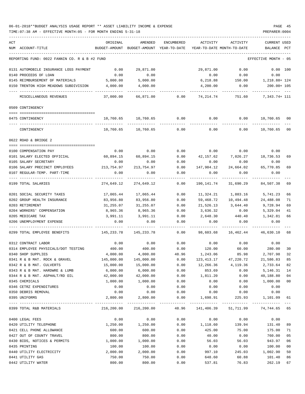| ACT | NUM ACCOUNT-TITLE                             | ORIGINAL   | AMENDED<br>BUDGET-AMOUNT BUDGET-AMOUNT YEAR-TO-DATE | ENCUMBERED            | ACTIVITY   | ACTIVITY<br>YEAR-TO-DATE MONTH-TO-DATE | CURRENT USED<br>BALANCE      | PCT    |
|-----|-----------------------------------------------|------------|-----------------------------------------------------|-----------------------|------------|----------------------------------------|------------------------------|--------|
|     | REPORTING FUND: 0022 FANNIN CO. R & B #2 FUND |            |                                                     |                       |            |                                        | EFFECTIVE MONTH - 05         |        |
|     |                                               |            |                                                     |                       |            |                                        |                              |        |
|     | 0131 AUTOMOBILE INSURANCE LOSS PAYMENT        | 0.00       | 29,871.00                                           |                       | 29,871.00  | 0.00                                   | 0.00 100                     |        |
|     | 0140 PROCEEDS OF LOAN                         | 0.00       | 0.00                                                |                       | 0.00       | 0.00                                   | 0.00                         |        |
|     | 0145 REIMBURSEMENT OF MATERIALS               | 5,000.00   | 5,000.00                                            |                       | 6,218.88   | 150.00                                 | 1,218.88+ 124<br>200.00+ 105 |        |
|     | 0150 TRENTON HIGH MEADOWS SUBDIVISION         | 4,000.00   | 4,000.00                                            |                       | 4,200.00   | 0.00                                   |                              |        |
|     | MISCELLANEOUS REVENUES                        | 37,000.00  | 66,871.00                                           | 0.00                  | 74,214.74  | 751.60                                 | 7,343.74+ 111                |        |
|     | 0509 CONTINGENCY                              |            |                                                     |                       |            |                                        |                              |        |
|     | 0475 CONTINGENCY                              |            | 10,760.65 10,760.65                                 | 0.00                  | 0.00       | 0.00                                   | 10,760.65 00                 |        |
|     | CONTINGENCY                                   | 10,760.65  | 10,760.65                                           | 0.00                  | 0.00       | 0.00                                   | 10,760.65                    | 00     |
|     | 0622 ROAD & BRIDGE 2                          |            |                                                     |                       |            |                                        |                              |        |
|     |                                               |            |                                                     |                       |            |                                        |                              |        |
|     | 0100 COMPENSATION PAY                         | 0.00       | 0.00                                                | 0.00                  |            | $0.00$ 0.00                            | 0.00                         |        |
|     | 0101 SALARY ELECTED OFFICIAL                  |            | 60,894.15 60,894.15                                 | 0.00                  |            | 42,157.62 7,026.27                     | 18,736.53                    | 69     |
|     | 0105 SALARY SECRETARY                         | 0.00       | 0.00                                                | 0.00                  | 0.00       | 0.00                                   | 0.00                         |        |
|     | 0106 SALARY PRECINCT EMPLOYEES                | 213,754.97 | 213,754.97                                          | 0.00                  | 147,984.12 | 24,664.02                              | 65,770.85                    | 69     |
|     | 0107 REGULAR-TEMP. PART-TIME                  | 0.00       | 0.00                                                | 0.00                  | 0.00       | 0.00                                   | 0.00                         |        |
|     | 0199 TOTAL SALARIES                           | 274,649.12 | 274,649.12                                          | 0.00                  | 190,141.74 | 31,690.29                              | 84,507.38                    | 69     |
|     | 0201 SOCIAL SECURITY TAXES                    | 17,065.44  | 17,065.44                                           | 0.00                  |            | 11,324.21 1,883.16                     | 5,741.23                     | 66     |
|     | 0202 GROUP HEALTH INSURANCE                   | 83,956.80  | 83,956.80                                           | 0.00                  | 59,468.72  | 10,494.48                              | 24,488.08                    | 71     |
|     | 0203 RETIREMENT                               | 31,255.07  | 31,255.07                                           | 0.00                  | 21,526.13  | 3,644.40                               | 9,728.94                     | 69     |
|     | 0204 WORKERS' COMPENSATION                    | 8,965.36   | 8,965.36                                            | 0.00                  | 3,636.32   | 0.00                                   | 5,329.04                     | 41     |
|     | 0205 MEDICARE TAX                             | 3,991.11   | 3,991.11                                            | 0.00                  | 2,648.30   | 440.40                                 | 1,342.81                     | 66     |
|     | 0206 UNEMPLOYMENT EXPENSE                     | 0.00       | 0.00                                                | 0.00                  | 0.00       | 0.00                                   | 0.00                         |        |
|     | 0299 TOTAL EMPLOYEE BENEFITS                  | 145,233.78 | 145,233.78                                          | 0.00                  | 98,603.68  | 16,462.44                              | 46,630.10                    | 68     |
|     | 0312 CONTRACT LABOR                           | 0.00       | 0.00                                                | 0.00                  | 0.00       | 0.00                                   | 0.00                         |        |
|     | 0314 EMPLOYEE PHYSICALS/DOT TESTING           | 400.00     | 400.00                                              | 0.00                  | 120.00     | 60.00                                  | 280.00                       | 30     |
|     | 0340 SHOP SUPPLIES                            | 4,000.00   | 4,000.00                                            | 48.96                 | 1,243.06   | 85.98                                  | 2,707.98                     | 32     |
|     | 0341 R & B MAT. ROCK & GRAVEL                 | 145,000.00 | 145,000.00                                          | 0.00                  |            | $123, 413.17$ $47, 220.72$             | 21,586.83                    | 85     |
|     | 0342 R & B MAT. CULVERTS                      | 15,000.00  | 15,000.00                                           | 0.00                  | 12,266.36  | 4,119.36                               | 2,733.64                     | 82     |
|     | 0343 R & B MAT. HARDWRE & LUMB                | 6,000.00   | 6,000.00                                            | 0.00                  | 853.69     | 0.00                                   | 5,146.31                     | 14     |
|     | 0344 R & B MAT. ASPHALT/RD OIL                | 42,000.00  | 42,000.00                                           | 0.00                  | 1,811.20   | 0.00                                   | 40,188.80                    | 04     |
|     | 0345 CHEMICALS                                | 1,000.00   | 1,000.00                                            | 0.00                  | 0.00       | 0.00                                   | 1,000.00                     | $00\,$ |
|     | 0346 CETRZ EXPENDITURES                       | 0.00       | 0.00                                                | 0.00                  | 0.00       | 0.00                                   | 0.00                         |        |
|     | 0350 DEBRIS REMOVAL                           | 0.00       | 0.00                                                | 0.00                  | 0.00       | 0.00                                   | 0.00                         |        |
|     | 0395 UNIFORMS                                 | 2,800.00   | 2,800.00                                            | 0.00                  | 1,698.91   | 225.93                                 | 1,101.09                     | 61     |
|     | 0399 TOTAL R&B MATERIALS                      | 216,200.00 | -------------<br>216,200.00                         | ------------<br>48.96 |            | 141,406.39 51,711.99 74,744.65 65      |                              |        |
|     | 0400 LEGAL FEES                               | 0.00       | 0.00                                                | 0.00                  | 0.00       | 0.00                                   | 0.00                         |        |
|     | 0420 UTILITY TELEPHONE                        | 1,250.00   | 1,250.00                                            | 0.00                  | 1,118.60   | 139.94                                 | 131.40                       | 89     |
|     | 0421 CELL PHONE ALLOWANCE                     | 600.00     | 600.00                                              | 0.00                  | 425.00     | 75.00                                  | 175.00                       | 71     |
|     | 0427 OUT OF COUNTY TRAVEL                     | 800.00     | 800.00                                              | 0.00                  | 40.00      | 0.00                                   | 760.00                       | 05     |
|     | 0430 BIDS, NOTICES & PERMITS                  | 1,000.00   | 1,000.00                                            | 0.00                  | 56.03      | 56.03                                  | 943.97                       | 06     |
|     | 0435 PRINTING                                 | 100.00     | 100.00                                              | 0.00                  | 0.00       | 0.00                                   | 100.00                       | $00\,$ |
|     | 0440 UTILITY ELECTRICITY                      | 2,000.00   | 2,000.00                                            | 0.00                  | 997.10     | 245.03                                 | 1,002.90                     | 50     |
|     | 0441 UTILITY GAS                              | 750.00     | 750.00                                              | 0.00                  | 648.60     | 60.88                                  | 101.40                       | 86     |
|     | 0442 UTILITY WATER                            | 800.00     | 800.00                                              | 0.00                  | 537.81     | 76.83                                  | 262.19                       | 67     |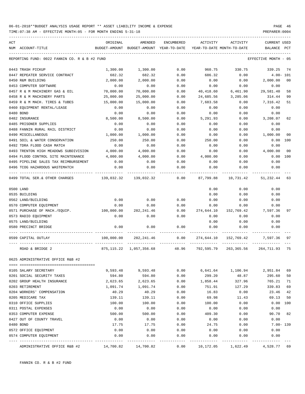| ACT |                                                           |            |                                                     |                   | ACTIVITY                   |            |                                  |                |
|-----|-----------------------------------------------------------|------------|-----------------------------------------------------|-------------------|----------------------------|------------|----------------------------------|----------------|
|     | NUM ACCOUNT-TITLE                                         | ORIGINAL   | AMENDED<br>BUDGET-AMOUNT BUDGET-AMOUNT YEAR-TO-DATE | ENCUMBERED        | YEAR-TO-DATE MONTH-TO-DATE | ACTIVITY   | <b>CURRENT USED</b><br>BALANCE   | $_{\rm PCT}$   |
|     |                                                           |            |                                                     |                   |                            |            |                                  |                |
|     | REPORTING FUND: 0022 FANNIN CO. R & B #2 FUND             |            |                                                     |                   |                            |            | EFFECTIVE MONTH - 05             |                |
|     | 0443 TRASH PICKUP                                         | 1,300.00   | 1,300.00                                            | 0.00              | 960.75                     | 330.75     | 339.25                           | 74             |
|     | 0447 REPEATER SERVICE CONTRACT                            | 682.32     | 682.32                                              | 0.00              | 686.32                     | 0.00       | $4.00 - 101$                     |                |
|     | 0450 R&M BUILDING                                         | 2,000.00   | 2,000.00                                            | 0.00              | 0.00                       | 0.00       | 2,000.00                         | 0 <sub>0</sub> |
|     | 0453 COMPUTER SOFTWARE                                    | 0.00       | 0.00                                                | 0.00              | 0.00                       | 0.00       | 0.00                             |                |
|     | 0457 R & M MACHINERY GAS & OIL                            | 70,000.00  | 70,000.00                                           | 0.00              | 40,418.60                  | 6,461.90   | 29,581.40                        | 58             |
|     | 0458 R & M MACHINERY PARTS                                | 25,000.00  | 25,000.00                                           | 0.00              | 24,685.56                  | 3,285.06   | 314.44                           | 99             |
|     | 0459 R & M MACH. TIRES & TUBES                            | 15,000.00  | 15,000.00                                           | 0.00              | 7,683.58                   | 0.00       | 7,316.42                         | 51             |
|     | 0460 EQUIPMENT RENTAL/LEASE                               | 0.00       | 0.00                                                | 0.00              | 0.00                       | 0.00       | 0.00                             |                |
|     | 0480 BOND                                                 | 0.00       | 0.00                                                | 0.00              | 0.00                       | 0.00       | 0.00                             |                |
|     | 0482 INSURANCE                                            | 8,500.00   | 8,500.00                                            | 0.00              | 5,291.93                   | 0.00       | 3,208.07                         | 62             |
|     | 0485 PRISONER SUPPLIES                                    | 0.00       | 0.00                                                | 0.00              | 0.00                       | 0.00       | 0.00                             |                |
|     | 0488 FANNIN RURAL RAIL DISTRICT                           | 0.00       | 0.00                                                | 0.00              | 0.00                       | 0.00       | 0.00                             |                |
|     | 0490 MISCELLANEOUS                                        | 1,000.00   | 1,000.00                                            | 0.00              | 0.00                       | 0.00       | 1,000.00                         | 00             |
|     | 0491 SOIL & WATER CONSERVATION                            | 250.00     | 250.00                                              | 0.00              | 250.00                     | 0.00       | 0.00                             | 100            |
|     | 0492 TDRA FLOOD CASH MATCH                                | 0.00       | 0.00                                                | 0.00              | 0.00                       | 0.00       | 0.00                             |                |
|     | 0493 TRENTON HIGH MEADOWS SUBDIVISION                     | 4,000.00   | 4,000.00                                            | 0.00              | 0.00                       | 0.00       | 4,000.00                         | 00             |
|     | 0494 FLOOD CONTROL SITE MAINTENANCE                       | 4,000.00   | 4,000.00                                            | 0.00              | 4,000.00                   | 0.00       | 0.00                             | 100            |
|     | 0495 PIPELINE SALES TAX REIMBURSEMENT                     | 0.00       | 0.00                                                | 0.00              | 0.00                       | 0.00       | 0.00                             |                |
|     | 0496 TCOG HAZARDOUS WASTEMATCH                            | 0.00       | 0.00                                                | 0.00              | 0.00                       | 0.00       | 0.00                             |                |
|     | 0.00 0499 TOTAL SER.& OTHER CHARGES 139,032.32 139,032.32 |            |                                                     |                   | 87,799.88                  | 10,731.42  | 51,232.44                        | 63             |
|     | 0500 LAND                                                 |            |                                                     |                   | 0.00                       | 0.00       | 0.00                             |                |
|     | 0535 BUILDING                                             |            |                                                     |                   | 0.00                       | 0.00       | 0.00                             |                |
|     | 0562 LAND/BUILDING                                        | 0.00       | 0.00                                                | 0.00              | 0.00                       | 0.00       | 0.00                             |                |
|     | 0570 COMPUTER EQUIPMENT                                   | 0.00       | 0.00                                                | 0.00              | 0.00                       | 0.00       | 0.00                             |                |
|     | 0571 PURCHASE OF MACH./EQUIP.                             | 100,000.00 | 282,241.46                                          | 0.00              | 274,644.10                 | 152,769.42 | 7,597.36                         | 97             |
|     | 0573 RADIO EQUIPMENT                                      | 0.00       | 0.00                                                | 0.00              | 0.00                       | 0.00       | 0.00                             |                |
|     | 0575 LAND/BUILDING                                        |            |                                                     |                   | 0.00                       | 0.00       | 0.00                             |                |
|     | 0580 PRECINCT BRIDGE                                      | 0.00       | 0.00                                                | 0.00              | 0.00                       | 0.00       | 0.00                             |                |
|     | 0599 CAPITAL OUTLAY                                       | 100,000.00 | 282,241.46                                          | 0.00              | 274,644.10                 | 152,769.42 | 7,597.36                         | 97             |
|     |                                                           |            | 875,115.22 1,057,356.68 48.96                       |                   |                            |            | 792,595.79 263,365.56 264,711.93 | 75             |
|     | ROAD & BRIDGE 2                                           |            |                                                     |                   |                            |            |                                  |                |
|     | 0625 ADMINISTRATIVE OFFICE R&B #2                         |            |                                                     |                   |                            |            |                                  |                |
|     | 0105 SALARY SECRETARY                                     | 9,593.48   | 9,593.48                                            | 0.00              | 6,641.64                   | 1,106.94   | 2,951.84                         | 69             |
|     | 0201 SOCIAL SECURITY TAXES                                | 594.80     | 594.80                                              | 0.00              | 299.20                     | 48.87      | 295.60                           | 50             |
|     | 0202 GROUP HEALTH INSURANCE                               | 2,623.65   | 2,623.65                                            | 0.00              | 1,858.44                   | 327.96     | 765.21                           | 71             |
|     | 0203 RETIREMENT                                           | 1,091.74   | 1,091.74                                            | 0.00              | 751.91                     | 127.29     | 339.83                           | 69             |
|     | 0204 WORKERS' COMPENSATION                                | 40.29      | 40.29                                               | 0.00              | 16.83                      | 0.00       | 23.46                            | 42             |
|     | 0205 MEDICARE TAX                                         | 139.11     | 139.11                                              | 0.00              | 69.98                      | 11.43      | 69.13                            | 50             |
|     | 0310 OFFICE SUPPLIES                                      | 100.00     | 100.00                                              | 0.00              | 100.00                     | 0.00       | 0.00                             | 100            |
|     | 0311 POSTAL EXPENSES                                      | 0.00       | 0.00                                                | 0.00              | 0.00                       | 0.00       | 0.00                             |                |
|     | 0353 COMPUTER EXPENSE                                     | 500.00     | 500.00                                              | 0.00              | 409.30                     | 0.00       | 90.70                            | 82             |
|     | 0427 OUT OF COUNTY TRAVEL                                 | 0.00       | 0.00                                                | 0.00              | 0.00                       | 0.00       | 0.00                             |                |
|     | 0480 BOND                                                 | 17.75      | 17.75                                               | 0.00              | 24.75                      | 0.00       | $7.00 - 139$                     |                |
|     | 0572 OFFICE EQUIPMENT                                     | 0.00       | 0.00                                                | 0.00              | 0.00                       | 0.00       | 0.00                             |                |
|     | 0574 COMPUTER EQUIPMENT                                   | 0.00       | 0.00                                                | 0.00<br>$- - - -$ | 0.00                       | 0.00       | 0.00                             |                |
|     | ADMINISTRATIVE OFFICE R&B #2                              | 14,700.82  | 14,700.82                                           | 0.00              | 10,172.05                  | 1,622.49   | 4,528.77 69                      |                |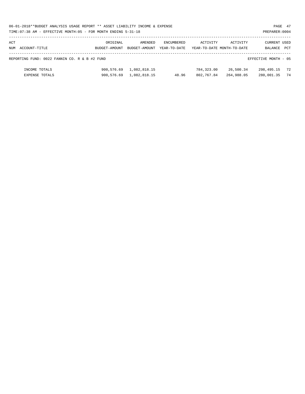|     | 06-01-2018**BUDGET ANALYSIS USAGE REPORT ** ASSET LIABILITY INCOME & EXPENSE |               |               |              |                            |           |                      | PAGE 47    |
|-----|------------------------------------------------------------------------------|---------------|---------------|--------------|----------------------------|-----------|----------------------|------------|
|     | TIME: 07:38 AM - EFFECTIVE MONTH: 05 - FOR MONTH ENDING 5-31-18              |               |               |              |                            |           | PREPARER: 0004       |            |
|     |                                                                              |               |               |              |                            |           |                      |            |
| ACT |                                                                              | ORIGINAL      | AMENDED       | ENCUMBERED   | ACTIVITY                   | ACTIVITY  | <b>CURRENT USED</b>  |            |
|     | NUM ACCOUNT-TITLE                                                            | BUDGET-AMOUNT | BUDGET-AMOUNT | YEAR-TO-DATE | YEAR-TO-DATE MONTH-TO-DATE |           | BALANCE              | <b>PCT</b> |
|     | REPORTING FUND: 0022 FANNIN CO. R & B #2 FUND                                |               |               |              |                            |           | EFFECTIVE MONTH - 05 |            |
|     | INCOME TOTALS                                                                | 900,576.69    | 1,082,818.15  |              | 784,323.00                 | 26,500.34 | 298,495.15 72        |            |

EXPENSE TOTALS 900,576.69 1,082,818.15 48.96 802,767.84 264,988.05 280,001.35 74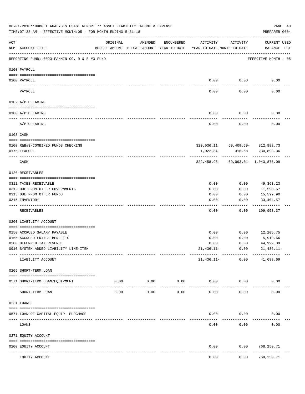|     | 06-01-2018**BUDGET ANALYSIS USAGE REPORT ** ASSET LIABILITY INCOME & EXPENSE<br>TIME: 07:38 AM - EFFECTIVE MONTH: 05 - FOR MONTH ENDING 5-31-18 |                                |         |            |                                                                                 |                                         | PAGE 48<br>PREPARER: 0004          |  |
|-----|-------------------------------------------------------------------------------------------------------------------------------------------------|--------------------------------|---------|------------|---------------------------------------------------------------------------------|-----------------------------------------|------------------------------------|--|
| ACT | NUM ACCOUNT-TITLE                                                                                                                               | ORIGINAL                       | AMENDED | ENCUMBERED | ACTIVITY<br>BUDGET-AMOUNT BUDGET-AMOUNT YEAR-TO-DATE YEAR-TO-DATE MONTH-TO-DATE | ACTIVITY                                | <b>CURRENT USED</b><br>BALANCE PCT |  |
|     | REPORTING FUND: 0023 FANNIN CO. R & B #3 FUND                                                                                                   |                                |         |            |                                                                                 |                                         | EFFECTIVE MONTH - 05               |  |
|     | 0100 PAYROLL                                                                                                                                    |                                |         |            |                                                                                 |                                         |                                    |  |
|     | 0100 PAYROLL                                                                                                                                    |                                |         |            | 0.00                                                                            | 0.00                                    | 0.00                               |  |
|     | PAYROLL                                                                                                                                         |                                |         |            | 0.00                                                                            | 0.00                                    | 0.00                               |  |
|     | 0102 A/P CLEARING                                                                                                                               |                                |         |            |                                                                                 |                                         |                                    |  |
|     | 0100 A/P CLEARING                                                                                                                               |                                |         |            | 0.00                                                                            | 0.00                                    | 0.00                               |  |
|     | A/P CLEARING                                                                                                                                    |                                |         |            | 0.00                                                                            | 0.00                                    | 0.00                               |  |
|     | 0103 CASH                                                                                                                                       |                                |         |            |                                                                                 |                                         |                                    |  |
|     | 0100 R&B#3-COMBINED FUNDS CHECKING                                                                                                              |                                |         |            |                                                                                 | 320,536.11 69,409.59- 812,982.73        |                                    |  |
|     | 0175 TEXPOOL                                                                                                                                    |                                |         |            | 1,922.84                                                                        |                                         | 316.58 230,893.36                  |  |
|     | CASH                                                                                                                                            |                                |         |            |                                                                                 | 322, 458.95 69, 093.01 - 1, 043, 876.09 |                                    |  |
|     | 0120 RECEIVABLES                                                                                                                                |                                |         |            |                                                                                 |                                         |                                    |  |
|     | 0311 TAXES RECEIVABLE                                                                                                                           |                                |         |            | 0.00                                                                            | 0.00                                    | 49,363.23                          |  |
|     | 0312 DUE FROM OTHER GOVERNMENTS                                                                                                                 |                                |         |            | 0.00                                                                            | 0.00                                    | 11,590.67                          |  |
|     | 0313 DUE FROM OTHER FUNDS                                                                                                                       |                                |         |            | 0.00                                                                            | 0.00                                    | 15,599.90                          |  |
|     | 0315 INVENTORY                                                                                                                                  |                                |         |            | 0.00                                                                            | 0.00                                    | 33,404.57<br>.                     |  |
|     | RECEIVABLES                                                                                                                                     |                                |         |            | 0.00                                                                            | 0.00                                    | 109,958.37                         |  |
|     | 0200 LIABILITY ACCOUNT                                                                                                                          |                                |         |            |                                                                                 |                                         |                                    |  |
|     | 0150 ACCRUED SALARY PAYABLE                                                                                                                     |                                |         |            | 0.00                                                                            | 0.00                                    | 12,205.75                          |  |
|     | 0155 ACCRUED FRINGE BENEFITS                                                                                                                    |                                |         |            | 0.00                                                                            | 0.00                                    | 5,919.66                           |  |
|     | 0200 DEFERRED TAX REVENUE                                                                                                                       |                                |         |            | 0.00                                                                            | 0.00                                    | 44,999.39                          |  |
|     | 0910 SYSTEM ADDED LIABILITY LINE-ITEM                                                                                                           |                                |         |            | $21,436.11-$                                                                    | 0.00                                    | $21,436.11-$                       |  |
|     | LIABILITY ACCOUNT                                                                                                                               |                                |         |            | 21,436.11-                                                                      | 0.00                                    | 41,688.69                          |  |
|     | 0205 SHORT-TERM LOAN                                                                                                                            |                                |         |            |                                                                                 |                                         |                                    |  |
|     | 0571 SHORT-TERM LOAN/EQUIPMENT                                                                                                                  | 0.00                           | 0.00    | 0.00       | 0.00                                                                            | 0.00                                    | 0.00                               |  |
|     | SHORT-TERM LOAN                                                                                                                                 | 0.00                           | 0.00    | 0.00       | 0.00                                                                            | 0.00                                    | 0.00                               |  |
|     | 0231 LOANS                                                                                                                                      |                                |         |            |                                                                                 |                                         |                                    |  |
|     |                                                                                                                                                 |                                |         |            | 0.00                                                                            | 0.00                                    |                                    |  |
|     | 0571 LOAN OF CAPITAL EQUIP. PURCHASE                                                                                                            |                                |         |            |                                                                                 |                                         | 0.00                               |  |
|     | LOANS                                                                                                                                           |                                |         |            | 0.00                                                                            | 0.00                                    | 0.00                               |  |
|     | 0271 EQUITY ACCOUNT                                                                                                                             |                                |         |            |                                                                                 |                                         |                                    |  |
|     | 0200 EQUITY ACCOUNT<br>---- ------------                                                                                                        | ---------------- ------------- |         |            | 0.00                                                                            | 0.00                                    | 768,250.71<br>----------           |  |
|     | EQUITY ACCOUNT                                                                                                                                  |                                |         |            | 0.00                                                                            | 0.00                                    | 768,250.71                         |  |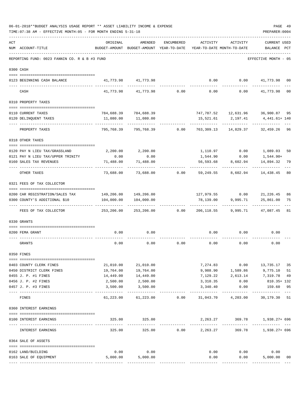| ACT | NUM ACCOUNT-TITLE                             | ORIGINAL                         | AMENDED<br>BUDGET-AMOUNT BUDGET-AMOUNT YEAR-TO-DATE YEAR-TO-DATE MONTH-TO-DATE | ENCUMBERED      | ACTIVITY         | ACTIVITY                      | <b>CURRENT USED</b><br>BALANCE PCT      |                |
|-----|-----------------------------------------------|----------------------------------|--------------------------------------------------------------------------------|-----------------|------------------|-------------------------------|-----------------------------------------|----------------|
|     | REPORTING FUND: 0023 FANNIN CO. R & B #3 FUND |                                  |                                                                                |                 |                  |                               | EFFECTIVE MONTH - 05                    |                |
|     | 0300 CASH                                     |                                  |                                                                                |                 |                  |                               |                                         |                |
|     | 0123 BEGINNING CASH BALANCE                   |                                  | 41,773.98 41,773.98                                                            |                 | 0.00             |                               | $0.00$ $41,773.98$ 00                   |                |
|     | CASH                                          | 41,773.98                        | 41,773.98                                                                      | 0.00            | 0.00             | 0.00                          | 41,773.98                               | 0 <sub>0</sub> |
|     | 0310 PROPERTY TAXES                           |                                  |                                                                                |                 |                  |                               |                                         |                |
|     |                                               |                                  |                                                                                |                 |                  |                               |                                         |                |
|     | 0110 CURRENT TAXES<br>0120 DELINQUENT TAXES   | 11,080.00                        | 784,688.39 784,688.39<br>11,080.00                                             |                 |                  |                               | 747, 787.52  12, 631.96  36, 900.87  95 |                |
|     |                                               |                                  |                                                                                |                 | -----------      | 15,521.61 2,197.41<br>------- | 4,441.61+ 140                           |                |
|     | PROPERTY TAXES                                | 795,768.39                       | 795,768.39                                                                     | 0.00            | 763,309.13       | 14,829.37                     | 32,459.26 96                            |                |
|     | 0318 OTHER TAXES                              |                                  |                                                                                |                 |                  |                               |                                         |                |
|     | 0120 PAY N LIEU TAX/GRASSLAND                 |                                  | 2,200.00 2,200.00                                                              |                 |                  |                               | 1,110.97 0.00 1,089.03                  | 50             |
|     | 0121 PAY N LIEU TAX/UPPER TRINITY             | 0.00                             | 0.00                                                                           |                 | 1,544.90         | 0.00                          | 1,544.90+                               |                |
|     | 0160 SALES TAX REVENUES                       | 71,488.00                        | 71,488.00                                                                      |                 | 56,593.68        | 8,602.94                      | 14,894.32                               | 79             |
|     | OTHER TAXES                                   | 73,688.00                        |                                                                                | 73,688.00 0.00  | 59,249.55        | 8,602.94                      | -----------<br>14,438.45                | 80             |
|     | 0321 FEES OF TAX COLLECTOR                    |                                  |                                                                                |                 |                  |                               |                                         |                |
|     | 0200 CAR REGISTRATION/SALES TAX               |                                  | 149,206.00 149,206.00                                                          |                 |                  |                               | 127,979.55 0.00 21,226.45               | 86             |
|     | 0300 COUNTY'S ADDITIONAL \$10                 |                                  | 104,000.00   104,000.00                                                        |                 |                  |                               | 78,139.00 9,995.71 25,861.00            | 75             |
|     |                                               |                                  |                                                                                |                 |                  | .                             | -----------                             |                |
|     | FEES OF TAX COLLECTOR                         | 253,206.00                       |                                                                                | 253,206.00 0.00 |                  | 206, 118.55 9, 995.71         | 47,087.45                               | 81             |
|     | 0330 GRANTS                                   |                                  |                                                                                |                 |                  |                               |                                         |                |
|     |                                               |                                  |                                                                                |                 |                  |                               |                                         |                |
|     | 0200 FEMA GRANT                               | 0.00                             | 0.00                                                                           |                 | 0.00             | 0.00                          | 0.00                                    |                |
|     | GRANTS                                        | 0.00                             | 0.00                                                                           | 0.00            | 0.00             | 0.00                          | 0.00                                    |                |
|     | 0350 FINES                                    |                                  |                                                                                |                 |                  |                               |                                         |                |
|     | 0403 COUNTY CLERK FINES                       | 21,010.00                        | 21,010.00                                                                      |                 |                  |                               | 7,274.83 0.00 13,735.17                 | 35             |
|     | 0450 DISTRICT CLERK FINES                     | 19,764.00                        | 19,764.00                                                                      |                 |                  |                               | 9,988.90 1,589.86 9,775.10              | 51             |
|     | 0455 J. P. #1 FINES                           | 14,449.00                        | 14,449.00                                                                      |                 | 7,129.22         | 2,613.14                      | 7,319.78                                | 49             |
|     | 0456 J. P. #2 FINES                           | 2,500.00                         | 2,500.00                                                                       |                 | 3,310.35         | 0.00                          | 810.35+ 132                             |                |
|     | 0457 J. P. #3 FINES                           | 3,500.00                         | 3,500.00                                                                       |                 | 3,340.40         | 0.00<br>----------            | 159.60<br>----------                    | 95             |
|     | FINES                                         | 61,223.00                        | 61,223.00                                                                      |                 |                  | $0.00$ $31,043.70$ $4,203.00$ | 30,179.30                               | 51             |
|     | 0360 INTEREST EARNINGS                        |                                  |                                                                                |                 |                  |                               |                                         |                |
|     | 0100 INTEREST EARNINGS                        | 325.00<br>-------- ------------- | 325.00                                                                         |                 | ------------     | -----------                   | 2,263.27 369.78 1,938.27+696            |                |
|     | INTEREST EARNINGS                             | 325.00                           | 325.00                                                                         |                 | $0.00$ 2, 263.27 |                               | 369.78 1,938.27+ 696                    |                |
|     | 0364 SALE OF ASSETS                           |                                  |                                                                                |                 |                  |                               |                                         |                |
|     | 0162 LAND/BUILDING                            | 0.00                             | 0.00                                                                           |                 |                  | $0.00$ $0.00$                 | 0.00                                    |                |
|     | 0163 SALE OF EQUIPMENT                        | 5,000.00                         | 5,000.00                                                                       |                 | 0.00             | 0.00                          | 5,000.00                                | 00             |
|     |                                               |                                  |                                                                                |                 |                  |                               |                                         |                |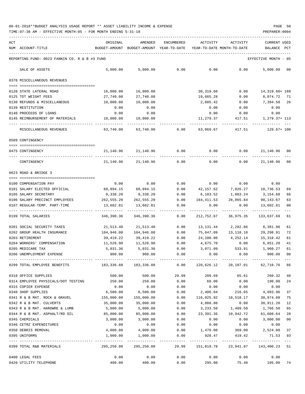| ACT | NUM ACCOUNT-TITLE                                                                                | ORIGINAL<br>BUDGET-AMOUNT BUDGET-AMOUNT YEAR-TO-DATE | AMENDED                 | <b>ENCUMBERED</b> | ACTIVITY<br>YEAR-TO-DATE MONTH-TO-DATE | ACTIVITY             | <b>CURRENT USED</b><br>BALANCE | PCT      |
|-----|--------------------------------------------------------------------------------------------------|------------------------------------------------------|-------------------------|-------------------|----------------------------------------|----------------------|--------------------------------|----------|
|     |                                                                                                  |                                                      |                         |                   |                                        |                      |                                |          |
|     | REPORTING FUND: 0023 FANNIN CO. R & B #3 FUND                                                    |                                                      |                         |                   |                                        |                      | EFFECTIVE MONTH - 05           |          |
|     | SALE OF ASSETS                                                                                   | 5,000.00                                             | 5,000.00                | 0.00              | 0.00                                   | 0.00                 | 5,000.00                       | 00       |
|     | 0370 MISCELLANEOUS REVENUES                                                                      |                                                      |                         |                   |                                        |                      |                                |          |
|     | 0120 STATE LATERAL ROAD                                                                          | 16,000.00                                            | 16,000.00               |                   | 30,319.60                              | 0.00                 | 14,319.60+ 189                 |          |
|     | 0125 TDT WEIGHT FEES                                                                             | 27,740.00                                            | 27,740.00               |                   | 19,665.28                              | 0.00                 | 8,074.72                       | - 71     |
|     | 0130 REFUNDS & MISCELLANEOUS                                                                     | 10,000.00                                            | 10,000.00               |                   | 2,605.42                               | 0.00                 | 7,394.58 26                    |          |
|     | 0139 RESTITUTION                                                                                 | 0.00                                                 | 0.00                    |                   | 0.00                                   | 0.00                 | 0.00                           |          |
|     | 0140 PROCEEDS OF LOANS                                                                           | 0.00                                                 | 0.00                    |                   | 0.00                                   | 0.00                 | 0.00                           |          |
|     | 0145 REIMBURSEMENT OF MATERIALS                                                                  | 10,000.00                                            | 10,000.00               |                   | 11,279.37                              | 417.51               | 1,279.37+ 113                  |          |
|     | MISCELLANEOUS REVENUES                                                                           | 63,740.00                                            | 63,740.00               | 0.00              | 63,869.67                              | 417.51               | 129.67+ 100                    |          |
|     | 0509 CONTINGENCY                                                                                 |                                                      |                         |                   |                                        |                      |                                |          |
|     | 0475 CONTINGENCY                                                                                 |                                                      | 21, 140, 96 21, 140, 96 | 0.00              | 0.00                                   | 0.00                 | 21,140.96 00                   |          |
|     | CONTINGENCY                                                                                      |                                                      | 21, 140, 96 21, 140, 96 | 0.00              | 0.00                                   | 0.00                 | 21,140.96                      | 00       |
|     | 0623 ROAD & BRIDGE 3                                                                             |                                                      |                         |                   |                                        |                      |                                |          |
|     |                                                                                                  |                                                      |                         |                   |                                        |                      |                                |          |
|     | 0100 COMPENSATION PAY<br>0101 SALARY ELECTED OFFICIAL                                            | 0.00                                                 | 0.00                    | 0.00              | 0.00                                   | 0.00<br>7,026.27     | 0.00<br>18,736.53              |          |
|     | 0105 SALARY SECRETARY                                                                            | 60,894.15<br>9,338.20                                | 60,894.15<br>9,338.20   | 0.00<br>0.00      | 42,157.62<br>6,183.52                  | 1,083.24             | 3,154.68                       | 69<br>66 |
|     | 0106 SALARY PRECINCT EMPLOYEES                                                                   | 262,555.20                                           | 262,555.20              | 0.00              | 164,411.53                             | 28,865.84            | 98,143.67                      | 63       |
|     | 0107 REGULAR-TEMP. PART-TIME                                                                     | 13,602.81                                            | 13,602.81               | 0.00              | 0.00                                   | 0.00                 | 13,602.81                      | 00       |
|     | 0199 TOTAL SALARIES                                                                              | 346,390.36                                           | 346,390.36              | $- - - -$<br>0.00 | 212,752.67                             | 36,975.35            | 133,637.69                     | 61       |
|     | 0201 SOCIAL SECURITY TAXES                                                                       | 21,513.40                                            | 21,513.40               | 0.00              | 13,131.44                              | 2,282.86             | 8,381.96                       | 61       |
|     | 0202 GROUP HEALTH INSURANCE                                                                      | 104,946.00                                           | 104,946.00              | 0.00              | 75,647.09                              | 13,118.10            | 29,298.91                      | 72       |
|     | 0203 RETIREMENT                                                                                  | 39,419.22                                            | 39,419.22               | 0.00              | 24,100.80                              | 4,252.14             | 15,318.42                      | 61       |
|     | 0204 WORKERS' COMPENSATION                                                                       | 11,526.90                                            | 11,526.90               | 0.00              | 4,675.70                               | 0.00                 | 6,851.20                       | 41       |
|     | 0205 MEDICARE TAX                                                                                | 5,031.36                                             | 5,031.36                | 0.00              | 3,071.09                               | 533.91               | 1,960.27                       | 61       |
|     | 0206 UNEMPLOYMENT EXPENSE                                                                        | 900.00                                               | 900.00                  | 0.00              | 0.00                                   | 0.00                 | 900.00                         | 00       |
|     | 0299 TOTAL EMPLOYEE BENEFITS 48,336.88 183,336.88 183,336.88 0.00 120,626.12 20,187.01 62,710.76 |                                                      |                         |                   |                                        |                      |                                | 66       |
|     | 0310 OFFICE SUPPLIES                                                                             | 500.00                                               | 500.00                  | 29.99             | 209.69                                 | 65.61                | 260.32                         | 48       |
|     | 0314 EMPLOYEE PHYSICALS/DOT TESTING                                                              | 250.00                                               | 250.00                  | 0.00              | 60.00                                  | 0.00                 | 190.00                         | 24       |
|     | 0315 COPIER EXPENSE                                                                              | 0.00                                                 | 0.00                    | 0.00              | 0.00                                   | 0.00                 | 0.00                           |          |
|     | 0340 SHOP SUPPLIES                                                                               | 6,500.00                                             | 6,500.00                | 0.00              | 2,406.04                               | 216.65               | 4,093.96                       | 37       |
|     | 0341 R & B MAT. ROCK & GRAVEL                                                                    | 155,000.00                                           | 155,000.00              | 0.00              |                                        | 116,025.92 10,518.17 | 38,974.08                      | 75       |
|     | 0342 R & B MAT. CULVERTS                                                                         | 35,000.00                                            | 35,000.00               | 0.00              | 4,088.80                               | 0.00                 | 30,911.20                      | 12       |
|     | 0343 R & B MAT. HARDWRE & LUMB                                                                   | 5,000.00                                             | 5,000.00                | 0.00              | 3,233.50                               | 1,409.50             | 1,766.50                       | 65       |
|     | 0344 R & B MAT. ASPHALT/RD OIL                                                                   | 85,000.00                                            | 85,000.00               | 0.00              | 23,391.36                              | 10,942.72            | 61,608.64                      | 28       |
|     | 0345 CHEMICALS                                                                                   | 3,000.00                                             | 3,000.00                | 0.00              | 0.00                                   | 0.00                 | 3,000.00                       | 00       |
|     | 0346 CETRZ EXPENDITURES                                                                          | 0.00                                                 | 0.00                    | 0.00              | 0.00                                   | 0.00                 | 0.00                           |          |
|     | 0350 DEBRIS REMOVAL                                                                              | 4,000.00                                             | 4,000.00                | 0.00              | 1,476.00                               | 369.00               | 2,524.00 37                    |          |
|     | 0395 UNIFORMS                                                                                    | 1,000.00                                             | 1,000.00                | 0.00              | 928.47                                 | 419.42               | 71.53 93                       |          |
|     | 0399 TOTAL R&B MATERIALS                                                                         | 295,250.00                                           | 295,250.00              | 29.99             | 151,819.78                             | 23,941.07            | 143,400.23 51                  |          |
|     | 0400 LEGAL FEES                                                                                  | 0.00                                                 | 0.00                    | 0.00              | 0.00                                   | 0.00                 | 0.00                           |          |
|     | 0420 UTILITY TELEPHONE                                                                           | 400.00                                               | 400.00                  | 0.00              | 295.00                                 | 75.48                | 105.00                         | 74       |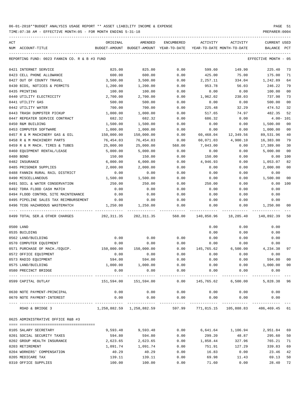TIME:07:38 AM - EFFECTIVE MONTH:05 - FOR MONTH ENDING 5-31-18 PREPARER:0004

| ACT |                                                        | ORIGINAL                    | AMENDED                                     | ENCUMBERED             | ACTIVITY       | ACTIVITY                                               | <b>CURRENT USED</b>          |                |
|-----|--------------------------------------------------------|-----------------------------|---------------------------------------------|------------------------|----------------|--------------------------------------------------------|------------------------------|----------------|
|     | NUM ACCOUNT-TITLE                                      | BUDGET-AMOUNT               | BUDGET-AMOUNT YEAR-TO-DATE                  |                        |                | YEAR-TO-DATE MONTH-TO-DATE                             | BALANCE                      | PCT            |
|     | REPORTING FUND: 0023 FANNIN CO. R & B #3 FUND          |                             |                                             |                        |                |                                                        | EFFECTIVE MONTH - 05         |                |
|     | 0421 INTERNET SERVICE                                  | 825.00                      | 825.00                                      | 0.00                   | 599.60         | 149.90                                                 | 225.40                       | 73             |
|     | 0423 CELL PHONE ALLOWANCE                              | 600.00                      | 600.00                                      | 0.00                   | 425.00         | 75.00                                                  | 175.00                       | 71             |
|     | 0427 OUT OF COUNTY TRAVEL                              | 3,500.00                    | 3,500.00                                    | 0.00                   | 2,257.11       | 334.04                                                 | 1,242.89                     | 64             |
|     | 0430 BIDS, NOTICES & PERMITS                           | 1,200.00                    | 1,200.00                                    | 0.00                   | 953.78         | 56.03                                                  | 246.22                       | 79             |
|     | 0435 PRINTING                                          | 100.00                      | 100.00                                      | 0.00                   | 0.00           | 0.00                                                   | 100.00                       | 0 <sub>0</sub> |
|     | 0440 UTILITY ELECTRICITY                               | 2,700.00                    | 2,700.00                                    | 0.00                   | 1,962.02       | 238.03                                                 | 737.98                       | 73             |
|     | 0441 UTILITY GAS                                       | 500.00                      | 500.00                                      | 0.00                   | 0.00           | 0.00                                                   | 500.00                       | 0 <sub>0</sub> |
|     | 0442 UTILITY WATER                                     | 700.00                      | 700.00                                      | 0.00                   | 225.48         | 32.29                                                  | 474.52                       | 32             |
|     | 0443 TRASH DUMPSTER PICKUP                             | 1,000.00                    | 1,000.00                                    | 0.00                   | 517.65         | 74.97                                                  | 482.35                       | 52             |
|     | 0447 REPEATER SERVICE CONTRACT                         | 682.32                      | 682.32                                      | 0.00                   | 686.32         | 0.00                                                   | $4.00 - 101$                 |                |
|     | 0450 R&M BUILDING                                      | 1,500.00                    | 1,500.00                                    | 0.00                   | 0.00           | 0.00                                                   | 1,500.00                     | 0 <sub>0</sub> |
|     | 0453 COMPUTER SOFTWARE                                 | 1,000.00                    | 1,000.00                                    | 0.00                   | 0.00           | 0.00                                                   | 1,000.00                     | 0 <sub>0</sub> |
|     | 0457 R & M MACHINERY GAS & OIL                         | 150,000.00                  | 150,000.00                                  | 0.00                   | 60,468.04      | 12,349.56                                              | 89,531.96                    | 40             |
|     | 0458 R & M MACHINERY PARTS                             | 76,454.03                   | 76,454.03                                   | 0.00                   | 60,071.03      | 4,900.10                                               | 16,383.00                    | 79             |
|     | 0459 R & M MACH. TIRES & TUBES                         | 25,000.00                   | 25,000.00                                   | 568.00                 | 7,043.00       | 0.00                                                   | 17,389.00                    | 30             |
|     | 0460 EQUIPMENT RENTAL/LEASE                            | 5,000.00                    | 5,000.00                                    | 0.00                   | 0.00           | 0.00                                                   | 5,000.00                     | 0 <sub>0</sub> |
|     | 0480 BOND                                              | 150.00                      | 150.00                                      | 0.00                   | 150.00         | 0.00                                                   | 0.00                         | 100            |
|     | 0482 INSURANCE                                         | 6,000.00                    | 6,000.00                                    | 0.00                   | 4,946.93       | 0.00                                                   | 1,053.07                     | 82             |
|     | 0485 PRISONER SUPPLIES                                 | 2,000.00                    | 2,000.00                                    | 0.00                   | 0.00           | 0.00                                                   | 2,000.00                     | 0 <sub>0</sub> |
|     | 0488 FANNIN RURAL RAIL DISTRICT                        | 0.00                        | 0.00                                        | 0.00                   | 0.00           | 0.00                                                   | 0.00                         |                |
|     | 0490 MISCELLANEOUS                                     | 1,500.00                    | 1,500.00                                    | 0.00                   | 0.00           | 0.00                                                   | 1,500.00                     | 0 <sub>0</sub> |
|     | 0491 SOIL & WATER CONSERVATION                         | 250.00                      | 250.00                                      | 0.00                   | 250.00         | 0.00                                                   | 0.00                         | 100            |
|     | 0492 TDRA FLOOD CASH MATCH                             | 0.00                        | 0.00                                        | 0.00                   | 0.00           | 0.00                                                   | 0.00                         |                |
|     | 0494 FLOOD CONTROL SITE MAINTENANCE                    | 0.00                        | 0.00                                        | 0.00                   | 0.00           | 0.00                                                   | 0.00                         |                |
|     | 0495 PIPELINE SALES TAX REIMBURSEMENT                  | 0.00                        | 0.00                                        | 0.00                   | 0.00           | 0.00                                                   | 0.00                         |                |
|     | 0496 TCOG HAZARDOUS WASTEMATCH                         | 1,250.00                    | 1,250.00                                    | 0.00                   | 0.00           | 0.00                                                   | 1,250.00                     | 00             |
|     | -------------------<br>0499 TOTAL SER. & OTHER CHARGES | 282, 311.35                 | 282, 311.35                                 | 568.00                 | 140,850.96     | 18,285.40                                              | 140,892.39                   | 50             |
|     | 0500 LAND                                              |                             |                                             |                        | 0.00           | 0.00                                                   | 0.00                         |                |
|     | 0535 BUILDING                                          |                             |                                             |                        | 0.00           | 0.00                                                   | 0.00                         |                |
|     | 0562 LAND/BUILDING                                     | 0.00                        | 0.00                                        | 0.00                   | 0.00           | 0.00                                                   | 0.00                         |                |
|     | 0570 COMPUTER EQUIPMENT                                | 0.00                        | 0.00                                        | 0.00                   | 0.00           | 0.00                                                   | 0.00                         |                |
|     | 0571 PURCHASE OF MACH./EQUIP.                          | 150,000.00                  | 150,000.00                                  | 0.00                   | 145,765.62     | 6,500.00                                               | 4,234.38                     | 97             |
|     | 0572 OFFICE EQUIPMENT                                  | 0.00                        | 0.00                                        | 0.00                   | 0.00           | 0.00                                                   | 0.00                         |                |
|     | 0573 RADIO EQUIPMENT                                   | 594.00                      | 594.00                                      | 0.00                   | 0.00           | 0.00                                                   | 594.00                       | 00             |
|     | 0575 LAND/BUILDING                                     |                             | 1,000.00 1,000.00                           | 0.00                   | 0.00           | 0.00                                                   | 1,000.00                     | 0 <sub>0</sub> |
|     | 0580 PRECINCT BRIDGE                                   | 0.00                        | 0.00                                        | 0.00                   | 0.00           | 0.00                                                   | 0.00                         |                |
|     | 0599 CAPITAL OUTLAY                                    | _____________<br>151,594.00 | -----------------------------<br>151,594.00 |                        |                | $0.00$ 145,765.62 6,500.00                             | -------------<br>5,828.38 96 |                |
|     | 0630 NOTE PAYMENT-PRINCIPAL                            | 0.00                        | 0.00                                        | 0.00                   | 0.00           | 0.00                                                   | 0.00                         |                |
|     | 0670 NOTE PAYMENT-INTEREST                             | 0.00                        | 0.00                                        | 0.00                   | 0.00           | 0.00                                                   | 0.00                         |                |
|     | ROAD & BRIDGE 3                                        |                             | 1,258,882.59 1,258,882.59                   | ------------<br>597.99 | -------------- | ------------<br>771,815.15  105,888.83  486,469.45  61 |                              |                |
|     | 0625 ADMINISTRATIVE OFFICE R&B #3                      |                             |                                             |                        |                |                                                        |                              |                |
|     | 0105 SALARY SECRETARY                                  | 9,593.48                    | 9,593.48                                    | 0.00                   |                | 6,641.64 1,106.94                                      | 2,951.84                     | 69             |
|     | 0201 SOCIAL SECURITY TAXES                             | 594.80                      | 594.80                                      | 0.00                   | 299.20         | 48.87                                                  | 295.60                       | 50             |
|     | 0202 GROUP HEALTH INSURANCE                            | 2,623.65                    | 2,623.65                                    | 0.00                   | 1,858.44       | 327.96                                                 | 765.21                       | 71             |
|     | 0203 RETIREMENT                                        | 1,091.74                    | 1,091.74                                    | 0.00                   | 751.91         | 127.29                                                 | 339.83                       | 69             |
|     | 0204 WORKERS' COMPENSATION                             | 40.29                       | 40.29                                       | 0.00                   | 16.83          | 0.00                                                   | 23.46                        | 42             |
|     | 0205 MEDICARE TAX                                      | 139.11                      | 139.11                                      | 0.00                   | 69.98          | 11.43                                                  | 69.13                        | 50             |
|     |                                                        |                             |                                             |                        |                |                                                        |                              |                |

0310 OFFICE SUPPLIES 100.00 100.00 0.00 71.60 0.00 28.40 72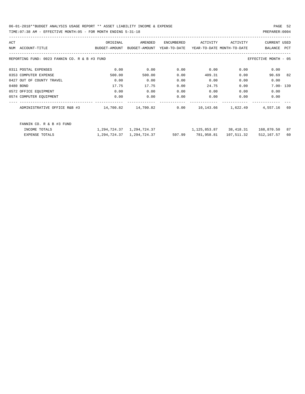06-01-2018\*\*BUDGET ANALYSIS USAGE REPORT \*\* ASSET LIABILITY INCOME & EXPENSE PAGE 52 TIME:07:38 AM - EFFECTIVE MONTH:05 - FOR MONTH ENDING 5-31-18 PREPARER:0004

| ACT                                           | ORIGINAL      | AMENDED       | ENCUMBERED   | ACTIVITY                   | ACTIVITY   | <b>CURRENT USED</b>  |            |
|-----------------------------------------------|---------------|---------------|--------------|----------------------------|------------|----------------------|------------|
| ACCOUNT-TITLE<br>NUM                          | BUDGET-AMOUNT | BUDGET-AMOUNT | YEAR-TO-DATE | YEAR-TO-DATE MONTH-TO-DATE |            | BALANCE              | <b>PCT</b> |
| REPORTING FUND: 0023 FANNIN CO. R & B #3 FUND |               |               |              |                            |            | EFFECTIVE MONTH - 05 |            |
| 0311 POSTAL EXPENSES                          | 0.00          | 0.00          | 0.00         | 0.00                       | 0.00       | 0.00                 |            |
| 0353 COMPUTER EXPENSE                         | 500.00        | 500.00        | 0.00         | 409.31                     | 0.00       | 90.69                | 82         |
| 0427 OUT OF COUNTY TRAVEL                     | 0.00          | 0.00          | 0.00         | 0.00                       | 0.00       | 0.00                 |            |
| 0480 BOND                                     | 17.75         | 17.75         | 0.00         | 24.75                      | 0.00       | $7.00 - 139$         |            |
| 0572 OFFICE EQUIPMENT                         | 0.00          | 0.00          | 0.00         | 0.00                       | 0.00       | 0.00                 |            |
| 0574 COMPUTER EQUIPMENT                       | 0.00          | 0.00          | 0.00         | 0.00                       | 0.00       | 0.00                 |            |
| ADMINISTRATIVE OFFICE R&B #3                  | 14,700.82     | 14,700.82     | 0.00         | 10,143.66                  | 1,622.49   | 4,557.16             | 69         |
| FANNIN CO. R & B #3 FUND                      |               |               |              |                            |            |                      |            |
| INCOME TOTALS                                 | 1,294,724.37  | 1,294,724.37  |              | 1,125,853.87               | 38,418.31  | 168,870.50           | 87         |
| EXPENSE TOTALS                                | 1,294,724.37  | 1,294,724.37  | 597.99       | 781,958.81                 | 107,511.32 | 512,167.57           | 60         |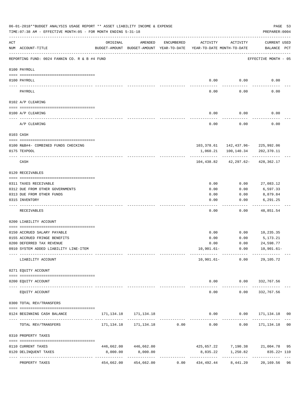|     | 06-01-2018**BUDGET ANALYSIS USAGE REPORT ** ASSET LIABILITY INCOME & EXPENSE<br>TIME: 07:38 AM - EFFECTIVE MONTH: 05 - FOR MONTH ENDING 5-31-18 |            |                                      |                      |                                                                                 |                                   | PREPARER: 0004                                           | PAGE 53        |
|-----|-------------------------------------------------------------------------------------------------------------------------------------------------|------------|--------------------------------------|----------------------|---------------------------------------------------------------------------------|-----------------------------------|----------------------------------------------------------|----------------|
| ACT | NUM ACCOUNT-TITLE                                                                                                                               | ORIGINAL   | AMENDED                              | ENCUMBERED           | ACTIVITY<br>BUDGET-AMOUNT BUDGET-AMOUNT YEAR-TO-DATE YEAR-TO-DATE MONTH-TO-DATE | ACTIVITY                          | <b>CURRENT USED</b><br>BALANCE PCT                       |                |
|     | REPORTING FUND: 0024 FANNIN CO. R & B #4 FUND                                                                                                   |            |                                      |                      |                                                                                 |                                   | EFFECTIVE MONTH - 05                                     |                |
|     | 0100 PAYROLL                                                                                                                                    |            |                                      |                      |                                                                                 |                                   |                                                          |                |
|     | 0100 PAYROLL                                                                                                                                    |            |                                      |                      | 0.00                                                                            | 0.00                              | 0.00                                                     |                |
|     | PAYROLL                                                                                                                                         |            |                                      |                      | 0.00                                                                            | 0.00                              | 0.00                                                     |                |
|     | 0102 A/P CLEARING                                                                                                                               |            |                                      |                      |                                                                                 |                                   |                                                          |                |
|     | 0100 A/P CLEARING                                                                                                                               |            |                                      |                      | 0.00                                                                            | 0.00                              | 0.00                                                     |                |
|     | A/P CLEARING                                                                                                                                    |            |                                      |                      | 0.00                                                                            | 0.00                              | 0.00                                                     |                |
|     | 0103 CASH                                                                                                                                       |            |                                      |                      |                                                                                 |                                   |                                                          |                |
|     |                                                                                                                                                 |            |                                      |                      |                                                                                 |                                   |                                                          |                |
|     | 0100 R&B#4- COMBINED FUNDS CHECKING<br>0175 TEXPOOL                                                                                             |            |                                      |                      | 1,060.21                                                                        | 100,140.34                        | 103, 378.61    142, 437.96-    225, 992.06<br>202,370.11 |                |
|     | CASH                                                                                                                                            |            |                                      |                      | 104,438.82                                                                      |                                   | 42,297.62-428,362.17                                     |                |
|     | 0120 RECEIVABLES                                                                                                                                |            |                                      |                      |                                                                                 |                                   |                                                          |                |
|     |                                                                                                                                                 |            |                                      |                      |                                                                                 |                                   |                                                          |                |
|     | 0311 TAXES RECEIVABLE<br>0312 DUE FROM OTHER GOVERNMENTS                                                                                        |            |                                      |                      | 0.00<br>0.00                                                                    | 0.00<br>0.00                      | 27,083.12<br>6,597.33                                    |                |
|     | 0313 DUE FROM OTHER FUNDS                                                                                                                       |            |                                      |                      | 0.00                                                                            | 0.00                              | 8,879.84                                                 |                |
|     | 0315 INVENTORY                                                                                                                                  |            |                                      |                      | 0.00                                                                            | 0.00                              | 6,291.25                                                 |                |
|     | RECEIVABLES                                                                                                                                     |            |                                      |                      | 0.00                                                                            | 0.00                              | 48,851.54                                                |                |
|     | 0200 LIABILITY ACCOUNT                                                                                                                          |            |                                      |                      |                                                                                 |                                   |                                                          |                |
|     |                                                                                                                                                 |            |                                      |                      |                                                                                 |                                   |                                                          |                |
|     | 0150 ACCRUED SALARY PAYABLE<br>0155 ACCRUED FRINGE BENEFITS                                                                                     |            |                                      |                      | 0.00<br>0.00                                                                    | 0.00<br>0.00                      | 10,235.35<br>5,173.21                                    |                |
|     | 0200 DEFERRED TAX REVENUE                                                                                                                       |            |                                      |                      | 0.00                                                                            | 0.00                              | 24,598.77                                                |                |
|     | 0910 SYSTEM ADDED LIABILITY LINE-ITEM                                                                                                           |            |                                      |                      | 10,901.61-                                                                      |                                   | $0.00 10,901.61-$                                        |                |
|     | LIABILITY ACCOUNT                                                                                                                               |            |                                      |                      |                                                                                 | ------------<br>$10,901.61-$ 0.00 | 29,105.72                                                |                |
|     | 0271 EQUITY ACCOUNT                                                                                                                             |            |                                      |                      |                                                                                 |                                   |                                                          |                |
|     | 0200 EQUITY ACCOUNT                                                                                                                             |            | -------------                        |                      |                                                                                 |                                   | $0.00$ $0.00$ $332,767.56$<br>-------------              |                |
|     | EQUITY ACCOUNT                                                                                                                                  |            |                                      |                      | $- - - - -$<br>0.00                                                             | -----------<br>0.00               | 332,767.56                                               |                |
|     | 0300 TOTAL REV/TRANSFERS                                                                                                                        |            |                                      |                      |                                                                                 |                                   |                                                          |                |
|     | 0124 BEGINNING CASH BALANCE                                                                                                                     |            | 171, 134. 18    171, 134. 18         |                      |                                                                                 |                                   | $0.00$ $0.00$ $171,134.18$ 00                            |                |
|     | TOTAL REV/TRANSFERS                                                                                                                             |            | 171, 134. 18    171, 134. 18    0.00 |                      |                                                                                 |                                   | $0.00$ $0.00$ $171,134.18$                               | 0 <sub>0</sub> |
|     | 0310 PROPERTY TAXES                                                                                                                             |            |                                      |                      |                                                                                 |                                   |                                                          |                |
|     | 0110 CURRENT TAXES                                                                                                                              |            | 446,662.00 446,662.00                |                      |                                                                                 |                                   | 425,657.22 7,190.38 21,004.78 95                         |                |
|     | 0120 DELINQUENT TAXES                                                                                                                           | 8,000.00   | 8,000.00                             |                      |                                                                                 | 8,835.22 1,250.82                 | $835.22 + 110$                                           |                |
|     | PROPERTY TAXES                                                                                                                                  | 454,662.00 | 454,662.00                           | ------------<br>0.00 | 434,492.44                                                                      | 8,441.20                          | ------------------<br>20,169.56 96                       |                |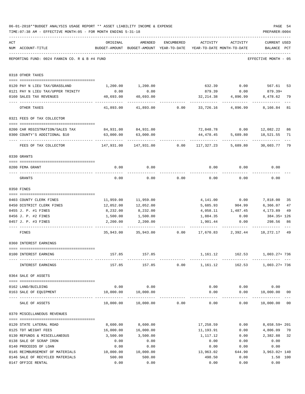|     | 06-01-2018**BUDGET ANALYSIS USAGE REPORT ** ASSET LIABILITY INCOME & EXPENSE<br>TIME: 07:38 AM - EFFECTIVE MONTH: 05 - FOR MONTH ENDING 5-31-18                                                                                                                                                                                                                                                                                                      |                                               |                                                                                |            |                          |                        | PAGE 54<br>PREPARER: 0004                  |                                       |
|-----|------------------------------------------------------------------------------------------------------------------------------------------------------------------------------------------------------------------------------------------------------------------------------------------------------------------------------------------------------------------------------------------------------------------------------------------------------|-----------------------------------------------|--------------------------------------------------------------------------------|------------|--------------------------|------------------------|--------------------------------------------|---------------------------------------|
| ACT | NUM ACCOUNT-TITLE                                                                                                                                                                                                                                                                                                                                                                                                                                    | ORIGINAL                                      | AMENDED<br>BUDGET-AMOUNT BUDGET-AMOUNT YEAR-TO-DATE YEAR-TO-DATE MONTH-TO-DATE | ENCUMBERED | ACTIVITY                 | ACTIVITY               | CURRENT USED<br>BALANCE PCT                |                                       |
|     | REPORTING FUND: 0024 FANNIN CO. R & B #4 FUND                                                                                                                                                                                                                                                                                                                                                                                                        |                                               |                                                                                |            |                          |                        | EFFECTIVE MONTH - 05                       |                                       |
|     | 0318 OTHER TAXES                                                                                                                                                                                                                                                                                                                                                                                                                                     |                                               |                                                                                |            |                          |                        |                                            |                                       |
|     |                                                                                                                                                                                                                                                                                                                                                                                                                                                      |                                               |                                                                                |            |                          |                        |                                            |                                       |
|     | 0120 PAY N LIEU TAX/GRASSLAND<br>0121 PAY N LIEU TAX/UPPER TRINITY                                                                                                                                                                                                                                                                                                                                                                                   | 0.00                                          | 1,200.00 1,200.00<br>0.00                                                      |            |                          | 879.39 0.00            | 632.39 0.00 567.61<br>879.39+              | 53                                    |
|     | 0160 SALES TAX REVENUES                                                                                                                                                                                                                                                                                                                                                                                                                              | 40,693.00                                     | 40,693.00                                                                      |            | 32,214.38                | 4,896.99               | 8,478.62                                   | 79                                    |
|     | OTHER TAXES                                                                                                                                                                                                                                                                                                                                                                                                                                          | .<br>41,893.00                                | 41,893.00                                                                      | 0.00       | -----------<br>33,726.16 | 4,896.99               | 8,166.84                                   | 81                                    |
|     | 0321 FEES OF TAX COLLECTOR                                                                                                                                                                                                                                                                                                                                                                                                                           |                                               |                                                                                |            |                          |                        |                                            |                                       |
|     | 0200 CAR REGISTRATION/SALES TAX                                                                                                                                                                                                                                                                                                                                                                                                                      |                                               | 84,931.00 84,931.00                                                            |            |                          |                        | 72,848.78   0.00   12,082.22               | 86                                    |
|     | 0300 COUNTY'S ADDITIONAL \$10                                                                                                                                                                                                                                                                                                                                                                                                                        | 63,000.00                                     | 63,000.00                                                                      |            | 44,478.45                | 5,689.80               | 18,521.55                                  | 71                                    |
|     | FEES OF TAX COLLECTOR                                                                                                                                                                                                                                                                                                                                                                                                                                | $147,931.00$ $147,931.00$ $0.00$ $117,327.23$ |                                                                                |            |                          | ----------<br>5,689.80 | 30,603.77                                  | 79                                    |
|     | 0330 GRANTS                                                                                                                                                                                                                                                                                                                                                                                                                                          |                                               |                                                                                |            |                          |                        |                                            |                                       |
|     | 0200 FEMA GRANT                                                                                                                                                                                                                                                                                                                                                                                                                                      | 0.00                                          | 0.00                                                                           |            | 0.00                     | 0.00                   | 0.00                                       |                                       |
|     | GRANTS                                                                                                                                                                                                                                                                                                                                                                                                                                               | 0.00                                          | 0.00                                                                           | 0.00       | 0.00                     | 0.00                   | 0.00                                       |                                       |
|     | 0350 FINES                                                                                                                                                                                                                                                                                                                                                                                                                                           |                                               |                                                                                |            |                          |                        |                                            |                                       |
|     | 0403 COUNTY CLERK FINES                                                                                                                                                                                                                                                                                                                                                                                                                              |                                               | 11,959.00 11,959.00                                                            |            |                          | 4, 141.00 0.00         | 7,818.00                                   | 35                                    |
|     | 0450 DISTRICT CLERK FINES                                                                                                                                                                                                                                                                                                                                                                                                                            | 12,052.00                                     | 12,052.00                                                                      |            |                          | 5,685.93 904.99        | 6,366.07                                   | 47                                    |
|     | 0455 J. P. #1 FINES                                                                                                                                                                                                                                                                                                                                                                                                                                  | 8,232.00                                      | 8,232.00                                                                       |            |                          | 4,058.11 1,487.45      | 4,173.89                                   | 49                                    |
|     | 0456 J. P. #2 FINES                                                                                                                                                                                                                                                                                                                                                                                                                                  | 1,500.00                                      | 1,500.00                                                                       |            | 1,884.35                 | 0.00                   | 384.35+ 126                                |                                       |
|     | 0457 J. P. #3 FINES                                                                                                                                                                                                                                                                                                                                                                                                                                  | 2,200.00                                      | 2,200.00                                                                       |            | 1,901.44                 | 0.00                   | 298.56                                     | 86                                    |
|     | FINES                                                                                                                                                                                                                                                                                                                                                                                                                                                |                                               | 35,943.00 35,943.00 0.00 17,670.83 2,392.44 18,272.17                          |            |                          |                        |                                            | 49                                    |
|     | 0360 INTEREST EARNINGS                                                                                                                                                                                                                                                                                                                                                                                                                               |                                               |                                                                                |            |                          |                        |                                            |                                       |
|     | 0100 INTEREST EARNING                                                                                                                                                                                                                                                                                                                                                                                                                                |                                               | 157.85 157.85                                                                  |            |                          |                        |                                            |                                       |
|     | INTEREST EARNINGS                                                                                                                                                                                                                                                                                                                                                                                                                                    |                                               | 157.85                                                                         |            |                          |                        | 157.85 0.00 1,161.12 162.53 1,003.27+736   |                                       |
|     | 0364 SALE OF ASSETS                                                                                                                                                                                                                                                                                                                                                                                                                                  |                                               |                                                                                |            |                          |                        |                                            |                                       |
|     | 0162 LAND/BUILDING                                                                                                                                                                                                                                                                                                                                                                                                                                   |                                               | $0.00$ 0.00                                                                    |            |                          |                        | $0.00$ $0.00$ $0.00$ $0.00$                |                                       |
|     | 0163 SALE OF EQUIPMENT                                                                                                                                                                                                                                                                                                                                                                                                                               |                                               | 10,000.00  10,000.00                                                           |            |                          | ____________           | $0.00$ $0.00$ $10,000.00$<br>------------- | 0 <sub>0</sub><br>$\qquad \qquad - -$ |
|     | SALE OF ASSETS                                                                                                                                                                                                                                                                                                                                                                                                                                       |                                               | 10,000.00  10,000.00  0.00                                                     |            | 0.00                     |                        | $0.00$ 10,000.00 00                        |                                       |
|     | 0370 MISCELLANEOUS REVENUES<br>$\verb c  = \verb c  = \verb c  = \verb c  = \verb c  = \verb c  = \verb c  = \verb c  = \verb c  = \verb c  = \verb c  = \verb c  = \verb c  = \verb c  = \verb c  = \verb c  = \verb c  = \verb c  = \verb c  = \verb c  = \verb c  = \verb c  = \verb c  = \verb c  = \verb c  = \verb c  = \verb c  = \verb c  = \verb c  = \verb c  = \verb c  = \verb c  = \verb c  = \verb c  = \verb c  = \verb c  = \verb c$ |                                               |                                                                                |            |                          |                        |                                            |                                       |
|     | 0120 STATE LATERAL ROAD                                                                                                                                                                                                                                                                                                                                                                                                                              | 8,600.00                                      | 8,600.00                                                                       |            |                          | 17,258.59 0.00         | 8,658.59+ 201                              |                                       |
|     | 0125 TDT WEIGHT FEES                                                                                                                                                                                                                                                                                                                                                                                                                                 | 16,000.00                                     | 16,000.00                                                                      |            | 11,193.91                | 0.00                   | 4,806.09                                   | 70                                    |
|     | 0130 REFUNDS & MISCELLANEOUS                                                                                                                                                                                                                                                                                                                                                                                                                         | 3,500.00                                      | 3,500.00                                                                       |            | 1,117.12                 | 0.00                   | 2,382.88                                   | 32                                    |
|     | 0138 SALE OF SCRAP IRON                                                                                                                                                                                                                                                                                                                                                                                                                              | 0.00                                          | 0.00                                                                           |            | 0.00                     | 0.00                   | 0.00                                       |                                       |
|     | 0140 PROCEEDS OF LOAN                                                                                                                                                                                                                                                                                                                                                                                                                                | 0.00                                          | 0.00                                                                           |            | 0.00                     | 0.00                   | 0.00                                       |                                       |
|     | 0145 REIMBURSEMENT OF MATERIALS 10,000.00                                                                                                                                                                                                                                                                                                                                                                                                            |                                               | 10,000.00                                                                      |            | 13,963.02                | 644.90                 | 3,963.02+ 140                              |                                       |
|     | 0146 SALE OF RECYCLED MATERIALS<br>0147 OFFICE RENTAL                                                                                                                                                                                                                                                                                                                                                                                                | 500.00<br>0.00                                | 500.00<br>0.00                                                                 |            | 498.50<br>0.00           | 0.00<br>0.00           | 1.50 100<br>0.00                           |                                       |
|     |                                                                                                                                                                                                                                                                                                                                                                                                                                                      |                                               |                                                                                |            |                          |                        |                                            |                                       |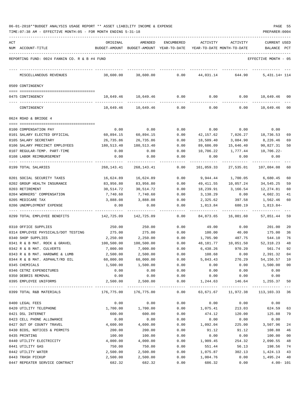| 06-01-2018**BUDGET ANALYSIS USAGE REPORT ** ASSET LIABILITY INCOME & EXPENSE |  |  |  | PAGE |  |
|------------------------------------------------------------------------------|--|--|--|------|--|
|                                                                              |  |  |  |      |  |

TIME:07:38 AM - EFFECTIVE MONTH:05 - FOR MONTH ENDING 5-31-18 PREPARER:0004

| ACT | NUM ACCOUNT-TITLE                                         | ORIGINAL           | AMENDED<br>BUDGET-AMOUNT BUDGET-AMOUNT YEAR-TO-DATE | ENCUMBERED   | ACTIVITY          | ACTIVITY<br>YEAR-TO-DATE MONTH-TO-DATE | CURRENT USED<br>BALANCE PCT |          |
|-----|-----------------------------------------------------------|--------------------|-----------------------------------------------------|--------------|-------------------|----------------------------------------|-----------------------------|----------|
|     |                                                           |                    |                                                     |              |                   |                                        |                             |          |
|     | REPORTING FUND: 0024 FANNIN CO. R & B #4 FUND             |                    |                                                     |              |                   |                                        | EFFECTIVE MONTH - 05        |          |
|     | MISCELLANEOUS REVENUES                                    | 38,600.00          | 38,600.00                                           | 0.00         | 44,031.14         | 644.90                                 | $5,431.14+114$              |          |
|     | 0509 CONTINGENCY                                          |                    |                                                     |              |                   |                                        |                             |          |
|     | 0475 CONTINGENCY                                          |                    | 10,649.46 10,649.46                                 | 0.00         | 0.00              | 0.00                                   | 10,649.46 00                |          |
|     | CONTINGENCY                                               | 10,649.46          | 10,649.46                                           | 0.00         | 0.00              | 0.00                                   | 10,649.46 00                |          |
|     | 0624 ROAD & BRIDGE 4                                      |                    |                                                     |              |                   |                                        |                             |          |
|     |                                                           |                    |                                                     |              |                   |                                        |                             |          |
|     | 0100 COMPENSATION PAY                                     | 0.00               | 0.00                                                | 0.00         | 0.00              | 0.00                                   | 0.00                        |          |
|     | 0101 SALARY ELECTED OFFICIAL                              | 60,894.15          | 60,894.15                                           | 0.00         | 42,157.62         | 7,026.27                               | 18,736.53                   | 69       |
|     | 0105 SALARY SECRETARY                                     | 26,735.86          | 26,735.86                                           | 0.00         | 18,509.40         | 3,084.90                               | 8,226.46                    | 69       |
|     | 0106 SALARY PRECINCT EMPLOYEES                            | 180,513.40         | 180,513.40                                          | 0.00         | 89,686.09         | 15,646.40                              | 90,827.31                   | 50       |
|     | 0107 REGULAR-TEMP. PART-TIME                              | 0.00               | 0.00                                                | 0.00         | 10,706.22         | 1,777.44                               | 10,706.22-                  |          |
|     | 0108 LABOR REIMBURSEMENT                                  | 0.00               | 0.00                                                | 0.00         | 0.00              | 0.00                                   | 0.00                        |          |
|     | 0199 TOTAL SALARIES                                       | 268,143.41         | 268, 143. 41                                        | 0.00         | 161,059.33        | 27,535.01                              | 107,084.08                  | 60       |
|     | 0201 SOCIAL SECURITY TAXES                                | 16,624.89          | 16,624.89                                           | 0.00         | 9,944.44          | 1,700.05                               | 6,680.45                    | 60       |
|     | 0202 GROUP HEALTH INSURANCE                               | 83,956.80          | 83,956.80                                           | 0.00         | 49,411.55         | 10,057.24                              | 34,545.25                   | 59       |
|     | 0203 RETIREMENT                                           | 30,514.72          | 30,514.72                                           | 0.00         | 18,239.91         | 3,166.54                               | 12,274.81                   | 60       |
|     | 0204 WORKERS' COMPENSATION                                | 7,740.60           | 7,740.60                                            | 0.00         | 3,138.29          | 0.00                                   | 4,602.31                    | 41       |
|     | 0205 MEDICARE TAX                                         | 3,888.08           | 3,888.08                                            | 0.00         | 2,325.62          | 397.58                                 | 1,562.46                    | 60       |
|     | 0206 UNEMPLOYMENT EXPENSE                                 | 0.00               | 0.00                                                | 0.00         | 1,813.84          | 680.19                                 | 1,813.84-                   |          |
|     | 0299 TOTAL EMPLOYEE BENEFITS                              | 142,725.09         | 142,725.09                                          | 0.00         | 84,873.65         | 16,001.60                              | 57,851.44                   | 59       |
|     | 0310 OFFICE SUPPLIES                                      | 250.00             | 250.00                                              | 0.00         | 49.00             | 0.00                                   | 201.00                      | 20       |
|     | 0314 EMPLOYEE PHYSICALS/DOT TESTING                       | 275.00             | 275.00                                              | 0.00         | 100.00            | 40.00                                  | 175.00                      | 36       |
|     | 0340 SHOP SUPPLIES                                        | 2,250.00           | 2,250.00                                            | 0.00         | 1,705.90          | 487.75                                 | 544.10                      | 76       |
|     | 0341 R & B MAT. ROCK & GRAVEL                             | 100,500.00         | 100,500.00                                          | 0.00         | 48,181.77         | 10,051.50                              | 52, 318.23                  | 48       |
|     | 0342 R & B MAT. CULVERTS                                  | 7,000.00           | 7,000.00                                            | 0.00         | 6,438.26          | 970.20                                 | 561.74                      | 92       |
|     | 0343 R & B MAT. HARDWRE & LUMB                            | 2,500.00           | 2,500.00                                            | 0.00         | 108.68            | 0.00                                   | 2,391.32                    | 04       |
|     | 0344 R & B MAT. ASPHALT/RD OIL                            | 60,000.00          | 60,000.00                                           | 0.00         | 5,843.43          | 276.29                                 | 54, 156. 57 10              |          |
|     | 0345 CHEMICALS                                            | 1,500.00           | 1,500.00                                            | 0.00         | 0.00              | 0.00                                   | 1,500.00 00                 |          |
|     | 0346 CETRZ EXPENDITURES                                   | 0.00               | 0.00                                                | 0.00         | 0.00              | 0.00                                   | 0.00                        |          |
|     | 0350 DEBRIS REMOVAL<br>0395 EMPLOYEE UNIFORMS             | 0.00<br>2,500.00   | 0.00<br>2,500.00                                    | 0.00<br>0.00 | 0.00<br>1,244.63  | 0.00<br>146.64                         | 0.00<br>1,255.37            | 50       |
|     | 0399 TOTAL R&B MATERIALS                                  | 176,775.00         | -------------- ------------<br>176,775.00           | 0.00         | 63,671.67         | 11,972.38                              | 113, 103. 33 36             |          |
|     |                                                           |                    |                                                     |              |                   |                                        |                             |          |
|     | 0400 LEGAL FEES                                           | 0.00               | 0.00                                                | 0.00         | 0.00              | 0.00                                   | 0.00                        |          |
|     | 0420 UTILITY TELEPHONE                                    | 1,700.00           | 1,700.00                                            | 0.00         | 1,075.41          | 213.03                                 | 624.59                      | 63       |
|     | 0421 DSL INTERNET<br>0423 CELL PHONE ALLOWANCE            | 600.00             | 600.00                                              | 0.00         | 474.12            | 120.00                                 | 125.88                      | 79       |
|     |                                                           | 0.00               | 0.00                                                | 0.00         | 0.00              | 0.00                                   | 0.00                        |          |
|     | 0427 OUT OF COUNTY TRAVEL<br>0430 BIDS, NOTICES & PERMITS | 4,600.00<br>200.00 | 4,600.00<br>200.00                                  | 0.00<br>0.00 | 1,092.04<br>91.12 | 225.00<br>91.12                        | 3,507.96<br>108.88          | 24<br>46 |
|     | 0435 PRINTING                                             | 100.00             | 100.00                                              | 0.00         | 0.00              | 0.00                                   | 100.00                      | 00       |
|     | 0440 UTILITY ELECTRICITY                                  | 4,000.00           | 4,000.00                                            | 0.00         | 1,909.45          | 254.32                                 | 2,090.55                    | 48       |
|     | 0441 UTILITY GAS                                          | 750.00             | 750.00                                              | 0.00         | 551.44            | 56.13                                  | 198.56                      | 74       |
|     | 0442 UTILITY WATER                                        | 2,500.00           | 2,500.00                                            | 0.00         | 1,075.87          | 302.13                                 | 1,424.13                    | 43       |
|     | 0443 TRASH PICKUP                                         | 2,500.00           | 2,500.00                                            | 0.00         | 1,004.76          | 0.00                                   | 1,495.24                    | 40       |
|     |                                                           |                    |                                                     |              |                   |                                        |                             |          |

0447 REPEATER SERVICE CONTRACT 682.32 682.32 0.00 686.32 0.00 4.00- 101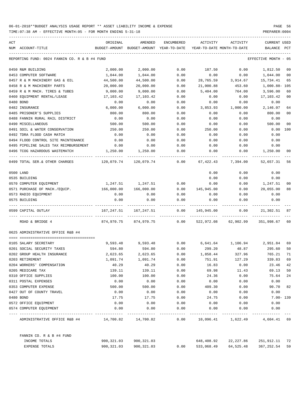| ACT | NUM ACCOUNT-TITLE                             | ORIGINAL   | AMENDED<br>BUDGET-AMOUNT BUDGET-AMOUNT YEAR-TO-DATE | <b>ENCUMBERED</b> | ACTIVITY<br>YEAR-TO-DATE MONTH-TO-DATE | ACTIVITY                       | CURRENT USED<br>BALANCE | PCT            |
|-----|-----------------------------------------------|------------|-----------------------------------------------------|-------------------|----------------------------------------|--------------------------------|-------------------------|----------------|
|     |                                               |            |                                                     |                   |                                        |                                |                         |                |
|     | REPORTING FUND: 0024 FANNIN CO. R & B #4 FUND |            |                                                     |                   |                                        |                                | EFFECTIVE MONTH - 05    |                |
|     | 0450 R&M BUILDING                             | 2,000.00   | 2,000.00                                            | 0.00              | 187.50                                 | 0.00                           | 1,812.50                | 09             |
|     | 0453 COMPUTER SOFTWARE                        | 1,044.00   | 1,044.00                                            | 0.00              | 0.00                                   | 0.00                           | 1,044.00                | 00             |
|     | 0457 R & M MACHINERY GAS & OIL                | 44,500.00  | 44,500.00                                           | 0.00              | 28,765.59                              | 3,914.67                       | 15,734.41               | 65             |
|     | 0458 R & M MACHINERY PARTS                    | 20,000.00  | 20,000.00                                           | 0.00              | 21,000.88                              | 453.60                         | 1,000.88-105            |                |
|     | 0459 R & M MACH. TIRES & TUBES                | 9,000.00   | 9,000.00                                            | 0.00              | 5,404.00                               | 764.00                         | 3,596.00                | 60             |
|     | 0460 EQUIPMENT RENTAL/LEASE                   | 17,103.42  | 17,103.42                                           | 0.00              | 0.00                                   | 0.00                           | 17,103.42               | 0 <sub>0</sub> |
|     | 0480 BOND                                     | 0.00       | 0.00                                                | 0.00              | 0.00                                   | 0.00                           | 0.00                    |                |
|     | 0482 INSURANCE                                | 6,000.00   | 6,000.00                                            | 0.00              | 3,853.93                               | 1,000.00                       | 2,146.07                | 64             |
|     | 0485 PRISONER'S SUPPLIES                      | 800.00     | 800.00                                              | 0.00              | 0.00                                   | 0.00                           | 800.00                  | 0 <sub>0</sub> |
|     | 0488 FANNIN RURAL RAIL DISTRICT               | 0.00       | 0.00                                                | 0.00              | 0.00                                   | 0.00                           | 0.00                    |                |
|     | 0490 MISCELLANEOUS                            | 500.00     | 500.00                                              | 0.00              | 0.00                                   | 0.00                           | 500.00                  | 0 <sup>0</sup> |
|     | 0491 SOIL & WATER CONSERVATION                | 250.00     | 250.00                                              | 0.00              | 250.00                                 | 0.00                           | 0.00                    | 100            |
|     | 0492 TDRA FLOOD CASH MATCH                    | 0.00       | 0.00                                                | 0.00              | 0.00                                   | 0.00                           | 0.00                    |                |
|     | 0494 FLOOD CONTROL SITE MAINTENANCE           | 0.00       | 0.00                                                | 0.00              | 0.00                                   | 0.00                           | 0.00                    |                |
|     | 0495 PIPELINE SALES TAX REIMBURSEMENT         | 0.00       | 0.00                                                | 0.00              | 0.00                                   | 0.00                           | 0.00                    |                |
|     | 0496 TCOG HAZARDOUS WASTEMATCH                | 1,250.00   | 1,250.00                                            | 0.00              | 0.00                                   | 0.00                           | 1,250.00                | 00             |
|     | 0499 TOTAL SER. & OTHER CHARGES               | 120,079.74 | 120,079.74                                          | 0.00              | 67,422.43                              | 7,394.00                       | 52,657.31               | 56             |
|     | 0500 LAND                                     |            |                                                     |                   | 0.00                                   | 0.00                           | 0.00                    |                |
|     | 0535 BUILDING                                 |            |                                                     |                   | 0.00                                   | 0.00                           | 0.00                    |                |
|     | 0570 COMPUTER EQUIPMENT                       |            | 1,247.51 1,247.51                                   | 0.00              | 0.00                                   | 0.00                           | 1,247.51                | 0 <sup>0</sup> |
|     | 0571 PURCHASE OF MACH./EQUIP.                 | 166,000.00 | 166,000.00                                          | 0.00              | 145,945.00                             | 0.00                           | 20,055.00               | 88             |
|     | 0573 RADIO EQUIPMENT                          | 0.00       | 0.00                                                | 0.00              | 0.00                                   | 0.00                           | 0.00                    |                |
|     | 0575 BUILDING                                 | 0.00       | 0.00                                                | 0.00              | 0.00                                   | 0.00                           | 0.00                    |                |
|     | 0599 CAPITAL OUTLAY                           | 167,247.51 | 167,247.51                                          | 0.00              | 145,945.00                             | 0.00                           | 21,302.51               | 87             |
|     | ROAD & BRIDGE 4                               | 874,970.75 | 874,970.75                                          | 0.00              | 522,972.08                             | 62,902.99                      | 351,998.67              | 60             |
|     | 0625 ADMINISTRATIVE OFFICE R&B #4             |            |                                                     |                   |                                        |                                |                         |                |
|     | 0105 SALARY SECRETARY                         | 9,593.48   | 9,593.48                                            | 0.00              |                                        | 6,641.64 1,106.94              | 2,951.84                | 69             |
|     | 0201 SOCIAL SECURITY TAXES                    | 594.80     | 594.80                                              | 0.00              | 299.20                                 | 48.87                          | 295.60                  | 50             |
|     | 0202 GROUP HEALTH INSURANCE                   | 2,623.65   | 2,623.65                                            | 0.00              | 1,858.44                               | 327.96                         | 765.21                  | 71             |
|     | 0203 RETIREMENT                               | 1,091.74   | 1,091.74                                            | 0.00              | 751.91                                 | 127.29                         | 339.83                  | 69             |
|     | 0204 WORKERS' COMPENSATION                    | 40.29      | 40.29                                               | 0.00              | 16.83                                  | 0.00                           | 23.46                   | 42             |
|     | 0205 MEDICARE TAX                             | 139.11     | 139.11                                              | 0.00              | 69.98                                  | 11.43                          | 69.13                   | 50             |
|     | 0310 OFFICE SUPPLIES                          | 100.00     | 100.00                                              | 0.00              | 24.36                                  | 0.00                           | 75.64                   | 24             |
|     | 0311 POSTAL EXPENSES                          | 0.00       | 0.00                                                | 0.00              | 0.00                                   | 0.00                           | 0.00                    |                |
|     | 0353 COMPUTER EXPENSE                         | 500.00     | 500.00                                              | 0.00              | 409.30                                 | 0.00                           | 90.70                   | 82             |
|     | 0427 OUT OF COUNTY TRAVEL                     | 0.00       | 0.00                                                | 0.00              | 0.00                                   | 0.00                           | 0.00                    |                |
|     | 0480 BOND                                     | 17.75      | 17.75                                               | 0.00              | 24.75                                  | 0.00                           | $7.00 - 139$            |                |
|     | 0572 OFFICE EQUIPMENT                         | 0.00       | 0.00                                                | 0.00              | 0.00                                   | 0.00                           | 0.00                    |                |
|     | 0574 COMPUTER EQUIPMENT                       | 0.00       | 0.00                                                | 0.00              | 0.00                                   | 0.00                           | 0.00                    |                |
|     | ADMINISTRATIVE OFFICE R&B #4 14,700.82        |            | 14,700.82                                           | 0.00              |                                        | 10,096.41 1,622.49 4,604.41 69 |                         |                |
|     | FANNIN CO. R & B #4 FUND                      |            |                                                     |                   |                                        |                                |                         |                |
|     | INCOME TOTALS                                 | 900,321.03 | 900,321.03                                          |                   | 648,408.92                             | 22,227.86                      | 251,912.11 72           |                |
|     | EXPENSE TOTALS                                | 900,321.03 | 900, 321.03                                         | 0.00              | 533,068.49                             | 64,525.48                      | 367,252.54              | 59             |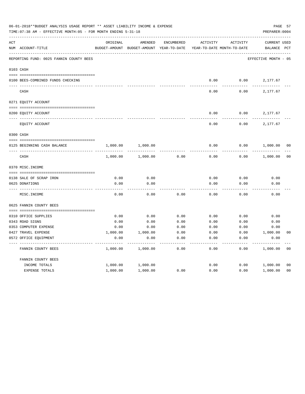|     | 06-01-2018**BUDGET ANALYSIS USAGE REPORT ** ASSET LIABILITY INCOME & EXPENSE<br>TIME: 07:38 AM - EFFECTIVE MONTH: 05 - FOR MONTH ENDING 5-31-18 |               |               |                   |                            |          | PREPARER: 0004       | PAGE 57        |
|-----|-------------------------------------------------------------------------------------------------------------------------------------------------|---------------|---------------|-------------------|----------------------------|----------|----------------------|----------------|
| ACT |                                                                                                                                                 | ORIGINAL      | AMENDED       | <b>ENCUMBERED</b> | ACTIVITY                   | ACTIVITY | <b>CURRENT USED</b>  |                |
|     | NUM ACCOUNT-TITLE                                                                                                                               | BUDGET-AMOUNT | BUDGET-AMOUNT | YEAR-TO-DATE      | YEAR-TO-DATE MONTH-TO-DATE |          | BALANCE              | PCT            |
|     | REPORTING FUND: 0025 FANNIN COUNTY BEES                                                                                                         |               |               |                   |                            |          | EFFECTIVE MONTH - 05 |                |
|     | 0103 CASH                                                                                                                                       |               |               |                   |                            |          |                      |                |
|     | 0100 BEES-COMBINED FUNDS CHECKING                                                                                                               |               |               |                   | 0.00                       | 0.00     | 2,177.67             |                |
|     | CASH                                                                                                                                            |               |               |                   | 0.00                       | 0.00     | 2,177.67             |                |
|     | 0271 EQUITY ACCOUNT                                                                                                                             |               |               |                   |                            |          |                      |                |
|     |                                                                                                                                                 |               |               |                   |                            |          |                      |                |
|     | 0200 EQUITY ACCOUNT                                                                                                                             |               |               |                   | 0.00                       | 0.00     | 2,177.67             |                |
|     | EQUITY ACCOUNT                                                                                                                                  |               |               |                   | 0.00                       | 0.00     | 2,177.67             |                |
|     | 0300 CASH                                                                                                                                       |               |               |                   |                            |          |                      |                |
|     | 0125 BEGINNING CASH BALANCE                                                                                                                     | 1,000.00      | 1,000.00      |                   | 0.00                       | 0.00     | 1,000.00             | 00             |
|     | $\mbox{CASH}$                                                                                                                                   | 1,000.00      | 1,000.00      | 0.00              | 0.00                       | 0.00     | 1,000.00             | 0 <sub>0</sub> |
|     | 0370 MISC. INCOME                                                                                                                               |               |               |                   |                            |          |                      |                |
|     | 0138 SALE OF SCRAP IRON                                                                                                                         | 0.00          | 0.00          |                   | 0.00                       | 0.00     | 0.00                 |                |
|     | 0625 DONATIONS                                                                                                                                  | 0.00          | 0.00          |                   | 0.00                       | 0.00     | 0.00                 |                |
|     | MISC. INCOME                                                                                                                                    | 0.00          | 0.00          | 0.00              | 0.00                       | 0.00     | 0.00                 |                |
|     | 0625 FANNIN COUNTY BEES                                                                                                                         |               |               |                   |                            |          |                      |                |
|     | 0310 OFFICE SUPPLIES                                                                                                                            | 0.00          | 0.00          | 0.00              | 0.00                       | 0.00     | 0.00                 |                |
|     | 0343 ROAD SIGNS                                                                                                                                 | 0.00          | 0.00          | 0.00              | 0.00                       | 0.00     | 0.00                 |                |
|     | 0353 COMPUTER EXPENSE                                                                                                                           | 0.00          | 0.00          | 0.00              | 0.00                       | 0.00     | 0.00                 |                |
|     | 0427 TRAVEL EXPENSE                                                                                                                             | 1,000.00      | 1,000.00      | 0.00              | 0.00                       | 0.00     | 1,000.00             | 0 <sub>0</sub> |
|     | 0572 OFFICE EQUIPMENT                                                                                                                           | 0.00          | 0.00          | 0.00              | 0.00                       | 0.00     | 0.00                 |                |
|     | FANNIN COUNTY BEES                                                                                                                              | 1,000.00      | 1,000.00      | 0.00              | 0.00                       | 0.00     | 1,000.00             | 0 <sub>0</sub> |
|     | FANNIN COUNTY BEES                                                                                                                              |               |               |                   |                            |          |                      |                |
|     | INCOME TOTALS                                                                                                                                   | 1,000.00      | 1,000.00      |                   | 0.00                       | 0.00     | 1,000.00             | 00             |
|     | <b>EXPENSE TOTALS</b>                                                                                                                           | 1,000.00      | 1,000.00      | 0.00              | 0.00                       | 0.00     | 1,000.00             | 0 <sub>0</sub> |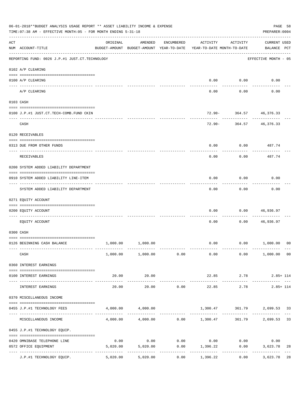|     | 06-01-2018**BUDGET ANALYSIS USAGE REPORT ** ASSET LIABILITY INCOME & EXPENSE<br>TIME: 07:38 AM - EFFECTIVE MONTH: 05 - FOR MONTH ENDING 5-31-18 |          |                                                     |             |                                                                         |                        | PAGE 58<br>PREPARER: 0004          |               |
|-----|-------------------------------------------------------------------------------------------------------------------------------------------------|----------|-----------------------------------------------------|-------------|-------------------------------------------------------------------------|------------------------|------------------------------------|---------------|
| ACT | NUM ACCOUNT-TITLE                                                                                                                               | ORIGINAL | AMENDED<br>BUDGET-AMOUNT BUDGET-AMOUNT YEAR-TO-DATE | ENCUMBERED  | ACTIVITY<br>YEAR-TO-DATE MONTH-TO-DATE                                  | ACTIVITY               | <b>CURRENT USED</b><br>BALANCE PCT |               |
|     | REPORTING FUND: 0026 J.P.#1 JUST.CT.TECHNOLOGY                                                                                                  |          |                                                     |             |                                                                         |                        | EFFECTIVE MONTH - 05               |               |
|     | 0102 A/P CLEARING                                                                                                                               |          |                                                     |             |                                                                         |                        |                                    |               |
|     | 0100 A/P CLEARING                                                                                                                               |          |                                                     |             | 0.00                                                                    | 0.00                   | 0.00                               |               |
|     | ---- --------<br>A/P CLEARING                                                                                                                   |          |                                                     |             | 0.00                                                                    | 0.00                   | 0.00                               |               |
|     | 0103 CASH                                                                                                                                       |          |                                                     |             |                                                                         |                        |                                    |               |
|     | 0100 J.P.#1 JUST.CT.TECH-COMB.FUND CKIN                                                                                                         |          |                                                     |             |                                                                         |                        | 72.90- 364.57 46,376.33            |               |
|     | CASH                                                                                                                                            |          |                                                     |             | 72.90-                                                                  |                        | 364.57 46,376.33                   |               |
|     | 0120 RECEIVABLES                                                                                                                                |          |                                                     |             |                                                                         |                        |                                    |               |
|     | 0313 DUE FROM OTHER FUNDS                                                                                                                       |          |                                                     |             | 0.00                                                                    | 0.00                   | 487.74                             |               |
|     | RECEIVABLES                                                                                                                                     |          |                                                     |             | 0.00                                                                    | 0.00                   | 487.74                             |               |
|     | 0200 SYSTEM ADDED LIABILITY DEPARTMENT                                                                                                          |          |                                                     |             |                                                                         |                        |                                    |               |
|     | 0910 SYSTEM ADDED LIABILITY LINE-ITEM                                                                                                           |          |                                                     |             | 0.00                                                                    | 0.00                   | 0.00                               |               |
|     | SYSTEM ADDED LIABILITY DEPARTMENT                                                                                                               |          |                                                     |             | 0.00                                                                    | 0.00                   | 0.00                               |               |
|     | 0271 EQUITY ACCOUNT                                                                                                                             |          |                                                     |             |                                                                         |                        |                                    |               |
|     | 0200 EQUITY ACCOUNT                                                                                                                             |          |                                                     |             | 0.00                                                                    | 0.00                   | 46,936.97                          |               |
|     | EQUITY ACCOUNT                                                                                                                                  |          |                                                     |             | 0.00                                                                    | 0.00                   | 46,936.97                          |               |
|     | 0300 CASH                                                                                                                                       |          |                                                     |             |                                                                         |                        |                                    |               |
|     | 0126 BEGINNING CASH BALANCE                                                                                                                     | 1,000.00 | 1,000.00                                            |             | 0.00                                                                    |                        | 0.00 1,000.00                      | 00            |
|     | CASH                                                                                                                                            |          | $1,000.00$ $1,000.00$ $0.00$                        |             |                                                                         | $0.00$ 0.00            | 1,000.00 00                        |               |
|     | 0360 INTEREST EARNINGS                                                                                                                          |          |                                                     |             |                                                                         |                        |                                    |               |
|     | 0100 INTEREST EARNINGS                                                                                                                          | 20.00    | 20.00                                               |             |                                                                         | 22.85 2.78             | $2.85 + 114$                       |               |
|     | INTEREST EARNINGS                                                                                                                               | 20.00    | 20.00                                               | 0.00        | ______________<br>22.85                                                 | -------------<br>2.78  | --------------<br>$2.85 + 114$     |               |
|     | 0370 MISCELLANEOUS INCOME                                                                                                                       |          |                                                     |             |                                                                         |                        |                                    |               |
|     | 0455 J.P.#1 TECHNOLOGY FEES                                                                                                                     |          | 4,000.00 4,000.00                                   |             |                                                                         |                        | 1,300.47 361.79 2,699.53 33        |               |
|     | ------------------ -------------<br>MISCELLANEOUS INCOME                                                                                        |          |                                                     |             | ------------- --------------<br>$4,000.00$ $4,000.00$ $0.00$ $1,300.47$ | ------------<br>361.79 | -------------<br>2,699.53          | $- - -$<br>33 |
|     | 0455 J.P.#1 TECHNOLOGY EQUIP.                                                                                                                   |          |                                                     |             |                                                                         |                        |                                    |               |
|     | 0420 OMNIBASE TELEPHONE LINE                                                                                                                    | 0.00     |                                                     |             | $0.00$ $0.00$ $0.00$ $0.00$ $0.00$                                      |                        | 0.00                               |               |
|     | 0572 OFFICE EQUIPMENT                                                                                                                           | 5,020.00 | 5,020.00<br>-------------                           | ----------- | $0.00$ 1,396.22<br>-------------                                        | 0.00<br>------------   | 3,623.78<br>-------------          | 28            |
|     | J.P.#1 TECHNOLOGY EQUIP.                                                                                                                        | 5,020.00 | 5,020.00                                            | 0.00        | 1,396.22                                                                | 0.00                   | 3,623.78                           | 28            |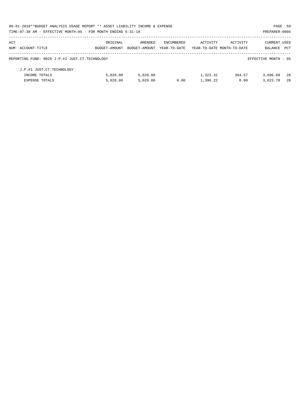| 06-01-2018**BUDGET ANALYSIS USAGE REPORT ** ASSET LIABILITY INCOME & EXPENSE |               |               |              |                            |          | PAGE 59              |     |
|------------------------------------------------------------------------------|---------------|---------------|--------------|----------------------------|----------|----------------------|-----|
| TIME: 07:38 AM - EFFECTIVE MONTH: 05 - FOR MONTH ENDING 5-31-18              |               |               |              |                            |          | PREPARER: 0004       |     |
| ACT                                                                          | ORIGINAL      | AMENDED       | ENCUMBERED   | ACTIVITY                   | ACTIVITY | <b>CURRENT USED</b>  |     |
| NUM ACCOUNT-TITLE                                                            | BUDGET-AMOUNT | BUDGET-AMOUNT | YEAR-TO-DATE | YEAR-TO-DATE MONTH-TO-DATE |          | BALANCE              | PCT |
| REPORTING FUND: 0026 J.P.#1 JUST.CT.TECHNOLOGY                               |               |               |              |                            |          | EFFECTIVE MONTH - 05 |     |
| J.P.#1 JUST.CT.TECHNOLOGY                                                    |               |               |              |                            |          |                      |     |
| INCOME TOTALS                                                                | 5.020.00      | 5.020.00      |              | 1,323.32                   | 364.57   | 3,696.68             | -26 |
| <b>EXPENSE TOTALS</b>                                                        | 5.020.00      | 5.020.00      | 0.00         | 1,396.22                   | 0.00     | 3,623.78             | 2.8 |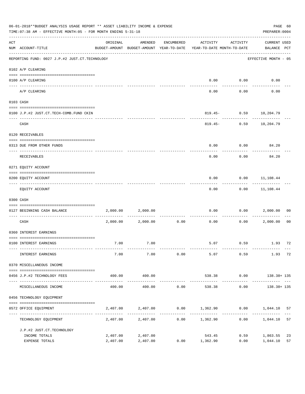|     | 06-01-2018**BUDGET ANALYSIS USAGE REPORT ** ASSET LIABILITY INCOME & EXPENSE<br>TIME: 07:38 AM - EFFECTIVE MONTH: 05 - FOR MONTH ENDING 5-31-18 |          |                              |                                 |                                                                                 |                     | PAGE 60<br>PREPARER: 0004             |                     |
|-----|-------------------------------------------------------------------------------------------------------------------------------------------------|----------|------------------------------|---------------------------------|---------------------------------------------------------------------------------|---------------------|---------------------------------------|---------------------|
| ACT | NUM ACCOUNT-TITLE<br>--------------------------------------                                                                                     | ORIGINAL | AMENDED                      | ENCUMBERED                      | ACTIVITY<br>BUDGET-AMOUNT BUDGET-AMOUNT YEAR-TO-DATE YEAR-TO-DATE MONTH-TO-DATE | ACTIVITY            | <b>CURRENT USED</b><br>BALANCE PCT    |                     |
|     | REPORTING FUND: 0027 J.P.#2 JUST.CT.TECHNOLOGY                                                                                                  |          |                              |                                 |                                                                                 |                     | EFFECTIVE MONTH - 05                  |                     |
|     | 0102 A/P CLEARING                                                                                                                               |          |                              |                                 |                                                                                 |                     |                                       |                     |
|     | 0100 A/P CLEARING<br>---- ----------<br>------------------------- ----------                                                                    |          |                              |                                 | 0.00                                                                            | 0.00                | 0.00                                  |                     |
|     | A/P CLEARING                                                                                                                                    |          |                              |                                 | 0.00                                                                            | 0.00                | 0.00                                  |                     |
|     | 0103 CASH                                                                                                                                       |          |                              |                                 |                                                                                 |                     |                                       |                     |
|     | 0100 J.P.#2 JUST.CT.TECH-COMB.FUND CKIN                                                                                                         |          |                              |                                 |                                                                                 |                     | 819.45- 0.59 10,204.79                |                     |
|     | CASH                                                                                                                                            |          |                              |                                 |                                                                                 | ------------        | -----------<br>819.45- 0.59 10,204.79 |                     |
|     | 0120 RECEIVABLES                                                                                                                                |          |                              |                                 |                                                                                 |                     |                                       |                     |
|     | 0313 DUE FROM OTHER FUNDS                                                                                                                       |          |                              |                                 | 0.00                                                                            |                     | $0.00$ 84.20                          |                     |
|     | RECEIVABLES                                                                                                                                     |          |                              |                                 | 0.00                                                                            | 0.00                | 84.20                                 |                     |
|     | 0271 EQUITY ACCOUNT                                                                                                                             |          |                              |                                 |                                                                                 |                     |                                       |                     |
|     | 0200 EQUITY ACCOUNT                                                                                                                             |          |                              |                                 | 0.00                                                                            |                     | $0.00$ 11,108.44                      |                     |
|     | EQUITY ACCOUNT                                                                                                                                  |          |                              |                                 | 0.00                                                                            | ---------           | -----------<br>$0.00$ $11,108.44$     |                     |
|     | 0300 CASH                                                                                                                                       |          |                              |                                 |                                                                                 |                     |                                       |                     |
|     | 0127 BEGINNING CASH BALANCE                                                                                                                     | 2,000.00 | 2,000.00                     |                                 | 0.00                                                                            | 0.00                | 2,000.00                              | 00                  |
|     | CASH                                                                                                                                            |          | $2,000.00$ $2,000.00$ $0.00$ | ------------------------------- | 0.00                                                                            | ----------          | 0.00 2,000.00                         | 0 <sub>0</sub>      |
|     | 0360 INTEREST EARNINGS                                                                                                                          |          |                              |                                 |                                                                                 |                     |                                       |                     |
|     | 0100 INTEREST EARNINGS                                                                                                                          | 7.00     | 7.00                         |                                 |                                                                                 |                     | 5.07 0.59 1.93 72                     |                     |
|     | INTEREST EARNINGS                                                                                                                               | 7.00     | 7.00                         | 0.00                            | 5.07                                                                            | 0.59                | 1.93                                  | 72                  |
|     | 0370 MISCELLANEOUS INCOME                                                                                                                       |          |                              |                                 |                                                                                 |                     |                                       |                     |
|     | 0456 J.P.#2 TECHNOLOGY FEES                                                                                                                     | 400.00   | 400.00                       |                                 | 538.38                                                                          | 0.00                | 138.38+ 135                           |                     |
|     | MISCELLANEOUS INCOME                                                                                                                            | 400.00   | 400.00                       | 0.00                            | 538.38                                                                          | 0.00                | .<br>$138.38 + 135$                   |                     |
|     | 0456 TECHNOLOGY EQUIPMENT                                                                                                                       |          |                              |                                 |                                                                                 |                     |                                       |                     |
|     | 0572 OFFICE EQUIPMENT                                                                                                                           | 2,407.00 | 2,407.00                     |                                 | $0.00$ 1,362.90                                                                 |                     | $0.00$ 1,044.10                       | 57                  |
|     | TECHNOLOGY EQUIPMENT                                                                                                                            | 2,407.00 | 2,407.00                     | 0.00                            | 1,362.90                                                                        | -----------<br>0.00 | 1,044.10                              | $\frac{1}{2}$<br>57 |
|     | J.P.#2 JUST.CT.TECHNOLOGY                                                                                                                       |          |                              |                                 |                                                                                 |                     |                                       |                     |
|     | INCOME TOTALS                                                                                                                                   | 2,407.00 | 2,407.00                     |                                 | 543.45                                                                          | 0.59                | 1,863.55                              | 23                  |
|     | EXPENSE TOTALS                                                                                                                                  | 2,407.00 | 2,407.00                     | 0.00                            | 1,362.90                                                                        | 0.00                | 1,044.10                              | 57                  |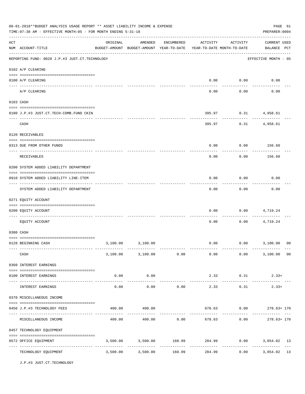|     | 06-01-2018**BUDGET ANALYSIS USAGE REPORT ** ASSET LIABILITY INCOME & EXPENSE<br>TIME: 07:38 AM - EFFECTIVE MONTH: 05 - FOR MONTH ENDING 5-31-18 |          |                                                                                |            |               |                        | PAGE 61<br>PREPARER: 0004                                    |  |
|-----|-------------------------------------------------------------------------------------------------------------------------------------------------|----------|--------------------------------------------------------------------------------|------------|---------------|------------------------|--------------------------------------------------------------|--|
| ACT | NUM ACCOUNT-TITLE                                                                                                                               | ORIGINAL | AMENDED<br>BUDGET-AMOUNT BUDGET-AMOUNT YEAR-TO-DATE YEAR-TO-DATE MONTH-TO-DATE | ENCUMBERED | ACTIVITY      | ACTIVITY               | <b>CURRENT USED</b><br>BALANCE PCT                           |  |
|     | REPORTING FUND: 0028 J.P.#3 JUST.CT.TECHNOLOGY                                                                                                  |          |                                                                                |            |               |                        | EFFECTIVE MONTH - 05                                         |  |
|     | 0102 A/P CLEARING                                                                                                                               |          |                                                                                |            |               |                        |                                                              |  |
|     | 0100 A/P CLEARING                                                                                                                               |          |                                                                                |            | 0.00          | 0.00                   | 0.00                                                         |  |
|     | A/P CLEARING                                                                                                                                    |          |                                                                                |            | 0.00          | 0.00                   | 0.00                                                         |  |
|     | 0103 CASH                                                                                                                                       |          |                                                                                |            |               |                        |                                                              |  |
|     | 0100 J.P.#3 JUST.CT.TECH-COMB.FUND CKIN                                                                                                         |          |                                                                                |            | 395.97        |                        | $0.31$ 4,958.61                                              |  |
|     | CASH                                                                                                                                            |          |                                                                                |            | 395.97        | ----------<br>0.31     | 4,958.61                                                     |  |
|     | 0120 RECEIVABLES                                                                                                                                |          |                                                                                |            |               |                        |                                                              |  |
|     | 0313 DUE FROM OTHER FUNDS                                                                                                                       |          |                                                                                |            | 0.00          |                        | $0.00$ 156.60                                                |  |
|     | RECEIVABLES                                                                                                                                     |          |                                                                                |            | 0.00          | 0.00                   | 156.60                                                       |  |
|     | 0200 SYSTEM ADDED LIABILITY DEPARTMENT                                                                                                          |          |                                                                                |            |               |                        |                                                              |  |
|     | 0910 SYSTEM ADDED LIABILITY LINE-ITEM                                                                                                           |          |                                                                                |            | 0.00          | 0.00                   | 0.00                                                         |  |
|     | SYSTEM ADDED LIABILITY DEPARTMENT                                                                                                               |          |                                                                                |            | 0.00          | 0.00                   | 0.00                                                         |  |
|     | 0271 EQUITY ACCOUNT                                                                                                                             |          |                                                                                |            |               |                        |                                                              |  |
|     | 0200 EQUITY ACCOUNT                                                                                                                             |          |                                                                                |            | 0.00          | 0.00                   | 4,719.24                                                     |  |
|     | EQUITY ACCOUNT                                                                                                                                  |          |                                                                                |            | 0.00          | 0.00                   | 4,719.24                                                     |  |
|     | 0300 CASH                                                                                                                                       |          |                                                                                |            |               |                        |                                                              |  |
|     | 0128 BEGINNING CASH                                                                                                                             | 3,100.00 | 3,100.00                                                                       |            | 0.00          |                        | $0.00$ 3,100.00<br>00                                        |  |
|     | CASH                                                                                                                                            |          |                                                                                |            |               |                        | $3,100.00$ $3,100.00$ $0.00$ $0.00$ $0.00$ $3,100.00$ $0.00$ |  |
|     | 0360 INTEREST EARNINGS                                                                                                                          |          |                                                                                |            |               |                        |                                                              |  |
|     | 0100 INTEREST EARNINGS                                                                                                                          | 0.00     | 0.00                                                                           |            |               | 2.33 0.31              | $2.33+$                                                      |  |
|     | INTEREST EARNINGS                                                                                                                               | 0.00     | 0.00                                                                           | 0.00       | 2.33          | 0.31                   | ----------------------------<br>$2.33+$                      |  |
|     | 0370 MISCELLANEOUS INCOME                                                                                                                       |          |                                                                                |            |               |                        |                                                              |  |
|     | 0456 J.P.#3 TECHNOLOGY FEES                                                                                                                     | 400.00   | 400.00                                                                         |            |               |                        | 678.63 0.00 278.63+170                                       |  |
|     | MISCELLANEOUS INCOME                                                                                                                            |          |                                                                                |            |               | ---------              | $400.00$ $400.00$ $0.00$ $678.63$ $0.00$ $278.63 + 170$      |  |
|     | 0457 TECHNOLOGY EQUIPMENT                                                                                                                       |          |                                                                                |            |               |                        |                                                              |  |
|     | 0572 OFFICE EQUIPMENT                                                                                                                           |          | 3,500.00 3,500.00 160.99 284.99 0.00                                           |            |               |                        | 3,054.02 13                                                  |  |
|     | TECHNOLOGY EQUIPMENT                                                                                                                            |          | 3,500.00 3,500.00 160.99                                                       |            | ------------- | ------------<br>284.99 | -------------<br>13<br>0.00<br>3,054.02                      |  |

J.P.#3 JUST.CT.TECHNOLOGY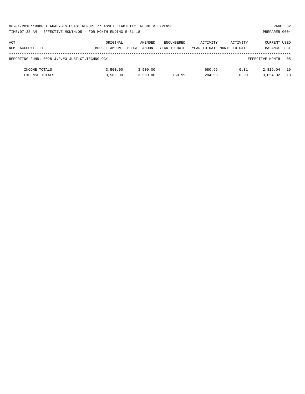|     | 06-01-2018**BUDGET ANALYSIS USAGE REPORT ** ASSET LIABILITY INCOME & EXPENSE<br>PAGE 62 |               |               |                   |                            |          |                      |            |  |  |
|-----|-----------------------------------------------------------------------------------------|---------------|---------------|-------------------|----------------------------|----------|----------------------|------------|--|--|
|     | TIME: 07:38 AM - EFFECTIVE MONTH: 05 - FOR MONTH ENDING 5-31-18<br>PREPARER: 0004       |               |               |                   |                            |          |                      |            |  |  |
|     |                                                                                         |               |               |                   |                            |          |                      |            |  |  |
| ACT |                                                                                         | ORIGINAL      | AMENDED       | <b>ENCUMBERED</b> | ACTIVITY                   | ACTIVITY | CURRENT USED         |            |  |  |
|     | NUM ACCOUNT-TITLE                                                                       | BUDGET-AMOUNT | BUDGET-AMOUNT | YEAR-TO-DATE      | YEAR-TO-DATE MONTH-TO-DATE |          | BALANCE              | <b>PCT</b> |  |  |
|     |                                                                                         |               |               |                   |                            |          |                      |            |  |  |
|     | REPORTING FUND: 0028 J.P.#3 JUST.CT.TECHNOLOGY                                          |               |               |                   |                            |          | EFFECTIVE MONTH - 05 |            |  |  |
|     |                                                                                         |               |               |                   |                            |          |                      |            |  |  |
|     | INCOME TOTALS                                                                           | 3.500.00      | 3,500.00      |                   | 680.96                     | 0.31     | 2,819.04             | 19         |  |  |
|     | <b>EXPENSE TOTALS</b>                                                                   | 3.500.00      | 3.500.00      | 160.99            | 284.99                     | 0.00     | 3,054.02             | 13         |  |  |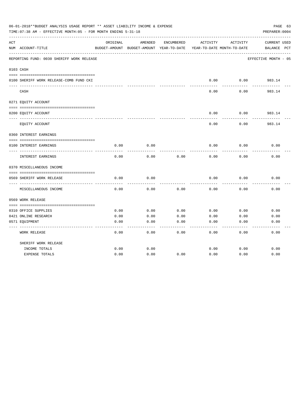|     | 06-01-2018**BUDGET ANALYSIS USAGE REPORT ** ASSET LIABILITY INCOME & EXPENSE<br>TIME:07:38 AM - EFFECTIVE MONTH:05 - FOR MONTH ENDING 5-31-18 |          |                                                     |            |          |                                        | PAGE 63<br>PREPARER: 0004   |
|-----|-----------------------------------------------------------------------------------------------------------------------------------------------|----------|-----------------------------------------------------|------------|----------|----------------------------------------|-----------------------------|
| ACT | NUM ACCOUNT-TITLE                                                                                                                             | ORIGINAL | AMENDED<br>BUDGET-AMOUNT BUDGET-AMOUNT YEAR-TO-DATE | ENCUMBERED | ACTIVITY | ACTIVITY<br>YEAR-TO-DATE MONTH-TO-DATE | CURRENT USED<br>BALANCE PCT |
|     | REPORTING FUND: 0030 SHERIFF WORK RELEASE                                                                                                     |          |                                                     |            |          |                                        | EFFECTIVE MONTH - 05        |
|     | 0103 CASH                                                                                                                                     |          |                                                     |            |          |                                        |                             |
|     | 0100 SHERIFF WORK RELEASE-COMB FUND CKI                                                                                                       |          |                                                     |            | 0.00     | 0.00                                   | 983.14                      |
|     | CASH                                                                                                                                          |          |                                                     |            | 0.00     | 0.00                                   | -------<br>983.14           |
|     | 0271 EQUITY ACCOUNT                                                                                                                           |          |                                                     |            |          |                                        |                             |
|     | 0200 EQUITY ACCOUNT                                                                                                                           |          |                                                     |            | 0.00     | 0.00                                   | 983.14                      |
|     | EQUITY ACCOUNT                                                                                                                                |          |                                                     |            | 0.00     | 0.00                                   | 983.14                      |
|     | 0360 INTEREST EARNINGS                                                                                                                        |          |                                                     |            |          |                                        |                             |
|     | 0100 INTEREST EARNINGS                                                                                                                        | 0.00     | 0.00                                                |            | 0.00     | 0.00                                   | 0.00                        |
|     | INTEREST EARNINGS                                                                                                                             | 0.00     | 0.00                                                | 0.00       | 0.00     | 0.00                                   | 0.00                        |
|     | 0370 MISCELLANEOUS INCOME                                                                                                                     |          |                                                     |            |          |                                        |                             |
|     | 0569 SHERIFF WORK RELEASE                                                                                                                     | 0.00     | 0.00                                                |            | 0.00     | 0.00                                   | 0.00                        |
|     | MISCELLANEOUS INCOME                                                                                                                          | 0.00     | 0.00                                                | 0.00       | 0.00     | 0.00                                   | 0.00                        |
|     | 0569 WORK RELEASE                                                                                                                             |          |                                                     |            |          |                                        |                             |
|     |                                                                                                                                               |          |                                                     |            |          |                                        |                             |
|     | 0310 OFFICE SUPPLIES                                                                                                                          | 0.00     | 0.00                                                | 0.00       | 0.00     | 0.00                                   | 0.00                        |
|     | 0421 ONLINE RESEARCH                                                                                                                          | 0.00     | 0.00                                                | 0.00       | 0.00     | 0.00                                   | 0.00                        |
|     | 0571 EQUIPMENT                                                                                                                                | 0.00     | 0.00                                                | 0.00       | 0.00     | 0.00                                   | 0.00                        |
|     | WORK RELEASE                                                                                                                                  | 0.00     | 0.00                                                | 0.00       | 0.00     | 0.00                                   | 0.00                        |
|     | SHERIFF WORK RELEASE                                                                                                                          |          |                                                     |            |          |                                        |                             |
|     | INCOME TOTALS                                                                                                                                 | 0.00     | 0.00                                                |            | 0.00     | 0.00                                   | 0.00                        |
|     | <b>EXPENSE TOTALS</b>                                                                                                                         | 0.00     | 0.00                                                | 0.00       | 0.00     | 0.00                                   | 0.00                        |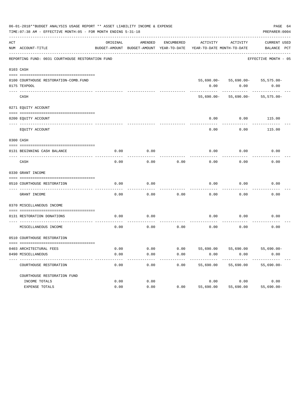|     | 06-01-2018**BUDGET ANALYSIS USAGE REPORT ** ASSET LIABILITY INCOME & EXPENSE<br>TIME: 07:38 AM - EFFECTIVE MONTH: 05 - FOR MONTH ENDING 5-31-18<br>PREPARER: 0004 |          |         |            |                                                                                 |                                          |                                    |  |  |
|-----|-------------------------------------------------------------------------------------------------------------------------------------------------------------------|----------|---------|------------|---------------------------------------------------------------------------------|------------------------------------------|------------------------------------|--|--|
| ACT | NUM ACCOUNT-TITLE                                                                                                                                                 | ORIGINAL | AMENDED | ENCUMBERED | ACTIVITY<br>BUDGET-AMOUNT BUDGET-AMOUNT YEAR-TO-DATE YEAR-TO-DATE MONTH-TO-DATE | ACTIVITY                                 | <b>CURRENT USED</b><br>BALANCE PCT |  |  |
|     | REPORTING FUND: 0031 COURTHOUSE RESTORATION FUND                                                                                                                  |          |         |            |                                                                                 |                                          | EFFECTIVE MONTH - 05               |  |  |
|     | 0103 CASH                                                                                                                                                         |          |         |            |                                                                                 |                                          |                                    |  |  |
|     | 0100 COURTHOUSE RESTORATION-COMB. FUND<br>0175 TEXPOOL                                                                                                            |          |         |            | 0.00                                                                            | 55,690.00- 55,690.00- 55,575.00-<br>0.00 | 0.00                               |  |  |
|     | CASH                                                                                                                                                              |          |         |            |                                                                                 | $55,690.00 - 55,690.00 - 55,575.00 -$    |                                    |  |  |
|     | 0271 EQUITY ACCOUNT                                                                                                                                               |          |         |            |                                                                                 |                                          |                                    |  |  |
|     | 0200 EQUITY ACCOUNT                                                                                                                                               |          |         |            | 0.00                                                                            | 0.00                                     | 115.00                             |  |  |
|     | EQUITY ACCOUNT                                                                                                                                                    |          |         |            | 0.00                                                                            | 0.00                                     | 115.00                             |  |  |
|     | 0300 CASH                                                                                                                                                         |          |         |            |                                                                                 |                                          |                                    |  |  |
|     | 0131 BEGINNING CASH BALANCE                                                                                                                                       | 0.00     | 0.00    |            | 0.00                                                                            | 0.00                                     | 0.00                               |  |  |
|     | CASH                                                                                                                                                              | 0.00     | 0.00    | 0.00       | 0.00                                                                            | 0.00                                     | 0.00                               |  |  |
|     | 0330 GRANT INCOME                                                                                                                                                 |          |         |            |                                                                                 |                                          |                                    |  |  |
|     | 0510 COURTHOUSE RESTORATION                                                                                                                                       | 0.00     | 0.00    |            | 0.00                                                                            | 0.00                                     | 0.00                               |  |  |
|     | GRANT INCOME                                                                                                                                                      | 0.00     | 0.00    | 0.00       | 0.00                                                                            | 0.00                                     | 0.00                               |  |  |
|     | 0370 MISCELLANEOUS INCOME                                                                                                                                         |          |         |            |                                                                                 |                                          |                                    |  |  |
|     | 0131 RESTORATION DONATIONS                                                                                                                                        | 0.00     | 0.00    |            | 0.00                                                                            | 0.00                                     | 0.00                               |  |  |
|     | MISCELLANEOUS INCOME                                                                                                                                              | 0.00     | 0.00    | 0.00       | 0.00                                                                            | 0.00                                     | 0.00                               |  |  |
|     | 0510 COURTHOUSE RESTORATION                                                                                                                                       |          |         |            |                                                                                 |                                          |                                    |  |  |
|     | 0403 ARCHITECTURAL FEES                                                                                                                                           | 0.00     | 0.00    | 0.00       | 55,690.00                                                                       | 55,690.00                                | $55,690.00 -$                      |  |  |
|     | 0490 MISCELLANEOUS                                                                                                                                                | 0.00     | 0.00    | 0.00       | 0.00                                                                            | 0.00                                     | 0.00                               |  |  |
|     | COURTHOUSE RESTORATION                                                                                                                                            | 0.00     | 0.00    | 0.00       | 55,690.00                                                                       | 55,690.00                                | $55,690.00 -$                      |  |  |
|     | COURTHOUSE RESTORATION FUND                                                                                                                                       |          |         |            |                                                                                 |                                          |                                    |  |  |
|     | INCOME TOTALS                                                                                                                                                     | 0.00     | 0.00    |            | 0.00                                                                            | 0.00                                     | 0.00                               |  |  |
|     | EXPENSE TOTALS                                                                                                                                                    | 0.00     | 0.00    | 0.00       | 55,690.00                                                                       | 55,690.00                                | $55,690.00 -$                      |  |  |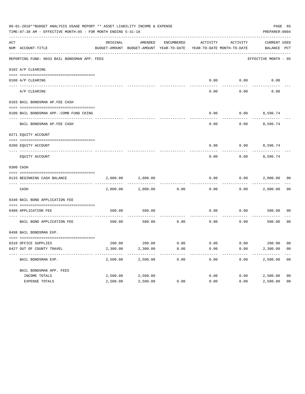|     | 06-01-2018**BUDGET ANALYSIS USAGE REPORT ** ASSET LIABILITY INCOME & EXPENSE<br>TIME: 07:38 AM - EFFECTIVE MONTH: 05 - FOR MONTH ENDING 5-31-18 |          |                                                     |            |                                        |          | PAGE 65<br>PREPARER: 0004   |                |
|-----|-------------------------------------------------------------------------------------------------------------------------------------------------|----------|-----------------------------------------------------|------------|----------------------------------------|----------|-----------------------------|----------------|
| ACT | NUM ACCOUNT-TITLE                                                                                                                               | ORIGINAL | AMENDED<br>BUDGET-AMOUNT BUDGET-AMOUNT YEAR-TO-DATE | ENCUMBERED | ACTIVITY<br>YEAR-TO-DATE MONTH-TO-DATE | ACTIVITY | CURRENT USED<br>BALANCE PCT |                |
|     | REPORTING FUND: 0033 BAIL BONDSMAN APP. FEES                                                                                                    |          |                                                     |            |                                        |          | EFFECTIVE MONTH - 05        |                |
|     | 0102 A/P CLEARING                                                                                                                               |          |                                                     |            |                                        |          |                             |                |
|     | 0100 A/P CLEARING                                                                                                                               |          |                                                     |            | 0.00                                   | 0.00     | 0.00                        |                |
|     | ---- --------<br>A/P CLEARING                                                                                                                   |          |                                                     |            | 0.00                                   | 0.00     | 0.00                        |                |
|     | 0103 BAIL BONDSMAN AP.FEE CASH                                                                                                                  |          |                                                     |            |                                        |          |                             |                |
|     | 0100 BAIL BONDSMAN APP.-COMB FUND CKING                                                                                                         |          |                                                     |            | 0.00                                   | 0.00     | 8,596.74                    |                |
|     | BAIL BONDSMAN AP.FEE CASH                                                                                                                       |          |                                                     |            | 0.00                                   | 0.00     | 8,596.74                    |                |
|     | 0271 EQUITY ACCOUNT                                                                                                                             |          |                                                     |            |                                        |          |                             |                |
|     | 0200 EQUITY ACCOUNT                                                                                                                             |          |                                                     |            | 0.00                                   |          | $0.00$ 8,596.74             |                |
|     | EQUITY ACCOUNT                                                                                                                                  |          |                                                     |            | 0.00                                   | 0.00     | 8,596.74                    |                |
|     | 0300 CASH                                                                                                                                       |          |                                                     |            |                                        |          |                             |                |
|     | 0133 BEGINNING CASH BALANCE                                                                                                                     | 2,000.00 | 2,000.00                                            |            | 0.00                                   | 0.00     | 2,000.00 00                 |                |
|     | CASH                                                                                                                                            | 2,000.00 | 2,000.00                                            | 0.00       | 0.00                                   | 0.00     | 2,000.00                    | 00             |
|     | 0340 BAIL BOND APPLICATION FEE                                                                                                                  |          |                                                     |            |                                        |          |                             |                |
|     | 0480 APPLICATION FEE                                                                                                                            | 500.00   | 500.00                                              |            | 0.00                                   | 0.00     | 500.00                      | 00             |
|     | BAIL BOND APPLICATION FEE                                                                                                                       | 500.00   | 500.00                                              | 0.00       | 0.00                                   | 0.00     | 500.00                      | 0 <sub>0</sub> |
|     | 0498 BAIL BONDSMAN EXP.                                                                                                                         |          |                                                     |            |                                        |          |                             |                |
|     | 0310 OFFICE SUPPLIES                                                                                                                            |          | 200.00 200.00 0.00                                  |            | $0.00$ $0.00$ $200.00$ $00$            |          |                             |                |
|     | 0427 OUT OF COUNTY TRAVEL                                                                                                                       | 2,300.00 | 2,300.00                                            | 0.00       | 0.00                                   | 0.00     | 2,300.00 00                 |                |
|     | BAIL BONDSMAN EXP.                                                                                                                              | 2,500.00 | 2,500.00                                            | 0.00       | 0.00                                   | 0.00     | 2,500.00                    | 0 <sub>0</sub> |
|     | BAIL BONDSMAN APP. FEES                                                                                                                         |          |                                                     |            |                                        |          |                             |                |
|     | INCOME TOTALS                                                                                                                                   | 2,500.00 | 2,500.00                                            |            | 0.00                                   | 0.00     | 2,500.00                    | 0 <sub>0</sub> |
|     | EXPENSE TOTALS                                                                                                                                  | 2,500.00 | 2,500.00                                            | 0.00       | 0.00                                   | 0.00     | 2,500.00                    | 0 <sub>0</sub> |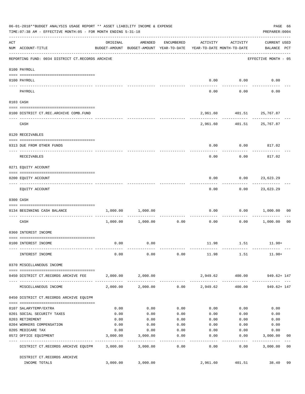|     | 06-01-2018**BUDGET ANALYSIS USAGE REPORT ** ASSET LIABILITY INCOME & EXPENSE<br>TIME: 07:38 AM - EFFECTIVE MONTH: 05 - FOR MONTH ENDING 5-31-18                                                                                                                                                                                                                                                                                                      |          |                                                                                |                   |                 |                             | PAGE 66<br>PREPARER: 0004                 |
|-----|------------------------------------------------------------------------------------------------------------------------------------------------------------------------------------------------------------------------------------------------------------------------------------------------------------------------------------------------------------------------------------------------------------------------------------------------------|----------|--------------------------------------------------------------------------------|-------------------|-----------------|-----------------------------|-------------------------------------------|
| ACT | NUM ACCOUNT-TITLE                                                                                                                                                                                                                                                                                                                                                                                                                                    | ORIGINAL | AMENDED<br>BUDGET-AMOUNT BUDGET-AMOUNT YEAR-TO-DATE YEAR-TO-DATE MONTH-TO-DATE | ENCUMBERED        | ACTIVITY        | ACTIVITY                    | <b>CURRENT USED</b><br>BALANCE PCT        |
|     | REPORTING FUND: 0034 DISTRICT CT.RECORDS ARCHIVE                                                                                                                                                                                                                                                                                                                                                                                                     |          |                                                                                |                   |                 |                             | EFFECTIVE MONTH - 05                      |
|     | 0100 PAYROLL                                                                                                                                                                                                                                                                                                                                                                                                                                         |          |                                                                                |                   |                 |                             |                                           |
|     |                                                                                                                                                                                                                                                                                                                                                                                                                                                      |          |                                                                                |                   |                 |                             |                                           |
|     | 0100 PAYROLL<br>--------------------------- --------<br>---- -------                                                                                                                                                                                                                                                                                                                                                                                 |          |                                                                                |                   |                 | $0.00$ $0.00$               | 0.00                                      |
|     | PAYROLL                                                                                                                                                                                                                                                                                                                                                                                                                                              |          |                                                                                |                   | 0.00            | 0.00                        | 0.00                                      |
|     | 0103 CASH                                                                                                                                                                                                                                                                                                                                                                                                                                            |          |                                                                                |                   |                 |                             |                                           |
|     | 0100 DISTRICT CT.REC.ARCHIVE COMB.FUND                                                                                                                                                                                                                                                                                                                                                                                                               |          |                                                                                |                   |                 | 2,961.60  401.51  25,767.87 |                                           |
|     | CASH                                                                                                                                                                                                                                                                                                                                                                                                                                                 |          |                                                                                |                   |                 | 2,961.60  401.51  25,767.87 | ------------- -------------               |
|     | 0120 RECEIVABLES                                                                                                                                                                                                                                                                                                                                                                                                                                     |          |                                                                                |                   |                 |                             |                                           |
|     | 0313 DUE FROM OTHER FUNDS                                                                                                                                                                                                                                                                                                                                                                                                                            |          |                                                                                |                   | 0.00            | $0.00$ 817.02               |                                           |
|     | RECEIVABLES                                                                                                                                                                                                                                                                                                                                                                                                                                          |          |                                                                                |                   | 0.00            | 0.00                        | 817.02                                    |
|     | 0271 EQUITY ACCOUNT                                                                                                                                                                                                                                                                                                                                                                                                                                  |          |                                                                                |                   |                 |                             |                                           |
|     | 0200 EQUITY ACCOUNT                                                                                                                                                                                                                                                                                                                                                                                                                                  |          |                                                                                |                   | 0.00            | $0.00$ 23,623.29            |                                           |
|     | EQUITY ACCOUNT                                                                                                                                                                                                                                                                                                                                                                                                                                       |          |                                                                                |                   | 0.00            | ---------                   | ------------<br>$0.00$ 23,623.29          |
|     | 0300 CASH                                                                                                                                                                                                                                                                                                                                                                                                                                            |          |                                                                                |                   |                 |                             |                                           |
|     | $\verb c  = \verb c  = \verb c  = \verb c  = \verb c  = \verb c  = \verb c  = \verb c  = \verb c  = \verb c  = \verb c  = \verb c  = \verb c  = \verb c  = \verb c  = \verb c  = \verb c  = \verb c  = \verb c  = \verb c  = \verb c  = \verb c  = \verb c  = \verb c  = \verb c  = \verb c  = \verb c  = \verb c  = \verb c  = \verb c  = \verb c  = \verb c  = \verb c  = \verb c  = \verb c  = \verb c  = \verb c$<br>0134 BEGINNING CASH BALANCE | 1,000.00 | 1,000.00                                                                       |                   | 0.00            |                             | 0.00 1,000.00<br>00                       |
|     | ----------------------------- -----<br>CASH                                                                                                                                                                                                                                                                                                                                                                                                          |          | 1,000.00 1,000.00                                                              | 0.00              | 0.00            |                             | $0.00$ 1,000.00<br>0 <sub>0</sub>         |
|     | 0360 INTEREST INCOME                                                                                                                                                                                                                                                                                                                                                                                                                                 |          |                                                                                |                   |                 |                             |                                           |
|     |                                                                                                                                                                                                                                                                                                                                                                                                                                                      |          |                                                                                |                   |                 |                             |                                           |
|     | 0100 INTEREST INCOME                                                                                                                                                                                                                                                                                                                                                                                                                                 | 0.00     | 0.00                                                                           |                   |                 | 11.98 1.51                  | $11.98+$                                  |
|     | INTEREST INCOME                                                                                                                                                                                                                                                                                                                                                                                                                                      | 0.00     | 0.00                                                                           |                   |                 | $0.00$ 11.98 1.51           | $11.98+$                                  |
|     | 0370 MISCELLANEOUS INCOME                                                                                                                                                                                                                                                                                                                                                                                                                            |          |                                                                                |                   |                 |                             |                                           |
|     | 0450 DISTRICT CT.RECORDS ARCHIVE FEE                                                                                                                                                                                                                                                                                                                                                                                                                 |          | 2,000.00 2,000.00                                                              |                   |                 | 2,949.62 400.00             | 949.62+ 147                               |
|     | MISCELLANEOUS INCOME                                                                                                                                                                                                                                                                                                                                                                                                                                 |          | 2,000.00 2,000.00                                                              |                   | $0.00$ 2,949.62 | 400.00                      | 949.62+ 147                               |
|     | 0450 DISTRICT CT.RECORDS ARCHIVE EQUIPM                                                                                                                                                                                                                                                                                                                                                                                                              |          |                                                                                |                   |                 |                             |                                           |
|     | 0107 SALARYTEMP/EXTRA                                                                                                                                                                                                                                                                                                                                                                                                                                | 0.00     | 0.00                                                                           | 0.00              | 0.00            | 0.00                        | 0.00                                      |
|     | 0201 SOCIAL SECURITY TAXES                                                                                                                                                                                                                                                                                                                                                                                                                           | 0.00     | 0.00                                                                           | 0.00              | 0.00            | 0.00                        | 0.00                                      |
|     | 0203 RETIREMENT                                                                                                                                                                                                                                                                                                                                                                                                                                      | 0.00     | 0.00                                                                           | 0.00              | 0.00            | 0.00                        | 0.00                                      |
|     | 0204 WORKERS COMPENSATION                                                                                                                                                                                                                                                                                                                                                                                                                            | 0.00     | 0.00                                                                           | 0.00              | 0.00            | 0.00                        | 0.00                                      |
|     | 0205 MEDICARE TAX                                                                                                                                                                                                                                                                                                                                                                                                                                    | 0.00     | 0.00                                                                           | 0.00              | 0.00            | 0.00                        | 0.00                                      |
|     | 0572 OFFICE EQUIPMENT<br>-------------------- -----------                                                                                                                                                                                                                                                                                                                                                                                            | 3,000.00 | 3,000.00<br>-----------                                                        | 0.00<br>--------- | 0.00<br>------  | 0.00<br>---------           | 3,000.00<br>00<br>. _ _ _ _ _ _ _ _ _ _ _ |
|     | DISTRICT CT.RECORDS ARCHIVE EQUIPM                                                                                                                                                                                                                                                                                                                                                                                                                   |          | 3,000.00 3,000.00                                                              | 0.00              | 0.00            | 0.00                        | 3,000.00<br>0 <sub>0</sub>                |
|     | DISTRICT CT.RECORDS ARCHIVE                                                                                                                                                                                                                                                                                                                                                                                                                          |          |                                                                                |                   |                 |                             |                                           |
|     | INCOME TOTALS                                                                                                                                                                                                                                                                                                                                                                                                                                        | 3,000.00 | 3,000.00                                                                       |                   | 2,961.60        | 401.51                      | 38.40<br>99                               |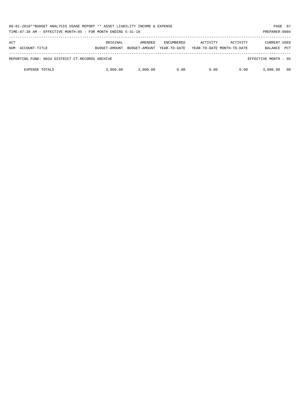| 06-01-2018**BUDGET ANALYSIS USAGE REPORT ** ASSET LIABILITY INCOME & EXPENSE<br>TIME: 07:38 AM - EFFECTIVE MONTH: 05 - FOR MONTH ENDING 5-31-18<br>PREPARER: 0004 |                           |                          |                                   |          |                                        |                                       |            |  |
|-------------------------------------------------------------------------------------------------------------------------------------------------------------------|---------------------------|--------------------------|-----------------------------------|----------|----------------------------------------|---------------------------------------|------------|--|
| ACT<br>ACCOUNT-TITLE<br>NUM                                                                                                                                       | ORIGINAL<br>BUDGET-AMOUNT | AMENDED<br>BUDGET-AMOUNT | <b>ENCUMBERED</b><br>YEAR-TO-DATE | ACTIVITY | ACTIVITY<br>YEAR-TO-DATE MONTH-TO-DATE | <b>CURRENT USED</b><br><b>BALANCE</b> | <b>PCT</b> |  |
| REPORTING FUND: 0034 DISTRICT CT.RECORDS ARCHIVE                                                                                                                  |                           |                          |                                   |          |                                        | EFFECTIVE MONTH - 05                  |            |  |
| <b>EXPENSE TOTALS</b>                                                                                                                                             | 3,000,00                  | 3,000.00                 | 0.00                              | 0.00     | 0.00                                   | 3,000,00                              | 00         |  |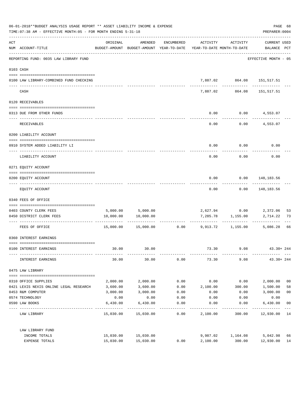|     | 06-01-2018**BUDGET ANALYSIS USAGE REPORT ** ASSET LIABILITY INCOME & EXPENSE<br>TIME: 07:38 AM - EFFECTIVE MONTH: 05 - FOR MONTH ENDING 5-31-18 |           |                                                                                |                             |          |                                                      | PREPARER: 0004                            | PAGE 68        |
|-----|-------------------------------------------------------------------------------------------------------------------------------------------------|-----------|--------------------------------------------------------------------------------|-----------------------------|----------|------------------------------------------------------|-------------------------------------------|----------------|
| ACT | NUM ACCOUNT-TITLE                                                                                                                               | ORIGINAL  | AMENDED<br>BUDGET-AMOUNT BUDGET-AMOUNT YEAR-TO-DATE YEAR-TO-DATE MONTH-TO-DATE | ENCUMBERED                  | ACTIVITY | ACTIVITY                                             | <b>CURRENT USED</b><br>BALANCE PCT        |                |
|     | REPORTING FUND: 0035 LAW LIBRARY FUND                                                                                                           |           |                                                                                |                             |          |                                                      | -----------------<br>EFFECTIVE MONTH - 05 |                |
|     | 0103 CASH                                                                                                                                       |           |                                                                                |                             |          |                                                      |                                           |                |
|     | 0100 LAW LIBRARY-COMBINED FUND CHECKING                                                                                                         |           |                                                                                |                             |          | 7,887.02 864.08 151,517.51                           |                                           |                |
|     | CASH                                                                                                                                            |           |                                                                                |                             |          | --------- ----------- -----------<br>7,887.02 864.08 | 151,517.51                                |                |
|     | 0120 RECEIVABLES                                                                                                                                |           |                                                                                |                             |          |                                                      |                                           |                |
|     | 0313 DUE FROM OTHER FUNDS                                                                                                                       |           |                                                                                |                             | 0.00     | $0.00$ $4,553.07$                                    |                                           |                |
|     | RECEIVABLES                                                                                                                                     |           |                                                                                |                             | 0.00     | ----------                                           | $0.00$ 4,553.07                           |                |
|     | 0200 LIABILITY ACCOUNT                                                                                                                          |           |                                                                                |                             |          |                                                      |                                           |                |
|     | 0910 SYSTEM ADDED LIABILITY LI                                                                                                                  |           |                                                                                |                             | 0.00     | 0.00                                                 | 0.00                                      |                |
|     | LIABILITY ACCOUNT                                                                                                                               |           |                                                                                |                             | 0.00     | 0.00                                                 | 0.00                                      |                |
|     | 0271 EQUITY ACCOUNT                                                                                                                             |           |                                                                                |                             |          |                                                      |                                           |                |
|     | 0200 EQUITY ACCOUNT                                                                                                                             |           |                                                                                |                             | 0.00     | $0.00$ 148,183.56                                    |                                           |                |
|     | EQUITY ACCOUNT                                                                                                                                  |           |                                                                                |                             | 0.00     | ---------<br>$0.00$ 148, 183.56                      | -----------                               |                |
|     | 0340 FEES OF OFFICE                                                                                                                             |           |                                                                                |                             |          |                                                      |                                           |                |
|     |                                                                                                                                                 |           |                                                                                |                             |          |                                                      |                                           | 53             |
|     | 0403 COUNTY CLERK FEES<br>0450 DISTRICT CLERK FEES                                                                                              |           | 5,000.00 5,000.00<br>10,000.00 10,000.00                                       |                             |          | 2,627.94 0.00 2,372.06<br>7,285.78 1,155.00          | 2,714.22                                  | 73             |
|     |                                                                                                                                                 |           |                                                                                | -------------- ------------ |          |                                                      |                                           |                |
|     | FEES OF OFFICE                                                                                                                                  |           |                                                                                |                             |          | $15,000.00$ $15,000.00$ $0.00$ $9,913.72$ $1,155.00$ | 5,086.28                                  | 66             |
|     | 0360 INTEREST EARNINGS                                                                                                                          |           |                                                                                |                             |          |                                                      |                                           |                |
|     | 0100 INTEREST EARNINGS                                                                                                                          | 30.00     | 30.00                                                                          |                             | 73.30    | 9.08                                                 | $43.30 + 244$                             |                |
|     | INTEREST EARNINGS                                                                                                                               | 30.00     | 30.00                                                                          | 0.00                        | 73.30    | 9.08                                                 | 43.30+ 244                                |                |
|     | 0475 LAW LIBRARY                                                                                                                                |           |                                                                                |                             |          |                                                      |                                           |                |
|     | 0310 OFFICE SUPPLIES                                                                                                                            | 2,000.00  | 2,000.00                                                                       | 0.00                        | 0.00     | 0.00                                                 | 2,000.00                                  | 0 <sub>0</sub> |
|     | 0421 LEXIS NEXIS ONLINE LEGAL RESEARCH                                                                                                          | 3,600.00  | 3,600.00                                                                       | 0.00                        | 2,100.00 | 300.00                                               | 1,500.00                                  | 58             |
|     | 0453 R&M COMPUTER                                                                                                                               | 3,000.00  | 3,000.00                                                                       | 0.00                        | 0.00     | 0.00                                                 | 3,000.00                                  | 0 <sub>0</sub> |
|     | 0574 TECHNOLOGY                                                                                                                                 | 0.00      | 0.00                                                                           | 0.00                        | 0.00     | 0.00                                                 | 0.00                                      |                |
|     | 0590 LAW BOOKS                                                                                                                                  | 6,430.00  | 6,430.00                                                                       | 0.00                        | 0.00     | 0.00                                                 | 6,430.00                                  | 0 <sub>0</sub> |
|     | LAW LIBRARY                                                                                                                                     |           | 15,030.00 15,030.00                                                            | 0.00                        | 2,100.00 | 300.00                                               | 12,930.00 14                              |                |
|     | LAW LIBRARY FUND                                                                                                                                |           |                                                                                |                             |          |                                                      |                                           |                |
|     | INCOME TOTALS                                                                                                                                   | 15,030.00 | 15,030.00                                                                      |                             | 9,987.02 | 1,164.08                                             | 5,042.98                                  | 66             |
|     | EXPENSE TOTALS                                                                                                                                  | 15,030.00 | 15,030.00                                                                      | 0.00                        | 2,100.00 | 300.00                                               | 12,930.00                                 | 14             |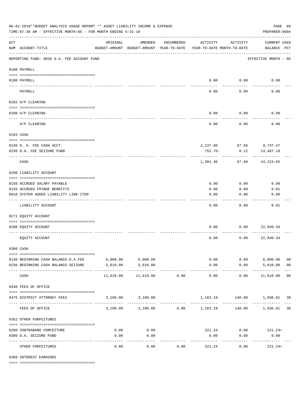|                                                                                                           | ACTIVITY              |                                        |                                    |                |
|-----------------------------------------------------------------------------------------------------------|-----------------------|----------------------------------------|------------------------------------|----------------|
| ACT<br>ORIGINAL<br>AMENDED<br>ENCUMBERED<br>NUM ACCOUNT-TITLE<br>BUDGET-AMOUNT BUDGET-AMOUNT YEAR-TO-DATE |                       | ACTIVITY<br>YEAR-TO-DATE MONTH-TO-DATE | <b>CURRENT USED</b><br>BALANCE PCT |                |
| REPORTING FUND: 0036 D.A. FEE ACCOUNT FUND                                                                |                       |                                        | EFFECTIVE MONTH - 05               |                |
| 0100 PAYROLL                                                                                              |                       |                                        |                                    |                |
| 0100 PAYROLL                                                                                              |                       | $0.00$ 0.00                            | 0.00                               |                |
| ---- ---<br>PAYROLL                                                                                       | 0.00                  | 0.00                                   | 0.00                               |                |
| 0102 A/P CLEARING                                                                                         |                       |                                        |                                    |                |
| 0100 A/P CLEARING                                                                                         | 0.00                  | 0.00                                   | 0.00                               |                |
| A/P CLEARING                                                                                              | 0.00                  | 0.00                                   | 0.00                               |                |
|                                                                                                           |                       |                                        |                                    |                |
| 0103 CASH                                                                                                 |                       |                                        |                                    |                |
| 0136 D. A. FEE CASH ACCT.                                                                                 |                       |                                        | 2,137.06 67.56 9,737.47            |                |
| 0236 D.A. FEE SEIZURE FUND                                                                                | 752.76-               | 0.12                                   | 14,487.18                          |                |
| CASH                                                                                                      | 1,384.30              | 67.68                                  | 24,224.65                          |                |
| 0200 LIABILITY ACCOUNT                                                                                    |                       |                                        |                                    |                |
|                                                                                                           |                       |                                        |                                    |                |
| 0150 ACCRUED SALARY PAYABLE                                                                               | 0.00                  | 0.00                                   | 0.00                               |                |
| 0155 ACCRUED FRINGE BENEFITS<br>0910 SYSTEM ADDED LIABILITY LINE-ITEM                                     | 0.00<br>0.00          | 0.00<br>0.00                           | 0.01<br>0.00                       |                |
|                                                                                                           |                       |                                        |                                    |                |
| LIABILITY ACCOUNT                                                                                         | 0.00                  | 0.00                                   | 0.01                               |                |
| 0271 EQUITY ACCOUNT                                                                                       |                       |                                        |                                    |                |
| 0200 EQUITY ACCOUNT                                                                                       | 0.00                  | 0.00                                   | 22,840.34                          |                |
|                                                                                                           |                       |                                        |                                    |                |
| EQUITY ACCOUNT                                                                                            | 0.00                  | 0.00                                   | 22,840.34                          |                |
| 0300 CASH                                                                                                 |                       |                                        |                                    |                |
| 0136 BEGINNING CASH BALANCE-D.A.FEE 6,000.00 6,000.00                                                     |                       | 0.00                                   | $0.00$ 6,000.00                    | 0 <sub>0</sub> |
| 5,610.00<br>5,610.00<br>0236 BEGINNING CASH BALANCE-SEIZURE                                               | 0.00                  |                                        | $0.00$ 5,610.00                    | 0 <sub>0</sub> |
| CASH<br>11,610.00<br>11,610.00<br>0.00                                                                    | -------------<br>0.00 | -----------<br>0.00                    | -------------<br>11,610.00 00      |                |
| 0340 FEES OF OFFICE                                                                                       |                       |                                        |                                    |                |
| 3,100.00 3,100.00<br>0475 DISTRICT ATTORNEY FEES                                                          |                       |                                        | 1,163.19 140.00 1,936.81 38        |                |
| 3,100.00 3,100.00 0.00 1,163.19<br>FEES OF OFFICE                                                         |                       |                                        | 140.00 1,936.81 38                 |                |
| 0352 OTHER FORFEITURES                                                                                    |                       |                                        |                                    |                |
| 0.00<br>0.00<br>0200 CONTRABAND FORFEITURE                                                                |                       |                                        | $221.24$ 0.00 221.24+              |                |
| 0.00<br>0300 D.A. SEIZURE FUND<br>0.00                                                                    | 0.00                  | 0.00                                   | 0.00                               |                |
| ----------<br>0.00<br>0.00<br>OTHER FORFEITURES<br>0.00                                                   | 221.24                | 0.00                                   | -----------<br>$221.24+$           |                |

0360 INTEREST EARNINGS

==== ===================================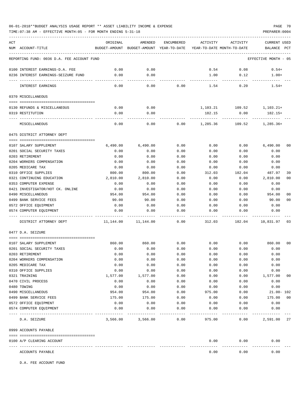TIME:07:38 AM - EFFECTIVE MONTH:05 - FOR MONTH ENDING 5-31-18 PREPARER:0004

| ACT | NUM ACCOUNT-TITLE                               | ORIGINAL     | AMENDED<br>BUDGET-AMOUNT BUDGET-AMOUNT YEAR-TO-DATE YEAR-TO-DATE MONTH-TO-DATE | <b>ENCUMBERED</b> | ACTIVITY     | ACTIVITY     | <b>CURRENT USED</b><br>BALANCE PCT |                |
|-----|-------------------------------------------------|--------------|--------------------------------------------------------------------------------|-------------------|--------------|--------------|------------------------------------|----------------|
|     | REPORTING FUND: 0036 D.A. FEE ACCOUNT FUND      |              |                                                                                |                   |              |              | EFFECTIVE MONTH - 05               |                |
|     |                                                 |              |                                                                                |                   |              |              |                                    |                |
|     | 0100 INTEREST EARNINGS-D.A. FEE                 | 0.00         | 0.00                                                                           |                   | 0.54         | 0.08         | $0.54+$                            |                |
|     | 0236 INTEREST EARNINGS-SEIZURE FUND             | 0.00         | 0.00                                                                           |                   | 1.00         | 0.12         | $1.00+$                            |                |
|     | INTEREST EARNINGS                               | 0.00         | ----<br>0.00                                                                   | 0.00              | 1.54         | 0.20         | $1.54+$                            |                |
|     | 0370 MISCELLANEOUS                              |              |                                                                                |                   |              |              |                                    |                |
|     | 0130 REFUNDS & MISCELLANEOUS                    | 0.00         | 0.00                                                                           |                   | 1,103.21     | 109.52       | $1,103.21+$                        |                |
|     | 0319 RESTITUTION                                | 0.00         | 0.00                                                                           |                   | 182.15       | 0.00         | 182.15+                            |                |
|     | MISCELLANEOUS                                   | 0.00         | 0.00                                                                           | 0.00              | 1,285.36     | 109.52       | $1,285.36+$                        |                |
|     | 0475 DISTRICT ATTORNEY DEPT                     |              |                                                                                |                   |              |              |                                    |                |
|     |                                                 |              |                                                                                |                   |              |              |                                    |                |
|     | 0107 SALARY SUPPLEMENT                          | 6,490.00     | 6,490.00                                                                       | 0.00              | 0.00         | 0.00         | 6.490.00                           | 0 <sub>0</sub> |
|     | 0201 SOCIAL SECURITY TAXES                      | 0.00         | 0.00                                                                           | 0.00              | 0.00         | 0.00         | 0.00                               |                |
|     | 0203 RETIREMENT<br>0204 WORKERS COMPENSATION    | 0.00<br>0.00 | 0.00<br>0.00                                                                   | 0.00<br>0.00      | 0.00         | 0.00         | 0.00<br>0.00                       |                |
|     | 0205 MEDICARE TAX                               | 0.00         | 0.00                                                                           | 0.00              | 0.00<br>0.00 | 0.00<br>0.00 | 0.00                               |                |
|     | 0310 OFFICE SUPPLIES                            | 800.00       | 800.00                                                                         | 0.00              | 312.03       | 182.04       | 487.97                             | 39             |
|     | 0321 CONTINUING EDUCATION                       | 2,810.00     | 2,810.00                                                                       | 0.00              | 0.00         | 0.00         | 2,810.00                           | 0 <sub>0</sub> |
|     | 0353 COMPUTER EXPENSE                           | 0.00         | 0.00                                                                           | 0.00              | 0.00         | 0.00         | 0.00                               |                |
|     | 0421 INVESTIGATOR/HOT CK. ONLINE                | 0.00         | 0.00                                                                           | 0.00              | 0.00         | 0.00         | 0.00                               |                |
|     | 0490 MISCELLANEOUS                              | 954.00       | 954.00                                                                         | 0.00              | 0.00         | 0.00         | 954.00                             | 0 <sub>0</sub> |
|     | 0499 BANK SERVICE FEES                          | 90.00        | 90.00                                                                          | 0.00              | 0.00         | 0.00         | 90.00                              | 0 <sub>0</sub> |
|     | 0572 OFFICE EQUIPMENT                           | 0.00         | 0.00                                                                           | 0.00              | 0.00         | 0.00         | 0.00                               |                |
|     | 0574 COMPUTER EQUIPMENT                         | 0.00         | 0.00                                                                           | 0.00              | 0.00         | 0.00         | 0.00                               |                |
|     | DISTRICT ATTORNEY DEPT                          | 11,144.00    | 11,144.00                                                                      | 0.00              | 312.03       | 182.04       | 10,831.97                          | 03             |
|     | 0477 D.A. SEIZURE                               |              |                                                                                |                   |              |              |                                    |                |
|     | 0107 SALARY SUPPLEMENT                          | 860.00       | 860.00                                                                         | 0.00              | 0.00         | 0.00         | 860.00                             | 0 <sub>0</sub> |
|     | 0201 SOCIAL SECURITY TAXES                      | 0.00         | 0.00                                                                           | 0.00              | 0.00         | 0.00         | 0.00                               |                |
|     | 0203 RETIREMENT                                 | 0.00         | 0.00                                                                           | 0.00              | 0.00         | 0.00         | 0.00                               |                |
|     | 0204 WORKERS COMPENSATION                       | 0.00         | 0.00                                                                           | 0.00              | 0.00         | 0.00         | 0.00                               |                |
|     | 0205 MEDICARE TAX                               | 0.00         | 0.00                                                                           | 0.00              | 0.00         | 0.00         | 0.00                               |                |
|     | 0310 OFFICE SUPPLIES                            | 0.00         | 0.00                                                                           | 0.00              | 0.00         | 0.00         | 0.00                               |                |
|     | 0321 TRAINING                                   | 1,577.00     | 1,577.00                                                                       | 0.00              | 0.00         | 0.00         | 1,577.00                           | 00             |
|     | 0470 CIVIL PROCESS                              | 0.00         | 0.00                                                                           | 0.00              | 0.00         | 0.00         | 0.00                               |                |
|     | 0480 TOWING                                     | 0.00         | 0.00                                                                           | 0.00              | 0.00         | 0.00         | 0.00                               |                |
|     | 0490 MISCELLANEOUS                              | 954.00       | 954.00                                                                         | 0.00              | 975.00       | 0.00         | $21.00 - 102$                      |                |
|     | 0499 BANK SERVICE FEES                          | 175.00       | 175.00                                                                         | 0.00              | 0.00         | 0.00         | 175.00                             | 0 <sub>0</sub> |
|     | 0572 OFFICE EQUIPMENT                           | 0.00         | 0.00                                                                           | 0.00              | 0.00         | 0.00         | 0.00                               |                |
|     | 0574 COMPUTER EQUIPMENT<br>--------------- ---- | 0.00         | 0.00                                                                           | 0.00              | 0.00         | 0.00         | 0.00                               |                |
|     | D.A. SEIZURE                                    | 3,566.00     | 3,566.00                                                                       | 0.00              | 975.00       | 0.00         | 2,591.00                           | 27             |
|     | 0999 ACCOUNTS PAYABLE                           |              |                                                                                |                   |              |              |                                    |                |
|     | 0100 A/P CLEARING ACCOUNT                       |              |                                                                                |                   | 0.00         | 0.00         | 0.00                               |                |
|     | ACCOUNTS PAYABLE                                |              |                                                                                |                   | 0.00         | 0.00         | 0.00                               |                |

D.A. FEE ACCOUNT FUND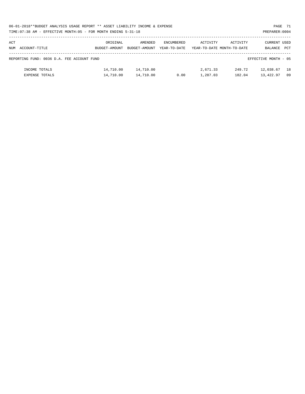| 06-01-2018**BUDGET ANALYSIS USAGE REPORT ** ASSET LIABILITY INCOME & EXPENSE | PAGE 71        |
|------------------------------------------------------------------------------|----------------|
| TIME: 07:38 AM - EFFECTIVE MONTH: 05 - FOR MONTH ENDING 5-31-18              | PREPARER: 0004 |

| ACT<br>NUM | ACCOUNT-TITLE                              | ORIGINAL<br>BUDGET-AMOUNT | AMENDED<br>BUDGET-AMOUNT | ENCUMBERED<br>YEAR-TO-DATE | ACTIVITY             | ACTIVITY<br>YEAR-TO-DATE MONTH-TO-DATE | <b>CURRENT USED</b><br>BALANCE | PCT      |
|------------|--------------------------------------------|---------------------------|--------------------------|----------------------------|----------------------|----------------------------------------|--------------------------------|----------|
|            | REPORTING FUND: 0036 D.A. FEE ACCOUNT FUND |                           |                          |                            |                      |                                        | EFFECTIVE MONTH - 05           |          |
|            | INCOME TOTALS<br><b>EXPENSE TOTALS</b>     | 14,710.00<br>14,710.00    | 14,710.00<br>14,710.00   | 0.00                       | 2,671.33<br>1,287.03 | 249.72<br>182.04                       | 12,038.67<br>13,422.97         | 18<br>09 |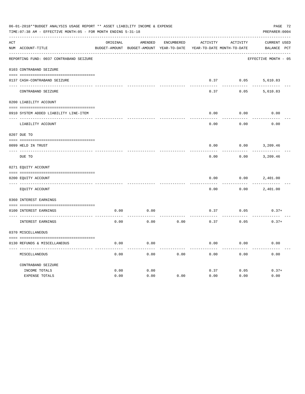|     | 06-01-2018**BUDGET ANALYSIS USAGE REPORT ** ASSET LIABILITY INCOME & EXPENSE<br>TIME: 07:38 AM - EFFECTIVE MONTH: 05 - FOR MONTH ENDING 5-31-18 |          |                                                     |            |          |                                        |                                    |  |  |  |
|-----|-------------------------------------------------------------------------------------------------------------------------------------------------|----------|-----------------------------------------------------|------------|----------|----------------------------------------|------------------------------------|--|--|--|
| ACT | NUM ACCOUNT-TITLE                                                                                                                               | ORIGINAL | AMENDED<br>BUDGET-AMOUNT BUDGET-AMOUNT YEAR-TO-DATE | ENCUMBERED | ACTIVITY | ACTIVITY<br>YEAR-TO-DATE MONTH-TO-DATE | <b>CURRENT USED</b><br>BALANCE PCT |  |  |  |
|     | REPORTING FUND: 0037 CONTRABAND SEIZURE                                                                                                         |          |                                                     |            |          |                                        | EFFECTIVE MONTH - 05               |  |  |  |
|     | 0103 CONTRABAND SEIZURE                                                                                                                         |          |                                                     |            |          |                                        |                                    |  |  |  |
|     | 0137 CASH-CONTRABAND SEIZURE                                                                                                                    |          |                                                     |            | 0.37     | 0.05                                   | 5,610.83                           |  |  |  |
|     | CONTRABAND SEIZURE                                                                                                                              |          |                                                     |            | 0.37     | 0.05                                   | 5,610.83                           |  |  |  |
|     | 0200 LIABILITY ACCOUNT                                                                                                                          |          |                                                     |            |          |                                        |                                    |  |  |  |
|     | 0910 SYSTEM ADDED LIABILITY LINE-ITEM                                                                                                           |          |                                                     |            | 0.00     | 0.00                                   | 0.00                               |  |  |  |
|     | LIABILITY ACCOUNT                                                                                                                               |          |                                                     |            | 0.00     | 0.00                                   | 0.00                               |  |  |  |
|     | 0207 DUE TO                                                                                                                                     |          |                                                     |            |          |                                        |                                    |  |  |  |
|     | 0099 HELD IN TRUST                                                                                                                              |          |                                                     |            | 0.00     | 0.00                                   | 3,209.46                           |  |  |  |
|     | DUE TO                                                                                                                                          |          |                                                     |            | 0.00     | 0.00                                   | 3,209.46                           |  |  |  |
|     | 0271 EQUITY ACCOUNT                                                                                                                             |          |                                                     |            |          |                                        |                                    |  |  |  |
|     | 0200 EOUITY ACCOUNT                                                                                                                             |          |                                                     |            | 0.00     | 0.00                                   | 2,401.00                           |  |  |  |
|     | EQUITY ACCOUNT                                                                                                                                  |          |                                                     |            | 0.00     | 0.00                                   | 2,401.00                           |  |  |  |
|     | 0360 INTEREST EARNINGS                                                                                                                          |          |                                                     |            |          |                                        |                                    |  |  |  |
|     | 0100 INTEREST EARNINGS                                                                                                                          | 0.00     | 0.00                                                |            | 0.37     | 0.05                                   | $0.37+$                            |  |  |  |
|     | INTEREST EARNINGS                                                                                                                               | 0.00     | 0.00                                                | 0.00       | 0.37     | 0.05                                   | $0.37+$                            |  |  |  |
|     | 0370 MISCELLANEOUS                                                                                                                              |          |                                                     |            |          |                                        |                                    |  |  |  |
|     | 0130 REFUNDS & MISCELLANEOUS                                                                                                                    | 0.00     | 0.00                                                |            | 0.00     | 0.00                                   | 0.00                               |  |  |  |
|     | MISCELLANEOUS                                                                                                                                   | 0.00     | 0.00                                                | 0.00       | 0.00     | 0.00                                   | 0.00                               |  |  |  |
|     | CONTRABAND SEIZURE<br>INCOME TOTALS                                                                                                             | 0.00     | 0.00                                                |            | 0.37     | 0.05                                   | $0.37+$                            |  |  |  |
|     | EXPENSE TOTALS                                                                                                                                  | 0.00     | 0.00                                                | 0.00       | 0.00     | 0.00                                   | 0.00                               |  |  |  |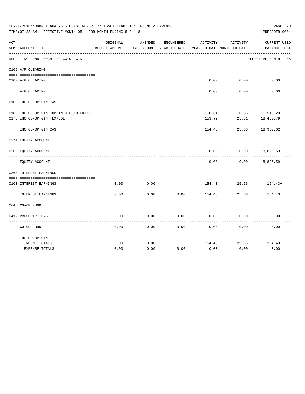|     | 06-01-2018**BUDGET ANALYSIS USAGE REPORT ** ASSET LIABILITY INCOME & EXPENSE<br>PAGE 73<br>TIME: 07:38 AM - EFFECTIVE MONTH: 05 - FOR MONTH ENDING 5-31-18<br>PREPARER: 0004 |          |                                                     |            |                                        |                    |                                    |  |  |  |  |
|-----|------------------------------------------------------------------------------------------------------------------------------------------------------------------------------|----------|-----------------------------------------------------|------------|----------------------------------------|--------------------|------------------------------------|--|--|--|--|
| ACT | NUM ACCOUNT-TITLE                                                                                                                                                            | ORIGINAL | AMENDED<br>BUDGET-AMOUNT BUDGET-AMOUNT YEAR-TO-DATE | ENCUMBERED | ACTIVITY<br>YEAR-TO-DATE MONTH-TO-DATE | ACTIVITY           | <b>CURRENT USED</b><br>BALANCE PCT |  |  |  |  |
|     | REPORTING FUND: 0038 IHC CO-OP GIN                                                                                                                                           |          |                                                     |            |                                        |                    | EFFECTIVE MONTH - 05               |  |  |  |  |
|     | 0102 A/P CLEARING                                                                                                                                                            |          |                                                     |            |                                        |                    |                                    |  |  |  |  |
|     | 0100 A/P CLEARING                                                                                                                                                            |          |                                                     |            | 0.00                                   | 0.00               | 0.00                               |  |  |  |  |
|     | A/P CLEARING                                                                                                                                                                 |          |                                                     |            | 0.00                                   | 0.00               | 0.00                               |  |  |  |  |
|     | 0103 IHC CO-OP GIN CASH                                                                                                                                                      |          |                                                     |            |                                        |                    |                                    |  |  |  |  |
|     |                                                                                                                                                                              |          |                                                     |            |                                        |                    |                                    |  |  |  |  |
|     | 0100 IHC CO-OP GIN-COMBINED FUND CKING                                                                                                                                       |          |                                                     |            | 153.79                                 |                    | $0.64$ $0.35$ 519.23               |  |  |  |  |
|     | 0175 IHC CO-OP GIN TEXPOOL                                                                                                                                                   |          |                                                     |            |                                        | 25.31<br>--------- | 18,460.79                          |  |  |  |  |
|     | IHC CO-OP GIN CASH                                                                                                                                                           |          |                                                     |            | 154.43                                 | 25.66              | 18,980.02                          |  |  |  |  |
|     | 0271 EQUITY ACCOUNT                                                                                                                                                          |          |                                                     |            |                                        |                    |                                    |  |  |  |  |
|     | 0200 EQUITY ACCOUNT                                                                                                                                                          |          |                                                     |            | 0.00                                   | 0.00               | 18,825.59                          |  |  |  |  |
|     | EQUITY ACCOUNT                                                                                                                                                               |          |                                                     |            | 0.00                                   | 0.00               | 18,825.59                          |  |  |  |  |
|     | 0360 INTEREST EARNINGS                                                                                                                                                       |          |                                                     |            |                                        |                    |                                    |  |  |  |  |
|     | 0100 INTEREST EARNINGS                                                                                                                                                       | 0.00     | 0.00                                                |            |                                        |                    | $154.43$ $25.66$ $154.43+$         |  |  |  |  |
|     | INTEREST EARNINGS                                                                                                                                                            | 0.00     | 0.00                                                | 0.00       | 154.43                                 | ---------<br>25.66 | $154.43+$                          |  |  |  |  |
|     | 0645 CO-OP FUND                                                                                                                                                              |          |                                                     |            |                                        |                    |                                    |  |  |  |  |
|     |                                                                                                                                                                              |          |                                                     |            |                                        |                    |                                    |  |  |  |  |
|     | 0412 PRESCRIPTIONS                                                                                                                                                           | 0.00     | 0.00                                                | 0.00       | 0.00                                   | 0.00               | 0.00                               |  |  |  |  |
|     | CO-OP FUND                                                                                                                                                                   | 0.00     | 0.00                                                | 0.00       | 0.00                                   | 0.00               | 0.00                               |  |  |  |  |
|     | IHC CO-OP GIN                                                                                                                                                                |          |                                                     |            |                                        |                    |                                    |  |  |  |  |
|     | INCOME TOTALS                                                                                                                                                                | 0.00     | 0.00                                                |            | 154.43                                 | 25.66              | $154.43+$                          |  |  |  |  |
|     | <b>EXPENSE TOTALS</b>                                                                                                                                                        | 0.00     | 0.00                                                | 0.00       | 0.00                                   | 0.00               | 0.00                               |  |  |  |  |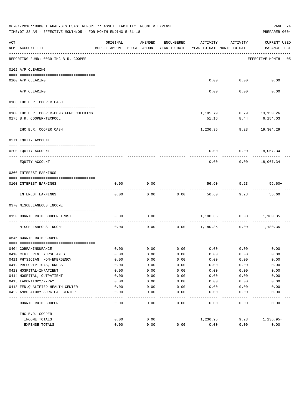|     | 06-01-2018**BUDGET ANALYSIS USAGE REPORT ** ASSET LIABILITY INCOME & EXPENSE<br>PAGE 74<br>TIME: 07:38 AM - EFFECTIVE MONTH: 05 - FOR MONTH ENDING 5-31-18<br>PREPARER: 0004 |              |                                                     |              |                 |                                        |                                    |  |  |  |  |
|-----|------------------------------------------------------------------------------------------------------------------------------------------------------------------------------|--------------|-----------------------------------------------------|--------------|-----------------|----------------------------------------|------------------------------------|--|--|--|--|
| ACT | NUM ACCOUNT-TITLE                                                                                                                                                            | ORIGINAL     | AMENDED<br>BUDGET-AMOUNT BUDGET-AMOUNT YEAR-TO-DATE | ENCUMBERED   | ACTIVITY        | ACTIVITY<br>YEAR-TO-DATE MONTH-TO-DATE | <b>CURRENT USED</b><br>BALANCE PCT |  |  |  |  |
|     | REPORTING FUND: 0039 IHC B.R. COOPER                                                                                                                                         |              |                                                     |              |                 |                                        | EFFECTIVE MONTH - 05               |  |  |  |  |
|     | 0102 A/P CLEARING                                                                                                                                                            |              |                                                     |              |                 |                                        |                                    |  |  |  |  |
|     |                                                                                                                                                                              |              |                                                     |              |                 |                                        |                                    |  |  |  |  |
|     | 0100 A/P CLEARING<br>---- ---------                                                                                                                                          |              |                                                     |              | 0.00            | 0.00                                   | 0.00                               |  |  |  |  |
|     | A/P CLEARING                                                                                                                                                                 |              |                                                     |              | 0.00            | 0.00                                   | 0.00                               |  |  |  |  |
|     | 0103 IHC B.R. COOPER CASH                                                                                                                                                    |              |                                                     |              |                 |                                        |                                    |  |  |  |  |
|     | 0100 IHC B.R. COOPER-COMB.FUND CHECKING                                                                                                                                      |              |                                                     |              |                 | $1,185.79$ $0.79$ $13,150.26$          |                                    |  |  |  |  |
|     | 0175 B.R. COOPER-TEXPOOL                                                                                                                                                     |              |                                                     |              | 51.16           | 8.44                                   | 6,154.03                           |  |  |  |  |
|     |                                                                                                                                                                              |              |                                                     |              |                 |                                        |                                    |  |  |  |  |
|     | IHC B.R. COOPER CASH                                                                                                                                                         |              |                                                     |              | 1,236.95        | 9.23                                   | 19,304.29                          |  |  |  |  |
|     | 0271 EQUITY ACCOUNT                                                                                                                                                          |              |                                                     |              |                 |                                        |                                    |  |  |  |  |
|     | 0200 EQUITY ACCOUNT                                                                                                                                                          |              |                                                     |              | 0.00            |                                        | $0.00$ 18,067.34                   |  |  |  |  |
|     | EQUITY ACCOUNT                                                                                                                                                               |              |                                                     |              | 0.00            | 0.00                                   | 18,067.34                          |  |  |  |  |
|     | 0360 INTEREST EARNINGS                                                                                                                                                       |              |                                                     |              |                 |                                        |                                    |  |  |  |  |
|     |                                                                                                                                                                              |              |                                                     |              |                 |                                        |                                    |  |  |  |  |
|     | 0100 INTEREST EARNINGS                                                                                                                                                       | 0.00         | 0.00                                                |              | 56.60           | 9.23                                   | $56.60+$                           |  |  |  |  |
|     | INTEREST EARNINGS                                                                                                                                                            | 0.00         | 0.00                                                | 0.00         | 56.60           | 9.23                                   | $56.60+$                           |  |  |  |  |
|     | 0370 MISCELLANEOUS INCOME                                                                                                                                                    |              |                                                     |              |                 |                                        |                                    |  |  |  |  |
|     |                                                                                                                                                                              |              |                                                     |              |                 |                                        |                                    |  |  |  |  |
|     | 0150 BONNIE RUTH COOPER TRUST                                                                                                                                                | 0.00         | 0.00                                                |              |                 | 1,180.35 0.00<br>-----------           | 1,180.35+                          |  |  |  |  |
|     | MISCELLANEOUS INCOME                                                                                                                                                         | 0.00         | 0.00                                                |              | $0.00$ 1,180.35 | 0.00                                   | $1,180.35+$                        |  |  |  |  |
|     | 0645 BONNIE RUTH COOPER                                                                                                                                                      |              |                                                     |              |                 |                                        |                                    |  |  |  |  |
|     |                                                                                                                                                                              |              |                                                     |              |                 |                                        |                                    |  |  |  |  |
|     | 0404 COBRA/INSURANCE                                                                                                                                                         | 0.00         | 0.00                                                | 0.00         | 0.00            | 0.00                                   | 0.00                               |  |  |  |  |
|     | 0410 CERT. REG. NURSE ANES.                                                                                                                                                  | 0.00         | 0.00                                                | 0.00         | 0.00            | 0.00                                   | 0.00                               |  |  |  |  |
|     | 0411 PHYSICIAN, NON-EMERGENCY<br>0412 PRESCRIPTIONS, DRUGS                                                                                                                   | 0.00         | 0.00                                                | 0.00         | 0.00            | 0.00                                   | 0.00                               |  |  |  |  |
|     |                                                                                                                                                                              | 0.00         | 0.00                                                | 0.00         | 0.00            | 0.00                                   | 0.00                               |  |  |  |  |
|     | 0413 HOSPITAL-INPATIENT                                                                                                                                                      | 0.00<br>0.00 | 0.00                                                | 0.00         | 0.00            | 0.00                                   | 0.00                               |  |  |  |  |
|     | 0414 HOSPITAL, OUTPATIENT                                                                                                                                                    |              | 0.00                                                | 0.00         | 0.00            | 0.00                                   | 0.00                               |  |  |  |  |
|     | 0415 LABORATORY/X-RAY<br>0418 FED. QUALIFIED HEALTH CENTER                                                                                                                   | 0.00<br>0.00 | 0.00<br>0.00                                        | 0.00<br>0.00 | 0.00<br>0.00    | 0.00<br>0.00                           | 0.00<br>0.00                       |  |  |  |  |
|     | 0422 AMBULATORY SURGICAL CENTER                                                                                                                                              | 0.00         | 0.00                                                | 0.00         | 0.00            | 0.00                                   | 0.00                               |  |  |  |  |
|     |                                                                                                                                                                              |              |                                                     | ----         |                 |                                        |                                    |  |  |  |  |
|     | BONNIE RUTH COOPER                                                                                                                                                           | 0.00         | 0.00                                                | 0.00         | 0.00            | 0.00                                   | 0.00                               |  |  |  |  |
|     | IHC B.R. COOPER                                                                                                                                                              |              |                                                     |              |                 |                                        |                                    |  |  |  |  |
|     | INCOME TOTALS                                                                                                                                                                | 0.00         | 0.00                                                |              | 1,236.95        | 9.23                                   | 1,236.95+                          |  |  |  |  |
|     | EXPENSE TOTALS                                                                                                                                                               | 0.00         | 0.00                                                | 0.00         | 0.00            | 0.00                                   | 0.00                               |  |  |  |  |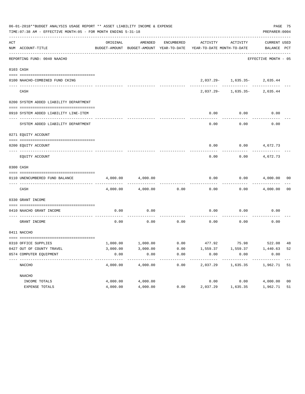|     | 06-01-2018**BUDGET ANALYSIS USAGE REPORT ** ASSET LIABILITY INCOME & EXPENSE<br>TIME: 07:38 AM - EFFECTIVE MONTH: 05 - FOR MONTH ENDING 5-31-18 |          |          |      |                                                                                 |                                                                                                      |                      |                |  |  |  |
|-----|-------------------------------------------------------------------------------------------------------------------------------------------------|----------|----------|------|---------------------------------------------------------------------------------|------------------------------------------------------------------------------------------------------|----------------------|----------------|--|--|--|
| ACT |                                                                                                                                                 | ORIGINAL | AMENDED  |      | ENCUMBERED ACTIVITY ACTIVITY                                                    |                                                                                                      | CURRENT USED         |                |  |  |  |
|     | NUM ACCOUNT-TITLE                                                                                                                               |          |          |      | BUDGET-AMOUNT BUDGET-AMOUNT YEAR-TO-DATE YEAR-TO-DATE MONTH-TO-DATE BALANCE PCT |                                                                                                      |                      |                |  |  |  |
|     | REPORTING FUND: 0040 NAACHO                                                                                                                     |          |          |      |                                                                                 |                                                                                                      | EFFECTIVE MONTH - 05 |                |  |  |  |
|     | 0103 CASH                                                                                                                                       |          |          |      |                                                                                 |                                                                                                      |                      |                |  |  |  |
|     |                                                                                                                                                 |          |          |      |                                                                                 |                                                                                                      |                      |                |  |  |  |
|     | 0100 NAACHO-COMBINED FUND CKING                                                                                                                 |          |          |      |                                                                                 | $2\, , 037 \, . \, 29 - \qquad \quad 1\, , 635 \, . \, 35 - \qquad \quad \quad 2\, , 635 \, . \, 44$ |                      |                |  |  |  |
|     | CASH                                                                                                                                            |          |          |      |                                                                                 | $2,037.29 - 1,635.35 - 2,635.44$                                                                     |                      |                |  |  |  |
|     | 0200 SYSTEM ADDED LIABILITY DEPARTMENT                                                                                                          |          |          |      |                                                                                 |                                                                                                      |                      |                |  |  |  |
|     |                                                                                                                                                 |          |          |      |                                                                                 |                                                                                                      |                      |                |  |  |  |
|     | 0910 SYSTEM ADDED LIABILITY LINE-ITEM                                                                                                           |          |          |      | 0.00                                                                            | 0.00                                                                                                 | 0.00                 |                |  |  |  |
|     | SYSTEM ADDED LIABILITY DEPARTMENT                                                                                                               |          |          |      | 0.00                                                                            | 0.00                                                                                                 | 0.00                 |                |  |  |  |
|     | 0271 EOUITY ACCOUNT                                                                                                                             |          |          |      |                                                                                 |                                                                                                      |                      |                |  |  |  |
|     | 0200 EQUITY ACCOUNT                                                                                                                             |          |          |      |                                                                                 | $0.00$ $0.00$ $4,672.73$                                                                             |                      |                |  |  |  |
|     | EQUITY ACCOUNT                                                                                                                                  |          |          |      | 0.00                                                                            | 0.00                                                                                                 | 4,672.73             |                |  |  |  |
|     | 0300 CASH                                                                                                                                       |          |          |      |                                                                                 |                                                                                                      |                      |                |  |  |  |
|     | 0110 UNENCUMBERED FUND BALANCE                                                                                                                  | 4,000.00 | 4,000.00 |      | 0.00                                                                            |                                                                                                      | $0.00$ $4,000.00$ 00 |                |  |  |  |
|     | CASH                                                                                                                                            | 4,000.00 | 4,000.00 | 0.00 | 0.00                                                                            |                                                                                                      | $0.00$ $4,000.00$    | 0 <sub>0</sub> |  |  |  |
|     | 0330 GRANT INCOME                                                                                                                               |          |          |      |                                                                                 |                                                                                                      |                      |                |  |  |  |
|     | 0410 NAACHO GRANT INCOME                                                                                                                        | 0.00     | 0.00     |      | 0.00                                                                            | 0.00                                                                                                 | 0.00                 |                |  |  |  |
|     | GRANT INCOME                                                                                                                                    | 0.00     | 0.00     |      | $0.00$ 0.00                                                                     | 0.00                                                                                                 | 0.00                 |                |  |  |  |
|     | 0411 NACCHO                                                                                                                                     |          |          |      |                                                                                 |                                                                                                      |                      |                |  |  |  |
|     | 0310 OFFICE SUPPLIES                                                                                                                            |          |          |      | $1,000.00$ $1,000.00$ $0.00$ $477.92$ $75.98$ $522.08$ $48$                     |                                                                                                      |                      |                |  |  |  |
|     | 0427 OUT OF COUNTY TRAVEL                                                                                                                       | 3,000.00 | 3,000.00 | 0.00 | 1,559.37                                                                        | 1,559.37                                                                                             | 1,440.63 52          |                |  |  |  |
|     | 0574 COMPUTER EQUIPMENT                                                                                                                         | 0.00     | 0.00     | 0.00 | 0.00                                                                            | 0.00                                                                                                 | 0.00                 |                |  |  |  |
|     | NACCHO                                                                                                                                          | 4,000.00 | 4,000.00 | 0.00 | --------<br>2,037.29                                                            | -------<br>1,635.35                                                                                  | 1,962.71             | 51             |  |  |  |
|     | NAACHO                                                                                                                                          |          |          |      |                                                                                 |                                                                                                      |                      |                |  |  |  |
|     | INCOME TOTALS                                                                                                                                   | 4,000.00 | 4,000.00 |      | 0.00                                                                            | 0.00                                                                                                 | 4,000.00             | 0 <sub>0</sub> |  |  |  |
|     | EXPENSE TOTALS                                                                                                                                  | 4,000.00 | 4,000.00 | 0.00 | 2,037.29                                                                        | 1,635.35                                                                                             | 1,962.71             | 51             |  |  |  |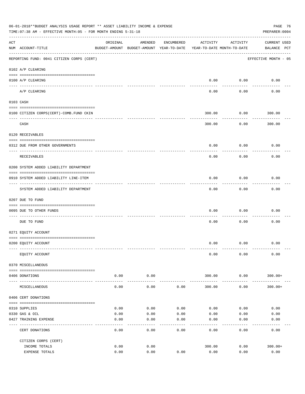|     | 06-01-2018**BUDGET ANALYSIS USAGE REPORT ** ASSET LIABILITY INCOME & EXPENSE<br>TIME: 07:38 AM - EFFECTIVE MONTH: 05 - FOR MONTH ENDING 5-31-18<br>PREPARER: 0004 |                                                                                 |                    |            |                |                           |                                    |  |  |  |  |
|-----|-------------------------------------------------------------------------------------------------------------------------------------------------------------------|---------------------------------------------------------------------------------|--------------------|------------|----------------|---------------------------|------------------------------------|--|--|--|--|
| ACT | NUM ACCOUNT-TITLE                                                                                                                                                 | ORIGINAL<br>BUDGET-AMOUNT BUDGET-AMOUNT YEAR-TO-DATE YEAR-TO-DATE MONTH-TO-DATE | AMENDED            | ENCUMBERED | ACTIVITY       | ACTIVITY                  | <b>CURRENT USED</b><br>BALANCE PCT |  |  |  |  |
|     | REPORTING FUND: 0041 CITIZEN CORPS (CERT)                                                                                                                         |                                                                                 |                    |            |                |                           | EFFECTIVE MONTH - 05               |  |  |  |  |
|     | 0102 A/P CLEARING                                                                                                                                                 |                                                                                 |                    |            |                |                           |                                    |  |  |  |  |
|     | 0100 A/P CLEARING                                                                                                                                                 |                                                                                 |                    |            | 0.00           | 0.00                      | 0.00                               |  |  |  |  |
|     | A/P CLEARING                                                                                                                                                      |                                                                                 |                    |            | 0.00           | 0.00                      | 0.00                               |  |  |  |  |
|     | 0103 CASH                                                                                                                                                         |                                                                                 |                    |            |                |                           |                                    |  |  |  |  |
|     | 0100 CITIZEN CORPS (CERT)-COMB. FUND CKIN                                                                                                                         |                                                                                 |                    |            | 300.00         | 0.00                      | 300.00                             |  |  |  |  |
|     | CASH                                                                                                                                                              |                                                                                 |                    |            | 300.00         | ---------<br>0.00         | 300.00                             |  |  |  |  |
|     | 0120 RECEIVABLES                                                                                                                                                  |                                                                                 |                    |            |                |                           |                                    |  |  |  |  |
|     |                                                                                                                                                                   |                                                                                 |                    |            |                |                           |                                    |  |  |  |  |
|     | 0312 DUE FROM OTHER GOVERNMENTS                                                                                                                                   |                                                                                 |                    |            | 0.00           | 0.00                      | 0.00                               |  |  |  |  |
|     | RECEIVABLES                                                                                                                                                       |                                                                                 |                    |            | 0.00           | 0.00                      | 0.00                               |  |  |  |  |
|     | 0200 SYSTEM ADDED LIABILITY DEPARTMENT                                                                                                                            |                                                                                 |                    |            |                |                           |                                    |  |  |  |  |
|     | 0910 SYSTEM ADDED LIABILITY LINE-ITEM                                                                                                                             |                                                                                 |                    |            | 0.00           | 0.00                      | 0.00                               |  |  |  |  |
|     | SYSTEM ADDED LIABILITY DEPARTMENT                                                                                                                                 |                                                                                 |                    |            | 0.00           | - - - - - - - - -<br>0.00 | 0.00                               |  |  |  |  |
|     | 0207 DUE TO FUND                                                                                                                                                  |                                                                                 |                    |            |                |                           |                                    |  |  |  |  |
|     | 0095 DUE TO OTHER FUNDS                                                                                                                                           |                                                                                 |                    |            | 0.00           | 0.00                      | 0.00                               |  |  |  |  |
|     | DUE TO FUND                                                                                                                                                       |                                                                                 |                    |            | 0.00           | 0.00                      | 0.00                               |  |  |  |  |
|     | 0271 EQUITY ACCOUNT                                                                                                                                               |                                                                                 |                    |            |                |                           |                                    |  |  |  |  |
|     | 0200 EQUITY ACCOUNT                                                                                                                                               |                                                                                 |                    |            |                | $0.00$ $0.00$             | 0.00                               |  |  |  |  |
|     | EQUITY ACCOUNT                                                                                                                                                    |                                                                                 |                    |            | 0.00           | 0.00                      | 0.00                               |  |  |  |  |
|     | 0370 MISCELLANEOUS                                                                                                                                                |                                                                                 |                    |            |                |                           |                                    |  |  |  |  |
|     | 0406 DONATIONS                                                                                                                                                    | 0.00                                                                            | 0.00               |            | 300.00         | 0.00                      | $300.00+$                          |  |  |  |  |
|     | MISCELLANEOUS                                                                                                                                                     | -----------<br>0.00                                                             | ----------<br>0.00 | 0.00       | 300.00         | .<br>0.00                 | $300.00+$                          |  |  |  |  |
|     | 0406 CERT DONATIONS                                                                                                                                               |                                                                                 |                    |            |                |                           |                                    |  |  |  |  |
|     | 0310 SUPPLIES                                                                                                                                                     | 0.00                                                                            | 0.00               | 0.00       | 0.00           | 0.00                      | 0.00                               |  |  |  |  |
|     | 0330 GAS & OIL                                                                                                                                                    | 0.00                                                                            | 0.00               | 0.00       | 0.00           | 0.00                      | 0.00                               |  |  |  |  |
|     | 0427 TRAINING EXPENSE                                                                                                                                             | 0.00                                                                            | 0.00               | 0.00       | 0.00           | 0.00                      | 0.00                               |  |  |  |  |
|     | CERT DONATIONS                                                                                                                                                    | 0.00                                                                            | 0.00               | 0.00       | 0.00           | 0.00                      | 0.00                               |  |  |  |  |
|     | CITIZEN CORPS (CERT)                                                                                                                                              |                                                                                 |                    |            |                |                           |                                    |  |  |  |  |
|     | INCOME TOTALS<br>EXPENSE TOTALS                                                                                                                                   | 0.00<br>0.00                                                                    | 0.00<br>0.00       | 0.00       | 300.00<br>0.00 | 0.00<br>0.00              | $300.00+$<br>0.00                  |  |  |  |  |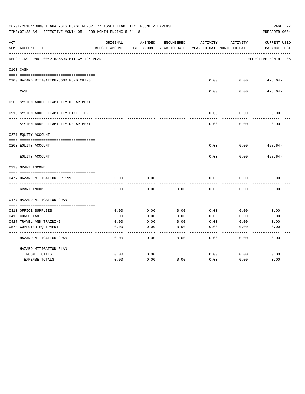|     | 06-01-2018**BUDGET ANALYSIS USAGE REPORT ** ASSET LIABILITY INCOME & EXPENSE<br>PAGE 77<br>TIME: 07:38 AM - EFFECTIVE MONTH: 05 - FOR MONTH ENDING 5-31-18<br>PREPARER: 0004 |          |                                                     |            |          |                                        |                                       |  |  |  |  |
|-----|------------------------------------------------------------------------------------------------------------------------------------------------------------------------------|----------|-----------------------------------------------------|------------|----------|----------------------------------------|---------------------------------------|--|--|--|--|
| ACT | NUM ACCOUNT-TITLE                                                                                                                                                            | ORIGINAL | AMENDED<br>BUDGET-AMOUNT BUDGET-AMOUNT YEAR-TO-DATE | ENCUMBERED | ACTIVITY | ACTIVITY<br>YEAR-TO-DATE MONTH-TO-DATE | <b>CURRENT USED</b><br>BALANCE<br>PCT |  |  |  |  |
|     | REPORTING FUND: 0042 HAZARD MITIGATION PLAN                                                                                                                                  |          |                                                     |            |          |                                        | EFFECTIVE MONTH - 05                  |  |  |  |  |
|     | 0103 CASH                                                                                                                                                                    |          |                                                     |            |          |                                        |                                       |  |  |  |  |
|     | 0100 HAZARD MITIGATION-COMB.FUND CKING.                                                                                                                                      |          |                                                     |            | 0.00     | 0.00                                   | $428.64-$                             |  |  |  |  |
|     | CASH                                                                                                                                                                         |          |                                                     |            | 0.00     | 0.00                                   | $428.64-$                             |  |  |  |  |
|     | 0200 SYSTEM ADDED LIABILITY DEPARTMENT                                                                                                                                       |          |                                                     |            |          |                                        |                                       |  |  |  |  |
|     | 0910 SYSTEM ADDED LIABILITY LINE-ITEM                                                                                                                                        |          |                                                     |            | 0.00     | 0.00                                   | 0.00                                  |  |  |  |  |
|     | SYSTEM ADDED LIABILITY DEPARTMENT                                                                                                                                            |          |                                                     |            | 0.00     | 0.00                                   | 0.00                                  |  |  |  |  |
|     | 0271 EQUITY ACCOUNT                                                                                                                                                          |          |                                                     |            |          |                                        |                                       |  |  |  |  |
|     | 0200 EQUITY ACCOUNT                                                                                                                                                          |          |                                                     |            | 0.00     | 0.00                                   | $428.64-$                             |  |  |  |  |
|     | EQUITY ACCOUNT                                                                                                                                                               |          |                                                     |            | 0.00     | 0.00                                   | $428.64-$                             |  |  |  |  |
|     | 0330 GRANT INCOME                                                                                                                                                            |          |                                                     |            |          |                                        |                                       |  |  |  |  |
|     | 0477 HAZARD MITIGATION DR-1999                                                                                                                                               | 0.00     | 0.00                                                |            | 0.00     | 0.00                                   | 0.00                                  |  |  |  |  |
|     | GRANT INCOME                                                                                                                                                                 | 0.00     | 0.00                                                | 0.00       | 0.00     | 0.00                                   | 0.00                                  |  |  |  |  |
|     | 0477 HAZARD MITIGATION GRANT                                                                                                                                                 |          |                                                     |            |          |                                        |                                       |  |  |  |  |
|     |                                                                                                                                                                              |          |                                                     |            |          |                                        |                                       |  |  |  |  |
|     | 0310 OFFICE SUPPLIES                                                                                                                                                         | 0.00     | 0.00                                                | 0.00       | 0.00     | 0.00                                   | 0.00                                  |  |  |  |  |
|     | 0415 CONSULTANT                                                                                                                                                              | 0.00     | 0.00                                                | 0.00       | 0.00     | 0.00                                   | 0.00                                  |  |  |  |  |
|     | 0427 TRAVEL AND TRAINING                                                                                                                                                     | 0.00     | 0.00                                                | 0.00       | 0.00     | 0.00                                   | 0.00                                  |  |  |  |  |
|     | 0574 COMPUTER EQUIPMENT                                                                                                                                                      | 0.00     | 0.00                                                | 0.00       | 0.00     | 0.00                                   | 0.00                                  |  |  |  |  |
|     | HAZARD MITIGATION GRANT                                                                                                                                                      | 0.00     | 0.00                                                | 0.00       | 0.00     | 0.00                                   | 0.00                                  |  |  |  |  |
|     | HAZARD MITIGATION PLAN                                                                                                                                                       |          |                                                     |            |          |                                        |                                       |  |  |  |  |
|     | INCOME TOTALS                                                                                                                                                                | 0.00     | 0.00                                                |            | 0.00     | 0.00                                   | 0.00                                  |  |  |  |  |
|     | <b>EXPENSE TOTALS</b>                                                                                                                                                        | 0.00     | 0.00                                                | 0.00       | 0.00     | 0.00                                   | 0.00                                  |  |  |  |  |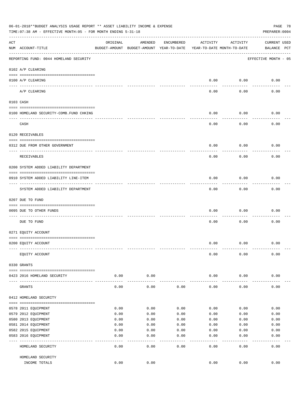|     | 06-01-2018**BUDGET ANALYSIS USAGE REPORT ** ASSET LIABILITY INCOME & EXPENSE<br>PAGE 78<br>TIME: 07:38 AM - EFFECTIVE MONTH: 05 - FOR MONTH ENDING 5-31-18<br>PREPARER: 0004 |              |                                                     |              |                                        |              |                                    |  |  |  |  |
|-----|------------------------------------------------------------------------------------------------------------------------------------------------------------------------------|--------------|-----------------------------------------------------|--------------|----------------------------------------|--------------|------------------------------------|--|--|--|--|
| ACT | NUM ACCOUNT-TITLE                                                                                                                                                            | ORIGINAL     | AMENDED<br>BUDGET-AMOUNT BUDGET-AMOUNT YEAR-TO-DATE | ENCUMBERED   | ACTIVITY<br>YEAR-TO-DATE MONTH-TO-DATE | ACTIVITY     | <b>CURRENT USED</b><br>BALANCE PCT |  |  |  |  |
|     | REPORTING FUND: 0044 HOMELAND SECURITY                                                                                                                                       |              |                                                     |              |                                        |              | EFFECTIVE MONTH - 05               |  |  |  |  |
|     | 0102 A/P CLEARING                                                                                                                                                            |              |                                                     |              |                                        |              |                                    |  |  |  |  |
|     | 0100 A/P CLEARING<br>---- ----------                                                                                                                                         |              |                                                     |              | 0.00                                   | 0.00         | 0.00                               |  |  |  |  |
|     | A/P CLEARING                                                                                                                                                                 |              |                                                     |              | 0.00                                   | 0.00         | 0.00                               |  |  |  |  |
|     | 0103 CASH                                                                                                                                                                    |              |                                                     |              |                                        |              |                                    |  |  |  |  |
|     | 0100 HOMELAND SECURITY-COMB.FUND CHKING                                                                                                                                      |              |                                                     |              | 0.00                                   | 0.00         | 0.00                               |  |  |  |  |
|     | CASH                                                                                                                                                                         |              |                                                     |              | 0.00                                   | 0.00         | 0.00                               |  |  |  |  |
|     | 0120 RECEIVABLES                                                                                                                                                             |              |                                                     |              |                                        |              |                                    |  |  |  |  |
|     | 0312 DUE FROM OTHER GOVERNMENT                                                                                                                                               |              |                                                     |              | 0.00                                   | 0.00         | 0.00                               |  |  |  |  |
|     | RECEIVABLES                                                                                                                                                                  |              |                                                     |              | 0.00                                   | 0.00         | 0.00                               |  |  |  |  |
|     | 0200 SYSTEM ADDED LIABILITY DEPARTMENT                                                                                                                                       |              |                                                     |              |                                        |              |                                    |  |  |  |  |
|     | 0910 SYSTEM ADDED LIABILITY LINE-ITEM                                                                                                                                        |              |                                                     |              | 0.00                                   | 0.00         | 0.00                               |  |  |  |  |
|     | SYSTEM ADDED LIABILITY DEPARTMENT                                                                                                                                            |              |                                                     |              | 0.00                                   | 0.00         | 0.00                               |  |  |  |  |
|     | 0207 DUE TO FUND                                                                                                                                                             |              |                                                     |              |                                        |              |                                    |  |  |  |  |
|     | 0095 DUE TO OTHER FUNDS                                                                                                                                                      |              |                                                     |              | 0.00                                   | 0.00         | 0.00                               |  |  |  |  |
|     | DUE TO FUND                                                                                                                                                                  |              |                                                     |              | 0.00                                   | 0.00         | 0.00                               |  |  |  |  |
|     | 0271 EQUITY ACCOUNT                                                                                                                                                          |              |                                                     |              |                                        |              |                                    |  |  |  |  |
|     | 0200 EQUITY ACCOUNT                                                                                                                                                          |              |                                                     |              | 0.00                                   | 0.00         | 0.00                               |  |  |  |  |
|     | EQUITY ACCOUNT                                                                                                                                                               |              |                                                     |              | 0.00                                   | 0.00         | 0.00                               |  |  |  |  |
|     | 0330 GRANTS                                                                                                                                                                  |              |                                                     |              |                                        |              |                                    |  |  |  |  |
|     |                                                                                                                                                                              |              |                                                     |              |                                        |              |                                    |  |  |  |  |
|     | 0423 2016 HOMELAND SECURITY                                                                                                                                                  | 0.00         | 0.00                                                |              | 0.00                                   | 0.00         | 0.00                               |  |  |  |  |
|     | GRANTS                                                                                                                                                                       | 0.00         | 0.00                                                | 0.00         | 0.00                                   | 0.00         | 0.00                               |  |  |  |  |
|     | 0412 HOMELAND SECURITY                                                                                                                                                       |              |                                                     |              |                                        |              |                                    |  |  |  |  |
|     |                                                                                                                                                                              |              |                                                     |              |                                        |              |                                    |  |  |  |  |
|     | 0578 2011 EQUIPMENT                                                                                                                                                          | 0.00         | 0.00                                                | 0.00         | 0.00                                   | 0.00         | 0.00                               |  |  |  |  |
|     | 0579 2012 EQUIPMENT<br>0580 2013 EQUIPMENT                                                                                                                                   | 0.00<br>0.00 | 0.00<br>0.00                                        | 0.00<br>0.00 | 0.00<br>0.00                           | 0.00<br>0.00 | 0.00<br>0.00                       |  |  |  |  |
|     | 0581 2014 EQUIPMENT                                                                                                                                                          | 0.00         | 0.00                                                | 0.00         | 0.00                                   | 0.00         | 0.00                               |  |  |  |  |
|     |                                                                                                                                                                              |              |                                                     |              |                                        |              |                                    |  |  |  |  |
|     | 0582 2015 EQUIPMENT<br>0583 2016 EQUIPMENT                                                                                                                                   | 0.00<br>0.00 | 0.00<br>0.00                                        | 0.00<br>0.00 | 0.00<br>0.00                           | 0.00<br>0.00 | 0.00<br>0.00                       |  |  |  |  |
|     |                                                                                                                                                                              |              | - - - -                                             | ----         | $---$                                  | .            | -----                              |  |  |  |  |
|     | HOMELAND SECURITY                                                                                                                                                            | 0.00         | 0.00                                                | 0.00         | 0.00                                   | 0.00         | 0.00                               |  |  |  |  |
|     | HOMELAND SECURITY                                                                                                                                                            |              |                                                     |              |                                        |              |                                    |  |  |  |  |
|     | INCOME TOTALS                                                                                                                                                                | 0.00         | 0.00                                                |              | 0.00                                   | 0.00         | 0.00                               |  |  |  |  |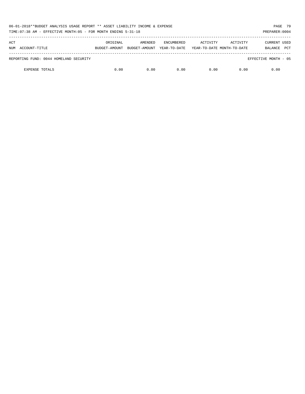| 06-01-2018**BUDGET ANALYSIS USAGE REPORT ** ASSET LIABILITY INCOME & EXPENSE<br>TIME: 07:38 AM - EFFECTIVE MONTH: 05 - FOR MONTH ENDING 5-31-18<br>PREPARER: 0004 |               |               |                   |                            |          |                       |  |  |  |
|-------------------------------------------------------------------------------------------------------------------------------------------------------------------|---------------|---------------|-------------------|----------------------------|----------|-----------------------|--|--|--|
| ACT                                                                                                                                                               | ORIGINAL      | AMENDED       | <b>ENCUMBERED</b> | ACTIVITY                   | ACTIVITY | <b>CURRENT USED</b>   |  |  |  |
| ACCOUNT-TITLE<br>NUM                                                                                                                                              | BUDGET-AMOUNT | BUDGET-AMOUNT | YEAR-TO-DATE      | YEAR-TO-DATE MONTH-TO-DATE |          | <b>PCT</b><br>BALANCE |  |  |  |
| REPORTING FUND: 0044 HOMELAND SECURITY                                                                                                                            |               |               |                   |                            |          | EFFECTIVE MONTH - 05  |  |  |  |
| <b>EXPENSE TOTALS</b>                                                                                                                                             | 0.00          | 0.00          | 0.00              | 0.00                       | 0.00     | 0.00                  |  |  |  |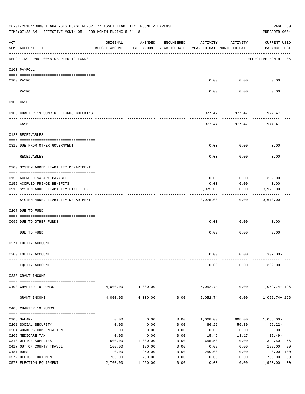|     | 06-01-2018**BUDGET ANALYSIS USAGE REPORT ** ASSET LIABILITY INCOME & EXPENSE<br>TIME: 07:38 AM - EFFECTIVE MONTH: 05 - FOR MONTH ENDING 5-31-18 |                  |                                                     |              |                                        |                            | PAGE 80<br>PREPARER: 0004          |
|-----|-------------------------------------------------------------------------------------------------------------------------------------------------|------------------|-----------------------------------------------------|--------------|----------------------------------------|----------------------------|------------------------------------|
| ACT | NUM ACCOUNT-TITLE                                                                                                                               | ORIGINAL         | AMENDED<br>BUDGET-AMOUNT BUDGET-AMOUNT YEAR-TO-DATE | ENCUMBERED   | ACTIVITY<br>YEAR-TO-DATE MONTH-TO-DATE | ACTIVITY                   | <b>CURRENT USED</b><br>BALANCE PCT |
|     | REPORTING FUND: 0045 CHAPTER 19 FUNDS                                                                                                           |                  |                                                     |              |                                        |                            | EFFECTIVE MONTH - 05               |
|     | 0100 PAYROLL                                                                                                                                    |                  |                                                     |              |                                        |                            |                                    |
|     | 0100 PAYROLL                                                                                                                                    |                  |                                                     |              | 0.00                                   | 0.00                       | 0.00                               |
|     | PAYROLL                                                                                                                                         |                  |                                                     |              | 0.00                                   | 0.00                       | 0.00                               |
|     | 0103 CASH                                                                                                                                       |                  |                                                     |              |                                        |                            |                                    |
|     | 0100 CHAPTER 19-COMBINED FUNDS CHECKING                                                                                                         |                  |                                                     |              |                                        | $977.47 - 977.47 - 977.47$ |                                    |
|     | CASH                                                                                                                                            |                  |                                                     |              | $977.47 -$                             | 977.47-                    | $977.47 -$                         |
|     | 0120 RECEIVABLES                                                                                                                                |                  |                                                     |              |                                        |                            |                                    |
|     | 0312 DUE FROM OTHER GOVERNMENT                                                                                                                  |                  |                                                     |              | 0.00                                   | 0.00                       | 0.00                               |
|     |                                                                                                                                                 |                  |                                                     |              |                                        |                            |                                    |
|     | <b>RECEIVABLES</b>                                                                                                                              |                  |                                                     |              | 0.00                                   | 0.00                       | 0.00                               |
|     | 0200 SYSTEM ADDED LIABILITY DEPARTMENT                                                                                                          |                  |                                                     |              |                                        |                            |                                    |
|     | 0150 ACCRUED SALARY PAYABLE                                                                                                                     |                  |                                                     |              | 0.00                                   | $0.00$ 302.00              |                                    |
|     | 0155 ACCRUED FRINGE BENEFITS                                                                                                                    |                  |                                                     |              | 0.00                                   | 0.00                       | 0.00                               |
|     | 0910 SYSTEM ADDED LIABILITY LINE-ITEM                                                                                                           |                  |                                                     |              | $3,975.00 -$                           | 0.00                       | $3,975.00 -$                       |
|     | SYSTEM ADDED LIABILITY DEPARTMENT                                                                                                               |                  |                                                     |              | $3,975.00 -$                           | 0.00                       | $3,673.00 -$                       |
|     | 0207 DUE TO FUND                                                                                                                                |                  |                                                     |              |                                        |                            |                                    |
|     | 0095 DUE TO OTHER FUNDS                                                                                                                         |                  |                                                     |              | 0.00                                   | 0.00                       | 0.00                               |
|     | DUE TO FUND                                                                                                                                     |                  |                                                     |              | 0.00                                   | 0.00                       | 0.00                               |
|     | 0271 EQUITY ACCOUNT                                                                                                                             |                  |                                                     |              |                                        |                            |                                    |
|     |                                                                                                                                                 |                  |                                                     |              |                                        |                            |                                    |
|     | 0200 EQUITY ACCOUNT                                                                                                                             |                  |                                                     |              | 0.00                                   | 0.00                       | $302.00 -$                         |
|     | EQUITY ACCOUNT                                                                                                                                  |                  |                                                     |              | 0.00                                   | 0.00                       | $302.00 -$                         |
|     | 0330 GRANT INCOME                                                                                                                               |                  |                                                     |              |                                        |                            |                                    |
|     | 0403 CHAPTER 19 FUNDS                                                                                                                           | 4,000.00         | 4,000.00                                            |              | 5,052.74                               | 0.00                       | 1,052.74+ 126                      |
|     | GRANT INCOME                                                                                                                                    | 4,000.00         | 4,000.00                                            | 0.00         | -------------<br>5,052.74              | 0.00                       | 1,052.74+ 126                      |
|     | 0403 CHAPTER 19 FUNDS                                                                                                                           |                  |                                                     |              |                                        |                            |                                    |
|     | 0103 SALARY                                                                                                                                     | 0.00             | 0.00                                                | 0.00         | 1,068.00                               | 908.00                     | $1,068.00 -$                       |
|     | 0201 SOCIAL SECURITY                                                                                                                            | 0.00             | 0.00                                                | 0.00         | 66.22                                  | 56.30                      | $66.22 -$                          |
|     | 0204 WORKERS COMPENSATION                                                                                                                       | 0.00             | 0.00                                                | 0.00         | 0.00                                   | 0.00                       | 0.00                               |
|     | 0205 MEDICARE TAX                                                                                                                               | 0.00             | 0.00                                                | 0.00         | 15.49                                  | 13.17                      | $15.49-$                           |
|     | 0310 OFFICE SUPPLIES<br>0427 OUT OF COUNTY TRAVEL                                                                                               | 500.00<br>100.00 | 1,000.00<br>100.00                                  | 0.00<br>0.00 | 655.50<br>0.00                         | 0.00<br>0.00               | 344.50<br>66<br>100.00<br>00       |
|     | 0481 DUES                                                                                                                                       | 0.00             | 250.00                                              | 0.00         | 250.00                                 | 0.00                       | 0.00 100                           |
|     | 0572 OFFICE EQUIPMENT                                                                                                                           | 700.00           | 700.00                                              | 0.00         | 0.00                                   | 0.00                       | 0 <sub>0</sub><br>700.00           |
|     | 0573 ELECTION EQUIPMENT                                                                                                                         | 2,700.00         | 1,950.00                                            | 0.00         | 0.00                                   | 0.00                       | 1,950.00<br>0 <sub>0</sub>         |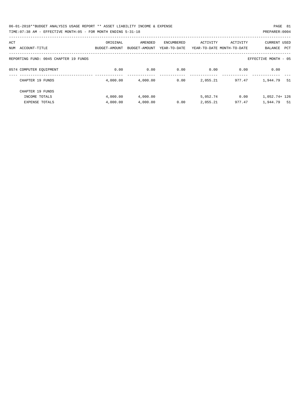| 06-01-2018**BUDGET ANALYSIS USAGE REPORT ** ASSET LIABILITY INCOME & EXPENSE | PAGE 81        |  |
|------------------------------------------------------------------------------|----------------|--|
| TIME: 07:38 AM - EFFECTIVE MONTH: 05 - FOR MONTH ENDING 5-31-18              | PREPARER: 0004 |  |

| ACT                                   | ORIGINAL      | AMENDED       | ENCUMBERED   | ACTIVITY | ACTIVITY                   | <b>CURRENT USED</b>   |
|---------------------------------------|---------------|---------------|--------------|----------|----------------------------|-----------------------|
| ACCOUNT-TITLE<br>NUM                  | BUDGET-AMOUNT | BUDGET-AMOUNT | YEAR-TO-DATE |          | YEAR-TO-DATE MONTH-TO-DATE | <b>PCT</b><br>BALANCE |
|                                       |               |               |              |          |                            |                       |
| REPORTING FUND: 0045 CHAPTER 19 FUNDS |               |               |              |          |                            | EFFECTIVE MONTH - 05  |
|                                       |               |               |              |          |                            |                       |
| 0574 COMPUTER EOUIPMENT               | 0.00          | 0.00          | 0.00         | 0.00     | 0.00                       | 0.00                  |
|                                       |               |               |              |          |                            |                       |
| CHAPTER 19 FUNDS                      | 4,000.00      | 4,000.00      | 0.00         | 2,055.21 | 977.47                     | 1,944.79<br>-51       |
|                                       |               |               |              |          |                            |                       |
| CHAPTER 19 FUNDS                      |               |               |              |          |                            |                       |
| INCOME TOTALS                         | 4,000.00      | 4,000.00      |              | 5,052.74 | 0.00                       | 1,052.74+ 126         |
| <b>EXPENSE TOTALS</b>                 | 4,000.00      | 4,000.00      | 0.00         | 2,055.21 | 977.47                     | 1,944.79<br>- 51      |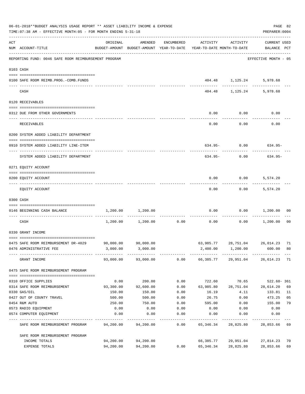| 06-01-2018**BUDGET ANALYSIS USAGE REPORT ** ASSET LIABILITY INCOME & EXPENSE<br>TIME: 07:38 AM - EFFECTIVE MONTH: 05 - FOR MONTH ENDING 5-31-18 |                                                                     |                                                                                 |                     |              |                            |                                   |                                          |                |  |  |
|-------------------------------------------------------------------------------------------------------------------------------------------------|---------------------------------------------------------------------|---------------------------------------------------------------------------------|---------------------|--------------|----------------------------|-----------------------------------|------------------------------------------|----------------|--|--|
| ACT                                                                                                                                             | NUM ACCOUNT-TITLE                                                   | ORIGINAL<br>BUDGET-AMOUNT BUDGET-AMOUNT YEAR-TO-DATE YEAR-TO-DATE MONTH-TO-DATE | AMENDED             | ENCUMBERED   | ACTIVITY                   | ACTIVITY                          | CURRENT USED<br>BALANCE PCT              |                |  |  |
|                                                                                                                                                 | REPORTING FUND: 0046 SAFE ROOM REIMBURSEMENT PROGRAM                |                                                                                 |                     |              |                            |                                   | ----------------<br>EFFECTIVE MONTH - 05 |                |  |  |
|                                                                                                                                                 | 0103 CASH                                                           |                                                                                 |                     |              |                            |                                   |                                          |                |  |  |
|                                                                                                                                                 | 0100 SAFE ROOM REIMB. PROG. - COMB. FUNDS                           |                                                                                 |                     |              |                            | 404.48 1,125.24                   | 5,978.68                                 |                |  |  |
|                                                                                                                                                 | CASH                                                                |                                                                                 |                     |              |                            | ----------- ------------ -------- | 404.48 1,125.24 5,978.68                 |                |  |  |
|                                                                                                                                                 | 0120 RECEIVABLES                                                    |                                                                                 |                     |              |                            |                                   |                                          |                |  |  |
|                                                                                                                                                 | 0312 DUE FROM OTHER GOVERNMENTS                                     |                                                                                 |                     |              |                            | $0.00$ 0.00                       | 0.00                                     |                |  |  |
|                                                                                                                                                 | RECEIVABLES                                                         |                                                                                 |                     |              | 0.00                       | ---------<br>0.00                 | 0.00                                     |                |  |  |
|                                                                                                                                                 | 0200 SYSTEM ADDED LIABILITY DEPARTMENT                              |                                                                                 |                     |              |                            |                                   |                                          |                |  |  |
|                                                                                                                                                 | 0910 SYSTEM ADDED LIABILITY LINE-ITEM                               |                                                                                 |                     |              |                            |                                   | $634.95 - 0.00$ 634.95-                  |                |  |  |
|                                                                                                                                                 | SYSTEM ADDED LIABILITY DEPARTMENT                                   |                                                                                 |                     |              | 634.95-                    | 0.00                              | 634.95-                                  |                |  |  |
|                                                                                                                                                 | 0271 EQUITY ACCOUNT                                                 |                                                                                 |                     |              |                            |                                   |                                          |                |  |  |
|                                                                                                                                                 | 0200 EQUITY ACCOUNT                                                 |                                                                                 |                     |              | 0.00                       |                                   | $0.00$ 5,574.20                          |                |  |  |
|                                                                                                                                                 | EQUITY ACCOUNT                                                      |                                                                                 |                     |              | 0.00                       | 0.00                              | 5,574.20                                 |                |  |  |
|                                                                                                                                                 | 0300 CASH                                                           |                                                                                 |                     |              |                            |                                   |                                          |                |  |  |
|                                                                                                                                                 | 0146 BEGINNING CASH BALANCE<br>------------------------------ ----- |                                                                                 | 1,200.00 1,200.00   | ------------ | 0.00                       |                                   | $0.00$ 1,200.00                          | 00             |  |  |
|                                                                                                                                                 | CASH                                                                |                                                                                 | 1,200.00 1,200.00   | 0.00         | 0.00                       | 0.00                              | 1,200.00                                 | 0 <sub>0</sub> |  |  |
|                                                                                                                                                 | 0330 GRANT INCOME                                                   |                                                                                 |                     |              |                            |                                   |                                          |                |  |  |
|                                                                                                                                                 | 0475 SAFE ROOM REIMBURSEMENT DR-4029 90,000.00 90,000.00            |                                                                                 |                     |              |                            |                                   | 63.985.77 28.751.04 26.014.23 71         |                |  |  |
|                                                                                                                                                 | 0476 ADMINISTRATIVE FEE                                             |                                                                                 | 3,000.00 3,000.00   |              |                            | 2,400.00 1,200.00                 | 600.00                                   | 80             |  |  |
|                                                                                                                                                 | GRANT INCOME                                                        |                                                                                 | 93,000.00 93,000.00 |              | $0.00$ 66,385.77 29,951.04 |                                   | 26,614.23                                | 71             |  |  |
|                                                                                                                                                 | 0475 SAFE ROOM REIMBURSEMENT PROGRAM                                |                                                                                 |                     |              |                            |                                   |                                          |                |  |  |
|                                                                                                                                                 | 0310 OFFICE SUPPLIES                                                | 0.00                                                                            | 200.00              | 0.00         | 722.60                     | 70.65                             | $522.60 - 361$                           |                |  |  |
|                                                                                                                                                 | 0314 SAFE ROOM REIMBURSEMENT                                        | 93,300.00                                                                       | 92,600.00           | 0.00         | 63,985.80                  | 28,751.04                         | 28,614.20                                | 69             |  |  |
|                                                                                                                                                 | 0330 GAS/OIL                                                        | 150.00                                                                          | 150.00              | 0.00         | 16.19                      | 4.11                              | 133.81                                   | 11             |  |  |
|                                                                                                                                                 | 0427 OUT OF COUNTY TRAVEL                                           | 500.00                                                                          | 500.00              | 0.00         | 26.75                      | 0.00                              | 473.25                                   | 05             |  |  |
|                                                                                                                                                 | 0454 R&M AUTO                                                       | 250.00                                                                          | 750.00              | 0.00         | 595.00                     | 0.00                              | 155.00                                   | 79             |  |  |
|                                                                                                                                                 | 0573 RADIO EQUIPMENT                                                | 0.00                                                                            | 0.00                | 0.00         | 0.00                       | 0.00                              | 0.00                                     |                |  |  |
|                                                                                                                                                 | 0574 COMPUTER EQUIPMENT                                             | 0.00                                                                            | 0.00                | 0.00         | 0.00                       | 0.00                              | 0.00                                     |                |  |  |
|                                                                                                                                                 | SAFE ROOM REIMBURSEMENT PROGRAM                                     | 94,200.00                                                                       | 94,200.00           | 0.00         | 65,346.34                  | 28,825.80                         | 28,853.66                                | 69             |  |  |
|                                                                                                                                                 | SAFE ROOM REIMBURSEMENT PROGRAM                                     |                                                                                 |                     |              |                            |                                   |                                          |                |  |  |
|                                                                                                                                                 | INCOME TOTALS                                                       | 94,200.00                                                                       | 94,200.00           |              | 66,385.77                  | 29,951.04                         | 27,814.23                                | 70             |  |  |
|                                                                                                                                                 | EXPENSE TOTALS                                                      | 94,200.00                                                                       | 94,200.00           | 0.00         | 65,346.34                  | 28,825.80                         | 28,853.66                                | 69             |  |  |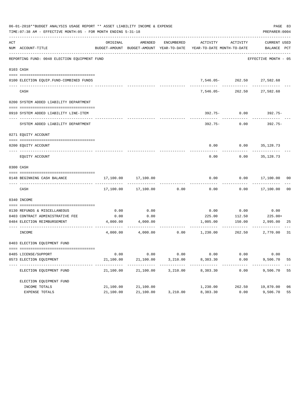| 06-01-2018**BUDGET ANALYSIS USAGE REPORT ** ASSET LIABILITY INCOME & EXPENSE<br>TIME: 07:38 AM - EFFECTIVE MONTH: 05 - FOR MONTH ENDING 5-31-18<br>PREPARER: 0004 |                                                                       |                         |                     |            |                                                                                 |                               |                      |    |  |  |
|-------------------------------------------------------------------------------------------------------------------------------------------------------------------|-----------------------------------------------------------------------|-------------------------|---------------------|------------|---------------------------------------------------------------------------------|-------------------------------|----------------------|----|--|--|
| ACT                                                                                                                                                               | NUM ACCOUNT-TITLE                                                     | ORIGINAL                | AMENDED             | ENCUMBERED | BUDGET-AMOUNT BUDGET-AMOUNT YEAR-TO-DATE YEAR-TO-DATE MONTH-TO-DATE BALANCE PCT | ACTIVITY ACTIVITY             | CURRENT USED         |    |  |  |
|                                                                                                                                                                   | REPORTING FUND: 0048 ELECTION EQUIPMENT FUND                          |                         |                     |            |                                                                                 |                               | EFFECTIVE MONTH - 05 |    |  |  |
|                                                                                                                                                                   | 0103 CASH                                                             |                         |                     |            |                                                                                 |                               |                      |    |  |  |
|                                                                                                                                                                   |                                                                       |                         |                     |            |                                                                                 | 7,546.05-262.50 27,582.68     |                      |    |  |  |
|                                                                                                                                                                   | 0100 ELECTION EQUIP. FUND-COMBINED FUNDS<br>------------------------- |                         |                     |            |                                                                                 | ---------                     | ---------            |    |  |  |
|                                                                                                                                                                   | CASH                                                                  |                         |                     |            | 7,546.05-                                                                       |                               | 262.50 27,582.68     |    |  |  |
|                                                                                                                                                                   | 0200 SYSTEM ADDED LIABILITY DEPARTMENT                                |                         |                     |            |                                                                                 |                               |                      |    |  |  |
|                                                                                                                                                                   | 0910 SYSTEM ADDED LIABILITY LINE-ITEM                                 |                         |                     |            |                                                                                 | $392.75 - 0.00$               | $392.75-$            |    |  |  |
|                                                                                                                                                                   | SYSTEM ADDED LIABILITY DEPARTMENT                                     |                         |                     |            | 392.75-                                                                         | 0.00                          | 392.75-              |    |  |  |
|                                                                                                                                                                   | 0271 EQUITY ACCOUNT                                                   |                         |                     |            |                                                                                 |                               |                      |    |  |  |
|                                                                                                                                                                   | 0200 EOUITY ACCOUNT                                                   |                         |                     |            |                                                                                 | $0.00$ $0.00$ $35,128,73$     |                      |    |  |  |
|                                                                                                                                                                   | EQUITY ACCOUNT                                                        |                         |                     |            | 0.00                                                                            | 0.00                          | 35,128.73            |    |  |  |
|                                                                                                                                                                   | 0300 CASH                                                             |                         |                     |            |                                                                                 |                               |                      |    |  |  |
|                                                                                                                                                                   | 0148 BEGINNING CASH BALANCE                                           | 17,100.00               | 17,100.00           |            | 0.00                                                                            |                               | $0.00$ 17,100.00     | 00 |  |  |
|                                                                                                                                                                   | CASH                                                                  |                         | 17,100.00 17,100.00 | 0.00       | 0.00                                                                            |                               | $0.00$ 17,100.00     | 00 |  |  |
|                                                                                                                                                                   | 0340 INCOME                                                           |                         |                     |            |                                                                                 |                               |                      |    |  |  |
|                                                                                                                                                                   |                                                                       |                         |                     |            |                                                                                 |                               |                      |    |  |  |
|                                                                                                                                                                   | 0130 REFUNDS & MISCELLANEOUS<br>0403 CONTRACT ADMINISTRATIVE FEE      | 0.00<br>0.00            | 0.00<br>0.00        |            | 0.00<br>225.00                                                                  | 0.00<br>112.50                | 0.00<br>$225.00+$    |    |  |  |
|                                                                                                                                                                   | 0484 ELECTION REIMBURSEMENT                                           |                         | 4,000.00 4,000.00   |            |                                                                                 | 1,005.00 150.00               | 2,995.00             | 25 |  |  |
|                                                                                                                                                                   | INCOME                                                                |                         |                     |            | ------------<br>$4,000.00$ $4,000.00$ $0.00$ $1,230.00$                         | ----------------------------- | 262.50 2,770.00      | 31 |  |  |
|                                                                                                                                                                   | 0403 ELECTION EQUIPMENT FUND                                          |                         |                     |            |                                                                                 |                               |                      |    |  |  |
|                                                                                                                                                                   |                                                                       |                         |                     |            |                                                                                 |                               |                      |    |  |  |
|                                                                                                                                                                   | 0485 LICENSE/SUPPORT                                                  | 0.00                    | 0.00                | 0.00       | 0.00                                                                            | 0.00                          | 0.00                 |    |  |  |
|                                                                                                                                                                   | 0573 ELECTION EQUIPMENT                                               | 21,100.00               | 21,100.00           | 3,210.00   | 8,383.30                                                                        | 0.00                          | 9,506.70             | 55 |  |  |
|                                                                                                                                                                   | ELECTION EQUIPMENT FUND                                               | ----------<br>21,100.00 | 21,100.00           | 3,210.00   | ----------<br>8,383.30                                                          | 0.00                          | 9,506.70             | 55 |  |  |
|                                                                                                                                                                   | ELECTION EQUIPMENT FUND                                               |                         |                     |            |                                                                                 |                               |                      |    |  |  |
|                                                                                                                                                                   | INCOME TOTALS                                                         | 21,100.00               | 21,100.00           |            | 1,230.00                                                                        | 262.50                        | 19,870.00            | 06 |  |  |
|                                                                                                                                                                   | EXPENSE TOTALS                                                        | 21,100.00               | 21,100.00           | 3,210.00   | 8,383.30                                                                        | 0.00                          | 9,506.70             | 55 |  |  |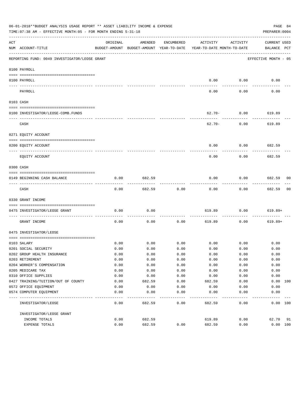|     | 06-01-2018**BUDGET ANALYSIS USAGE REPORT ** ASSET LIABILITY INCOME & EXPENSE<br>TIME: 07:38 AM - EFFECTIVE MONTH: 05 - FOR MONTH ENDING 5-31-18 |          |         |            |                                                                                 |                                | PAGE 84<br>PREPARER: 0004          |    |
|-----|-------------------------------------------------------------------------------------------------------------------------------------------------|----------|---------|------------|---------------------------------------------------------------------------------|--------------------------------|------------------------------------|----|
| ACT | NUM ACCOUNT-TITLE                                                                                                                               | ORIGINAL | AMENDED | ENCUMBERED | ACTIVITY<br>BUDGET-AMOUNT BUDGET-AMOUNT YEAR-TO-DATE YEAR-TO-DATE MONTH-TO-DATE | ACTIVITY                       | <b>CURRENT USED</b><br>BALANCE PCT |    |
|     | REPORTING FUND: 0049 INVESTIGATOR/LEOSE GRANT                                                                                                   |          |         |            |                                                                                 |                                | EFFECTIVE MONTH - 05               |    |
|     | 0100 PAYROLL                                                                                                                                    |          |         |            |                                                                                 |                                |                                    |    |
|     | 0100 PAYROLL                                                                                                                                    |          |         |            | 0.00                                                                            | 0.00                           | 0.00                               |    |
|     | PAYROLL                                                                                                                                         |          |         |            | -----<br>0.00                                                                   | . <u>.</u> .<br>0.00           | 0.00                               |    |
|     | 0103 CASH                                                                                                                                       |          |         |            |                                                                                 |                                |                                    |    |
|     |                                                                                                                                                 |          |         |            |                                                                                 |                                |                                    |    |
|     | 0100 INVESTIGATOR/LEOSE-COMB.FUNDS                                                                                                              |          |         |            |                                                                                 | $62.70 - 0.00$ 619.89          |                                    |    |
|     | CASH                                                                                                                                            |          |         |            |                                                                                 | ------------<br>$62.70 - 0.00$ | -----------<br>619.89              |    |
|     | 0271 EQUITY ACCOUNT                                                                                                                             |          |         |            |                                                                                 |                                |                                    |    |
|     | 0200 EQUITY ACCOUNT                                                                                                                             |          |         |            | 0.00                                                                            | 0.00                           | 682.59                             |    |
|     |                                                                                                                                                 |          |         |            |                                                                                 |                                |                                    |    |
|     | EQUITY ACCOUNT                                                                                                                                  |          |         |            | 0.00                                                                            | 0.00                           | 682.59                             |    |
|     | 0300 CASH                                                                                                                                       |          |         |            |                                                                                 |                                |                                    |    |
|     | 0149 BEGINNING CASH BALANCE                                                                                                                     | 0.00     | 682.59  |            | 0.00                                                                            | 0.00                           | 682.59 00                          |    |
|     | CASH                                                                                                                                            | 0.00     | 682.59  | 0.00       | 0.00                                                                            | 0.00                           | 682.59                             | 00 |
|     | 0330 GRANT INCOME                                                                                                                               |          |         |            |                                                                                 |                                |                                    |    |
|     | 0475 INVESTIGATOR/LEOSE GRANT                                                                                                                   | 0.00     | 0.00    |            |                                                                                 | 619.89 0.00 619.89+            |                                    |    |
|     | GRANT INCOME                                                                                                                                    | 0.00     | 0.00    | 0.00       | 619.89                                                                          | 0.00                           | $619.89+$                          |    |
|     | 0475 INVESTIGATOR/LEOSE                                                                                                                         |          |         |            |                                                                                 |                                |                                    |    |
|     |                                                                                                                                                 | 0.00     | 0.00    | 0.00       |                                                                                 | $0.00$ 0.00                    | 0.00                               |    |
|     | 0103 SALARY<br>0201 SOCIAL SECURITY                                                                                                             | 0.00     | 0.00    | 0.00       | 0.00                                                                            | 0.00                           | 0.00                               |    |
|     | 0202 GROUP HEALTH INSURANCE                                                                                                                     | 0.00     | 0.00    | 0.00       | 0.00                                                                            | 0.00                           | 0.00                               |    |
|     | 0203 RETIREMENT                                                                                                                                 | 0.00     | 0.00    | 0.00       | 0.00                                                                            | 0.00                           | 0.00                               |    |
|     | 0204 WORKER'S COMPENSATION                                                                                                                      | 0.00     | 0.00    | 0.00       | 0.00                                                                            | 0.00                           | 0.00                               |    |
|     | 0205 MEDICARE TAX                                                                                                                               | 0.00     | 0.00    | 0.00       | 0.00                                                                            | 0.00                           | 0.00                               |    |
|     | 0310 OFFICE SUPPLIES                                                                                                                            | 0.00     | 0.00    | 0.00       | 0.00                                                                            | 0.00                           | 0.00                               |    |
|     | 0427 TRAINING/TUITION/OUT OF COUNTY                                                                                                             | 0.00     | 682.59  | 0.00       | 682.59                                                                          | 0.00                           | 0.00 100                           |    |
|     | 0572 OFFICE EQUIPMENT                                                                                                                           | 0.00     | 0.00    | 0.00       | 0.00                                                                            | 0.00                           | 0.00                               |    |
|     | 0574 COMPUTER EQUIPMENT                                                                                                                         | 0.00     | 0.00    | 0.00       | 0.00                                                                            | 0.00                           | 0.00                               |    |
|     | INVESTIGATOR/LEOSE                                                                                                                              | 0.00     | 682.59  | 0.00       | 682.59                                                                          | 0.00                           | 0.00 100                           |    |
|     | INVESTIGATOR/LEOSE GRANT                                                                                                                        |          |         |            |                                                                                 |                                |                                    |    |
|     | INCOME TOTALS                                                                                                                                   | 0.00     | 682.59  |            | 619.89                                                                          | 0.00                           | 62.70                              | 91 |
|     | EXPENSE TOTALS                                                                                                                                  | 0.00     | 682.59  | 0.00       | 682.59                                                                          | 0.00                           | 0.00 100                           |    |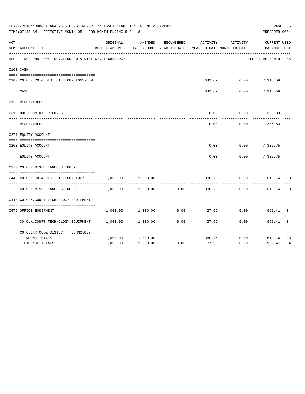|     | 06-01-2018**BUDGET ANALYSIS USAGE REPORT ** ASSET LIABILITY INCOME & EXPENSE<br>TIME: 07:38 AM - EFFECTIVE MONTH: 05 - FOR MONTH ENDING 5-31-18<br>PREPARER: 0004 |          |                                                     |            |                                        |                      |                                    |    |  |  |  |
|-----|-------------------------------------------------------------------------------------------------------------------------------------------------------------------|----------|-----------------------------------------------------|------------|----------------------------------------|----------------------|------------------------------------|----|--|--|--|
| ACT | NUM ACCOUNT-TITLE                                                                                                                                                 | ORIGINAL | AMENDED<br>BUDGET-AMOUNT BUDGET-AMOUNT YEAR-TO-DATE | ENCUMBERED | ACTIVITY<br>YEAR-TO-DATE MONTH-TO-DATE | ACTIVITY             | <b>CURRENT USED</b><br>BALANCE PCT |    |  |  |  |
|     | REPORTING FUND: 0051 CO.CLERK CO.& DIST.CT. TECHNOLOGY                                                                                                            |          |                                                     |            |                                        |                      | EFFECTIVE MONTH - 05               |    |  |  |  |
|     | 0103 CASH                                                                                                                                                         |          |                                                     |            |                                        |                      |                                    |    |  |  |  |
|     | 0100 CO.CLK.CO.& DIST.CT.TECHNOLOGY-COM                                                                                                                           |          |                                                     |            |                                        | 342.67 0.00 7,318.59 |                                    |    |  |  |  |
|     | CASH                                                                                                                                                              |          |                                                     |            | 342.67                                 | 0.00                 | 7,318.59                           |    |  |  |  |
|     | 0120 RECEIVABLES                                                                                                                                                  |          |                                                     |            |                                        |                      |                                    |    |  |  |  |
|     | 0313 DUE FROM OTHER FUNDS                                                                                                                                         |          |                                                     |            | 0.00                                   | 0.00                 | 356.83                             |    |  |  |  |
|     | RECEIVABLES                                                                                                                                                       |          |                                                     |            | 0.00                                   | 0.00                 | 356.83                             |    |  |  |  |
|     | 0271 EQUITY ACCOUNT                                                                                                                                               |          |                                                     |            |                                        |                      |                                    |    |  |  |  |
|     | 0200 EQUITY ACCOUNT                                                                                                                                               |          |                                                     |            | 0.00                                   |                      | $0.00$ 7,332.75                    |    |  |  |  |
|     | EQUITY ACCOUNT                                                                                                                                                    |          |                                                     |            | 0.00                                   | 0.00                 | 7,332.75                           |    |  |  |  |
|     | 0370 CO.CLK.MISCELLANEOUS INCOME                                                                                                                                  |          |                                                     |            |                                        |                      |                                    |    |  |  |  |
|     | 0440 CO.CLK.CO.& DIST.CT.TECHNOLOGY FEE                                                                                                                           | 1,000.00 | 1,000.00                                            |            | 380.26                                 | 0.00                 | 619.74 38                          |    |  |  |  |
|     | CO. CLK. MISCELLANEOUS INCOME                                                                                                                                     | 1,000.00 | 1,000.00                                            | 0.00       | 380.26                                 | 0.00                 | 619.74                             | 38 |  |  |  |
|     | 0440 CO.CLK.COURT TECHNOLOGY EQUIPMENT                                                                                                                            |          |                                                     |            |                                        |                      |                                    |    |  |  |  |
|     | 0572 OFFICE EQUIPMENT                                                                                                                                             | 1,000.00 | 1,000.00                                            | 0.00       | 37.59                                  | 0.00                 | 962.41                             | 04 |  |  |  |
|     | CO.CLK.COURT TECHNOLOGY EQUIPMENT                                                                                                                                 | 1,000.00 | 1,000.00                                            | 0.00       | 37.59                                  | 0.00                 | 962.41                             | 04 |  |  |  |
|     | CO. CLERK CO. & DIST. CT. TECHNOLOGY                                                                                                                              |          |                                                     |            |                                        |                      |                                    |    |  |  |  |
|     | INCOME TOTALS                                                                                                                                                     | 1,000.00 | 1,000.00                                            |            | 380.26                                 | 0.00                 | 619.74                             | 38 |  |  |  |
|     | <b>EXPENSE TOTALS</b>                                                                                                                                             | 1,000.00 | 1,000.00                                            | 0.00       | 37.59                                  | 0.00                 | 962.41                             | 04 |  |  |  |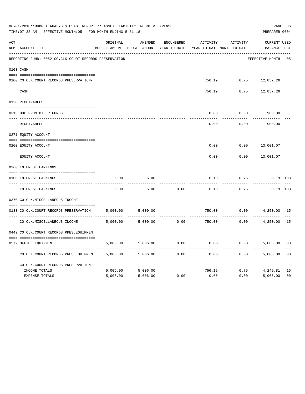|     | 06-01-2018**BUDGET ANALYSIS USAGE REPORT ** ASSET LIABILITY INCOME & EXPENSE<br>TIME: 07:38 AM - EFFECTIVE MONTH: 05 - FOR MONTH ENDING 5-31-18 |          |                                          |            |          |                            |                       |                |  |  |
|-----|-------------------------------------------------------------------------------------------------------------------------------------------------|----------|------------------------------------------|------------|----------|----------------------------|-----------------------|----------------|--|--|
| ACT |                                                                                                                                                 | ORIGINAL | AMENDED                                  | ENCUMBERED | ACTIVITY | ACTIVITY                   | <b>CURRENT USED</b>   |                |  |  |
|     | NUM ACCOUNT-TITLE                                                                                                                               |          | BUDGET-AMOUNT BUDGET-AMOUNT YEAR-TO-DATE |            |          | YEAR-TO-DATE MONTH-TO-DATE | BALANCE PCT           |                |  |  |
|     | REPORTING FUND: 0052 CO.CLK.COURT RECORDS PRESERVATION                                                                                          |          |                                          |            |          |                            | EFFECTIVE MONTH - 05  |                |  |  |
|     | 0103 CASH                                                                                                                                       |          |                                          |            |          |                            |                       |                |  |  |
|     | 0100 CO.CLK.COURT RECORDS PRESERVATION-                                                                                                         |          |                                          |            |          |                            | 756.19 0.75 12,857.26 |                |  |  |
|     | CASH                                                                                                                                            |          |                                          |            | 756.19   | 0.75                       | 12,857.26             |                |  |  |
|     | 0120 RECEIVABLES                                                                                                                                |          |                                          |            |          |                            |                       |                |  |  |
|     | 0313 DUE FROM OTHER FUNDS                                                                                                                       |          |                                          |            | 0.00     | 0.00                       | 900.00                |                |  |  |
|     | RECEIVABLES                                                                                                                                     |          |                                          |            | 0.00     | 0.00                       | 900.00                |                |  |  |
|     | 0271 EQUITY ACCOUNT                                                                                                                             |          |                                          |            |          |                            |                       |                |  |  |
|     | 0200 EQUITY ACCOUNT                                                                                                                             |          |                                          |            | 0.00     | 0.00                       | 13,001.07             |                |  |  |
|     | ---- -------------<br>EQUITY ACCOUNT                                                                                                            |          |                                          |            | 0.00     | 0.00                       | 13,001.07             |                |  |  |
|     | 0360 INTEREST EARNINGS                                                                                                                          |          |                                          |            |          |                            |                       |                |  |  |
|     | 0100 INTEREST EARNINGS                                                                                                                          | 6.00     | 6.00                                     |            | 6.19     | 0.75                       | $0.19 + 103$          |                |  |  |
|     | ---- --------------<br>INTEREST EARNINGS                                                                                                        | 6.00     | 6.00                                     | 0.00       | 6.19     | 0.75                       | $0.19 + 103$          |                |  |  |
|     | 0370 CO.CLK.MISCELLANEOUS INCOME                                                                                                                |          |                                          |            |          |                            |                       |                |  |  |
|     | 0133 CO.CLK.COURT RECORDS PRESERVATION                                                                                                          | 5,000.00 | 5,000.00                                 |            | 750.00   | 0.00                       | 4,250.00 15           |                |  |  |
|     | CO. CLK. MISCELLANEOUS INCOME                                                                                                                   | 5,000.00 | 5,000.00                                 | 0.00       | 750.00   | 0.00                       | 4,250.00              | 15             |  |  |
|     | 0449 CO.CLK.COURT RECORDS PRES.EQUIPMEN                                                                                                         |          |                                          |            |          |                            |                       |                |  |  |
|     | 0572 OFFICE EQUIPMENT                                                                                                                           | 5,006.00 | 5,006.00                                 | 0.00       | 0.00     |                            | 0.00<br>5,006.00      | 0 <sub>0</sub> |  |  |
|     | CO.CLK.COURT RECORDS PRES.EQUIPMEN                                                                                                              | 5,006.00 | 5,006.00                                 | 0.00       | 0.00     | 0.00                       | 5,006.00              | 0 <sub>0</sub> |  |  |
|     | CO.CLK.COURT RECORDS PRESERVATION                                                                                                               |          |                                          |            |          |                            |                       |                |  |  |
|     | INCOME TOTALS                                                                                                                                   | 5,006.00 | 5,006.00                                 |            | 756.19   | 0.75                       | 4,249.81              | 15             |  |  |
|     | <b>EXPENSE TOTALS</b>                                                                                                                           | 5,006.00 | 5,006.00                                 | 0.00       | 0.00     | 0.00                       | 5,006.00              | 0 <sup>0</sup> |  |  |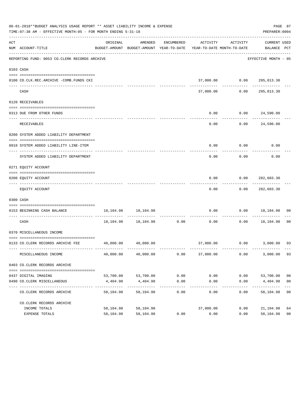|     | 06-01-2018**BUDGET ANALYSIS USAGE REPORT ** ASSET LIABILITY INCOME & EXPENSE<br>TIME: 07:38 AM - EFFECTIVE MONTH: 05 - FOR MONTH ENDING 5-31-18 |                       |                                                                                |                    |                   |                                               | PREPARER: 0004                   | PAGE 87                          |
|-----|-------------------------------------------------------------------------------------------------------------------------------------------------|-----------------------|--------------------------------------------------------------------------------|--------------------|-------------------|-----------------------------------------------|----------------------------------|----------------------------------|
| ACT | NUM ACCOUNT-TITLE                                                                                                                               | ORIGINAL              | AMENDED<br>BUDGET-AMOUNT BUDGET-AMOUNT YEAR-TO-DATE YEAR-TO-DATE MONTH-TO-DATE |                    |                   | ENCUMBERED ACTIVITY ACTIVITY                  | CURRENT USED<br>BALANCE PCT      |                                  |
|     | REPORTING FUND: 0053 CO.CLERK RECORDS ARCHIVE                                                                                                   |                       |                                                                                |                    |                   |                                               | EFFECTIVE MONTH - 05             |                                  |
|     | 0103 CASH                                                                                                                                       |                       |                                                                                |                    |                   |                                               |                                  |                                  |
|     | 0100 CO.CLK.REC.ARCHIVE -COMB.FUNDS CKI                                                                                                         |                       |                                                                                |                    |                   | 37,000.00   0.00   295,013.30<br>------------ | -------------                    |                                  |
|     | CASH                                                                                                                                            |                       |                                                                                |                    | 37,000.00         | 0.00                                          | 295,013.30                       |                                  |
|     | 0120 RECEIVABLES                                                                                                                                |                       |                                                                                |                    |                   |                                               |                                  |                                  |
|     | 0313 DUE FROM OTHER FUNDS                                                                                                                       |                       |                                                                                |                    | 0.00<br>--------- |                                               | 0.00 24,590.00                   |                                  |
|     | RECEIVABLES                                                                                                                                     |                       |                                                                                |                    | 0.00              |                                               | 0.00 24,590.00                   |                                  |
|     | 0200 SYSTEM ADDED LIABILITY DEPARTMENT                                                                                                          |                       |                                                                                |                    |                   |                                               |                                  |                                  |
|     | 0910 SYSTEM ADDED LIABILITY LINE-ITEM                                                                                                           |                       |                                                                                |                    | 0.00              | $0.00$ 0.00                                   |                                  |                                  |
|     | SYSTEM ADDED LIABILITY DEPARTMENT                                                                                                               |                       |                                                                                |                    | 0.00              | 0.00                                          | 0.00                             |                                  |
|     | 0271 EQUITY ACCOUNT                                                                                                                             |                       |                                                                                |                    |                   |                                               |                                  |                                  |
|     | 0200 EQUITY ACCOUNT                                                                                                                             |                       |                                                                                |                    | 0.00              | 0.00                                          | 282,603.30                       |                                  |
|     | EQUITY ACCOUNT                                                                                                                                  |                       |                                                                                |                    | 0.00              |                                               | 0.00 282,603.30                  |                                  |
|     | 0300 CASH                                                                                                                                       |                       |                                                                                |                    |                   |                                               |                                  |                                  |
|     | 0153 BEGINNING CASH BALANCE                                                                                                                     |                       | 18, 104. 98   18, 104. 98                                                      |                    | 0.00              |                                               | $0.00$ 18,104.98 00              |                                  |
|     | CASH                                                                                                                                            |                       | $18,104.98$ $18,104.98$ $0.00$ $0.00$                                          |                    |                   |                                               | $0.00$ 18,104.98                 | 0 <sub>0</sub>                   |
|     | 0370 MISCELLANEOUS INCOME                                                                                                                       |                       |                                                                                |                    |                   |                                               |                                  |                                  |
|     | 0133 CO. CLERK RECORDS ARCHIVE FEE                                                                                                              |                       | 40,000.00 40,000.00                                                            |                    |                   |                                               | 37,000.00   0.00   3,000.00   93 |                                  |
|     | MISCELLANEOUS INCOME                                                                                                                            | 40,000.00             | 40,000.00                                                                      | 0.00               | 37,000.00         | 0.00                                          | 3,000.00                         | 93                               |
|     | 0403 CO.CLERK RECORDS ARCHIVE                                                                                                                   |                       |                                                                                |                    |                   |                                               |                                  |                                  |
|     |                                                                                                                                                 |                       |                                                                                |                    |                   |                                               |                                  |                                  |
|     | 0437 DIGITAL IMAGING<br>0490 CO. CLERK MISCELLANEOUS                                                                                            | 53,700.00<br>4,404.98 | 53,700.00<br>4,404.98                                                          | 0.00<br>0.00       | 0.00<br>0.00      | 0.00<br>0.00                                  | 53,700.00<br>4,404.98            | 0 <sub>0</sub><br>0 <sub>0</sub> |
|     | CO. CLERK RECORDS ARCHIVE                                                                                                                       | 58,104.98             | -------------<br>58,104.98                                                     | ----------<br>0.00 | 0.00              | $- - - - -$<br>0.00                           | 58,104.98                        | 0 <sub>0</sub>                   |
|     | CO. CLERK RECORDS ARCHIVE                                                                                                                       |                       |                                                                                |                    |                   |                                               |                                  |                                  |
|     | INCOME TOTALS                                                                                                                                   | 58,104.98             | 58,104.98                                                                      |                    | 37,000.00         | 0.00                                          | 21,104.98                        | 64                               |
|     | EXPENSE TOTALS                                                                                                                                  | 58,104.98             | 58,104.98                                                                      | 0.00               | 0.00              | 0.00                                          | 58,104.98                        | 0 <sub>0</sub>                   |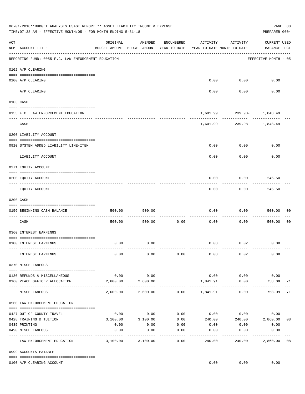|     | 06-01-2018**BUDGET ANALYSIS USAGE REPORT ** ASSET LIABILITY INCOME & EXPENSE<br>TIME: 07:38 AM - EFFECTIVE MONTH: 05 - FOR MONTH ENDING 5-31-18 |          |                                                     |                   |                                        |                           | PREPARER: 0004                     | PAGE 88        |
|-----|-------------------------------------------------------------------------------------------------------------------------------------------------|----------|-----------------------------------------------------|-------------------|----------------------------------------|---------------------------|------------------------------------|----------------|
| ACT | NUM ACCOUNT-TITLE                                                                                                                               | ORIGINAL | AMENDED<br>BUDGET-AMOUNT BUDGET-AMOUNT YEAR-TO-DATE | ENCUMBERED        | ACTIVITY<br>YEAR-TO-DATE MONTH-TO-DATE | ACTIVITY                  | <b>CURRENT USED</b><br>BALANCE PCT |                |
|     | REPORTING FUND: 0055 F.C. LAW ENFORCEMENT EDUCATION                                                                                             |          |                                                     |                   |                                        |                           | EFFECTIVE MONTH - 05               |                |
|     | 0102 A/P CLEARING                                                                                                                               |          |                                                     |                   |                                        |                           |                                    |                |
|     | 0100 A/P CLEARING                                                                                                                               |          |                                                     |                   | 0.00                                   | 0.00                      | 0.00                               |                |
|     | ---- ----------<br>---------------------- ---------<br>A/P CLEARING                                                                             |          |                                                     |                   | 0.00                                   | 0.00                      | 0.00                               |                |
|     | 0103 CASH                                                                                                                                       |          |                                                     |                   |                                        |                           |                                    |                |
|     | 0155 F.C. LAW ENFORCEMENT EDUCATION                                                                                                             |          |                                                     |                   |                                        | 1,601.99 239.98- 1,848.49 |                                    |                |
|     | CASH                                                                                                                                            |          |                                                     |                   | 1,601.99                               | .                         | 239.98- 1,848.49                   |                |
|     | 0200 LIABILITY ACCOUNT                                                                                                                          |          |                                                     |                   |                                        |                           |                                    |                |
|     |                                                                                                                                                 |          |                                                     |                   |                                        |                           |                                    |                |
|     | 0910 SYSTEM ADDED LIABILITY LINE-ITEM                                                                                                           |          |                                                     |                   | 0.00                                   | 0.00                      | 0.00                               |                |
|     | LIABILITY ACCOUNT                                                                                                                               |          |                                                     |                   | 0.00                                   | 0.00                      | 0.00                               |                |
|     | 0271 EQUITY ACCOUNT                                                                                                                             |          |                                                     |                   |                                        |                           |                                    |                |
|     | 0200 EQUITY ACCOUNT                                                                                                                             |          |                                                     |                   | 0.00                                   | 0.00                      | 246.50                             |                |
|     | EQUITY ACCOUNT                                                                                                                                  |          |                                                     |                   | 0.00                                   | 0.00                      | 246.50                             |                |
|     | 0300 CASH                                                                                                                                       |          |                                                     |                   |                                        |                           |                                    |                |
|     | 0156 BEGINNING CASH BALANCE                                                                                                                     | 500.00   | 500.00                                              |                   | 0.00                                   | 0.00                      | 500.00                             | 00             |
|     | CASH                                                                                                                                            | 500.00   | 500.00                                              | 0.00              | 0.00                                   | 0.00                      | 500.00                             | 0 <sub>0</sub> |
|     | 0360 INTEREST EARNINGS                                                                                                                          |          |                                                     |                   |                                        |                           |                                    |                |
|     | 0100 INTEREST EARNINGS                                                                                                                          | 0.00     | 0.00                                                |                   |                                        | $0.08$ 0.02               | $0.08+$                            |                |
|     |                                                                                                                                                 |          |                                                     |                   |                                        |                           |                                    |                |
|     | INTEREST EARNINGS                                                                                                                               | 0.00     | 0.00                                                | 0.00              | 0.08                                   | 0.02                      | $0.08+$                            |                |
|     | 0370 MISCELLANEOUS                                                                                                                              |          |                                                     |                   |                                        |                           |                                    |                |
|     | 0130 REFUNDS & MISCELLANEOUS                                                                                                                    | 0.00     | 0.00                                                |                   | 0.00                                   | 0.00                      | 0.00                               |                |
|     | 0160 PEACE OFFICER ALLOCATION                                                                                                                   | 2,600.00 | 2,600.00                                            |                   | 1,841.91                               | 0.00                      | 758.09                             | 71             |
|     | MISCELLANEOUS                                                                                                                                   | 2,600.00 | -----------<br>2,600.00                             |                   | $0.00$ 1,841.91                        | 0.00                      | 758.09                             | 71             |
|     | 0560 LAW ENFORCEMENT EDUCATION                                                                                                                  |          |                                                     |                   |                                        |                           |                                    |                |
|     | 0427 OUT OF COUNTY TRAVEL                                                                                                                       | 0.00     | 0.00                                                | 0.00              |                                        | $0.00$ 0.00               | 0.00                               |                |
|     | 0428 TRAINING & TUITION                                                                                                                         | 3,100.00 | 3,100.00                                            | 0.00              | 240.00                                 |                           | 240.00 2,860.00                    | 08             |
|     | 0435 PRINTING                                                                                                                                   | 0.00     | 0.00                                                | 0.00              | 0.00                                   | 0.00                      | 0.00                               |                |
|     | 0490 MISCELLANEOUS                                                                                                                              | 0.00     | 0.00                                                | 0.00<br>$- - - -$ | 0.00                                   | 0.00                      | 0.00                               |                |
|     | LAW ENFORCEMENT EDUCATION                                                                                                                       | 3,100.00 | 3,100.00                                            | 0.00              | 240.00                                 | 240.00                    | 2,860.00                           | 08             |
|     | 0999 ACCOUNTS PAYABLE                                                                                                                           |          |                                                     |                   |                                        |                           |                                    |                |
|     | 0100 A/P CLEARING ACCOUNT                                                                                                                       |          |                                                     |                   | 0.00                                   | 0.00                      | 0.00                               |                |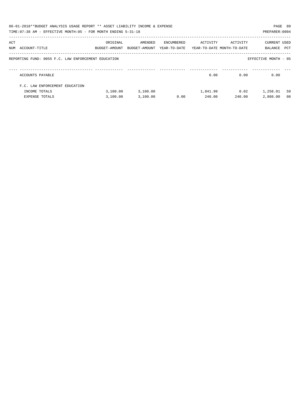|     | 06-01-2018**BUDGET ANALYSIS USAGE REPORT ** ASSET LIABILITY INCOME & EXPENSE<br>TIME: 07:38 AM - EFFECTIVE MONTH: 05 - FOR MONTH ENDING 5-31-18 |                                                                                 |          |            |          |          | PAGE 89<br>PREPARER: 0004   |    |
|-----|-------------------------------------------------------------------------------------------------------------------------------------------------|---------------------------------------------------------------------------------|----------|------------|----------|----------|-----------------------------|----|
| ACT | NUM ACCOUNT-TITLE                                                                                                                               | ORIGINAL<br>BUDGET-AMOUNT BUDGET-AMOUNT YEAR-TO-DATE YEAR-TO-DATE_MONTH-TO-DATE | AMENDED  | ENCUMBERED | ACTIVITY | ACTIVITY | CURRENT USED<br>BALANCE PCT |    |
|     | REPORTING FUND: 0055 F.C. LAW ENFORCEMENT EDUCATION                                                                                             |                                                                                 |          |            |          |          | EFFECTIVE MONTH - 05        |    |
|     | ACCOUNTS PAYABLE                                                                                                                                |                                                                                 |          |            | 0.00     | 0.00     | 0.00                        |    |
|     | F.C. LAW ENFORCEMENT EDUCATION                                                                                                                  |                                                                                 |          |            |          |          |                             |    |
|     | INCOME TOTALS                                                                                                                                   | 3.100.00                                                                        | 3,100.00 |            | 1,841.99 | 0.02     | 1,258.01                    | 59 |
|     | EXPENSE TOTALS                                                                                                                                  | 3,100.00                                                                        | 3.100.00 | 0.00       | 240.00   | 240.00   | 2,860.00                    | 08 |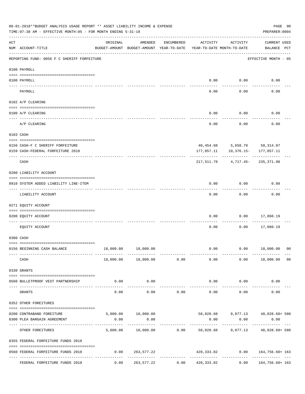|          | 06-01-2018**BUDGET ANALYSIS USAGE REPORT ** ASSET LIABILITY INCOME & EXPENSE<br>TIME: 07:38 AM - EFFECTIVE MONTH: 05 - FOR MONTH ENDING 5-31-18                                                                                                                                                                                                                                                                                                            |          |                                                     |              |                                        |                             | PREPARER: 0004                                                | PAGE 90        |
|----------|------------------------------------------------------------------------------------------------------------------------------------------------------------------------------------------------------------------------------------------------------------------------------------------------------------------------------------------------------------------------------------------------------------------------------------------------------------|----------|-----------------------------------------------------|--------------|----------------------------------------|-----------------------------|---------------------------------------------------------------|----------------|
| ACT      | NUM ACCOUNT-TITLE                                                                                                                                                                                                                                                                                                                                                                                                                                          | ORIGINAL | AMENDED<br>BUDGET-AMOUNT BUDGET-AMOUNT YEAR-TO-DATE | ENCUMBERED   | ACTIVITY<br>YEAR-TO-DATE MONTH-TO-DATE | ACTIVITY                    | <b>CURRENT USED</b><br>BALANCE PCT                            |                |
|          | REPORTING FUND: 0056 F C SHERIFF FORFEITURE                                                                                                                                                                                                                                                                                                                                                                                                                |          |                                                     |              |                                        |                             | EFFECTIVE MONTH - 05                                          |                |
|          | 0100 PAYROLL                                                                                                                                                                                                                                                                                                                                                                                                                                               |          |                                                     |              |                                        |                             |                                                               |                |
|          | 0100 PAYROLL                                                                                                                                                                                                                                                                                                                                                                                                                                               |          |                                                     |              | 0.00                                   | 0.00                        | 0.00                                                          |                |
| ---- --- | PAYROLL                                                                                                                                                                                                                                                                                                                                                                                                                                                    |          |                                                     |              | 0.00                                   | 0.00                        | 0.00                                                          |                |
|          | 0102 A/P CLEARING                                                                                                                                                                                                                                                                                                                                                                                                                                          |          |                                                     |              |                                        |                             |                                                               |                |
|          | 0100 A/P CLEARING                                                                                                                                                                                                                                                                                                                                                                                                                                          |          |                                                     |              | 0.00                                   | 0.00                        | 0.00                                                          |                |
|          | A/P CLEARING                                                                                                                                                                                                                                                                                                                                                                                                                                               |          |                                                     |              | 0.00                                   | 0.00                        | 0.00                                                          |                |
|          | 0103 CASH                                                                                                                                                                                                                                                                                                                                                                                                                                                  |          |                                                     |              |                                        |                             |                                                               |                |
|          | 0156 CASH-F C SHERIFF FORFEITURE                                                                                                                                                                                                                                                                                                                                                                                                                           |          |                                                     |              |                                        |                             | 40, 454.68 5, 658.70 58, 314.87                               |                |
|          | 0159 CASH-FEDERAL FORFEITURE 2018                                                                                                                                                                                                                                                                                                                                                                                                                          |          |                                                     |              | 177,057.11                             |                             | 10,376.15- 177,057.11                                         |                |
|          | CASH                                                                                                                                                                                                                                                                                                                                                                                                                                                       |          |                                                     |              | 217,511.79                             |                             | 4,717.45-235,371.98                                           |                |
|          | 0200 LIABILITY ACCOUNT                                                                                                                                                                                                                                                                                                                                                                                                                                     |          |                                                     |              |                                        |                             |                                                               |                |
|          | 0910 SYSTEM ADDED LIABILITY LINE-ITEM                                                                                                                                                                                                                                                                                                                                                                                                                      |          |                                                     |              | 0.00                                   | 0.00                        | 0.00                                                          |                |
|          | LIABILITY ACCOUNT                                                                                                                                                                                                                                                                                                                                                                                                                                          |          |                                                     |              | 0.00                                   | 0.00                        | 0.00                                                          |                |
|          | 0271 EQUITY ACCOUNT                                                                                                                                                                                                                                                                                                                                                                                                                                        |          |                                                     |              |                                        |                             |                                                               |                |
|          | 0200 EQUITY ACCOUNT                                                                                                                                                                                                                                                                                                                                                                                                                                        |          |                                                     |              | 0.00                                   | 0.00                        | 17,860.19                                                     |                |
|          | EQUITY ACCOUNT                                                                                                                                                                                                                                                                                                                                                                                                                                             |          |                                                     |              | 0.00                                   | 0.00                        | 17,860.19                                                     |                |
|          | 0300 CASH                                                                                                                                                                                                                                                                                                                                                                                                                                                  |          |                                                     |              |                                        |                             |                                                               |                |
|          | 0156 BEGINNING CASH BALANCE                                                                                                                                                                                                                                                                                                                                                                                                                                |          | 18,000.00  18,000.00                                |              | 0.00                                   |                             | $0.00$ 18,000.00 00                                           |                |
|          | ------------- --------<br>CASH                                                                                                                                                                                                                                                                                                                                                                                                                             |          | $- - - - - - - -$<br>18,000.00  18,000.00  0.00     | ------------ |                                        | 0.00                        | $0.00$ 18,000.00                                              | 0 <sub>0</sub> |
|          | 0330 GRANTS                                                                                                                                                                                                                                                                                                                                                                                                                                                |          |                                                     |              |                                        |                             |                                                               |                |
|          | $\verb c  = \verb c  = \verb c  = \verb c  = \verb c  = \verb c  = \verb c  = \verb c  = \verb c  = \verb c  = \verb c  = \verb c  = \verb c  = \verb c  = \verb c  = \verb c  = \verb c  = \verb c  = \verb c  = \verb c  = \verb c  = \verb c  = \verb c  = \verb c  = \verb c  = \verb c  = \verb c  = \verb c  = \verb c  = \verb c  = \verb c  = \verb c  = \verb c  = \verb c  = \verb c  = \verb c  = \verb c$<br>0560 BULLETPROOF VEST PARTNERSHIP | 0.00     | 0.00<br>-----------                                 |              |                                        | $0.00$ $0.00$<br>---------- | 0.00                                                          |                |
|          | GRANTS                                                                                                                                                                                                                                                                                                                                                                                                                                                     | 0.00     | 0.00                                                | 0.00         | 0.00                                   | 0.00                        | 0.00                                                          |                |
|          | 0352 OTHER FOREITURES                                                                                                                                                                                                                                                                                                                                                                                                                                      |          |                                                     |              |                                        |                             |                                                               |                |
|          | 0200 CONTRABAND FOREITURE                                                                                                                                                                                                                                                                                                                                                                                                                                  |          |                                                     |              |                                        |                             | 5,000.00   10,000.00   58,028.68   9,877.13   48,028.68   580 |                |
|          | 0300 PLEA BARGAIN AGREEMENT                                                                                                                                                                                                                                                                                                                                                                                                                                | 0.00     | 0.00<br>-----------                                 |              | 0.00                                   | 0.00                        | 0.00                                                          |                |
|          | OTHER FOREITURES                                                                                                                                                                                                                                                                                                                                                                                                                                           |          |                                                     |              |                                        |                             | 5,000.00 10,000.00 0.00 58,028.68 9,877.13 48,028.68+ 580     |                |
|          | 0355 FEDERAL FORFEITURE FUNDS 2018                                                                                                                                                                                                                                                                                                                                                                                                                         |          |                                                     |              |                                        |                             |                                                               |                |
|          | 0560 FEDERAL FORFEITURE FUNDS 2018                                                                                                                                                                                                                                                                                                                                                                                                                         | 0.00     | 263,577.22                                          |              |                                        |                             |                                                               |                |
|          | FEDERAL FORFEITURE FUNDS 2018                                                                                                                                                                                                                                                                                                                                                                                                                              |          | $0.00$ $263,577.22$ $0.00$ $428,333.82$             |              |                                        |                             | $0.00$ $164,756.60+163$                                       |                |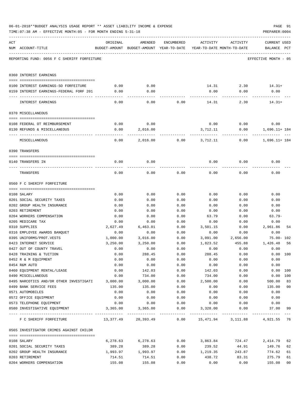|     | TIME: 07:38 AM - EFFECTIVE MONTH: 05 - FOR MONTH ENDING 5-31-18 |                  |                                                                                |              |                           |                       | PREPARER: 0004                     |                |
|-----|-----------------------------------------------------------------|------------------|--------------------------------------------------------------------------------|--------------|---------------------------|-----------------------|------------------------------------|----------------|
| ACT | NUM ACCOUNT-TITLE                                               | ORIGINAL         | AMENDED<br>BUDGET-AMOUNT BUDGET-AMOUNT YEAR-TO-DATE YEAR-TO-DATE MONTH-TO-DATE | ENCUMBERED   | ACTIVITY                  | ACTIVITY              | <b>CURRENT USED</b><br>BALANCE PCT |                |
|     | REPORTING FUND: 0056 F C SHERIFF FORFEITURE                     |                  |                                                                                |              |                           |                       | EFFECTIVE MONTH - 05               |                |
|     | 0360 INTEREST EARNINGS                                          |                  |                                                                                |              |                           |                       |                                    |                |
|     | 0100 INTEREST EARNINGS-SO FORFEITURE                            | 0.00             | 0.00                                                                           |              |                           |                       | $14.31$ $2.30$ $14.31+$            |                |
|     | 0159 INTEREST EARNINGS-FEDERAL FORF 201                         | 0.00             | 0.00                                                                           |              | 0.00                      | 0.00                  | 0.00                               |                |
|     |                                                                 |                  |                                                                                |              | ---------                 |                       |                                    |                |
|     | INTEREST EARNINGS                                               | 0.00             | 0.00                                                                           | 0.00         | 14.31                     | 2.30                  | $14.31+$                           |                |
|     | 0370 MISCELLANEOUS                                              |                  |                                                                                |              |                           |                       |                                    |                |
|     |                                                                 |                  |                                                                                |              |                           |                       |                                    |                |
|     | 0108 FEDERAL OT REIMBURSEMENT<br>0130 REFUNDS & MISCELLANEOUS   | 0.00<br>0.00     | 0.00                                                                           |              |                           | $0.00$ $0.00$<br>0.00 | 0.00                               |                |
|     |                                                                 |                  | 2,016.00                                                                       |              | 3,712.11                  |                       | 1,696.11+ 184                      |                |
|     | MISCELLANEOUS                                                   | 0.00             | 2,016.00                                                                       |              | $0.00$ 3,712.11           | 0.00                  | 1,696.11+ 184                      |                |
|     | 0390 TRANSFERS                                                  |                  |                                                                                |              |                           |                       |                                    |                |
|     |                                                                 |                  |                                                                                |              |                           |                       |                                    |                |
|     | 0140 TRANSFERS IN                                               | 0.00             | 0.00                                                                           |              | 0.00                      | 0.00                  | 0.00                               |                |
|     | TRANSFERS                                                       | 0.00             | 0.00                                                                           | 0.00         | 0.00                      | 0.00                  | 0.00                               |                |
|     | 0560 F C SHERIFF FORFEITURE                                     |                  |                                                                                |              |                           |                       |                                    |                |
|     |                                                                 |                  |                                                                                |              |                           |                       |                                    |                |
|     | 0108 SALARY                                                     | 0.00             | 0.00                                                                           | 0.00         | 0.00                      | 0.00                  | 0.00                               |                |
|     | 0201 SOCIAL SECURITY TAXES                                      | 0.00             | 0.00                                                                           | 0.00         | 0.00                      | 0.00                  | 0.00                               |                |
|     | 0202 GROUP HEALTH INSURANCE                                     | 0.00             | 0.00                                                                           | 0.00         | 0.00                      | 0.00                  | 0.00                               |                |
|     | 0203 RETIREMENT                                                 | 0.00             | 0.00                                                                           | 0.00         | 0.00                      | 0.00                  | 0.00                               |                |
|     | 0204 WORKERS COMPENSATION                                       | 0.00             | 0.00                                                                           | 0.00         | 63.79                     | 0.00                  | $63.79-$                           |                |
|     | 0205 MEDICARE TAX                                               | 0.00<br>2,627.49 | 0.00                                                                           | 0.00         | 0.00                      | 0.00                  | 0.00<br>2,961.86                   | 54             |
|     | 0310 SUPPLIES<br>0316 EMPLOYEE AWARDS BANQUET                   | 0.00             | 6,463.01<br>0.00                                                               | 0.00<br>0.00 | 3,501.15<br>0.00          | 0.00<br>0.00          | 0.00                               |                |
|     | 0395 UNIFORMS/PROT.VESTS                                        | 1,000.00         | 3,016.00                                                                       | 0.00         |                           | 3,091.00 2,656.00     | $75.00 - 102$                      |                |
|     | 0423 INTERNET SERVICE                                           | 3,250.00         | 3,250.00                                                                       | 0.00         | 1,823.52                  | 455.88                | 1,426.48                           | 56             |
|     | 0427 OUT OF COUNTY TRAVEL                                       | 0.00             | 0.00                                                                           | 0.00         | 0.00                      | 0.00                  | 0.00                               |                |
|     | 0428 TRAINING & TUITION                                         | 0.00             | 288.45                                                                         | 0.00         | 288.45                    | 0.00                  |                                    | 0.00 100       |
|     | 0452 R & M EQUIPMENT                                            | 0.00             | 0.00                                                                           | 0.00         | 0.00                      | 0.00                  | 0.00                               |                |
|     | 0454 R&M AUTO                                                   | 0.00             | 0.00                                                                           | 0.00         | 0.00                      | 0.00                  | 0.00                               |                |
|     | 0460 EQUIPMENT RENTAL/LEASE                                     | 0.00             | 142.03                                                                         | 0.00         | 142.03                    | 0.00                  |                                    | 0.00 100       |
|     | 0490 MISCELLANEOUS                                              | 0.00             | 734.00                                                                         | 0.00         | 734.00                    | 0.00                  |                                    | 0.00 100       |
|     | 0495 NARCOTICS AND/OR OTHER INVESTIGATI                         | 3,000.00         | 3,000.00                                                                       | 0.00         | 2,500.00                  | 0.00                  | 500.00                             | 83             |
|     | 0499 BANK SERVICE FEES                                          | 135.00           | 135.00                                                                         | 0.00         | 0.00                      | 0.00                  | 135.00                             | 0 <sub>0</sub> |
|     | 0571 AUTOMOBILES                                                | 0.00             | 0.00                                                                           | 0.00         | 0.00                      | 0.00                  | 0.00                               |                |
|     | 0572 OFFICE EQUIPMENT                                           | 0.00             | 0.00                                                                           | 0.00         | 0.00                      | 0.00                  | 0.00                               |                |
|     | 0573 TELEPHONE EQUIPMENT                                        | 0.00             | 0.00                                                                           | 0.00         | 0.00                      | 0.00                  | 0.00                               |                |
|     | 0580 INVESTIGATIVE EQUIPMENT                                    | 3,365.00         | 3,365.00                                                                       | 0.00         | 3,328.00                  | 0.00                  | 37.00 99                           |                |
|     | F C SHERIFF FORFEITURE                                          |                  | 13,377.49 20,393.49                                                            |              | $0.00$ 15,471.94 3,111.88 |                       | 4,921.55 76                        |                |
|     | 0565 INVESTIGATOR CRIMES AGAINST CHILDR                         |                  |                                                                                |              |                           |                       |                                    |                |
|     | 0108 SALARY                                                     | 6,278.63         | 6,278.63                                                                       | 0.00         | 3,863.84                  | 724.47                | 2,414.79                           | 62             |
|     | 0201 SOCIAL SECURITY TAXES                                      | 389.28           | 389.28                                                                         | 0.00         | 239.52                    | 44.91                 | 149.76                             | 62             |
|     | 0202 GROUP HEALTH INSURANCE                                     | 1,993.97         | 1,993.97                                                                       | 0.00         | 1,219.35                  | 243.87                | 774.62                             | 61             |
|     | 0203 RETIREMENT                                                 | 714.51           | 714.51                                                                         | 0.00         | 438.72                    | 83.31                 | 275.79                             | 61             |
|     | 0204 WORKERS COMPENSATION                                       | 155.08           | 155.08                                                                         | 0.00         | 0.00                      | 0.00                  | 155.08                             | 0 <sub>0</sub> |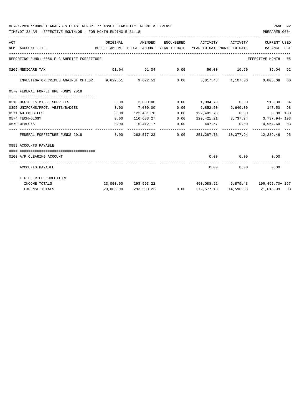## 06-01-2018\*\*BUDGET ANALYSIS USAGE REPORT \*\* ASSET LIABILITY INCOME & EXPENSE PAGE 92

TIME:07:38 AM - EFFECTIVE MONTH:05 - FOR MONTH ENDING 5-31-18 PREPARER:0004

| ACT |                                                                                         | ORIGINAL                             | AMENDED                                                             | ENCUMBERED      | ACTIVITY                                 | ACTIVITY                          | <b>CURRENT USED</b>  |  |
|-----|-----------------------------------------------------------------------------------------|--------------------------------------|---------------------------------------------------------------------|-----------------|------------------------------------------|-----------------------------------|----------------------|--|
|     | NUM ACCOUNT-TITLE                                                                       |                                      | BUDGET-AMOUNT BUDGET-AMOUNT YEAR-TO-DATE YEAR-TO-DATE MONTH-TO-DATE |                 |                                          |                                   | BALANCE PCT          |  |
|     | REPORTING FUND: 0056 F C SHERIFF FORFEITURE                                             |                                      |                                                                     |                 |                                          |                                   | EFFECTIVE MONTH - 05 |  |
|     | 0205 MEDICARE TAX                                                                       |                                      | $91.04$ $91.04$ 0.00 $56.00$ 10.50 35.04 62                         |                 |                                          |                                   |                      |  |
|     | INVESTIGATOR CRIMES AGAINST CHILDR 9,622.51 9,622.51 0.00 5,817.43 1,107.06 3,805.08 60 |                                      |                                                                     |                 |                                          |                                   |                      |  |
|     | 0570 FEDERAL FORFEITURE FUNDS 2018                                                      |                                      |                                                                     |                 |                                          |                                   |                      |  |
|     |                                                                                         |                                      |                                                                     |                 |                                          |                                   |                      |  |
|     | 0310 OFFICE & MISC. SUPPLIES                                                            | 0.00                                 | 2,000.00                                                            |                 | $0.00$ 1,084.70 0.00                     |                                   | 915.30 54            |  |
|     | 0395 UNIFORMS/PROT. VESTS/BADGES                                                        | 0.00                                 | 7,000.00                                                            | 0.00            | 6,852.50 6,640.00                        |                                   | 147.50 98            |  |
|     | 0571 AUTOMOBILES                                                                        | 0.00                                 | 122,481.78                                                          | 0.00            |                                          | 122,481.78   0.00   0.00   100    |                      |  |
|     | 0574 TECHNOLOGY                                                                         | 0.00                                 | 116,683.27                                                          | 0.00            | 120,421.21 3,737.94 3,737.94-103         |                                   |                      |  |
|     | 0579 WEAPONS                                                                            | 0.00                                 |                                                                     | 15,412.17 0.00  | 447.57 0.00 14,964.60 03                 |                                   |                      |  |
|     | FEDERAL FORFEITURE FUNDS 2018                                                           | ------------- --------------<br>0.00 |                                                                     | 263.577.22 0.00 |                                          | 251,287.76 10,377.94 12,289.46 95 |                      |  |
|     | 0999 ACCOUNTS PAYABLE                                                                   |                                      |                                                                     |                 |                                          |                                   |                      |  |
|     | -------------------------------------                                                   |                                      |                                                                     |                 |                                          |                                   |                      |  |
|     | 0100 A/P CLEARING ACCOUNT                                                               |                                      |                                                                     |                 | 0.00                                     | $0.00$ 0.00                       |                      |  |
|     | ACCOUNTS PAYABLE                                                                        |                                      |                                                                     |                 |                                          | 0.00                              | 0.00<br>0.00         |  |
|     | F C SHERIFF FORFEITURE                                                                  |                                      |                                                                     |                 |                                          |                                   |                      |  |
|     | INCOME TOTALS                                                                           |                                      | 23,000.00 293,593.22                                                |                 | $490,088.92$ $9,879.43$ $196,495.70+167$ |                                   |                      |  |
|     | <b>EXPENSE TOTALS</b>                                                                   | 23,000.00                            | 293,593.22                                                          | 0.00            |                                          | 272,577.13 14,596.88 21,016.09 93 |                      |  |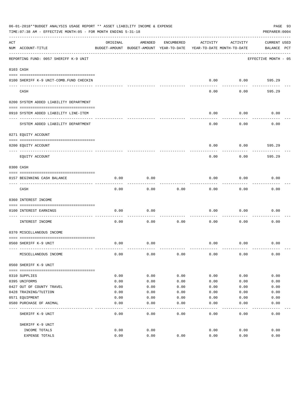|     | 06-01-2018**BUDGET ANALYSIS USAGE REPORT ** ASSET LIABILITY INCOME & EXPENSE<br>PAGE 93<br>TIME: 07:38 AM - EFFECTIVE MONTH: 05 - FOR MONTH ENDING 5-31-18<br>PREPARER: 0004 |          |                                                     |            |                                        |          |                                    |  |  |  |
|-----|------------------------------------------------------------------------------------------------------------------------------------------------------------------------------|----------|-----------------------------------------------------|------------|----------------------------------------|----------|------------------------------------|--|--|--|
| ACT | NUM ACCOUNT-TITLE                                                                                                                                                            | ORIGINAL | AMENDED<br>BUDGET-AMOUNT BUDGET-AMOUNT YEAR-TO-DATE | ENCUMBERED | ACTIVITY<br>YEAR-TO-DATE MONTH-TO-DATE | ACTIVITY | <b>CURRENT USED</b><br>BALANCE PCT |  |  |  |
|     | REPORTING FUND: 0057 SHERIFF K-9 UNIT                                                                                                                                        |          |                                                     |            |                                        |          | EFFECTIVE MONTH - 05               |  |  |  |
|     | 0103 CASH                                                                                                                                                                    |          |                                                     |            |                                        |          |                                    |  |  |  |
|     | 0100 SHERIFF K-9 UNIT-COMB.FUND CHECKIN                                                                                                                                      |          |                                                     |            | 0.00                                   | 0.00     | 595.29                             |  |  |  |
|     | CASH                                                                                                                                                                         |          |                                                     |            | 0.00                                   | 0.00     | 595.29                             |  |  |  |
|     | 0200 SYSTEM ADDED LIABILITY DEPARTMENT                                                                                                                                       |          |                                                     |            |                                        |          |                                    |  |  |  |
|     | 0910 SYSTEM ADDED LIABILITY LINE-ITEM                                                                                                                                        |          |                                                     |            | 0.00                                   | 0.00     | 0.00                               |  |  |  |
|     | SYSTEM ADDED LIABILITY DEPARTMENT                                                                                                                                            |          |                                                     |            | 0.00                                   | 0.00     | 0.00                               |  |  |  |
|     | 0271 EQUITY ACCOUNT                                                                                                                                                          |          |                                                     |            |                                        |          |                                    |  |  |  |
|     | 0200 EQUITY ACCOUNT                                                                                                                                                          |          |                                                     |            | 0.00                                   | 0.00     | 595.29                             |  |  |  |
|     | ---- -----------<br>EQUITY ACCOUNT                                                                                                                                           |          |                                                     |            | 0.00                                   | 0.00     | 595.29                             |  |  |  |
|     | 0300 CASH                                                                                                                                                                    |          |                                                     |            |                                        |          |                                    |  |  |  |
|     | 0157 BEGINNING CASH BALANCE                                                                                                                                                  | 0.00     | 0.00                                                |            | 0.00                                   | 0.00     | 0.00                               |  |  |  |
|     | CASH                                                                                                                                                                         | 0.00     | 0.00                                                | 0.00       | 0.00                                   | 0.00     | 0.00                               |  |  |  |
|     | 0360 INTEREST INCOME                                                                                                                                                         |          |                                                     |            |                                        |          |                                    |  |  |  |
|     | 0100 INTEREST EARNINGS                                                                                                                                                       | 0.00     | 0.00                                                |            | 0.00                                   | 0.00     | 0.00                               |  |  |  |
|     | INTEREST INCOME                                                                                                                                                              | 0.00     | 0.00                                                | 0.00       | 0.00                                   | 0.00     | 0.00                               |  |  |  |
|     | 0370 MISCELLANEOUS INCOME                                                                                                                                                    |          |                                                     |            |                                        |          |                                    |  |  |  |
|     | 0560 SHERIFF K-9 UNIT                                                                                                                                                        | 0.00     | 0.00                                                |            | 0.00                                   | 0.00     | 0.00                               |  |  |  |
|     | MISCELLANEOUS INCOME                                                                                                                                                         | 0.00     | 0.00                                                | 0.00       | 0.00                                   | 0.00     | 0.00                               |  |  |  |
|     | 0560 SHERIFF K-9 UNIT                                                                                                                                                        |          |                                                     |            |                                        |          |                                    |  |  |  |
|     | 0310 SUPPLIES                                                                                                                                                                | 0.00     | 0.00                                                | 0.00       | 0.00                                   | 0.00     | 0.00                               |  |  |  |
|     | 0395 UNIFORMS                                                                                                                                                                | 0.00     | 0.00                                                | 0.00       | 0.00                                   | 0.00     | 0.00                               |  |  |  |
|     | 0427 OUT OF COUNTY TRAVEL                                                                                                                                                    | 0.00     | 0.00                                                | 0.00       | 0.00                                   | 0.00     | 0.00                               |  |  |  |
|     | 0428 TRAINING/TUITION                                                                                                                                                        | 0.00     | 0.00                                                | 0.00       | 0.00                                   | 0.00     | 0.00                               |  |  |  |
|     | 0571 EQUIPMENT                                                                                                                                                               | 0.00     | 0.00                                                | 0.00       | 0.00                                   | 0.00     | 0.00                               |  |  |  |
|     | 0580 PURCHASE OF ANIMAL                                                                                                                                                      | 0.00     | 0.00                                                | 0.00       | 0.00                                   | 0.00     | 0.00                               |  |  |  |
|     | SHERIFF K-9 UNIT                                                                                                                                                             | 0.00     | 0.00                                                | 0.00       | 0.00                                   | 0.00     | 0.00                               |  |  |  |
|     | SHERIFF K-9 UNIT                                                                                                                                                             |          |                                                     |            |                                        |          |                                    |  |  |  |
|     | INCOME TOTALS                                                                                                                                                                | 0.00     | 0.00                                                |            | 0.00                                   | 0.00     | 0.00                               |  |  |  |
|     | EXPENSE TOTALS                                                                                                                                                               | 0.00     | 0.00                                                | 0.00       | 0.00                                   | 0.00     | 0.00                               |  |  |  |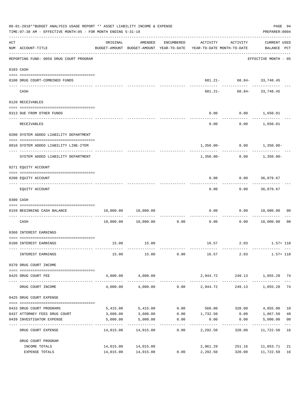|     | 06-01-2018**BUDGET ANALYSIS USAGE REPORT ** ASSET LIABILITY INCOME & EXPENSE<br>TIME: 07:38 AM - EFFECTIVE MONTH: 05 - FOR MONTH ENDING 5-31-18<br>PREPARER: 0004 |                        |                     |            |                                                                                 |                                                            |                                    |                         |  |  |  |
|-----|-------------------------------------------------------------------------------------------------------------------------------------------------------------------|------------------------|---------------------|------------|---------------------------------------------------------------------------------|------------------------------------------------------------|------------------------------------|-------------------------|--|--|--|
| ACT | NUM ACCOUNT-TITLE                                                                                                                                                 | ORIGINAL               | AMENDED             | ENCUMBERED | ACTIVITY<br>BUDGET-AMOUNT BUDGET-AMOUNT YEAR-TO-DATE YEAR-TO-DATE MONTH-TO-DATE | ACTIVITY                                                   | <b>CURRENT USED</b><br>BALANCE PCT |                         |  |  |  |
|     | -------------------------------------<br>REPORTING FUND: 0059 DRUG COURT PROGRAM                                                                                  |                        |                     |            |                                                                                 |                                                            | EFFECTIVE MONTH - 05               |                         |  |  |  |
|     | 0103 CASH                                                                                                                                                         |                        |                     |            |                                                                                 |                                                            |                                    |                         |  |  |  |
|     | 0100 DRUG COURT-COMBINED FUNDS                                                                                                                                    |                        |                     |            |                                                                                 | 681.21- 68.84- 33,748.45                                   |                                    |                         |  |  |  |
|     | CASH                                                                                                                                                              |                        |                     |            |                                                                                 | --------------------------<br>$681.21 - 68.84 - 33,748.45$ |                                    |                         |  |  |  |
|     | 0120 RECEIVABLES                                                                                                                                                  |                        |                     |            |                                                                                 |                                                            |                                    |                         |  |  |  |
|     | 0313 DUE FROM OTHER FUNDS                                                                                                                                         |                        |                     |            | 0.00                                                                            | $0.00$ 1,650.01                                            |                                    |                         |  |  |  |
|     | RECEIVABLES                                                                                                                                                       |                        |                     |            | 0.00                                                                            | . <u>.</u> .                                               | . <u>.</u><br>$0.00$ 1,650.01      |                         |  |  |  |
|     |                                                                                                                                                                   |                        |                     |            |                                                                                 |                                                            |                                    |                         |  |  |  |
|     | 0200 SYSTEM ADDED LIABILITY DEPARTMENT                                                                                                                            |                        |                     |            |                                                                                 |                                                            |                                    |                         |  |  |  |
|     | 0910 SYSTEM ADDED LIABILITY LINE-ITEM                                                                                                                             |                        |                     |            | _______________________                                                         | $1,350.00 - 0.00 - 1,350.00 -$                             |                                    |                         |  |  |  |
|     | SYSTEM ADDED LIABILITY DEPARTMENT                                                                                                                                 |                        |                     |            | 1,350.00-                                                                       |                                                            | $0.00$ 1,350.00-                   |                         |  |  |  |
|     | 0271 EQUITY ACCOUNT                                                                                                                                               |                        |                     |            |                                                                                 |                                                            |                                    |                         |  |  |  |
|     | 0200 EQUITY ACCOUNT                                                                                                                                               |                        |                     |            |                                                                                 | $0.00$ $0.00$ $36,079.67$                                  |                                    |                         |  |  |  |
|     | EQUITY ACCOUNT                                                                                                                                                    |                        |                     |            |                                                                                 | ---------<br>$0.00$ $0.00$ $36,079.67$                     |                                    |                         |  |  |  |
|     | 0300 CASH                                                                                                                                                         |                        |                     |            |                                                                                 |                                                            |                                    |                         |  |  |  |
|     | 0159 BEGINNING CASH BALANCE                                                                                                                                       |                        | 10,000.00 10,000.00 |            | 0.00                                                                            | 0.00 10,000.00                                             |                                    | 00                      |  |  |  |
|     |                                                                                                                                                                   |                        |                     |            |                                                                                 | ----------                                                 |                                    |                         |  |  |  |
|     | CASH                                                                                                                                                              |                        | 10,000.00 10,000.00 |            | $0.00$ 0.00                                                                     |                                                            | 0.00 10,000.00                     | 00                      |  |  |  |
|     | 0360 INTEREST EARNINGS                                                                                                                                            |                        |                     |            |                                                                                 |                                                            |                                    |                         |  |  |  |
|     | 0100 INTEREST EARNINGS                                                                                                                                            |                        | 15.00 15.00         |            |                                                                                 | 16.57 2.03 1.57+110                                        |                                    |                         |  |  |  |
|     | INTEREST EARNINGS                                                                                                                                                 | 15.00                  | 15.00               | 0.00       | 16.57                                                                           | 2.03                                                       | $1.57 + 110$                       |                         |  |  |  |
|     | 0370 DRUG COURT INCOME                                                                                                                                            |                        |                     |            |                                                                                 |                                                            |                                    |                         |  |  |  |
|     | 0425 DRUG COURT FEE                                                                                                                                               | 4,000.00               | 4,000.00            |            | 2,944.72                                                                        |                                                            | 249.13 1,055.28 74                 |                         |  |  |  |
|     | DRUG COURT INCOME                                                                                                                                                 | 4,000.00               | 4,000.00            |            | $0.00$ 2,944.72                                                                 |                                                            | 249.13 1,055.28                    | 74                      |  |  |  |
|     | 0425 DRUG COURT EXPENSE                                                                                                                                           |                        |                     |            |                                                                                 |                                                            |                                    |                         |  |  |  |
|     | 0433 DRUG COURT PROGRAMS                                                                                                                                          |                        | 5,415.00 5,415.00   |            | $0.00$ 560.00 320.00 4,855.00                                                   |                                                            |                                    | 10                      |  |  |  |
|     | 0437 ATTORNEY FEES DRUG COURT                                                                                                                                     | 3,600.00               | 3,600.00            |            | $0.00$ 1,732.50                                                                 |                                                            | $0.00$ 1,867.50                    | 48                      |  |  |  |
|     | 0439 INVESTIGATOR EXPENSE                                                                                                                                         | 5,000.00<br>---------- | 5,000.00            | 0.00       | 0.00                                                                            | 0.00<br>---------                                          | 5,000.00<br>. _ _ _ _ _ _ _ _ _ _  | 0 <sub>0</sub><br>$---$ |  |  |  |
|     | DRUG COURT EXPENSE                                                                                                                                                | 14,015.00              | 14,015.00           | 0.00       | 2,292.50                                                                        | 320.00                                                     | 11,722.50                          | 16                      |  |  |  |
|     | DRUG COURT PROGRAM                                                                                                                                                |                        |                     |            |                                                                                 |                                                            |                                    |                         |  |  |  |
|     | INCOME TOTALS                                                                                                                                                     |                        | 14,015.00 14,015.00 |            | 2,961.29                                                                        | 251.16                                                     | 11,053.71                          | 21                      |  |  |  |
|     | EXPENSE TOTALS                                                                                                                                                    |                        | 14,015.00 14,015.00 | 0.00       | 2,292.50                                                                        | 320.00                                                     | 11,722.50                          | 16                      |  |  |  |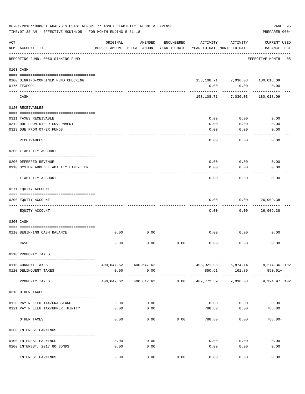|     | 06-01-2018**BUDGET ANALYSIS USAGE REPORT ** ASSET LIABILITY INCOME & EXPENSE<br>TIME: 07:38 AM - EFFECTIVE MONTH: 05 - FOR MONTH ENDING 5-31-18 |                             |                                                     |            |                |                                        | PAGE 95<br>PREPARER: 0004                                   |  |
|-----|-------------------------------------------------------------------------------------------------------------------------------------------------|-----------------------------|-----------------------------------------------------|------------|----------------|----------------------------------------|-------------------------------------------------------------|--|
| ACT | NUM ACCOUNT-TITLE                                                                                                                               | ORIGINAL                    | AMENDED<br>BUDGET-AMOUNT BUDGET-AMOUNT YEAR-TO-DATE | ENCUMBERED | ACTIVITY       | ACTIVITY<br>YEAR-TO-DATE MONTH-TO-DATE | <b>CURRENT USED</b><br>BALANCE PCT                          |  |
|     | REPORTING FUND: 0060 SINKING FUND                                                                                                               |                             |                                                     |            |                |                                        | EFFECTIVE MONTH - 05                                        |  |
|     | 0103 CASH                                                                                                                                       |                             |                                                     |            |                |                                        |                                                             |  |
|     | 0100 SINKING-COMBINED FUND CHECKING                                                                                                             |                             |                                                     |            |                |                                        | $153, 108.71 \qquad \quad 7,036.03 \qquad \quad 180,018.09$ |  |
|     | 0175 TEXPOOL                                                                                                                                    |                             |                                                     |            | 0.00           | 0.00                                   | 0.00                                                        |  |
|     | CASH                                                                                                                                            |                             |                                                     |            | 153,108.71     | 7,036.03                               | 180,018.09                                                  |  |
|     | 0120 RECEIVABLES                                                                                                                                |                             |                                                     |            |                |                                        |                                                             |  |
|     | 0311 TAXES RECEIVABLE                                                                                                                           |                             |                                                     |            | 0.00           | 0.00                                   | 0.00                                                        |  |
|     | 0312 DUE FROM OTHER GOVERNMENT                                                                                                                  |                             |                                                     |            | 0.00           | 0.00                                   | 0.00                                                        |  |
|     | 0313 DUE FROM OTHER FUNDS                                                                                                                       |                             |                                                     |            | 0.00           | 0.00                                   | 0.00                                                        |  |
|     | RECEIVABLES                                                                                                                                     |                             |                                                     |            | 0.00           | 0.00                                   | 0.00                                                        |  |
|     | 0200 LIABILITY ACCOUNT                                                                                                                          |                             |                                                     |            |                |                                        |                                                             |  |
|     | 0200 DEFERRED REVENUE                                                                                                                           |                             |                                                     |            | 0.00           | 0.00                                   | 0.00                                                        |  |
|     | 0910 SYSTEM ADDED LIABILITY LINE-ITEM                                                                                                           |                             |                                                     |            | 0.00           | 0.00                                   | 0.00                                                        |  |
|     | LIABILITY ACCOUNT                                                                                                                               |                             |                                                     |            | 0.00           | 0.00                                   | 0.00                                                        |  |
|     | 0271 EQUITY ACCOUNT                                                                                                                             |                             |                                                     |            |                |                                        |                                                             |  |
|     | 0200 EQUITY ACCOUNT                                                                                                                             |                             |                                                     |            | 0.00           | 0.00                                   | 26,909.38                                                   |  |
|     | EQUITY ACCOUNT                                                                                                                                  |                             |                                                     |            | 0.00           | 0.00                                   | 26,909.38                                                   |  |
|     | 0300 CASH                                                                                                                                       |                             |                                                     |            |                |                                        |                                                             |  |
|     | 0110 BEGINNING CASH BALANCE                                                                                                                     | 0.00                        | 0.00                                                |            | 0.00           | 0.00                                   | 0.00                                                        |  |
|     | CASH                                                                                                                                            | 0.00                        | 0.00                                                | 0.00       | 0.00           | 0.00                                   | 0.00                                                        |  |
|     | 0310 PROPERTY TAXES                                                                                                                             |                             |                                                     |            |                |                                        |                                                             |  |
|     |                                                                                                                                                 |                             |                                                     |            |                |                                        |                                                             |  |
|     | 0110 CURRENT TAXES<br>0120 DELINQUENT TAXES                                                                                                     | 0.00                        | 400,647.62 400,647.62<br>0.00                       |            | 850.61         | 161.89                                 | 408,921.98 6,874.14 8,274.36+102<br>$850.61+$               |  |
|     | PROPERTY TAXES                                                                                                                                  | -------------<br>400,647.62 | -------------<br>400,647.62                         | 0.00       | -------------- | -------------<br>409,772.59 7,036.03   | $9,124.97+102$                                              |  |
|     | 0318 OTHER TAXES                                                                                                                                |                             |                                                     |            |                |                                        |                                                             |  |
|     |                                                                                                                                                 |                             |                                                     |            |                |                                        |                                                             |  |
|     | 0120 PAY N LIEU TAX/GRASSLAND<br>0121 PAY N LIEU TAX/UPPER TRINITY                                                                              | 0.00<br>0.00                | 0.00<br>0.00                                        |            | 788.80         | 0.00                                   | $0.00$ $0.00$ $0.00$<br>788.80+                             |  |
|     |                                                                                                                                                 |                             |                                                     |            |                |                                        |                                                             |  |
|     | OTHER TAXES                                                                                                                                     | 0.00                        | 0.00                                                | 0.00       | 788.80         | 0.00                                   | 788.80+                                                     |  |
|     | 0360 INTEREST EARNINGS                                                                                                                          |                             |                                                     |            |                |                                        |                                                             |  |
|     | 0100 INTEREST EARNINGS                                                                                                                          | 0.00                        | 0.00                                                |            | 0.00           | 0.00                                   | 0.00                                                        |  |
|     | 0200 INTEREST, 2017 GO BONDS                                                                                                                    | 0.00                        | 0.00                                                |            | 0.00           | 0.00                                   | 0.00                                                        |  |
|     | INTEREST EARNINGS                                                                                                                               | 0.00                        | $- - - - -$<br>0.00                                 | 0.00       | 0.00           | 0.00                                   | 0.00                                                        |  |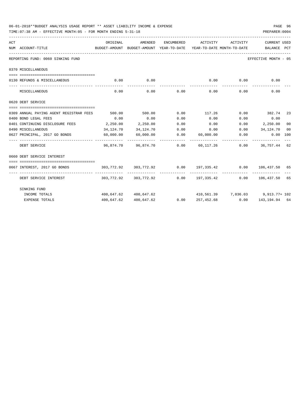|     | TIME: 07:38 AM - EFFECTIVE MONTH: 05 - FOR MONTH ENDING 5-31-18                                      |          |                         |             |                  |             | PREPARER: 0004                                                         |    |
|-----|------------------------------------------------------------------------------------------------------|----------|-------------------------|-------------|------------------|-------------|------------------------------------------------------------------------|----|
| ACT | BUDGET-AMOUNT BUDGET-AMOUNT YEAR-TO-DATE YEAR-TO-DATE MONTH-TO-DATE BALANCE PCT<br>NUM ACCOUNT-TITLE | ORIGINAL | AMENDED                 | ENCUMBERED  | ACTIVITY         | ACTIVITY    | <b>CURRENT USED</b>                                                    |    |
|     | REPORTING FUND: 0060 SINKING FUND                                                                    |          |                         |             |                  |             | EFFECTIVE MONTH - 05                                                   |    |
|     | 0370 MISCELLANEOUS                                                                                   |          |                         |             |                  |             |                                                                        |    |
|     | 0130 REFUNDS & MISCELLANEOUS                                                                         | 0.00     | 0.00                    |             |                  |             | $0.00$ 0.00 0.00 0.00                                                  |    |
|     | MISCELLANEOUS                                                                                        | 0.00     |                         | $0.00$ 0.00 |                  | $0.00$ 0.00 | 0.00                                                                   |    |
|     | 0620 DEBT SERVICE                                                                                    |          |                         |             |                  |             |                                                                        |    |
|     |                                                                                                      |          |                         |             |                  |             |                                                                        |    |
|     | 0309 ANNUAL PAYING AGENT REGISTRAR FEES                                                              |          | 500.00 500.00           |             |                  |             | $0.00$ 117.26 $0.00$ 382.74 23                                         |    |
|     | 0400 BOND LEGAL FEES                                                                                 | 0.00     | 0.00                    | 0.00        | 0.00             | 0.00        | 0.00                                                                   |    |
|     | 0401 CONTINUING DISCLOSURE FEES 2,250.00 2,250.00                                                    |          |                         | 0.00        | 0.00             |             | $0.00$ 2,250.00                                                        | 00 |
|     | 0490 MISCELLANEOUS                                                                                   |          | 34, 124, 70 34, 124, 70 |             |                  |             | $0.00$ $0.00$ $0.00$ $0.01$ $0.34,124.70$                              | 00 |
|     | 0627 PRINCIPAL, 2017 GO BONDS                                                                        |          | $60,000.00$ $60,000.00$ |             | $0.00$ 60,000.00 | 0.00        | $0.00$ 100                                                             |    |
|     | DEBT SERVICE                                                                                         |          |                         |             |                  |             | 96.874.70  96.874.70  0.00  60.117.26  0.00  36.757.44  62             |    |
|     | 0660 DEBT SERVICE INTEREST                                                                           |          |                         |             |                  |             |                                                                        |    |
|     | 0667 INTEREST, 2017 GO BONDS                                                                         |          |                         |             |                  |             | $303,772.92$ $303,772.92$ $0.00$ $197,335.42$ $0.00$ $106,437.50$ $65$ |    |
|     | DEBT SERVICE INTEREST                                                                                |          |                         |             |                  |             | $303.772.92$ $303.772.92$ 0.00 $197.335.42$ 0.00 $106.437.50$ 65       |    |
|     | SINKING FUND                                                                                         |          |                         |             |                  |             |                                                                        |    |
|     | INCOME TOTALS                                                                                        |          | 400,647.62 400,647.62   |             |                  |             | $410,561.39$ $7,036.03$ $9,913.77+102$                                 |    |
|     | <b>EXPENSE TOTALS</b>                                                                                |          | 400,647.62 400,647.62   |             |                  |             | $0.00$ $257,452.68$ $0.00$ $143,194.94$ $64$                           |    |

06-01-2018\*\*BUDGET ANALYSIS USAGE REPORT \*\* ASSET LIABILITY INCOME & EXPENSE PAGE 96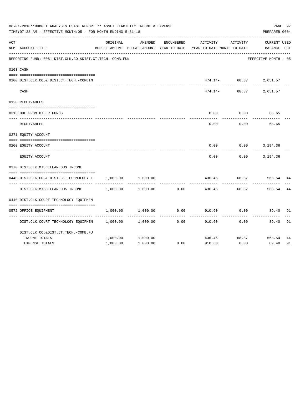|     | 06-01-2018**BUDGET ANALYSIS USAGE REPORT ** ASSET LIABILITY INCOME & EXPENSE<br>PREPARER: 0004<br>TIME: 07:38 AM - EFFECTIVE MONTH: 05 - FOR MONTH ENDING 5-31-18 |          |                                                     |            |                                        |          |                                    |    |  |  |
|-----|-------------------------------------------------------------------------------------------------------------------------------------------------------------------|----------|-----------------------------------------------------|------------|----------------------------------------|----------|------------------------------------|----|--|--|
| ACT | NUM ACCOUNT-TITLE                                                                                                                                                 | ORIGINAL | AMENDED<br>BUDGET-AMOUNT BUDGET-AMOUNT YEAR-TO-DATE | ENCUMBERED | ACTIVITY<br>YEAR-TO-DATE MONTH-TO-DATE | ACTIVITY | <b>CURRENT USED</b><br>BALANCE PCT |    |  |  |
|     | REPORTING FUND: 0061 DIST.CLK.CO.&DIST.CT.TECH.-COMB.FUN                                                                                                          |          |                                                     |            |                                        |          | EFFECTIVE MONTH - 05               |    |  |  |
|     | 0103 CASH                                                                                                                                                         |          |                                                     |            |                                        |          |                                    |    |  |  |
|     | 0100 DIST.CLK.CO.& DIST.CT.TECH.-COMBIN                                                                                                                           |          |                                                     |            |                                        |          | 474.14- 68.87 2,651.57             |    |  |  |
|     | CASH                                                                                                                                                              |          |                                                     |            | 474.14-                                | 68.87    | 2,651.57                           |    |  |  |
|     | 0120 RECEIVABLES                                                                                                                                                  |          |                                                     |            |                                        |          |                                    |    |  |  |
|     | 0313 DUE FROM OTHER FUNDS                                                                                                                                         |          |                                                     |            | 0.00                                   | 0.00     | 68.65                              |    |  |  |
|     | RECEIVABLES                                                                                                                                                       |          |                                                     |            | 0.00                                   | 0.00     | 68.65                              |    |  |  |
|     | 0271 EQUITY ACCOUNT                                                                                                                                               |          |                                                     |            |                                        |          |                                    |    |  |  |
|     | 0200 EQUITY ACCOUNT                                                                                                                                               |          |                                                     |            | 0.00                                   |          | $0.00$ 3, 194.36                   |    |  |  |
|     | EQUITY ACCOUNT                                                                                                                                                    |          |                                                     |            | 0.00                                   | 0.00     | 3,194.36                           |    |  |  |
|     | 0370 DIST.CLK.MISCELLANEOUS INCOME                                                                                                                                |          |                                                     |            |                                        |          |                                    |    |  |  |
|     | 0440 DIST.CLK.CO.& DIST.CT.TECHNOLOGY F                                                                                                                           | 1,000.00 | 1,000.00                                            |            | 436.46                                 | 68.87    | 563.54                             | 44 |  |  |
|     | DIST.CLK.MISCELLANEOUS INCOME                                                                                                                                     | 1,000.00 | 1,000.00                                            | 0.00       | 436.46                                 | 68.87    | 563.54                             | 44 |  |  |
|     | 0440 DIST.CLK.COURT TECHNOLOGY EOUIPMEN                                                                                                                           |          |                                                     |            |                                        |          |                                    |    |  |  |
|     | 0572 OFFICE EQUIPMENT                                                                                                                                             | 1,000.00 | 1,000.00                                            | 0.00       | 910.60                                 | 0.00     | 89.40                              | 91 |  |  |
|     | DIST.CLK.COURT TECHNOLOGY EQUIPMEN                                                                                                                                | 1,000.00 | 1,000.00                                            | 0.00       | 910.60                                 | 0.00     | 89.40                              | 91 |  |  |
|     | DIST.CLK.CO.&DIST.CT.TECH.-COMB.FU                                                                                                                                |          |                                                     |            |                                        |          |                                    |    |  |  |
|     | INCOME TOTALS                                                                                                                                                     | 1,000.00 | 1,000.00                                            |            | 436.46                                 | 68.87    | 563.54                             | 44 |  |  |
|     | <b>EXPENSE TOTALS</b>                                                                                                                                             | 1,000.00 | 1,000.00                                            | 0.00       | 910.60                                 | 0.00     | 89.40                              | 91 |  |  |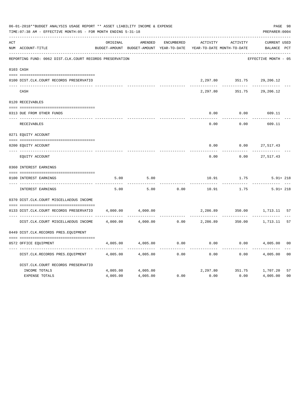|     | 06-01-2018**BUDGET ANALYSIS USAGE REPORT ** ASSET LIABILITY INCOME & EXPENSE<br>TIME: 07:38 AM - EFFECTIVE MONTH: 05 - FOR MONTH ENDING 5-31-18<br>___________________________________ |          |                                                     |                   |                                        |                   | PREPARER: 0004              | PAGE 98        |
|-----|----------------------------------------------------------------------------------------------------------------------------------------------------------------------------------------|----------|-----------------------------------------------------|-------------------|----------------------------------------|-------------------|-----------------------------|----------------|
| ACT | NUM ACCOUNT-TITLE                                                                                                                                                                      | ORIGINAL | AMENDED<br>BUDGET-AMOUNT BUDGET-AMOUNT YEAR-TO-DATE | <b>ENCUMBERED</b> | ACTIVITY<br>YEAR-TO-DATE MONTH-TO-DATE | ACTIVITY          | CURRENT USED<br>BALANCE PCT |                |
|     | REPORTING FUND: 0062 DIST.CLK.COURT RECORDS PRESERVATION                                                                                                                               |          |                                                     |                   |                                        |                   | EFFECTIVE MONTH - 05        |                |
|     | 0103 CASH                                                                                                                                                                              |          |                                                     |                   |                                        |                   |                             |                |
|     | 0100 DIST.CLK.COURT RECORDS PRESERVATIO                                                                                                                                                |          |                                                     |                   | 2,297.80                               |                   | 351.75 29,206.12            |                |
|     | CASH                                                                                                                                                                                   |          |                                                     |                   | 2,297.80                               | 351.75            | 29,206.12                   |                |
|     | 0120 RECEIVABLES                                                                                                                                                                       |          |                                                     |                   |                                        |                   |                             |                |
|     | 0313 DUE FROM OTHER FUNDS                                                                                                                                                              |          |                                                     |                   | 0.00                                   | 0.00              | 609.11                      |                |
|     | <b>RECEIVABLES</b>                                                                                                                                                                     |          |                                                     |                   | 0.00                                   | 0.00              | 609.11                      |                |
|     | 0271 EQUITY ACCOUNT                                                                                                                                                                    |          |                                                     |                   |                                        |                   |                             |                |
|     | 0200 EQUITY ACCOUNT                                                                                                                                                                    |          |                                                     |                   | 0.00                                   | 0.00              | 27,517.43                   |                |
|     | __________________<br>EQUITY ACCOUNT                                                                                                                                                   |          |                                                     |                   | ------<br>0.00                         | 0.00              | 27,517.43                   |                |
|     | 0360 INTEREST EARNINGS                                                                                                                                                                 |          |                                                     |                   |                                        |                   |                             |                |
|     | 0100 INTEREST EARNINGS                                                                                                                                                                 | 5.00     | 5.00                                                |                   | 10.91                                  | 1.75              | $5.91 + 218$                |                |
|     | INTEREST EARNINGS                                                                                                                                                                      | 5.00     | 5.00                                                | 0.00              | 10.91                                  | ---------<br>1.75 | $5.91 + 218$                |                |
|     | 0370 DIST.CLK.COURT MISCELLAEOUS INCOME                                                                                                                                                |          |                                                     |                   |                                        |                   |                             |                |
|     | 0133 DIST.CLK.COURT RECORDS PRESERVATIO                                                                                                                                                | 4,000.00 | 4,000.00                                            |                   | 2,286.89                               | 350.00            | 1,713.11 57                 |                |
|     | DIST.CLK.COURT MISCELLAEOUS INCOME                                                                                                                                                     | 4,000.00 | 4,000.00                                            | 0.00              |                                        |                   | 2,286.89 350.00 1,713.11    | 57             |
|     | 0449 DIST.CLK.RECORDS PRES.EQUIPMENT                                                                                                                                                   |          |                                                     |                   |                                        |                   |                             |                |
|     | 0572 OFFICE EQUIPMENT                                                                                                                                                                  | 4,005.00 | 4,005.00                                            | 0.00              | 0.00                                   | 0.00              | 4,005.00                    | 0 <sub>0</sub> |
|     | DIST.CLK.RECORDS PRES.EQUIPMENT                                                                                                                                                        | 4,005.00 | 4,005.00                                            | 0.00              | 0.00                                   | 0.00              | 4,005.00                    | 0 <sub>0</sub> |
|     | DIST.CLK.COURT RECORDS PRESERVATIO                                                                                                                                                     |          |                                                     |                   |                                        |                   |                             |                |
|     | INCOME TOTALS                                                                                                                                                                          | 4,005.00 | 4,005.00                                            |                   |                                        |                   | 2,297.80 351.75 1,707.20    | 57             |
|     | <b>EXPENSE TOTALS</b>                                                                                                                                                                  | 4,005.00 | 4,005.00                                            | 0.00              | 0.00                                   | 0.00              | 4,005.00                    | 0 <sub>0</sub> |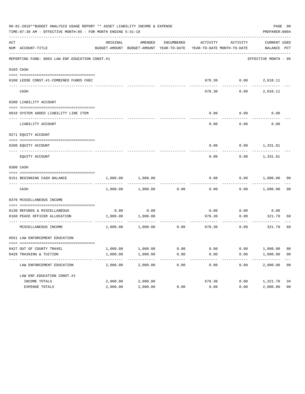|     | 06-01-2018**BUDGET ANALYSIS USAGE REPORT ** ASSET LIABILITY INCOME & EXPENSE<br>TIME: 07:38 AM - EFFECTIVE MONTH: 05 - FOR MONTH ENDING 5-31-18 |          |                                                     |            |                                       |                                                 | PREPARER: 0004              | PAGE 99        |
|-----|-------------------------------------------------------------------------------------------------------------------------------------------------|----------|-----------------------------------------------------|------------|---------------------------------------|-------------------------------------------------|-----------------------------|----------------|
| ACT | NUM ACCOUNT-TITLE                                                                                                                               | ORIGINAL | AMENDED<br>BUDGET-AMOUNT BUDGET-AMOUNT YEAR-TO-DATE | ENCUMBERED |                                       | ACTIVITY ACTIVITY<br>YEAR-TO-DATE MONTH-TO-DATE | CURRENT USED<br>BALANCE PCT |                |
|     | REPORTING FUND: 0063 LAW ENF. EDUCATION CONST.#1                                                                                                |          |                                                     |            |                                       |                                                 | EFFECTIVE MONTH - 05        |                |
|     | 0103 CASH                                                                                                                                       |          |                                                     |            |                                       |                                                 |                             |                |
|     | 0100 LEOSE CONST.#1-COMBINED FUNDS CHEC                                                                                                         |          |                                                     |            |                                       |                                                 | 678.30   0.00   2,010.11    |                |
|     | CASH                                                                                                                                            |          |                                                     |            | 678.30                                | 0.00                                            | 2,010.11                    |                |
|     | 0200 LIABILITY ACCOUNT                                                                                                                          |          |                                                     |            |                                       |                                                 |                             |                |
|     | 0910 SYSTEM ADDED LIABILITY LINE ITEM                                                                                                           |          |                                                     |            | 0.00                                  | 0.00                                            | 0.00                        |                |
|     | LIABILITY ACCOUNT                                                                                                                               |          |                                                     |            | 0.00                                  | 0.00                                            | 0.00                        |                |
|     | 0271 EQUITY ACCOUNT                                                                                                                             |          |                                                     |            |                                       |                                                 |                             |                |
|     | 0200 EQUITY ACCOUNT                                                                                                                             |          |                                                     |            |                                       |                                                 | $0.00$ $0.00$ $1,331.81$    |                |
|     | EQUITY ACCOUNT                                                                                                                                  |          |                                                     |            | 0.00                                  |                                                 | $0.00$ 1,331.81             |                |
|     | 0300 CASH                                                                                                                                       |          |                                                     |            |                                       |                                                 |                             |                |
|     | 0151 BEGINNING CASH BALANCE                                                                                                                     | 1,000.00 | 1,000.00                                            |            | 0.00                                  |                                                 | $0.00$ $1,000.00$ 00        |                |
|     | CASH                                                                                                                                            |          | 1,000.00 1,000.00                                   | 0.00       | 0.00                                  |                                                 | $0.00$ 1,000.00             | 0 <sub>0</sub> |
|     | 0370 MISCELLANEOUS INCOME                                                                                                                       |          |                                                     |            |                                       |                                                 |                             |                |
|     | 0130 REFUNDS & MISCELLANEOUS                                                                                                                    |          | $0.00$ 0.00                                         |            | 0.00                                  | 0.00                                            | 0.00                        |                |
|     | 0160 PEACE OFFICER ALLOCATION                                                                                                                   |          | 1,000.00 1,000.00                                   |            | 678.30<br>------------- ------------- | 0.00<br>.                                       | 321.70                      | 68             |
|     | MISCELLANEOUS INCOME                                                                                                                            |          | 1,000.00 1,000.00                                   | 0.00       |                                       | 678.30<br>0.00                                  | 321.70                      | 68             |
|     | 0551 LAW ENFORCEMENT EDUCATION                                                                                                                  |          |                                                     |            |                                       |                                                 |                             |                |
|     | 0427 OUT OF COUNTY TRAVEL                                                                                                                       | 1,000.00 | 1,000.00                                            | 0.00       | 0.00                                  | 0.00                                            | 1,000.00                    | 00             |
|     | 0428 TRAINING & TUITION                                                                                                                         | 1,000.00 | 1,000.00                                            | 0.00       | 0.00                                  | 0.00                                            | 1,000.00                    | 0 <sub>0</sub> |
|     | LAW ENFORCEMENT EDUCATION                                                                                                                       | 2,000.00 | 2,000.00                                            | 0.00       | 0.00                                  | 0.00                                            | 2,000.00                    | 0 <sub>0</sub> |
|     | LAW ENF. EDUCATION CONST. #1                                                                                                                    |          |                                                     |            |                                       |                                                 |                             |                |
|     | INCOME TOTALS                                                                                                                                   | 2,000.00 | 2,000.00                                            |            | 678.30                                | 0.00                                            | 1,321.70                    | 34             |
|     | EXPENSE TOTALS                                                                                                                                  | 2,000.00 | 2,000.00                                            | 0.00       | 0.00                                  | 0.00                                            | 2,000.00                    | 0 <sub>0</sub> |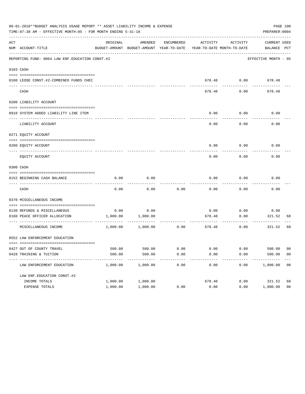|     | 06-01-2018**BUDGET ANALYSIS USAGE REPORT ** ASSET LIABILITY INCOME & EXPENSE<br>TIME: 07:38 AM - EFFECTIVE MONTH: 05 - FOR MONTH ENDING 5-31-18 |          |                                                     |            |                                       |                | PREPARER: 0004                                         | PAGE 100       |
|-----|-------------------------------------------------------------------------------------------------------------------------------------------------|----------|-----------------------------------------------------|------------|---------------------------------------|----------------|--------------------------------------------------------|----------------|
| ACT | NUM ACCOUNT-TITLE                                                                                                                               | ORIGINAL | AMENDED<br>BUDGET-AMOUNT BUDGET-AMOUNT YEAR-TO-DATE | ENCUMBERED | ACTIVITY                              | ACTIVITY       | CURRENT USED<br>YEAR-TO-DATE MONTH-TO-DATE BALANCE PCT |                |
|     | REPORTING FUND: 0064 LAW ENF. EDUCATION CONST. #2                                                                                               |          |                                                     |            |                                       |                | EFFECTIVE MONTH - 05                                   |                |
|     | 0103 CASH                                                                                                                                       |          |                                                     |            |                                       |                |                                                        |                |
|     | 0100 LEOSE CONST.#2-COMBINED FUNDS CHEC                                                                                                         |          |                                                     |            |                                       |                | 678.48 0.00 678.48                                     |                |
|     | CASH                                                                                                                                            |          |                                                     |            | 678.48                                | 0.00           | 678.48                                                 |                |
|     | 0200 LIABILITY ACCOUNT                                                                                                                          |          |                                                     |            |                                       |                |                                                        |                |
|     | 0910 SYSTEM ADDED LIABILITY LINE ITEM                                                                                                           |          |                                                     |            | 0.00                                  | 0.00           | 0.00                                                   |                |
|     | LIABILITY ACCOUNT                                                                                                                               |          |                                                     |            | 0.00                                  | 0.00           | 0.00                                                   |                |
|     | 0271 EQUITY ACCOUNT                                                                                                                             |          |                                                     |            |                                       |                |                                                        |                |
|     | 0200 EQUITY ACCOUNT                                                                                                                             |          |                                                     |            |                                       |                | $0.00$ $0.00$ $0.00$                                   |                |
|     | EQUITY ACCOUNT                                                                                                                                  |          |                                                     |            | 0.00                                  | 0.00           | 0.00                                                   |                |
|     | 0300 CASH                                                                                                                                       |          |                                                     |            |                                       |                |                                                        |                |
|     | 0152 BEGINNING CASH BALANCE                                                                                                                     | 0.00     | 0.00                                                |            | 0.00                                  | 0.00           | 0.00                                                   |                |
|     | CASH                                                                                                                                            | 0.00     | 0.00                                                | 0.00       | 0.00                                  | 0.00           | 0.00                                                   |                |
|     | 0370 MISCELLANEOUS INCOME                                                                                                                       |          |                                                     |            |                                       |                |                                                        |                |
|     | 0130 REFUNDS & MISCELLANEOUS                                                                                                                    |          | $0.00$ 0.00                                         |            | 0.00                                  | 0.00           | 0.00                                                   |                |
|     | 0160 PEACE OFFICER ALLOCATION                                                                                                                   |          | 1,000.00 1,000.00                                   |            | 678.48<br>------------- ------------- | 0.00<br>.      | 321.52<br>---------                                    | 68             |
|     | MISCELLANEOUS INCOME                                                                                                                            |          | 1,000.00 1,000.00                                   | 0.00       |                                       | 678.48<br>0.00 | 321.52                                                 | 68             |
|     | 0552 LAW ENFORCEMENT EDUCATION                                                                                                                  |          |                                                     |            |                                       |                |                                                        |                |
|     | 0427 OUT OF COUNTY TRAVEL                                                                                                                       | 500.00   | 500.00                                              | 0.00       | 0.00                                  | 0.00           | 500.00                                                 | 00             |
|     | 0428 TRAINING & TUITION                                                                                                                         | 500.00   | 500.00                                              | 0.00       | 0.00                                  | 0.00           | 500.00                                                 | 0 <sub>0</sub> |
|     | LAW ENFORCEMENT EDUCATION                                                                                                                       | 1,000.00 | 1,000.00                                            | 0.00       | 0.00                                  | 0.00           | 1,000.00                                               | 00             |
|     | LAW ENF. EDUCATION CONST. #2                                                                                                                    |          |                                                     |            |                                       |                |                                                        |                |
|     | INCOME TOTALS                                                                                                                                   | 1,000.00 | 1,000.00                                            |            | 678.48                                | 0.00           | 321.52                                                 | 68             |
|     | EXPENSE TOTALS                                                                                                                                  | 1,000.00 | 1,000.00                                            | 0.00       | 0.00                                  | 0.00           | 1,000.00                                               | 0 <sub>0</sub> |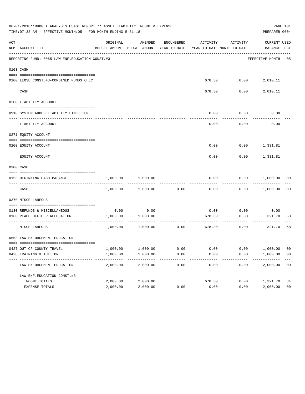|     | 06-01-2018**BUDGET ANALYSIS USAGE REPORT ** ASSET LIABILITY INCOME & EXPENSE<br>TIME: 07:38 AM - EFFECTIVE MONTH: 05 - FOR MONTH ENDING 5-31-18 |          |                                                     |            |        |                                                 | PREPARER: 0004              | PAGE 101       |
|-----|-------------------------------------------------------------------------------------------------------------------------------------------------|----------|-----------------------------------------------------|------------|--------|-------------------------------------------------|-----------------------------|----------------|
| ACT | NUM ACCOUNT-TITLE                                                                                                                               | ORIGINAL | AMENDED<br>BUDGET-AMOUNT BUDGET-AMOUNT YEAR-TO-DATE | ENCUMBERED |        | ACTIVITY ACTIVITY<br>YEAR-TO-DATE MONTH-TO-DATE | CURRENT USED<br>BALANCE PCT |                |
|     | REPORTING FUND: 0065 LAW ENF. EDUCATION CONST.#3                                                                                                |          |                                                     |            |        |                                                 | EFFECTIVE MONTH - 05        |                |
|     | 0103 CASH                                                                                                                                       |          |                                                     |            |        |                                                 |                             |                |
|     | 0100 LEOSE CONST.#3-COMBINED FUNDS CHEC                                                                                                         |          |                                                     |            |        |                                                 | 678.30   0.00   2,010.11    |                |
|     | CASH                                                                                                                                            |          |                                                     |            | 678.30 | 0.00                                            | 2,010.11                    |                |
|     | 0200 LIABILITY ACCOUNT                                                                                                                          |          |                                                     |            |        |                                                 |                             |                |
|     | 0910 SYSTEM ADDED LIABILITY LINE ITEM                                                                                                           |          |                                                     |            | 0.00   | 0.00                                            | 0.00                        |                |
|     | LIABILITY ACCOUNT                                                                                                                               |          |                                                     |            | 0.00   | 0.00                                            | 0.00                        |                |
|     | 0271 EQUITY ACCOUNT                                                                                                                             |          |                                                     |            |        |                                                 |                             |                |
|     | 0200 EQUITY ACCOUNT                                                                                                                             |          |                                                     |            |        |                                                 | $0.00$ $0.00$ $1,331.81$    |                |
|     | EQUITY ACCOUNT                                                                                                                                  |          |                                                     |            | 0.00   |                                                 | $0.00$ 1,331.81             |                |
|     | 0300 CASH                                                                                                                                       |          |                                                     |            |        |                                                 |                             |                |
|     | 0153 BEGINNING CASH BALANCE                                                                                                                     | 1,000.00 | 1,000.00                                            |            | 0.00   |                                                 | $0.00$ $1,000.00$ 00        |                |
|     | CASH                                                                                                                                            |          | 1,000.00 1,000.00                                   | 0.00       | 0.00   |                                                 | $0.00$ 1,000.00             | 00             |
|     | 0370 MISCELLANEOUS                                                                                                                              |          |                                                     |            |        |                                                 |                             |                |
|     | 0130 REFUNDS & MISCELLANEOUS                                                                                                                    |          | $0.00$ 0.00                                         |            | 0.00   | 0.00                                            | 0.00                        |                |
|     | 0160 PEACE OFFICER ALLOCATION                                                                                                                   |          | 1,000.00 1,000.00<br>-----------                    |            | 678.30 | 0.00<br>-----------                             | 321.70<br>----------        | 68             |
|     | MISCELLANEOUS                                                                                                                                   |          | 1,000.00 1,000.00                                   | 0.00       |        | 678.30<br>0.00                                  | 321.70                      | 68             |
|     | 0553 LAW ENFORCEMENT EDUCATION                                                                                                                  |          |                                                     |            |        |                                                 |                             |                |
|     | 0427 OUT OF COUNTY TRAVEL                                                                                                                       | 1,000.00 | 1,000.00                                            | 0.00       | 0.00   | 0.00                                            | 1,000.00                    | 00             |
|     | 0428 TRAINING & TUITION                                                                                                                         | 1,000.00 | 1,000.00                                            | 0.00       | 0.00   | 0.00                                            | 1,000.00                    | 0 <sub>0</sub> |
|     | LAW ENFORCEMENT EDUCATION                                                                                                                       | 2,000.00 | 2,000.00                                            | 0.00       | 0.00   | 0.00                                            | 2,000.00                    | 0 <sub>0</sub> |
|     | LAW ENF. EDUCATION CONST. #3                                                                                                                    |          |                                                     |            |        |                                                 |                             |                |
|     | INCOME TOTALS                                                                                                                                   | 2,000.00 | 2,000.00                                            |            | 678.30 | 0.00                                            | 1,321.70                    | 34             |
|     | EXPENSE TOTALS                                                                                                                                  | 2,000.00 | 2,000.00                                            | 0.00       | 0.00   | 0.00                                            | 2,000.00                    | 0 <sub>0</sub> |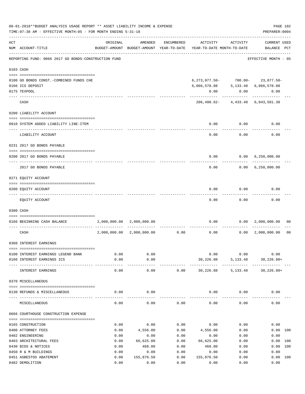|     | 06-01-2018**BUDGET ANALYSIS USAGE REPORT ** ASSET LIABILITY INCOME & EXPENSE<br>TIME: 07:38 AM - EFFECTIVE MONTH: 05 - FOR MONTH ENDING 5-31-18 |              |                           |              |                                                                                                                                 |              | PAGE 102<br>PREPARER: 0004           |                |
|-----|-------------------------------------------------------------------------------------------------------------------------------------------------|--------------|---------------------------|--------------|---------------------------------------------------------------------------------------------------------------------------------|--------------|--------------------------------------|----------------|
| ACT | NUM ACCOUNT-TITLE                                                                                                                               | ORIGINAL     | AMENDED                   | ENCUMBERED   | ACTIVITY<br>BUDGET-AMOUNT BUDGET-AMOUNT YEAR-TO-DATE YEAR-TO-DATE MONTH-TO-DATE                                                 | ACTIVITY     | <b>CURRENT USED</b><br>BALANCE PCT   |                |
|     | REPORTING FUND: 0066 2017 GO BONDS-CONSTRUCTION FUND                                                                                            |              |                           |              |                                                                                                                                 |              | EFFECTIVE MONTH - 05                 |                |
|     | 0103 CASH                                                                                                                                       |              |                           |              |                                                                                                                                 |              |                                      |                |
|     | 0100 GO BONDS CONST. - COMBINED FUNDS CHE                                                                                                       |              |                           |              | $6, 273, 077.50 - 700.00 - 23, 077.50 -$                                                                                        |              |                                      |                |
|     | 0166 ICS DEPOSIT                                                                                                                                |              |                           |              | $\, 6 \, , \, 066 \, , \, 578 \, . \, 88 \qquad \qquad 5 \, , \, 133 \, . \, 48 \qquad \, 6 \, , \, 066 \, , \, 578 \, . \, 88$ |              |                                      |                |
|     | 0175 TEXPOOL                                                                                                                                    |              |                           |              | 0.00                                                                                                                            | 0.00         | 0.00                                 |                |
|     | CASH                                                                                                                                            |              |                           |              |                                                                                                                                 |              | 206, 498.62-4, 433.48 6, 043, 501.38 |                |
|     | 0200 LIABILITY ACCOUNT                                                                                                                          |              |                           |              |                                                                                                                                 |              |                                      |                |
|     | 0910 SYSTEM ADDED LIABILITY LINE-ITEM                                                                                                           |              |                           |              | 0.00                                                                                                                            | 0.00         | 0.00                                 |                |
|     | LIABILITY ACCOUNT                                                                                                                               |              |                           |              | 0.00                                                                                                                            | 0.00         | 0.00                                 |                |
|     | 0231 2017 GO BONDS PAYABLE                                                                                                                      |              |                           |              |                                                                                                                                 |              |                                      |                |
|     |                                                                                                                                                 |              |                           |              |                                                                                                                                 |              |                                      |                |
|     | 0200 2017 GO BONDS PAYABLE                                                                                                                      |              |                           |              | 0.00                                                                                                                            |              | 0.00 6,250,000.00                    |                |
|     | 2017 GO BONDS PAYABLE                                                                                                                           |              |                           |              |                                                                                                                                 | 0.00         | $0.00 \quad 6,250,000.00$            |                |
|     | 0271 EQUITY ACCOUNT                                                                                                                             |              |                           |              |                                                                                                                                 |              |                                      |                |
|     | 0200 EQUITY ACCOUNT                                                                                                                             |              |                           |              | 0.00                                                                                                                            | 0.00         | 0.00                                 |                |
|     |                                                                                                                                                 |              |                           |              |                                                                                                                                 |              |                                      |                |
|     | EQUITY ACCOUNT                                                                                                                                  |              |                           |              | 0.00                                                                                                                            | 0.00         | 0.00                                 |                |
|     | 0300 CASH                                                                                                                                       |              |                           |              |                                                                                                                                 |              |                                      |                |
|     | 0166 BEGINNING CASH BALANCE                                                                                                                     |              | 2,000,000.00 2,000,000.00 |              |                                                                                                                                 |              | $0.00$ $0.00$ $2,000,000.00$         | 00             |
|     | CASH                                                                                                                                            | 2,000,000.00 | 2,000,000.00              |              | $0.00$ 0.00                                                                                                                     |              | 0.00 2,000,000.00                    | 0 <sub>0</sub> |
|     | 0360 INTEREST EARNINGS                                                                                                                          |              |                           |              |                                                                                                                                 |              |                                      |                |
|     | 0100 INTEREST EARNINGS LEGEND BANK                                                                                                              | 0.00         | 0.00                      |              |                                                                                                                                 | 0.00<br>0.00 | 0.00                                 |                |
|     | 0166 INTEREST EARNINGS ICS                                                                                                                      | 0.00         | 0.00                      |              | 30,226.88                                                                                                                       |              | 5, 133.48 30, 226.88+                |                |
|     | INTEREST EARNINGS                                                                                                                               | 0.00         | 0.00                      |              | $0.00$ $30,226.88$ $5,133.48$ $30,226.88+$                                                                                      |              |                                      |                |
|     | 0370 MISCELLANEOUS                                                                                                                              |              |                           |              |                                                                                                                                 |              |                                      |                |
|     | 0130 REFUNDS & MISCELLANEOUS                                                                                                                    | 0.00         | 0.00                      |              |                                                                                                                                 | $0.00$ 0.00  | 0.00                                 |                |
|     | MISCELLANEOUS                                                                                                                                   | 0.00         | 0.00                      | 0.00         | 0.00                                                                                                                            | 0.00         | 0.00                                 |                |
|     | 0666 COURTHOUSE CONSTRUCTION EXPENSE                                                                                                            |              |                           |              |                                                                                                                                 |              |                                      |                |
|     |                                                                                                                                                 |              |                           |              |                                                                                                                                 |              |                                      |                |
|     | 0165 CONSTRUCTION<br>0400 ATTORNEY FEES                                                                                                         | 0.00<br>0.00 | 0.00<br>4,556.00          | 0.00<br>0.00 | 0.00<br>4,556.00                                                                                                                | 0.00<br>0.00 | 0.00<br>0.00 100                     |                |
|     | 0402 ENGINEERING                                                                                                                                | 0.00         | 0.00                      | 0.00         | 0.00                                                                                                                            | 0.00         | 0.00                                 |                |
|     | 0403 ARCHITECTURAL FEES                                                                                                                         | 0.00         | 66,625.00                 | 0.00         | 66,625.00                                                                                                                       | 0.00         | 0.00 100                             |                |
|     | 0430 BIDS & NOTICES                                                                                                                             | 0.00         | 468.00                    | 0.00         | 468.00                                                                                                                          | 0.00         | 0.00 100                             |                |
|     | 0450 R & M BUILDINGS                                                                                                                            | 0.00         | 0.00                      | 0.00         | 0.00                                                                                                                            | 0.00         | 0.00                                 |                |
|     | 0451 ASBESTOS ABATEMENT                                                                                                                         | 0.00         | 155,876.50                | 0.00         | 155,876.50                                                                                                                      | 0.00         | 0.00 100                             |                |
|     | 0482 DEMOLITION                                                                                                                                 | 0.00         | 0.00                      | 0.00         | 0.00                                                                                                                            | 0.00         | 0.00                                 |                |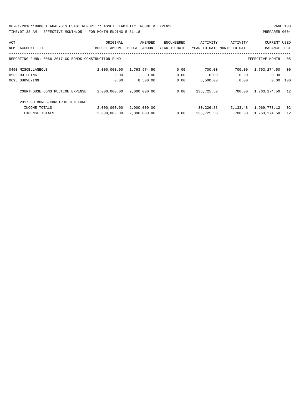06-01-2018\*\*BUDGET ANALYSIS USAGE REPORT \*\* ASSET LIABILITY INCOME & EXPENSE PAGE 103

| TTMF:07:<br>AM<br>- FOR<br>MONTH: 05<br>EFFECT1<br>: 38<br>1 ENDING 5-31-18<br>MONTH<br>TVE. | PREPARER<br>. : 000 <i>°</i> |
|----------------------------------------------------------------------------------------------|------------------------------|
|                                                                                              |                              |

| ACT |                                                      | ORIGINAL      | AMENDED       | <b>ENCUMBERED</b> | ACTIVITY   | ACTIVITY                   | <b>CURRENT USED</b>  |      |
|-----|------------------------------------------------------|---------------|---------------|-------------------|------------|----------------------------|----------------------|------|
| NUM | ACCOUNT-TITLE                                        | BUDGET-AMOUNT | BUDGET-AMOUNT | YEAR-TO-DATE      |            | YEAR-TO-DATE MONTH-TO-DATE | BALANCE              | PCT  |
|     | REPORTING FUND: 0066 2017 GO BONDS-CONSTRUCTION FUND |               |               |                   |            |                            | EFFECTIVE MONTH - 05 |      |
|     | 0490 MISCELLANEOUS                                   | 2,000,000.00  | 1,763,974.50  | 0.00              | 700.00     | 700.00                     | 1,763,274.50         | - 00 |
|     | 0535 BUILDING                                        | 0.00          | 0.00          | 0.00              | 0.00       | 0.00                       | 0.00                 |      |
|     | 0695 SURVEYING                                       | 0.00          | 8,500.00      | 0.00              | 8,500.00   | 0.00                       | 0.00                 | 100  |
|     | COURTHOUSE CONSTRUCTION EXPENSE                      | 2,000,000.00  | 2,000,000.00  | 0.00              | 236,725.50 | 700.00                     | 1,763,274.50         | 12   |
|     | 2017 GO BONDS-CONSTRUCTION FUND                      |               |               |                   |            |                            |                      |      |
|     | INCOME TOTALS                                        | 2,000,000.00  | 2,000,000.00  |                   | 30,226.88  | 5,133.48                   | 1,969,773.12         | 02   |
|     | <b>EXPENSE TOTALS</b>                                | 2,000,000.00  | 2,000,000.00  | 0.00              | 236,725.50 | 700.00                     | 1,763,274.50         | 12   |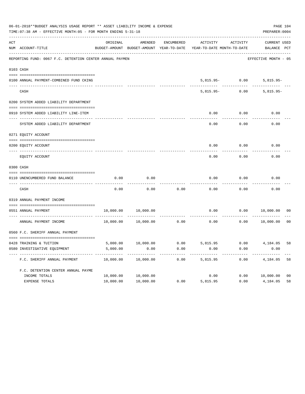|     | 06-01-2018**BUDGET ANALYSIS USAGE REPORT ** ASSET LIABILITY INCOME & EXPENSE<br>TIME: 07:38 AM - EFFECTIVE MONTH: 05 - FOR MONTH ENDING 5-31-18 |                      |           |            |                                                                                 |                   | PAGE 104<br>PREPARER: 0004  |                |
|-----|-------------------------------------------------------------------------------------------------------------------------------------------------|----------------------|-----------|------------|---------------------------------------------------------------------------------|-------------------|-----------------------------|----------------|
| ACT | NUM ACCOUNT-TITLE                                                                                                                               | ORIGINAL             | AMENDED   | ENCUMBERED | ACTIVITY<br>BUDGET-AMOUNT BUDGET-AMOUNT YEAR-TO-DATE YEAR-TO-DATE MONTH-TO-DATE | ACTIVITY          | CURRENT USED<br>BALANCE PCT |                |
|     | REPORTING FUND: 0067 F.C. DETENTION CENTER ANNUAL PAYMEN                                                                                        |                      |           |            |                                                                                 |                   | EFFECTIVE MONTH - 05        |                |
|     | 0103 CASH                                                                                                                                       |                      |           |            |                                                                                 |                   |                             |                |
|     | 0100 ANNUAL PAYMENT-COMBINED FUND CKING                                                                                                         |                      |           |            |                                                                                 | $5,815.95 - 0.00$ | $5,815.95-$                 |                |
|     | CASH                                                                                                                                            |                      |           |            | $5.815.95 -$                                                                    | 0.00              | $5,815.95-$                 |                |
|     | 0200 SYSTEM ADDED LIABILITY DEPARTMENT                                                                                                          |                      |           |            |                                                                                 |                   |                             |                |
|     | 0910 SYSTEM ADDED LIABILITY LINE-ITEM                                                                                                           |                      |           |            | 0.00                                                                            | 0.00              | 0.00                        |                |
|     | SYSTEM ADDED LIABILITY DEPARTMENT                                                                                                               |                      |           |            | 0.00                                                                            | 0.00              | 0.00                        |                |
|     | 0271 EQUITY ACCOUNT                                                                                                                             |                      |           |            |                                                                                 |                   |                             |                |
|     | 0200 EQUITY ACCOUNT                                                                                                                             |                      |           |            | 0.00                                                                            | 0.00              | 0.00                        |                |
|     | EQUITY ACCOUNT                                                                                                                                  |                      |           |            | 0.00                                                                            | 0.00              | 0.00                        |                |
|     | 0300 CASH                                                                                                                                       |                      |           |            |                                                                                 |                   |                             |                |
|     | 0110 UNENCUMBERED FUND BALANCE                                                                                                                  | 0.00                 | 0.00      |            | 0.00                                                                            | 0.00              | 0.00                        |                |
|     | CASH                                                                                                                                            | 0.00                 | 0.00      | 0.00       | 0.00                                                                            | 0.00              | 0.00                        |                |
|     | 0319 ANNUAL PAYMENT INCOME                                                                                                                      |                      |           |            |                                                                                 |                   |                             |                |
|     | 0551 ANNUAL PAYMENT                                                                                                                             | 10,000.00            | 10,000.00 |            | 0.00                                                                            | 0.00              | 10,000.00                   | 00             |
|     | ---------------- -<br>ANNUAL PAYMENT INCOME                                                                                                     | 10,000.00            | 10,000.00 | 0.00       | 0.00                                                                            | 0.00              | 10,000.00                   | 0 <sub>0</sub> |
|     | 0560 F.C. SHERIFF ANNUAL PAYMENT                                                                                                                |                      |           |            |                                                                                 |                   |                             |                |
|     |                                                                                                                                                 |                      |           |            | $10,000.00$ $0.00$ $5,815.95$ $0.00$ $4,184.05$                                 |                   |                             |                |
|     | 0428 TRAINING & TUITION<br>0580 INVESTIGATIVE EQUIPMENT                                                                                         | 5,000.00<br>5,000.00 | 0.00      | 0.00       | 0.00                                                                            | 0.00              | 0.00                        | 58             |
|     | F.C. SHERIFF ANNUAL PAYMENT                                                                                                                     | 10,000.00            | 10,000.00 | 0.00       | 5,815.95                                                                        | 0.00              | 4,184.05                    | 58             |
|     | F.C. DETENTION CENTER ANNUAL PAYME                                                                                                              |                      |           |            |                                                                                 |                   |                             |                |
|     | INCOME TOTALS                                                                                                                                   | 10,000.00            | 10,000.00 |            | 0.00                                                                            | 0.00              | 10,000.00                   | 0 <sub>0</sub> |
|     | EXPENSE TOTALS                                                                                                                                  | 10,000.00            | 10,000.00 | 0.00       | 5,815.95                                                                        | 0.00              | 4,184.05                    | 58             |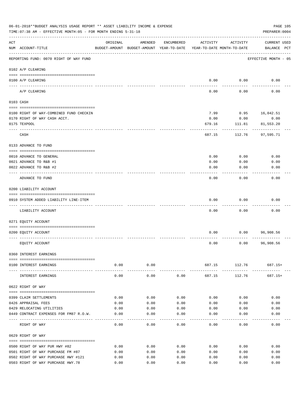|                | 06-01-2018**BUDGET ANALYSIS USAGE REPORT ** ASSET LIABILITY INCOME & EXPENSE<br>TIME: 07:38 AM - EFFECTIVE MONTH: 05 - FOR MONTH ENDING 5-31-18 |          |           |            |                                                                                 |                                       | PAGE 105<br>PREPARER: 0004         |
|----------------|-------------------------------------------------------------------------------------------------------------------------------------------------|----------|-----------|------------|---------------------------------------------------------------------------------|---------------------------------------|------------------------------------|
| $\mathtt{ACT}$ | NUM ACCOUNT-TITLE                                                                                                                               | ORIGINAL | AMENDED   | ENCUMBERED | ACTIVITY<br>BUDGET-AMOUNT BUDGET-AMOUNT YEAR-TO-DATE YEAR-TO-DATE MONTH-TO-DATE | ACTIVITY                              | <b>CURRENT USED</b><br>BALANCE PCT |
|                | REPORTING FUND: 0070 RIGHT OF WAY FUND                                                                                                          |          |           |            |                                                                                 |                                       | EFFECTIVE MONTH - 05               |
|                | 0102 A/P CLEARING                                                                                                                               |          |           |            |                                                                                 |                                       |                                    |
|                | 0100 A/P CLEARING<br>----- ---------                                                                                                            |          |           |            |                                                                                 | $0.00$ 0.00                           | 0.00                               |
|                | A/P CLEARING                                                                                                                                    |          |           |            | 0.00                                                                            | 0.00                                  | 0.00                               |
|                | 0103 CASH                                                                                                                                       |          |           |            |                                                                                 |                                       |                                    |
|                | 0100 RIGHT OF WAY-COMBINED FUND CHECKIN                                                                                                         |          |           |            | 7.99                                                                            | 0.95                                  | 16,042.51                          |
|                | 0170 RIGHT OF WAY CASH ACCT.                                                                                                                    |          |           |            | 0.00                                                                            | 0.00                                  | 0.00                               |
|                | 0175 TEXPOOL                                                                                                                                    |          |           |            | 679.16                                                                          | 111.81                                | 81,553.20                          |
|                | CASH                                                                                                                                            |          |           |            | 687.15                                                                          | 112.76                                | 97,595.71                          |
|                | 0133 ADVANCE TO FUND                                                                                                                            |          |           |            |                                                                                 |                                       |                                    |
|                |                                                                                                                                                 |          |           |            |                                                                                 |                                       |                                    |
|                | 0010 ADVANCE TO GENERAL                                                                                                                         |          |           |            | 0.00                                                                            | 0.00                                  | 0.00                               |
|                | 0021 ADVANCE TO R&B #1                                                                                                                          |          |           |            | 0.00                                                                            | 0.00                                  | 0.00                               |
|                | 0022 ADVANCE TO R&B #2<br>-----------                                                                                                           |          |           |            | 0.00                                                                            | 0.00                                  | 0.00                               |
|                | ADVANCE TO FUND                                                                                                                                 |          |           |            | 0.00                                                                            | 0.00                                  | 0.00                               |
|                | 0200 LIABILITY ACCOUNT                                                                                                                          |          |           |            |                                                                                 |                                       |                                    |
|                | 0910 SYSTEM ADDED LIABILITY LINE-ITEM                                                                                                           |          |           |            | 0.00                                                                            | 0.00                                  | 0.00                               |
|                |                                                                                                                                                 |          |           |            |                                                                                 |                                       |                                    |
|                | LIABILITY ACCOUNT                                                                                                                               |          |           |            | 0.00                                                                            | 0.00                                  | 0.00                               |
|                | 0271 EQUITY ACCOUNT                                                                                                                             |          |           |            |                                                                                 |                                       |                                    |
|                |                                                                                                                                                 |          |           |            |                                                                                 |                                       |                                    |
|                | 0200 EQUITY ACCOUNT                                                                                                                             |          |           |            | 0.00                                                                            | 0.00                                  | 96,908.56                          |
|                |                                                                                                                                                 |          |           |            |                                                                                 |                                       |                                    |
|                | EQUITY ACCOUNT                                                                                                                                  |          |           |            | 0.00                                                                            | 0.00                                  | 96,908.56                          |
|                | 0360 INTEREST EARNINGS                                                                                                                          |          |           |            |                                                                                 |                                       |                                    |
|                |                                                                                                                                                 |          |           |            |                                                                                 |                                       |                                    |
|                | 0100 INTEREST EARNINGS                                                                                                                          | 0.00     | 0.00<br>. |            | -------------                                                                   | 687.15 112.76 687.15+<br>. <u>.</u> . | -----------                        |
|                | INTEREST EARNINGS                                                                                                                               | 0.00     | 0.00      | 0.00       | 687.15                                                                          | 112.76                                | 687.15+                            |
|                | 0622 RIGHT OF WAY                                                                                                                               |          |           |            |                                                                                 |                                       |                                    |
|                | 0399 CLAIM SETTLEMENTS                                                                                                                          | 0.00     | 0.00      | 0.00       | 0.00                                                                            | 0.00                                  | 0.00                               |
|                | 0426 APPRAISAL FEES                                                                                                                             | 0.00     | 0.00      | 0.00       | 0.00                                                                            | 0.00                                  | 0.00                               |
|                | 0429 RELOCATING UTILITIES                                                                                                                       | 0.00     | 0.00      | 0.00       | 0.00                                                                            | 0.00                                  | 0.00                               |
|                | 0449 CONTRACT EXPENSES FOR FM87 R.O.W.                                                                                                          | 0.00     | 0.00      | 0.00       | 0.00                                                                            | 0.00                                  | 0.00                               |
|                | RIGHT OF WAY                                                                                                                                    | 0.00     | 0.00      | 0.00       | 0.00                                                                            | 0.00                                  | 0.00                               |
|                | 0629 RIGHT OF WAY                                                                                                                               |          |           |            |                                                                                 |                                       |                                    |
|                |                                                                                                                                                 |          |           |            |                                                                                 |                                       |                                    |
|                | 0500 RIGHT OF WAY PUR HWY #82                                                                                                                   | 0.00     | 0.00      | 0.00       | 0.00                                                                            | 0.00                                  | 0.00                               |
|                | 0501 RIGHT OF WAY PURCHASE FM #87                                                                                                               | 0.00     | 0.00      | 0.00       | 0.00                                                                            | 0.00                                  | 0.00                               |
|                | 0502 RIGHT OF WAY PURCHASE HWY #121                                                                                                             | 0.00     | 0.00      | 0.00       | 0.00                                                                            | 0.00                                  | 0.00                               |
|                | 0503 RIGHT OF WAY PURCHASE HWY.78                                                                                                               | 0.00     | 0.00      | 0.00       | 0.00                                                                            | 0.00                                  | 0.00                               |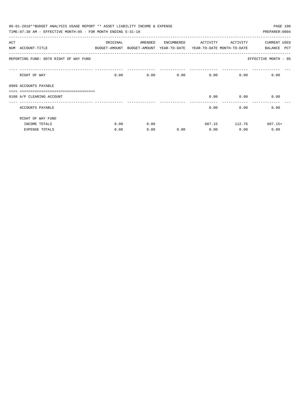| 06-01-2018**BUDGET ANALYSIS USAGE REPORT ** ASSET LIABILITY INCOME & EXPENSE<br>PAGE 106<br>TIME: 07:38 AM - EFFECTIVE MONTH: 05 - FOR MONTH ENDING 5-31-18<br>PREPARER: 0004 |                                        |          |                                                                     |      |                   |               |                       |  |  |  |  |
|-------------------------------------------------------------------------------------------------------------------------------------------------------------------------------|----------------------------------------|----------|---------------------------------------------------------------------|------|-------------------|---------------|-----------------------|--|--|--|--|
| ACT                                                                                                                                                                           |                                        | ORIGINAL | AMENDED ENCUMBERED                                                  |      | ACTIVITY ACTIVITY |               | CURRENT USED          |  |  |  |  |
|                                                                                                                                                                               | NUM ACCOUNT-TITLE                      |          | BUDGET-AMOUNT BUDGET-AMOUNT YEAR-TO-DATE YEAR-TO-DATE MONTH-TO-DATE |      |                   |               | <b>PCT</b><br>BALANCE |  |  |  |  |
|                                                                                                                                                                               | REPORTING FUND: 0070 RIGHT OF WAY FUND |          |                                                                     |      |                   |               | EFFECTIVE MONTH - 05  |  |  |  |  |
|                                                                                                                                                                               | RIGHT OF WAY                           | 0.00     |                                                                     | 0.00 | 0.00              | 0.00          | 0.00<br>0.00          |  |  |  |  |
|                                                                                                                                                                               | 0999 ACCOUNTS PAYABLE                  |          |                                                                     |      |                   |               |                       |  |  |  |  |
|                                                                                                                                                                               |                                        |          |                                                                     |      |                   |               |                       |  |  |  |  |
|                                                                                                                                                                               | 0100 A/P CLEARING ACCOUNT              |          |                                                                     |      | 0.00              | 0.00          | 0.00                  |  |  |  |  |
|                                                                                                                                                                               | ACCOUNTS PAYABLE                       |          |                                                                     |      | 0.00              |               | 0.00<br>0.00          |  |  |  |  |
|                                                                                                                                                                               | RIGHT OF WAY FUND                      |          |                                                                     |      |                   |               |                       |  |  |  |  |
|                                                                                                                                                                               | INCOME TOTALS                          | 0.00     | 0.00                                                                |      |                   | 687.15 112.76 | $687.15+$             |  |  |  |  |
|                                                                                                                                                                               | <b>EXPENSE TOTALS</b>                  | 0.00     | 0.00                                                                | 0.00 | 0.00              | 0.00          | 0.00                  |  |  |  |  |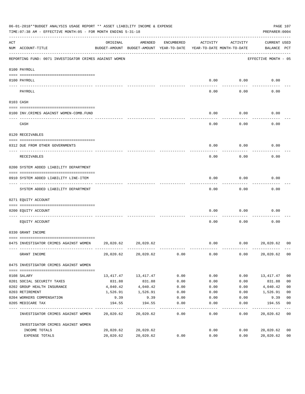| 06-01-2018**BUDGET ANALYSIS USAGE REPORT ** ASSET LIABILITY INCOME & EXPENSE<br>TIME: 07:38 AM - EFFECTIVE MONTH: 05 - FOR MONTH ENDING 5-31-18 |                                                        |           |                                                                                |            |          |          |                             |                |
|-------------------------------------------------------------------------------------------------------------------------------------------------|--------------------------------------------------------|-----------|--------------------------------------------------------------------------------|------------|----------|----------|-----------------------------|----------------|
| ACT                                                                                                                                             | NUM ACCOUNT-TITLE                                      | ORIGINAL  | AMENDED<br>BUDGET-AMOUNT BUDGET-AMOUNT YEAR-TO-DATE YEAR-TO-DATE MONTH-TO-DATE | ENCUMBERED | ACTIVITY | ACTIVITY | CURRENT USED<br>BALANCE PCT |                |
|                                                                                                                                                 | REPORTING FUND: 0071 INVESTIGATOR CRIMES AGAINST WOMEN |           |                                                                                |            |          |          | EFFECTIVE MONTH - 05        |                |
|                                                                                                                                                 | 0100 PAYROLL                                           |           |                                                                                |            |          |          |                             |                |
|                                                                                                                                                 | 0100 PAYROLL                                           |           |                                                                                |            | 0.00     | 0.00     | 0.00                        |                |
|                                                                                                                                                 | ---- --------<br>PAYROLL                               |           |                                                                                |            | 0.00     | 0.00     | 0.00                        |                |
|                                                                                                                                                 | 0103 CASH                                              |           |                                                                                |            |          |          |                             |                |
|                                                                                                                                                 | 0100 INV. CRIMES AGAINST WOMEN-COMB. FUND              |           |                                                                                |            | 0.00     | 0.00     | 0.00                        |                |
|                                                                                                                                                 | CASH                                                   |           |                                                                                |            | 0.00     | 0.00     | 0.00                        |                |
|                                                                                                                                                 | 0120 RECEIVABLES                                       |           |                                                                                |            |          |          |                             |                |
|                                                                                                                                                 | 0312 DUE FROM OTHER GOVERNMENTS                        |           |                                                                                |            | 0.00     | 0.00     | 0.00                        |                |
|                                                                                                                                                 | RECEIVABLES                                            |           |                                                                                |            | 0.00     | 0.00     | 0.00                        |                |
|                                                                                                                                                 | 0200 SYSTEM ADDED LIABILITY DEPARTMENT                 |           |                                                                                |            |          |          |                             |                |
|                                                                                                                                                 | 0910 SYSTEM ADDED LIABILITY LINE-ITEM                  |           |                                                                                |            | 0.00     | 0.00     | 0.00                        |                |
|                                                                                                                                                 | SYSTEM ADDED LIABILITY DEPARTMENT                      |           |                                                                                |            | 0.00     | 0.00     | 0.00                        |                |
|                                                                                                                                                 | 0271 EQUITY ACCOUNT                                    |           |                                                                                |            |          |          |                             |                |
|                                                                                                                                                 | 0200 EQUITY ACCOUNT                                    |           |                                                                                |            | 0.00     | 0.00     | 0.00                        |                |
|                                                                                                                                                 | EOUITY ACCOUNT                                         |           |                                                                                |            | 0.00     | 0.00     | 0.00                        |                |
|                                                                                                                                                 | 0330 GRANT INCOME                                      |           |                                                                                |            |          |          |                             |                |
|                                                                                                                                                 | 0475 INVESTIGATOR CRIMES AGAINST WOMEN 20,020.62       |           | 20,020.62                                                                      |            | 0.00     | 0.00     | 20,020.62                   | 00             |
|                                                                                                                                                 | GRANT INCOME                                           |           | 20,020.62 20,020.62                                                            | 0.00       | 0.00     | 0.00     | 20,020.62                   | 0 <sub>0</sub> |
|                                                                                                                                                 | 0475 INVESTIGATOR CRIMES AGAINST WOMEN                 |           |                                                                                |            |          |          |                             |                |
|                                                                                                                                                 | 0108 SALARY                                            |           | 13, 417. 47 13, 417. 47                                                        | 0.00       | 0.00     | 0.00     | 13,417.47                   | 0 <sub>0</sub> |
|                                                                                                                                                 | 0201 SOCIAL SECURITY TAXES                             | 831.88    | 831.88                                                                         | 0.00       | 0.00     | 0.00     | 831.88                      | 0 <sub>0</sub> |
|                                                                                                                                                 | 0202 GROUP HEALTH INSURANCE                            | 4,040.42  | 4,040.42                                                                       | 0.00       | 0.00     | 0.00     | 4,040.42                    | 0 <sub>0</sub> |
|                                                                                                                                                 | 0203 RETIREMENT                                        | 1,526.91  | 1,526.91                                                                       | 0.00       | 0.00     | 0.00     | 1,526.91                    | 0 <sub>0</sub> |
|                                                                                                                                                 | 0204 WORKERS COMPENSATION                              | 9.39      | 9.39                                                                           | 0.00       | 0.00     | 0.00     | 9.39                        | 0 <sub>0</sub> |
|                                                                                                                                                 | 0205 MEDICARE TAX                                      | 194.55    | 194.55                                                                         | 0.00       | 0.00     | 0.00     | 194.55                      | 0 <sub>0</sub> |
|                                                                                                                                                 | INVESTIGATOR CRIMES AGAINST WOMEN                      |           | 20,020.62 20,020.62                                                            | 0.00       | 0.00     | 0.00     | 20,020.62                   | 0 <sub>0</sub> |
|                                                                                                                                                 | INVESTIGATOR CRIMES AGAINST WOMEN                      |           |                                                                                |            |          |          |                             |                |
|                                                                                                                                                 | INCOME TOTALS                                          | 20,020.62 | 20,020.62                                                                      |            | 0.00     | 0.00     | 20,020.62                   | 0 <sub>0</sub> |
|                                                                                                                                                 | EXPENSE TOTALS                                         | 20,020.62 | 20,020.62                                                                      | 0.00       | 0.00     | 0.00     | 20,020.62                   | 0 <sub>0</sub> |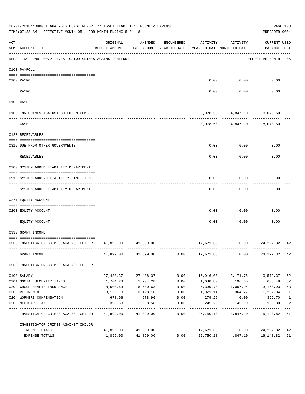|     | 06-01-2018**BUDGET ANALYSIS USAGE REPORT ** ASSET LIABILITY INCOME & EXPENSE<br>TIME: 07:38 AM - EFFECTIVE MONTH: 05 - FOR MONTH ENDING 5-31-18 |           |                     |                    |                                                                                 |                                                                         | PREPARER: 0004                     | PAGE 108    |
|-----|-------------------------------------------------------------------------------------------------------------------------------------------------|-----------|---------------------|--------------------|---------------------------------------------------------------------------------|-------------------------------------------------------------------------|------------------------------------|-------------|
| ACT | NUM ACCOUNT-TITLE                                                                                                                               | ORIGINAL  | AMENDED             | ENCUMBERED         | ACTIVITY<br>BUDGET-AMOUNT BUDGET-AMOUNT YEAR-TO-DATE YEAR-TO-DATE MONTH-TO-DATE | ACTIVITY                                                                | <b>CURRENT USED</b><br>BALANCE PCT |             |
|     | REPORTING FUND: 0072 INVESTIGATOR CRIMES AGAINST CHILDRE                                                                                        |           |                     |                    |                                                                                 |                                                                         | EFFECTIVE MONTH - 05               |             |
|     | 0100 PAYROLL                                                                                                                                    |           |                     |                    |                                                                                 |                                                                         |                                    |             |
|     | 0100 PAYROLL                                                                                                                                    |           |                     |                    | 0.00                                                                            | 0.00                                                                    | 0.00                               |             |
|     | PAYROLL                                                                                                                                         |           |                     |                    | 0.00                                                                            | 0.00                                                                    | 0.00                               |             |
|     | 0103 CASH                                                                                                                                       |           |                     |                    |                                                                                 |                                                                         |                                    |             |
|     | 0100 INV.CRIMES AGAINST CHILDREN-COMB.F                                                                                                         |           |                     |                    |                                                                                 | $8,078.50 - 4,847.10 - 8,078.50 -$                                      |                                    |             |
|     | CASH                                                                                                                                            |           |                     |                    |                                                                                 | --------- ------------ ----------<br>$8,078.50 - 4,847.10 - 8,078.50 -$ |                                    |             |
|     | 0120 RECEIVABLES                                                                                                                                |           |                     |                    |                                                                                 |                                                                         |                                    |             |
|     | 0312 DUE FROM OTHER GOVERNMENTS                                                                                                                 |           |                     |                    | 0.00                                                                            | 0.00                                                                    | 0.00                               |             |
|     | RECEIVABLES                                                                                                                                     |           |                     |                    | 0.00                                                                            | 0.00                                                                    | 0.00                               |             |
|     | 0200 SYSTEM ADDED LIABILITY DEPARTMENT                                                                                                          |           |                     |                    |                                                                                 |                                                                         |                                    |             |
|     | 0910 SYSTEM ADDEND LIABILITY LINE-ITEM                                                                                                          |           |                     |                    | 0.00                                                                            | 0.00                                                                    | 0.00                               |             |
|     | SYSTEM ADDED LIABILITY DEPARTMENT                                                                                                               |           |                     |                    | 0.00                                                                            | 0.00                                                                    | 0.00                               |             |
|     | 0271 EQUITY ACCOUNT                                                                                                                             |           |                     |                    |                                                                                 |                                                                         |                                    |             |
|     | 0200 EQUITY ACCOUNT                                                                                                                             |           |                     |                    | 0.00                                                                            | 0.00                                                                    | 0.00                               |             |
|     | EQUITY ACCOUNT                                                                                                                                  |           |                     |                    | 0.00                                                                            | 0.00                                                                    | 0.00                               |             |
|     | 0330 GRANT INCOME                                                                                                                               |           |                     |                    |                                                                                 |                                                                         |                                    |             |
|     | 0560 INVESTIGATOR CRIMES AGAINST CHILDR 41,899.00 41,899.00                                                                                     |           |                     |                    |                                                                                 | 17,671.68 0.00 24,227.32 42                                             |                                    |             |
|     | GRANT INCOME                                                                                                                                    |           | 41,899.00 41,899.00 |                    | $0.00$ 17,671.68 0.00                                                           |                                                                         | 24, 227. 32 42                     |             |
|     | 0560 INVESTIGATOR CRIMES AGAINST CHILDR                                                                                                         |           |                     |                    |                                                                                 |                                                                         |                                    |             |
|     | 0108 SALARY                                                                                                                                     | 27,488.37 | 27,488.37           | 0.00               | 16,916.00                                                                       | 3,171.75                                                                | 10,572.37                          | 62          |
|     | 0201 SOCIAL SECURITY TAXES                                                                                                                      | 1,704.28  | 1,704.28            | 0.00               | 1,048.80                                                                        | 196.65                                                                  | 655.48                             | 62          |
|     | 0202 GROUP HEALTH INSURANCE                                                                                                                     | 8,500.63  | 8,500.63            | 0.00               | 5,339.70                                                                        | 1,067.94 3,160.93                                                       |                                    | 63          |
|     | 0203 RETIREMENT                                                                                                                                 | 3,128.18  | 3,128.18            | 0.00               | 1,921.14                                                                        | 364.77                                                                  | 1,207.04                           | 61          |
|     | 0204 WORKERS COMPENSATION                                                                                                                       | 678.96    | 678.96              | 0.00               | 279.26                                                                          | 0.00                                                                    | 399.70                             | 41          |
|     | 0205 MEDICARE TAX                                                                                                                               | 398.58    | 398.58              | 0.00<br>---------- | 245.28                                                                          | 45.99                                                                   | 153.30                             | 62<br>$---$ |
|     | INVESTIGATOR CRIMES AGAINST CHILDR 41,899.00 41,899.00                                                                                          |           |                     | 0.00               | 25,750.18                                                                       | 4,847.10                                                                | 16,148.82 61                       |             |
|     | INVESTIGATOR CRIMES AGAINST CHILDR                                                                                                              |           |                     |                    |                                                                                 |                                                                         |                                    |             |
|     | INCOME TOTALS                                                                                                                                   | 41,899.00 | 41,899.00           |                    | 17,671.68                                                                       | 0.00                                                                    | 24, 227. 32 42                     |             |
|     | EXPENSE TOTALS                                                                                                                                  | 41,899.00 | 41,899.00           | 0.00               | 25,750.18                                                                       | 4,847.10                                                                | 16,148.82                          | 61          |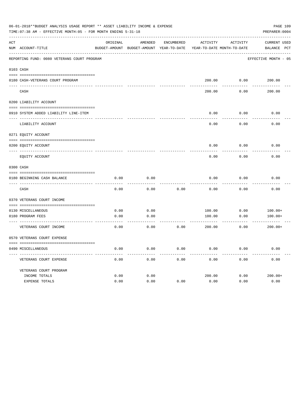|     | 06-01-2018**BUDGET ANALYSIS USAGE REPORT ** ASSET LIABILITY INCOME & EXPENSE<br>TIME: 07:38 AM - EFFECTIVE MONTH: 05 - FOR MONTH ENDING 5-31-18 |          |                                                     |            |                                        |          | PAGE 109<br>PREPARER: 0004  |
|-----|-------------------------------------------------------------------------------------------------------------------------------------------------|----------|-----------------------------------------------------|------------|----------------------------------------|----------|-----------------------------|
| ACT | NUM ACCOUNT-TITLE                                                                                                                               | ORIGINAL | AMENDED<br>BUDGET-AMOUNT BUDGET-AMOUNT YEAR-TO-DATE | ENCUMBERED | ACTIVITY<br>YEAR-TO-DATE MONTH-TO-DATE | ACTIVITY | CURRENT USED<br>BALANCE PCT |
|     | REPORTING FUND: 0080 VETERANS COURT PROGRAM                                                                                                     |          |                                                     |            |                                        |          | EFFECTIVE MONTH - 05        |
|     | 0103 CASH                                                                                                                                       |          |                                                     |            |                                        |          |                             |
|     |                                                                                                                                                 |          |                                                     |            |                                        |          |                             |
|     | 0180 CASH-VETERANS COURT PROGRAM                                                                                                                |          |                                                     |            |                                        |          | 200.00   0.00   200.00      |
|     | CASH                                                                                                                                            |          |                                                     |            | 200.00                                 | 0.00     | 200.00                      |
|     | 0200 LIABILITY ACCOUNT                                                                                                                          |          |                                                     |            |                                        |          |                             |
|     |                                                                                                                                                 |          |                                                     |            |                                        |          |                             |
|     | 0910 SYSTEM ADDED LIABILITY LINE-ITEM                                                                                                           |          |                                                     |            | 0.00                                   | 0.00     | 0.00                        |
|     | LIABILITY ACCOUNT                                                                                                                               |          |                                                     |            | 0.00                                   | 0.00     | 0.00                        |
|     | 0271 EQUITY ACCOUNT                                                                                                                             |          |                                                     |            |                                        |          |                             |
|     | 0200 EOUITY ACCOUNT                                                                                                                             |          |                                                     |            | 0.00                                   | 0.00     | 0.00                        |
|     | EQUITY ACCOUNT                                                                                                                                  |          |                                                     |            | 0.00                                   | 0.00     | 0.00                        |
|     | 0300 CASH                                                                                                                                       |          |                                                     |            |                                        |          |                             |
|     |                                                                                                                                                 |          |                                                     |            |                                        |          |                             |
|     | 0180 BEGINNING CASH BALANCE                                                                                                                     | 0.00     | 0.00                                                |            | 0.00                                   | 0.00     | 0.00                        |
|     | CASH                                                                                                                                            | 0.00     | 0.00                                                | 0.00       | 0.00                                   | 0.00     | 0.00                        |
|     | 0370 VETERANS COURT INCOME                                                                                                                      |          |                                                     |            |                                        |          |                             |
|     | 0130 MISCELLANEOUS                                                                                                                              | 0.00     | 0.00                                                |            | 100.00                                 | 0.00     | $100.00+$                   |
|     | 0180 PROGRAM FEES                                                                                                                               | 0.00     | 0.00                                                |            | 100.00                                 | 0.00     | $100.00+$                   |
|     | ----------------------------- ---<br>VETERANS COURT INCOME                                                                                      | 0.00     | 0.00                                                | 0.00       | 200.00                                 | 0.00     | $200.00+$                   |
|     | 0570 VETERANS COURT EXPENSE                                                                                                                     |          |                                                     |            |                                        |          |                             |
|     |                                                                                                                                                 |          |                                                     |            |                                        |          |                             |
|     | 0490 MISCELLANEOUS                                                                                                                              | 0.00     | 0.00                                                | 0.00       | 0.00                                   | 0.00     | 0.00                        |
|     | VETERANS COURT EXPENSE                                                                                                                          | 0.00     | 0.00                                                | 0.00       | 0.00                                   | 0.00     | 0.00                        |
|     | VETERANS COURT PROGRAM                                                                                                                          |          |                                                     |            |                                        |          |                             |
|     | INCOME TOTALS                                                                                                                                   | 0.00     | 0.00                                                |            | 200.00                                 | 0.00     | $200.00+$                   |
|     | EXPENSE TOTALS                                                                                                                                  | 0.00     | 0.00                                                | 0.00       | 0.00                                   | 0.00     | 0.00                        |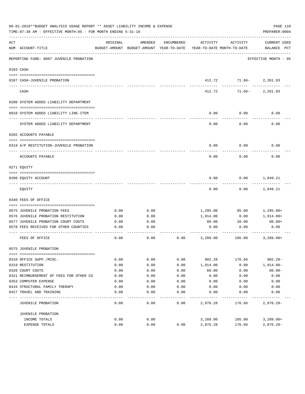|     | 06-01-2018**BUDGET ANALYSIS USAGE REPORT ** ASSET LIABILITY INCOME & EXPENSE<br>TIME: 07:38 AM - EFFECTIVE MONTH: 05 - FOR MONTH ENDING 5-31-18 |          |                                                     |            |                                        |                                       | PAGE 110<br>PREPARER: 0004         |
|-----|-------------------------------------------------------------------------------------------------------------------------------------------------|----------|-----------------------------------------------------|------------|----------------------------------------|---------------------------------------|------------------------------------|
| ACT | NUM ACCOUNT-TITLE                                                                                                                               | ORIGINAL | AMENDED<br>BUDGET-AMOUNT BUDGET-AMOUNT YEAR-TO-DATE | ENCUMBERED | ACTIVITY<br>YEAR-TO-DATE MONTH-TO-DATE | ACTIVITY                              | <b>CURRENT USED</b><br>BALANCE PCT |
|     | REPORTING FUND: 0087 JUVENILE PROBATION                                                                                                         |          |                                                     |            |                                        |                                       | EFFECTIVE MONTH - 05               |
|     | 0103 CASH                                                                                                                                       |          |                                                     |            |                                        |                                       |                                    |
|     | 0187 CASH-JUVENILE PROBATION                                                                                                                    |          |                                                     |            |                                        | 412.72 71.66- 2,261.93<br>----------- | ---------                          |
|     | CASH                                                                                                                                            |          |                                                     |            | 412.72                                 |                                       | 71.66-2,261.93                     |
|     | 0200 SYSTEM ADDED LIABILITY DEPARTMENT                                                                                                          |          |                                                     |            |                                        |                                       |                                    |
|     | 0910 SYSTEM ADDED LIABILITY LINE-ITEM                                                                                                           |          |                                                     |            | 0.00                                   | 0.00                                  | 0.00                               |
|     | SYSTEM ADDED LIABILITY DEPARTMENT                                                                                                               |          |                                                     |            | 0.00                                   | 0.00                                  | 0.00                               |
|     | 0202 ACCOUNTS PAYABLE                                                                                                                           |          |                                                     |            |                                        |                                       |                                    |
|     | 0319 A/P RESTITUTION-JUVENILE PROBATION                                                                                                         |          |                                                     |            | 0.00                                   | 0.00                                  | 0.00                               |
|     | ACCOUNTS PAYABLE                                                                                                                                |          |                                                     |            | 0.00                                   | 0.00                                  | 0.00                               |
|     | 0271 EQUITY                                                                                                                                     |          |                                                     |            |                                        |                                       |                                    |
|     | 0200 EQUITY ACCOUNT                                                                                                                             |          |                                                     |            | 0.00                                   | 0.00                                  | 1,849.21                           |
|     | EQUITY                                                                                                                                          |          |                                                     |            | 0.00                                   | 0.00                                  | 1,849.21                           |
|     | 0340 FEES OF OFFICE                                                                                                                             |          |                                                     |            |                                        |                                       |                                    |
|     | 0575 JUVENILE PROBATION FEES                                                                                                                    | 0.00     | 0.00                                                |            | 1,295.00                               | 85.00                                 | 1,295.00+                          |
|     | 0576 JUVENILE PROBATION RESTITUTION                                                                                                             | 0.00     | 0.00                                                |            | 1,914.00                               | 0.00                                  | 1,914.00+                          |
|     | 0577 JUVENILE PROBATION COURT COSTS                                                                                                             | 0.00     | 0.00                                                |            | 80.00                                  | 20.00                                 | $80.00+$                           |
|     | 0578 FEES RECEIVED FOR OTHER COUNTIES                                                                                                           | 0.00     | 0.00                                                |            | 0.00                                   | 0.00                                  | 0.00                               |
|     | FEES OF OFFICE                                                                                                                                  | 0.00     | 0.00                                                | 0.00       | 3,289.00                               | 105.00                                | $3,289.00+$                        |
|     | 0575 JUVENILE PROBATION                                                                                                                         |          |                                                     |            |                                        |                                       |                                    |
|     | 0310 OFFICE SUPP./MISC.                                                                                                                         | 0.00     | 0.00                                                | 0.00       | 902.28                                 | 176.66                                | $902.28 -$                         |
|     | 0319 RESTITUTION                                                                                                                                | 0.00     | 0.00                                                | 0.00       | 1,914.00                               | 0.00                                  | $1,914.00-$                        |
|     | 0320 COURT COSTS                                                                                                                                | 0.00     | 0.00                                                | 0.00       | 60.00                                  | 0.00                                  | $60.00 -$                          |
|     | 0321 REIMBURSEMENT OF FEES FOR OTHER CO                                                                                                         | 0.00     | 0.00                                                | 0.00       | 0.00                                   | 0.00                                  | 0.00                               |
|     | 0353 COMPUTER EXPENSE                                                                                                                           | 0.00     | 0.00                                                | 0.00       | 0.00                                   | 0.00                                  | 0.00                               |
|     | 0416 STRUCTURAL FAMILY THERAPY                                                                                                                  | 0.00     | 0.00                                                | 0.00       | 0.00                                   | 0.00                                  | 0.00                               |
|     | 0427 TRAVEL AND TRAINING                                                                                                                        | 0.00     | 0.00                                                | 0.00       | 0.00                                   | 0.00                                  | 0.00                               |
|     | JUVENILE PROBATION                                                                                                                              | 0.00     | 0.00                                                | 0.00       | 2,876.28                               | 176.66                                | $2,876.28-$                        |
|     | JUVENILE PROBATION                                                                                                                              |          |                                                     |            |                                        |                                       |                                    |
|     | INCOME TOTALS                                                                                                                                   | 0.00     | 0.00                                                |            | 3,289.00                               | 105.00                                | $3,289.00+$                        |
|     | EXPENSE TOTALS                                                                                                                                  | 0.00     | 0.00                                                | 0.00       | 2,876.28                               | 176.66                                | $2,876.28-$                        |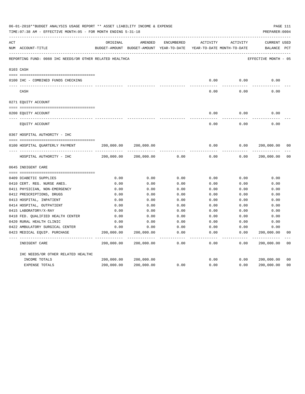|     | 06-01-2018**BUDGET ANALYSIS USAGE REPORT ** ASSET LIABILITY INCOME & EXPENSE<br>TIME: 07:38 AM - EFFECTIVE MONTH: 05 - FOR MONTH ENDING 5-31-18 |                          |                                                                                |               |                     |                     | PREPARER: 0004                     | PAGE 111       |
|-----|-------------------------------------------------------------------------------------------------------------------------------------------------|--------------------------|--------------------------------------------------------------------------------|---------------|---------------------|---------------------|------------------------------------|----------------|
| ACT | NUM ACCOUNT-TITLE                                                                                                                               | ORIGINAL                 | AMENDED<br>BUDGET-AMOUNT BUDGET-AMOUNT YEAR-TO-DATE YEAR-TO-DATE MONTH-TO-DATE | ENCUMBERED    | ACTIVITY            | ACTIVITY            | <b>CURRENT USED</b><br>BALANCE PCT |                |
|     | REPORTING FUND: 0088 IHC NEEDS/OR OTHER RELATED HEALTHCA                                                                                        |                          |                                                                                |               |                     |                     | EFFECTIVE MONTH - 05               |                |
|     | 0103 CASH                                                                                                                                       |                          |                                                                                |               |                     |                     |                                    |                |
|     | 0100 IHC - COMBINED FUNDS CHECKING                                                                                                              |                          |                                                                                |               | 0.00                | 0.00                | 0.00                               |                |
|     | CASH                                                                                                                                            |                          |                                                                                |               | -----<br>0.00       | --------<br>0.00    | 0.00                               |                |
|     | 0271 EQUITY ACCOUNT                                                                                                                             |                          |                                                                                |               |                     |                     |                                    |                |
|     | 0200 EQUITY ACCOUNT                                                                                                                             |                          |                                                                                |               | 0.00                | 0.00                | 0.00                               |                |
|     | EQUITY ACCOUNT                                                                                                                                  |                          |                                                                                |               | 0.00                | 0.00                | 0.00                               |                |
|     | 0367 HOSPITAL AUTHORITY - IHC                                                                                                                   |                          |                                                                                |               |                     |                     |                                    |                |
|     |                                                                                                                                                 |                          |                                                                                |               |                     |                     |                                    |                |
|     | 0100 HOSPITAL QUARTERLY PAYMENT                                                                                                                 | 200,000.00               | 200,000.00                                                                     |               | 0.00                | 0.00                | 200,000.00                         | 0 <sub>0</sub> |
|     |                                                                                                                                                 |                          |                                                                                |               | $- - - - -$         |                     |                                    |                |
|     | HOSPITAL AUTHORITY - IHC                                                                                                                        | 200,000.00               | 200,000.00                                                                     | 0.00          | 0.00                | 0.00                | 200,000.00                         | 0 <sub>0</sub> |
|     | 0645 INDIGENT CARE                                                                                                                              |                          |                                                                                |               |                     |                     |                                    |                |
|     |                                                                                                                                                 |                          |                                                                                |               |                     |                     |                                    |                |
|     | 0409 DIABETIC SUPPLIES                                                                                                                          | 0.00                     | 0.00                                                                           | 0.00          | 0.00                | 0.00                | 0.00                               |                |
|     | 0410 CERT. REG. NURSE ANES.                                                                                                                     | 0.00                     | 0.00                                                                           | 0.00          | 0.00                | 0.00                | 0.00                               |                |
|     | 0411 PHYSICIAN, NON-EMERGENCY                                                                                                                   | 0.00                     | 0.00                                                                           | 0.00          | 0.00                | 0.00                | 0.00                               |                |
|     | 0412 PRESCRIPTIONS, DRUGS                                                                                                                       | 0.00                     | 0.00                                                                           | 0.00          | 0.00                | 0.00                | 0.00                               |                |
|     | 0413 HOSPITAL, INPATIENT                                                                                                                        | 0.00                     | 0.00                                                                           | 0.00          | 0.00                | 0.00                | 0.00                               |                |
|     | 0414 HOSPITAL, OUTPATIENT                                                                                                                       | 0.00                     | 0.00                                                                           | 0.00          | 0.00                | 0.00                | 0.00                               |                |
|     | 0415 LABORATORY/X-RAY                                                                                                                           | 0.00                     | 0.00                                                                           | 0.00          | 0.00                | 0.00                | 0.00                               |                |
|     | 0418 FED. QUALIFIED HEALTH CENTER                                                                                                               | 0.00                     | 0.00                                                                           | 0.00          | 0.00                | 0.00                | 0.00                               |                |
|     | 0420 RURAL HEALTH CLINIC                                                                                                                        | 0.00                     | 0.00                                                                           | 0.00          | 0.00                | 0.00                | 0.00                               |                |
|     | 0422 AMBULATORY SURGICAL CENTER                                                                                                                 | 0.00                     | 0.00                                                                           | 0.00          | 0.00                | 0.00                | 0.00                               |                |
|     | 0423 MEDICAL EQUIP. PURCHASE                                                                                                                    | 200,000.00<br>---------- | 200,000.00<br>--------------                                                   | 0.00<br>----- | 0.00<br>$- - - - -$ | 0.00<br>$- - - - -$ | 200,000.00<br>-----------          | 0 <sub>0</sub> |
|     | INDIGENT CARE                                                                                                                                   | 200,000.00               | 200,000.00                                                                     | 0.00          | 0.00                | 0.00                | 200,000.00                         | 0 <sub>0</sub> |
|     | IHC NEEDS/OR OTHER RELATED HEALTHC                                                                                                              |                          |                                                                                |               |                     |                     |                                    |                |
|     | INCOME TOTALS                                                                                                                                   | 200,000.00               | 200,000.00                                                                     |               | 0.00                | 0.00                | 200,000.00                         | 0 <sub>0</sub> |
|     | EXPENSE TOTALS                                                                                                                                  | 200,000.00               | 200,000.00                                                                     | 0.00          | 0.00                | 0.00                | 200,000.00                         | 0 <sub>0</sub> |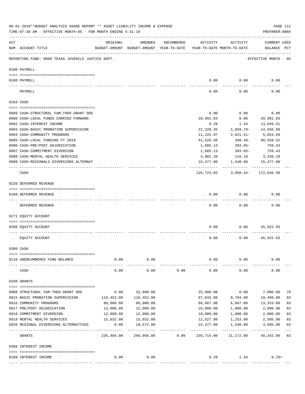|     | 06-01-2018**BUDGET ANALYSIS USAGE REPORT ** ASSET LIABILITY INCOME & EXPENSE<br>TIME: 07:38 AM - EFFECTIVE MONTH: 05 - FOR MONTH ENDING 5-31-18 |                              |                                                     |            |                                        |                      | PREPARER: 0004                     | PAGE 112 |
|-----|-------------------------------------------------------------------------------------------------------------------------------------------------|------------------------------|-----------------------------------------------------|------------|----------------------------------------|----------------------|------------------------------------|----------|
| ACT | NUM ACCOUNT-TITLE                                                                                                                               | ORIGINAL                     | AMENDED<br>BUDGET-AMOUNT BUDGET-AMOUNT YEAR-TO-DATE | ENCUMBERED | ACTIVITY<br>YEAR-TO-DATE MONTH-TO-DATE | ACTIVITY             | CURRENT USED<br>BALANCE PCT        |          |
|     | REPORTING FUND: 0089 TEXAS JUVENILE JUSTICE DEPT.                                                                                               | ---------------------------- |                                                     |            |                                        |                      | EFFECTIVE MONTH - 05               |          |
|     | 0100 PAYROLL                                                                                                                                    |                              |                                                     |            |                                        |                      |                                    |          |
|     | 0100 PAYROLL                                                                                                                                    |                              |                                                     |            | 0.00                                   | 0.00                 | 0.00                               |          |
|     | PAYROLL                                                                                                                                         |                              |                                                     |            | 0.00                                   | 0.00                 | 0.00                               |          |
|     | 0103 CASH                                                                                                                                       |                              |                                                     |            |                                        |                      |                                    |          |
|     | 0689 CASH-STRUCTURAL FAM.THER.GRANT OOG                                                                                                         |                              |                                                     |            | 0.00                                   | 0.00                 | 0.00                               |          |
|     | 0988 CASH-LOCAL FUNDS CARRIED FORWARD                                                                                                           |                              |                                                     |            | 28,991.83                              | 0.00                 | 28,991.83                          |          |
|     | 0992 CASH-INTEREST INCOME                                                                                                                       |                              |                                                     |            | 9.29                                   | 1.34                 | 13,049.51                          |          |
|     | 0993 CASH-BASIC PROBATION SUPERVISION                                                                                                           |                              |                                                     |            | 22,320.35                              | 1,859.79-            | 14,656.88                          |          |
|     | 0994 CASH-COMMUNITY PROGRAMS                                                                                                                    |                              |                                                     |            | 11,225.97                              | 2,621.51-            | 5,053.69                           |          |
|     | 0995 CASH-LOCAL FUNDING FY 2018                                                                                                                 |                              |                                                     |            | 41,526.56                              | 348.48-              | 90,559.52                          |          |
|     | 0996 CASH-PRE/POST ADJUDICATION                                                                                                                 |                              |                                                     |            | 1,685.13                               | 393.05-              | 759.43                             |          |
|     | 0997 CASH-COMMITMENT DIVERSION                                                                                                                  |                              |                                                     |            | 1,685.13                               | 393.05-              | 759.43                             |          |
|     | 0998 CASH-MENTAL HEALTH SERVICES                                                                                                                |                              |                                                     |            | 3,802.39                               |                      | 116.10 3,339.29                    |          |
|     | 0999 CASH-REGIONALS DIVERSIONS ALTERNAT                                                                                                         |                              |                                                     |            |                                        |                      | 15,477.00    1,548.00    15,477.00 |          |
|     |                                                                                                                                                 |                              |                                                     |            | . _ _ _ _ _ _ _ _ _ _                  |                      |                                    |          |
|     | CASH                                                                                                                                            |                              |                                                     |            |                                        |                      | 126,723.65 3,950.44- 172,646.58    |          |
|     | 0220 DEFERRED REVENUE                                                                                                                           |                              |                                                     |            |                                        |                      |                                    |          |
|     | 0189 DEFERRED REVENUE                                                                                                                           |                              |                                                     |            | 0.00                                   | 0.00                 | 0.00                               |          |
|     |                                                                                                                                                 |                              |                                                     |            |                                        |                      |                                    |          |
|     | DEFERRED REVENUE                                                                                                                                |                              |                                                     |            | 0.00                                   | 0.00                 | 0.00                               |          |
|     | 0271 EQUITY ACCOUNT                                                                                                                             |                              |                                                     |            |                                        |                      |                                    |          |
|     | 0200 EQUITY ACCOUNT                                                                                                                             |                              |                                                     |            | 0.00                                   |                      | $0.00$ 45,922.93                   |          |
|     | EQUITY ACCOUNT                                                                                                                                  |                              |                                                     |            | 0.00                                   | 0.00                 | 45,922.93                          |          |
|     | 0300 CASH                                                                                                                                       |                              |                                                     |            |                                        |                      |                                    |          |
|     | 0110 UNENCUMBERED FUND BALANCE                                                                                                                  | 0.00                         | 0.00                                                |            | 0.00                                   | 0.00                 | 0.00                               |          |
|     |                                                                                                                                                 |                              |                                                     |            |                                        |                      |                                    |          |
|     | CASH                                                                                                                                            | 0.00                         | 0.00                                                | 0.00       | 0.00                                   | 0.00                 | 0.00                               |          |
|     | 0330 GRANTS                                                                                                                                     |                              |                                                     |            |                                        |                      |                                    |          |
|     |                                                                                                                                                 |                              |                                                     |            |                                        |                      |                                    |          |
|     | 0908 STRUCTURAL FAM. THER. GRANT OOG                                                                                                            | 0.00                         | 32,000.00                                           |            | 25,000.00                              | 0.00                 | 7,000.00                           | 78       |
|     | 0915 BASIC PROBATION SUPERVISION                                                                                                                | 116,452.00                   | 116,452.00                                          |            | 97,043.00                              | 9,704.00             | 19,409.00                          | 83       |
|     | 0916 COMMUNITY PROGRAMS<br>0917 PRE/POST ADJUDICATION                                                                                           | 80,000.00                    | 80,000.00<br>12,000.00                              |            | 66,667.00                              | 6,667.00             | 13,333.00                          | 83<br>83 |
|     | 0918 COMMITMENT DIVERSION                                                                                                                       | 12,000.00<br>12,000.00       | 12,000.00                                           |            | 10,000.00<br>10,000.00                 | 1,000.00<br>1,000.00 | 2,000.00<br>2,000.00               | 83       |
|     | 0919 MENTAL HEALTH SERVICES                                                                                                                     | 15,032.00                    | 15,032.00                                           |            | 12,527.00                              | 1,253.00             | 2,505.00                           | 83       |
|     | 0920 REGIONAL DIVERSIONS ALTERNATIVES                                                                                                           | 0.00                         | 18,572.00                                           |            | 15,477.00                              | 1,548.00             | 3,095.00                           | 83       |
|     |                                                                                                                                                 | -----------                  |                                                     |            |                                        |                      | -----------                        | $---$    |
|     | GRANTS                                                                                                                                          | 235,484.00                   | 286,056.00                                          | 0.00       | 236,714.00                             | 21,172.00            | 49,342.00                          | 83       |
|     | 0360 INTEREST INCOME                                                                                                                            |                              |                                                     |            |                                        |                      |                                    |          |
|     | 0189 INTEREST INCOME                                                                                                                            | 0.00                         | 0.00                                                |            | 9.29                                   | 1.34                 | $9.29+$                            |          |
|     |                                                                                                                                                 |                              |                                                     |            |                                        |                      |                                    |          |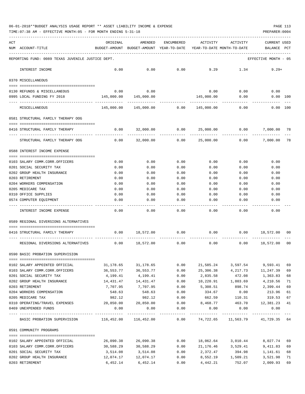TIME:07:38 AM - EFFECTIVE MONTH:05 - FOR MONTH ENDING 5-31-18 PREPARER:0004

| ACT | NUM ACCOUNT-TITLE                                                                                                                                                                                                                                                                                                                                                                                                     | ORIGINAL               | AMENDED<br>BUDGET-AMOUNT BUDGET-AMOUNT YEAR-TO-DATE YEAR-TO-DATE MONTH-TO-DATE | ENCUMBERED     | ACTIVITY                              | ACTIVITY              | <b>CURRENT USED</b><br>BALANCE PCT     |          |
|-----|-----------------------------------------------------------------------------------------------------------------------------------------------------------------------------------------------------------------------------------------------------------------------------------------------------------------------------------------------------------------------------------------------------------------------|------------------------|--------------------------------------------------------------------------------|----------------|---------------------------------------|-----------------------|----------------------------------------|----------|
|     | REPORTING FUND: 0089 TEXAS JUVENILE JUSTICE DEPT.                                                                                                                                                                                                                                                                                                                                                                     |                        |                                                                                |                |                                       |                       | EFFECTIVE MONTH - 05                   |          |
|     | INTEREST INCOME                                                                                                                                                                                                                                                                                                                                                                                                       | 0.00                   | 0.00                                                                           | 0.00           | 9.29                                  | 1.34                  | $9.29+$                                |          |
|     | 0370 MISCELLANEOUS                                                                                                                                                                                                                                                                                                                                                                                                    |                        |                                                                                |                |                                       |                       |                                        |          |
|     | 0130 REFUNDS & MISCELLANEOUS                                                                                                                                                                                                                                                                                                                                                                                          | 0.00                   | 0.00                                                                           |                | 0.00                                  | 0.00                  | 0.00                                   |          |
|     | 0995 LOCAL FUNDING FY 2018                                                                                                                                                                                                                                                                                                                                                                                            | 145,000.00             | 145,000.00                                                                     |                | 145,000.00                            | 0.00                  | $0.00$ 100                             |          |
|     | MISCELLANEOUS                                                                                                                                                                                                                                                                                                                                                                                                         | 145,000.00             |                                                                                |                |                                       | 0.00                  | . <u>.</u> .<br>0.00 100               |          |
|     | 0581 STRUCTURAL FAMILY THERAPY OOG                                                                                                                                                                                                                                                                                                                                                                                    |                        |                                                                                |                |                                       |                       |                                        |          |
|     | 0416 STRUCTURAL FAMILY THERAPY                                                                                                                                                                                                                                                                                                                                                                                        | 0.00                   |                                                                                | 32,000.00 0.00 |                                       | 25,000.00 0.00        | 7,000.00                               | 78       |
|     | STRUCTURAL FAMILY THERAPY OOG                                                                                                                                                                                                                                                                                                                                                                                         | 0.00                   | ---------------<br>32,000.00                                                   | -------------  | 0.00 25,000.00                        | 0.00                  | 7,000.00                               | 78       |
|     | 0588 INTEREST INCOME EXPENSE                                                                                                                                                                                                                                                                                                                                                                                          |                        |                                                                                |                |                                       |                       |                                        |          |
|     |                                                                                                                                                                                                                                                                                                                                                                                                                       |                        | 0.00                                                                           | 0.00           |                                       |                       | 0.00                                   |          |
|     | 0103 SALARY COMM.CORR.OFFICERS<br>0201 SOCIAL SECURITY TAX                                                                                                                                                                                                                                                                                                                                                            | 0.00<br>0.00           | 0.00                                                                           | 0.00           | 0.00<br>0.00                          | 0.00<br>0.00          | 0.00                                   |          |
|     | 0202 GROUP HEALTH INSURANCE                                                                                                                                                                                                                                                                                                                                                                                           | 0.00                   | 0.00                                                                           | 0.00           | 0.00                                  | 0.00                  | 0.00                                   |          |
|     | 0203 RETIREMENT                                                                                                                                                                                                                                                                                                                                                                                                       | 0.00                   | 0.00                                                                           | 0.00           | 0.00                                  | 0.00                  | 0.00                                   |          |
|     | 0204 WORKERS COMPENSATION                                                                                                                                                                                                                                                                                                                                                                                             | 0.00                   | 0.00                                                                           | 0.00           | 0.00                                  | 0.00                  | 0.00                                   |          |
|     | 0205 MEDICARE TAX                                                                                                                                                                                                                                                                                                                                                                                                     | 0.00                   | 0.00                                                                           | 0.00           | 0.00                                  | 0.00                  | 0.00                                   |          |
|     | 0310 OFFICE SUPPLIES                                                                                                                                                                                                                                                                                                                                                                                                  | 0.00                   | 0.00                                                                           | 0.00           | 0.00                                  | 0.00                  | 0.00                                   |          |
|     | 0574 COMPUTER EQUIPMENT                                                                                                                                                                                                                                                                                                                                                                                               | 0.00                   | 0.00                                                                           | 0.00           | 0.00                                  | 0.00                  | 0.00                                   |          |
|     | ---- ------------------<br>INTEREST INCOME EXPENSE                                                                                                                                                                                                                                                                                                                                                                    | ----------<br>0.00     | 0.00                                                                           | 0.00           | 0.00                                  | 0.00                  | 0.00                                   |          |
|     | 0589 REGIONAL DIVERSIONS ALTERNATIVES                                                                                                                                                                                                                                                                                                                                                                                 |                        |                                                                                |                |                                       |                       |                                        |          |
|     |                                                                                                                                                                                                                                                                                                                                                                                                                       |                        |                                                                                |                |                                       |                       |                                        |          |
|     | 0416 STRUCTURAL FAMILY THERAPY                                                                                                                                                                                                                                                                                                                                                                                        | 0.00                   | 18,572.00 0.00                                                                 |                | $0.00$ $0.00$ $18,572.00$ $00$        |                       |                                        |          |
|     | REGIONAL DIVERSIONS ALTERNATIVES                                                                                                                                                                                                                                                                                                                                                                                      |                        | $0.00$ 18,572.00                                                               | 0.00           | 0.00                                  | 0.00                  | 18,572.00                              | 00       |
|     | 0590 BASIC PROBATION SUPERVISION                                                                                                                                                                                                                                                                                                                                                                                      |                        |                                                                                |                |                                       |                       |                                        |          |
|     | 0102 SALARY APPOINTED OFFICIAL                                                                                                                                                                                                                                                                                                                                                                                        | 31,178.65              | 31,178.65                                                                      | 0.00           | 21,585.24                             | 3,597.54              | 9,593.41                               | 69       |
|     | 0103 SALARY COMM.CORR.OFFICERS                                                                                                                                                                                                                                                                                                                                                                                        | 36,553.77              | 36,553.77                                                                      | 0.00           | 25,306.38                             | 4,217.73              | 11,247.39                              | 69       |
|     | 0201 SOCIAL SECURITY TAX                                                                                                                                                                                                                                                                                                                                                                                              | 4,199.41               | 4,199.41                                                                       | 0.00           | 2,835.58                              | 472.08                | 1,363.83                               | 68       |
|     | 0202 GROUP HEALTH INSURANCE                                                                                                                                                                                                                                                                                                                                                                                           | 14,431.47              | 14, 431. 47                                                                    | 0.00           | 10,220.91  1,803.69                   |                       | 4,210.56                               | 71       |
|     | 0203 RETIREMENT                                                                                                                                                                                                                                                                                                                                                                                                       | 7,707.95               | 7,707.95                                                                       | 0.00           | 5,308.51                              | 898.74                | 2,399.44                               | 69       |
|     | 0204 WORKERS COMPENSATION                                                                                                                                                                                                                                                                                                                                                                                             | 548.63                 | 548.63                                                                         | 0.00           | 334.67                                | 0.00                  | 213.96                                 | 61       |
|     | 0205 MEDICARE TAX                                                                                                                                                                                                                                                                                                                                                                                                     | 982.12                 | 982.12                                                                         | 0.00           | 662.59                                | 110.31                | 319.53                                 | 67       |
|     | 0310 OPERATING/TRAVEL EXPENSES                                                                                                                                                                                                                                                                                                                                                                                        | 20,850.00              | 20,850.00                                                                      | 0.00           | 8,468.77                              | 463.70                | 12,381.23                              | 41       |
|     | 0469 UNEXPENDED FUNDS                                                                                                                                                                                                                                                                                                                                                                                                 | 0.00                   | 0.00<br>-----------------------------                                          | 0.00           | 0.00<br>---------------               | 0.00<br>------------- | 0.00                                   |          |
|     | BASIC PROBATION SUPERVISION 116,452.00 116,452.00                                                                                                                                                                                                                                                                                                                                                                     |                        |                                                                                |                | 0.00 74,722.65 11,563.79 41,729.35 64 |                       |                                        |          |
|     | 0591 COMMUNITY PROGRAMS                                                                                                                                                                                                                                                                                                                                                                                               |                        |                                                                                |                |                                       |                       |                                        |          |
|     | $\verb c  = \verb c  = \verb c  = \verb c  = \verb c  = \verb c  = \verb c  = \verb c  = \verb c  = \verb c  = \verb c  = \verb c  = \verb c  = \verb c  = \verb c  = \verb c  = \verb c  = \verb c  = \verb c  = \verb c  = \verb c  = \verb c  = \verb c  = \verb c  = \verb c  = \verb c  = \verb c  = \verb c  = \verb c  = \verb c  = \verb c  = \verb c  = \verb c  = \verb c  = \verb c  = \verb c  = \verb c$ |                        |                                                                                |                |                                       |                       |                                        |          |
|     | 0102 SALARY APPOINTED OFFICIAL<br>0103 SALARY COMM.CORR.OFFICERS                                                                                                                                                                                                                                                                                                                                                      | 26,090.38<br>30,588.29 | 26,090.38<br>30,588.29                                                         | 0.00<br>0.00   | 21, 176. 46 3, 529. 41                | 18,062.64 3,010.44    | 8,027.74<br>9,411.83                   | 69<br>69 |
|     | 0201 SOCIAL SECURITY TAX                                                                                                                                                                                                                                                                                                                                                                                              | 3,514.08               | 3,514.08                                                                       | 0.00           | 2,372.47                              | 394.98                | 1,141.61                               | 68       |
|     | 0202 GROUP HEALTH INSURANCE                                                                                                                                                                                                                                                                                                                                                                                           |                        |                                                                                | 0.00           |                                       |                       | 8,552.19    1,509.21    3,521.98    71 |          |

0203 RETIREMENT 6,452.14 6,452.14 0.00 4,442.21 752.07 2,009.93 69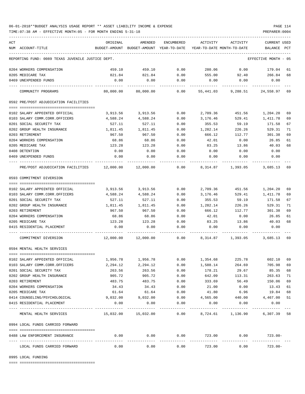TIME:07:38 AM - EFFECTIVE MONTH:05 - FOR MONTH ENDING 5-31-18 PREPARER:0004

| ACT<br>ORIGINAL<br>AMENDED<br>ENCUMBERED<br>ACTIVITY<br>ACTIVITY<br>CURRENT USED<br>NUM ACCOUNT-TITLE<br>BUDGET-AMOUNT BUDGET-AMOUNT YEAR-TO-DATE YEAR-TO-DATE MONTH-TO-DATE<br>PCT<br>BALANCE<br>REPORTING FUND: 0089 TEXAS JUVENILE JUSTICE DEPT.<br>EFFECTIVE MONTH - 05<br>0.00<br>280.06<br>$0.00$ 179.04<br>0204 WORKERS COMPENSATION<br>459.10<br>459.10<br>61<br>92.40<br>266.84<br>0205 MEDICARE TAX<br>821.84<br>821.84<br>0.00<br>555.00<br>68<br>0469 UNEXPENDED FUNDS<br>0.00<br>0.00<br>0.00<br>0.00<br>0.00<br>0.00<br>80,000.00<br>80,000.00<br>0.00<br>55,441.03<br>9,288.51<br>24,558.97<br>COMMUNITY PROGRAMS<br>69<br>0592 PRE/POST ADJUDICATION FACILITIES<br>3,913.56<br>3,913.56<br>0.00<br>2,709.36<br>451.56<br>1,204.20<br>69<br>0102 SALARY APPOINTED OFFICIAL<br>0103 SALARY COMM.CORR.OFFICERS<br>4,588.24<br>4,588.24<br>0.00<br>3,176.46<br>529.41<br>1,411.78<br>69<br>527.11<br>0201 SOCIAL SECURITY TAX<br>527.11<br>0.00<br>355.53<br>59.19<br>171.58<br>67<br>1,811.45<br>0202 GROUP HEALTH INSURANCE<br>1,811.45<br>0.00<br>1,282.14<br>226.26<br>529.31<br>71<br>301.38<br>69<br>0203 RETIREMENT<br>967.50<br>967.50<br>0.00<br>666.12<br>112.77<br>0204 WORKERS COMPENSATION<br>68.86<br>68.86<br>0.00<br>42.01<br>0.00<br>26.85<br>61<br>0205 MEDICARE TAX<br>68<br>123.28<br>123.28<br>0.00<br>83.25<br>13.86<br>40.03<br>0408 DETENTION<br>0.00<br>0.00<br>0.00<br>0.00<br>0.00<br>0.00<br>0.00<br>0.00<br>0469 UNEXPENDED FUNDS<br>0.00<br>0.00<br>0.00<br>0.00<br>PRE/POST ADJUDICATION FACILITIES 12,000.00 12,000.00 0.00<br>8,314.87 1,393.05 3,685.13<br>69<br>0593 COMMITMENT DIVERSION<br>3,913.56<br>3,913.56<br>0.00<br>2,709.36<br>451.56<br>1,204.20<br>69<br>0102 SALARY APPOINTED OFFICIAL<br>0103 SALARY COMM.CORR.OFFICERS<br>529.41<br>69<br>4,588.24<br>4,588.24<br>0.00<br>3,176.46<br>1,411.78<br>0201 SOCIAL SECURITY TAX<br>527.11<br>527.11<br>0.00<br>355.53<br>59.19<br>171.58<br>67<br>0202 GROUP HEALTH INSURANCE<br>1,811.45<br>1,811.45<br>0.00<br>1,282.14<br>226.26<br>529.31<br>71<br>0203 RETIREMENT<br>967.50<br>69<br>967.50<br>0.00<br>666.12<br>112.77<br>301.38<br>26.85<br>0204 WORKERS COMPENSATION<br>68.86<br>68.86<br>0.00<br>42.01<br>0.00<br>61<br>68<br>0205 MEDICARE TAX<br>123.28<br>123.28<br>0.00<br>83.25<br>13.86<br>40.03<br>0415 RESIDENTIAL PLACEMENT<br>0.00<br>0.00<br>0.00<br>0.00<br>0.00<br>0.00<br>COMMITMENT DIVERSION<br>$0.00$ $8,314.87$ $1,393.05$ $3,685.13$<br>69<br>0594 MENTAL HEALTH SERVICES<br>0102 SALARY APPOINTED OFFICIAL<br>1,956.78<br>1,956.78<br>0.00<br>1,354.68<br>225.78<br>602.10<br>69<br>0103 SALARY COMM.CORR.OFFICERS<br>2,294.12<br>2,294.12<br>0.00<br>1,588.14<br>264.69<br>705.98<br>69<br>263.56<br>263.56<br>29.67<br>0201 SOCIAL SECURITY TAX<br>0.00<br>178.21<br>85.35<br>68<br>905.72<br>113.31<br>0202 GROUP HEALTH INSURANCE<br>905.72<br>0.00<br>642.09<br>263.63<br>71<br>69<br>483.75<br>56.49<br>0203 RETIREMENT<br>483.75<br>0.00<br>333.69<br>150.06<br>0204 WORKERS COMPENSATION<br>34.43<br>34.43<br>0.00<br>21.00<br>0.00<br>13.43<br>61<br>61.64<br>0205 MEDICARE TAX<br>61.64<br>0.00<br>41.80<br>6.96<br>68<br>19.84<br>9,032.00<br>440.00<br>0414 COUNSELING/PSYCHOLOGICAL<br>9,032.00<br>0.00<br>4,565.00<br>4,467.00<br>51<br>0415 RESIDENTIAL PLACEMENT<br>0.00<br>0.00<br>0.00<br>0.00<br>0.00<br>0.00<br>------------<br>---------<br>-----------<br>-----------------------------------<br>8,724.61 1,136.90<br>6,307.39<br>58<br>MENTAL HEALTH SERVICES<br>$15,032.00$ $15,032.00$<br>0.00<br>0994 LOCAL FUNDS CARRIED FORWARD<br>0.00<br>0.00<br>$0.00$ $0.00$ $723.00$<br>$723.00 -$<br>0488 LAW ENFORCEMENT INSURANCE<br>------------<br>------------ ---------------<br>------------<br>.<br>------------<br>.<br>0.00<br>0.00<br>0.00<br>723.00<br>0.00<br>$723.00 -$<br>LOCAL FUNDS CARRIED FORWARD |  |  |  |  |  |
|------------------------------------------------------------------------------------------------------------------------------------------------------------------------------------------------------------------------------------------------------------------------------------------------------------------------------------------------------------------------------------------------------------------------------------------------------------------------------------------------------------------------------------------------------------------------------------------------------------------------------------------------------------------------------------------------------------------------------------------------------------------------------------------------------------------------------------------------------------------------------------------------------------------------------------------------------------------------------------------------------------------------------------------------------------------------------------------------------------------------------------------------------------------------------------------------------------------------------------------------------------------------------------------------------------------------------------------------------------------------------------------------------------------------------------------------------------------------------------------------------------------------------------------------------------------------------------------------------------------------------------------------------------------------------------------------------------------------------------------------------------------------------------------------------------------------------------------------------------------------------------------------------------------------------------------------------------------------------------------------------------------------------------------------------------------------------------------------------------------------------------------------------------------------------------------------------------------------------------------------------------------------------------------------------------------------------------------------------------------------------------------------------------------------------------------------------------------------------------------------------------------------------------------------------------------------------------------------------------------------------------------------------------------------------------------------------------------------------------------------------------------------------------------------------------------------------------------------------------------------------------------------------------------------------------------------------------------------------------------------------------------------------------------------------------------------------------------------------------------------------------------------------------------------------------------------------------------------------------------------------------------------------------------------------------------------------------------------------------------------------------------------------------------------------------------------------------------------------------------------------------------------------------------------------------------------------------------------------------------------------------------------------------------------------------------------------------------------------------------------------------------------------------------------------------------------------------------------------------------------------|--|--|--|--|--|
|                                                                                                                                                                                                                                                                                                                                                                                                                                                                                                                                                                                                                                                                                                                                                                                                                                                                                                                                                                                                                                                                                                                                                                                                                                                                                                                                                                                                                                                                                                                                                                                                                                                                                                                                                                                                                                                                                                                                                                                                                                                                                                                                                                                                                                                                                                                                                                                                                                                                                                                                                                                                                                                                                                                                                                                                                                                                                                                                                                                                                                                                                                                                                                                                                                                                                                                                                                                                                                                                                                                                                                                                                                                                                                                                                                                                                                                                              |  |  |  |  |  |
|                                                                                                                                                                                                                                                                                                                                                                                                                                                                                                                                                                                                                                                                                                                                                                                                                                                                                                                                                                                                                                                                                                                                                                                                                                                                                                                                                                                                                                                                                                                                                                                                                                                                                                                                                                                                                                                                                                                                                                                                                                                                                                                                                                                                                                                                                                                                                                                                                                                                                                                                                                                                                                                                                                                                                                                                                                                                                                                                                                                                                                                                                                                                                                                                                                                                                                                                                                                                                                                                                                                                                                                                                                                                                                                                                                                                                                                                              |  |  |  |  |  |
|                                                                                                                                                                                                                                                                                                                                                                                                                                                                                                                                                                                                                                                                                                                                                                                                                                                                                                                                                                                                                                                                                                                                                                                                                                                                                                                                                                                                                                                                                                                                                                                                                                                                                                                                                                                                                                                                                                                                                                                                                                                                                                                                                                                                                                                                                                                                                                                                                                                                                                                                                                                                                                                                                                                                                                                                                                                                                                                                                                                                                                                                                                                                                                                                                                                                                                                                                                                                                                                                                                                                                                                                                                                                                                                                                                                                                                                                              |  |  |  |  |  |
|                                                                                                                                                                                                                                                                                                                                                                                                                                                                                                                                                                                                                                                                                                                                                                                                                                                                                                                                                                                                                                                                                                                                                                                                                                                                                                                                                                                                                                                                                                                                                                                                                                                                                                                                                                                                                                                                                                                                                                                                                                                                                                                                                                                                                                                                                                                                                                                                                                                                                                                                                                                                                                                                                                                                                                                                                                                                                                                                                                                                                                                                                                                                                                                                                                                                                                                                                                                                                                                                                                                                                                                                                                                                                                                                                                                                                                                                              |  |  |  |  |  |
|                                                                                                                                                                                                                                                                                                                                                                                                                                                                                                                                                                                                                                                                                                                                                                                                                                                                                                                                                                                                                                                                                                                                                                                                                                                                                                                                                                                                                                                                                                                                                                                                                                                                                                                                                                                                                                                                                                                                                                                                                                                                                                                                                                                                                                                                                                                                                                                                                                                                                                                                                                                                                                                                                                                                                                                                                                                                                                                                                                                                                                                                                                                                                                                                                                                                                                                                                                                                                                                                                                                                                                                                                                                                                                                                                                                                                                                                              |  |  |  |  |  |
|                                                                                                                                                                                                                                                                                                                                                                                                                                                                                                                                                                                                                                                                                                                                                                                                                                                                                                                                                                                                                                                                                                                                                                                                                                                                                                                                                                                                                                                                                                                                                                                                                                                                                                                                                                                                                                                                                                                                                                                                                                                                                                                                                                                                                                                                                                                                                                                                                                                                                                                                                                                                                                                                                                                                                                                                                                                                                                                                                                                                                                                                                                                                                                                                                                                                                                                                                                                                                                                                                                                                                                                                                                                                                                                                                                                                                                                                              |  |  |  |  |  |
|                                                                                                                                                                                                                                                                                                                                                                                                                                                                                                                                                                                                                                                                                                                                                                                                                                                                                                                                                                                                                                                                                                                                                                                                                                                                                                                                                                                                                                                                                                                                                                                                                                                                                                                                                                                                                                                                                                                                                                                                                                                                                                                                                                                                                                                                                                                                                                                                                                                                                                                                                                                                                                                                                                                                                                                                                                                                                                                                                                                                                                                                                                                                                                                                                                                                                                                                                                                                                                                                                                                                                                                                                                                                                                                                                                                                                                                                              |  |  |  |  |  |
|                                                                                                                                                                                                                                                                                                                                                                                                                                                                                                                                                                                                                                                                                                                                                                                                                                                                                                                                                                                                                                                                                                                                                                                                                                                                                                                                                                                                                                                                                                                                                                                                                                                                                                                                                                                                                                                                                                                                                                                                                                                                                                                                                                                                                                                                                                                                                                                                                                                                                                                                                                                                                                                                                                                                                                                                                                                                                                                                                                                                                                                                                                                                                                                                                                                                                                                                                                                                                                                                                                                                                                                                                                                                                                                                                                                                                                                                              |  |  |  |  |  |
|                                                                                                                                                                                                                                                                                                                                                                                                                                                                                                                                                                                                                                                                                                                                                                                                                                                                                                                                                                                                                                                                                                                                                                                                                                                                                                                                                                                                                                                                                                                                                                                                                                                                                                                                                                                                                                                                                                                                                                                                                                                                                                                                                                                                                                                                                                                                                                                                                                                                                                                                                                                                                                                                                                                                                                                                                                                                                                                                                                                                                                                                                                                                                                                                                                                                                                                                                                                                                                                                                                                                                                                                                                                                                                                                                                                                                                                                              |  |  |  |  |  |
|                                                                                                                                                                                                                                                                                                                                                                                                                                                                                                                                                                                                                                                                                                                                                                                                                                                                                                                                                                                                                                                                                                                                                                                                                                                                                                                                                                                                                                                                                                                                                                                                                                                                                                                                                                                                                                                                                                                                                                                                                                                                                                                                                                                                                                                                                                                                                                                                                                                                                                                                                                                                                                                                                                                                                                                                                                                                                                                                                                                                                                                                                                                                                                                                                                                                                                                                                                                                                                                                                                                                                                                                                                                                                                                                                                                                                                                                              |  |  |  |  |  |
|                                                                                                                                                                                                                                                                                                                                                                                                                                                                                                                                                                                                                                                                                                                                                                                                                                                                                                                                                                                                                                                                                                                                                                                                                                                                                                                                                                                                                                                                                                                                                                                                                                                                                                                                                                                                                                                                                                                                                                                                                                                                                                                                                                                                                                                                                                                                                                                                                                                                                                                                                                                                                                                                                                                                                                                                                                                                                                                                                                                                                                                                                                                                                                                                                                                                                                                                                                                                                                                                                                                                                                                                                                                                                                                                                                                                                                                                              |  |  |  |  |  |
|                                                                                                                                                                                                                                                                                                                                                                                                                                                                                                                                                                                                                                                                                                                                                                                                                                                                                                                                                                                                                                                                                                                                                                                                                                                                                                                                                                                                                                                                                                                                                                                                                                                                                                                                                                                                                                                                                                                                                                                                                                                                                                                                                                                                                                                                                                                                                                                                                                                                                                                                                                                                                                                                                                                                                                                                                                                                                                                                                                                                                                                                                                                                                                                                                                                                                                                                                                                                                                                                                                                                                                                                                                                                                                                                                                                                                                                                              |  |  |  |  |  |
|                                                                                                                                                                                                                                                                                                                                                                                                                                                                                                                                                                                                                                                                                                                                                                                                                                                                                                                                                                                                                                                                                                                                                                                                                                                                                                                                                                                                                                                                                                                                                                                                                                                                                                                                                                                                                                                                                                                                                                                                                                                                                                                                                                                                                                                                                                                                                                                                                                                                                                                                                                                                                                                                                                                                                                                                                                                                                                                                                                                                                                                                                                                                                                                                                                                                                                                                                                                                                                                                                                                                                                                                                                                                                                                                                                                                                                                                              |  |  |  |  |  |
|                                                                                                                                                                                                                                                                                                                                                                                                                                                                                                                                                                                                                                                                                                                                                                                                                                                                                                                                                                                                                                                                                                                                                                                                                                                                                                                                                                                                                                                                                                                                                                                                                                                                                                                                                                                                                                                                                                                                                                                                                                                                                                                                                                                                                                                                                                                                                                                                                                                                                                                                                                                                                                                                                                                                                                                                                                                                                                                                                                                                                                                                                                                                                                                                                                                                                                                                                                                                                                                                                                                                                                                                                                                                                                                                                                                                                                                                              |  |  |  |  |  |
|                                                                                                                                                                                                                                                                                                                                                                                                                                                                                                                                                                                                                                                                                                                                                                                                                                                                                                                                                                                                                                                                                                                                                                                                                                                                                                                                                                                                                                                                                                                                                                                                                                                                                                                                                                                                                                                                                                                                                                                                                                                                                                                                                                                                                                                                                                                                                                                                                                                                                                                                                                                                                                                                                                                                                                                                                                                                                                                                                                                                                                                                                                                                                                                                                                                                                                                                                                                                                                                                                                                                                                                                                                                                                                                                                                                                                                                                              |  |  |  |  |  |
|                                                                                                                                                                                                                                                                                                                                                                                                                                                                                                                                                                                                                                                                                                                                                                                                                                                                                                                                                                                                                                                                                                                                                                                                                                                                                                                                                                                                                                                                                                                                                                                                                                                                                                                                                                                                                                                                                                                                                                                                                                                                                                                                                                                                                                                                                                                                                                                                                                                                                                                                                                                                                                                                                                                                                                                                                                                                                                                                                                                                                                                                                                                                                                                                                                                                                                                                                                                                                                                                                                                                                                                                                                                                                                                                                                                                                                                                              |  |  |  |  |  |
|                                                                                                                                                                                                                                                                                                                                                                                                                                                                                                                                                                                                                                                                                                                                                                                                                                                                                                                                                                                                                                                                                                                                                                                                                                                                                                                                                                                                                                                                                                                                                                                                                                                                                                                                                                                                                                                                                                                                                                                                                                                                                                                                                                                                                                                                                                                                                                                                                                                                                                                                                                                                                                                                                                                                                                                                                                                                                                                                                                                                                                                                                                                                                                                                                                                                                                                                                                                                                                                                                                                                                                                                                                                                                                                                                                                                                                                                              |  |  |  |  |  |
|                                                                                                                                                                                                                                                                                                                                                                                                                                                                                                                                                                                                                                                                                                                                                                                                                                                                                                                                                                                                                                                                                                                                                                                                                                                                                                                                                                                                                                                                                                                                                                                                                                                                                                                                                                                                                                                                                                                                                                                                                                                                                                                                                                                                                                                                                                                                                                                                                                                                                                                                                                                                                                                                                                                                                                                                                                                                                                                                                                                                                                                                                                                                                                                                                                                                                                                                                                                                                                                                                                                                                                                                                                                                                                                                                                                                                                                                              |  |  |  |  |  |
|                                                                                                                                                                                                                                                                                                                                                                                                                                                                                                                                                                                                                                                                                                                                                                                                                                                                                                                                                                                                                                                                                                                                                                                                                                                                                                                                                                                                                                                                                                                                                                                                                                                                                                                                                                                                                                                                                                                                                                                                                                                                                                                                                                                                                                                                                                                                                                                                                                                                                                                                                                                                                                                                                                                                                                                                                                                                                                                                                                                                                                                                                                                                                                                                                                                                                                                                                                                                                                                                                                                                                                                                                                                                                                                                                                                                                                                                              |  |  |  |  |  |
|                                                                                                                                                                                                                                                                                                                                                                                                                                                                                                                                                                                                                                                                                                                                                                                                                                                                                                                                                                                                                                                                                                                                                                                                                                                                                                                                                                                                                                                                                                                                                                                                                                                                                                                                                                                                                                                                                                                                                                                                                                                                                                                                                                                                                                                                                                                                                                                                                                                                                                                                                                                                                                                                                                                                                                                                                                                                                                                                                                                                                                                                                                                                                                                                                                                                                                                                                                                                                                                                                                                                                                                                                                                                                                                                                                                                                                                                              |  |  |  |  |  |
|                                                                                                                                                                                                                                                                                                                                                                                                                                                                                                                                                                                                                                                                                                                                                                                                                                                                                                                                                                                                                                                                                                                                                                                                                                                                                                                                                                                                                                                                                                                                                                                                                                                                                                                                                                                                                                                                                                                                                                                                                                                                                                                                                                                                                                                                                                                                                                                                                                                                                                                                                                                                                                                                                                                                                                                                                                                                                                                                                                                                                                                                                                                                                                                                                                                                                                                                                                                                                                                                                                                                                                                                                                                                                                                                                                                                                                                                              |  |  |  |  |  |
|                                                                                                                                                                                                                                                                                                                                                                                                                                                                                                                                                                                                                                                                                                                                                                                                                                                                                                                                                                                                                                                                                                                                                                                                                                                                                                                                                                                                                                                                                                                                                                                                                                                                                                                                                                                                                                                                                                                                                                                                                                                                                                                                                                                                                                                                                                                                                                                                                                                                                                                                                                                                                                                                                                                                                                                                                                                                                                                                                                                                                                                                                                                                                                                                                                                                                                                                                                                                                                                                                                                                                                                                                                                                                                                                                                                                                                                                              |  |  |  |  |  |
|                                                                                                                                                                                                                                                                                                                                                                                                                                                                                                                                                                                                                                                                                                                                                                                                                                                                                                                                                                                                                                                                                                                                                                                                                                                                                                                                                                                                                                                                                                                                                                                                                                                                                                                                                                                                                                                                                                                                                                                                                                                                                                                                                                                                                                                                                                                                                                                                                                                                                                                                                                                                                                                                                                                                                                                                                                                                                                                                                                                                                                                                                                                                                                                                                                                                                                                                                                                                                                                                                                                                                                                                                                                                                                                                                                                                                                                                              |  |  |  |  |  |
|                                                                                                                                                                                                                                                                                                                                                                                                                                                                                                                                                                                                                                                                                                                                                                                                                                                                                                                                                                                                                                                                                                                                                                                                                                                                                                                                                                                                                                                                                                                                                                                                                                                                                                                                                                                                                                                                                                                                                                                                                                                                                                                                                                                                                                                                                                                                                                                                                                                                                                                                                                                                                                                                                                                                                                                                                                                                                                                                                                                                                                                                                                                                                                                                                                                                                                                                                                                                                                                                                                                                                                                                                                                                                                                                                                                                                                                                              |  |  |  |  |  |
|                                                                                                                                                                                                                                                                                                                                                                                                                                                                                                                                                                                                                                                                                                                                                                                                                                                                                                                                                                                                                                                                                                                                                                                                                                                                                                                                                                                                                                                                                                                                                                                                                                                                                                                                                                                                                                                                                                                                                                                                                                                                                                                                                                                                                                                                                                                                                                                                                                                                                                                                                                                                                                                                                                                                                                                                                                                                                                                                                                                                                                                                                                                                                                                                                                                                                                                                                                                                                                                                                                                                                                                                                                                                                                                                                                                                                                                                              |  |  |  |  |  |
|                                                                                                                                                                                                                                                                                                                                                                                                                                                                                                                                                                                                                                                                                                                                                                                                                                                                                                                                                                                                                                                                                                                                                                                                                                                                                                                                                                                                                                                                                                                                                                                                                                                                                                                                                                                                                                                                                                                                                                                                                                                                                                                                                                                                                                                                                                                                                                                                                                                                                                                                                                                                                                                                                                                                                                                                                                                                                                                                                                                                                                                                                                                                                                                                                                                                                                                                                                                                                                                                                                                                                                                                                                                                                                                                                                                                                                                                              |  |  |  |  |  |
|                                                                                                                                                                                                                                                                                                                                                                                                                                                                                                                                                                                                                                                                                                                                                                                                                                                                                                                                                                                                                                                                                                                                                                                                                                                                                                                                                                                                                                                                                                                                                                                                                                                                                                                                                                                                                                                                                                                                                                                                                                                                                                                                                                                                                                                                                                                                                                                                                                                                                                                                                                                                                                                                                                                                                                                                                                                                                                                                                                                                                                                                                                                                                                                                                                                                                                                                                                                                                                                                                                                                                                                                                                                                                                                                                                                                                                                                              |  |  |  |  |  |
|                                                                                                                                                                                                                                                                                                                                                                                                                                                                                                                                                                                                                                                                                                                                                                                                                                                                                                                                                                                                                                                                                                                                                                                                                                                                                                                                                                                                                                                                                                                                                                                                                                                                                                                                                                                                                                                                                                                                                                                                                                                                                                                                                                                                                                                                                                                                                                                                                                                                                                                                                                                                                                                                                                                                                                                                                                                                                                                                                                                                                                                                                                                                                                                                                                                                                                                                                                                                                                                                                                                                                                                                                                                                                                                                                                                                                                                                              |  |  |  |  |  |
|                                                                                                                                                                                                                                                                                                                                                                                                                                                                                                                                                                                                                                                                                                                                                                                                                                                                                                                                                                                                                                                                                                                                                                                                                                                                                                                                                                                                                                                                                                                                                                                                                                                                                                                                                                                                                                                                                                                                                                                                                                                                                                                                                                                                                                                                                                                                                                                                                                                                                                                                                                                                                                                                                                                                                                                                                                                                                                                                                                                                                                                                                                                                                                                                                                                                                                                                                                                                                                                                                                                                                                                                                                                                                                                                                                                                                                                                              |  |  |  |  |  |
|                                                                                                                                                                                                                                                                                                                                                                                                                                                                                                                                                                                                                                                                                                                                                                                                                                                                                                                                                                                                                                                                                                                                                                                                                                                                                                                                                                                                                                                                                                                                                                                                                                                                                                                                                                                                                                                                                                                                                                                                                                                                                                                                                                                                                                                                                                                                                                                                                                                                                                                                                                                                                                                                                                                                                                                                                                                                                                                                                                                                                                                                                                                                                                                                                                                                                                                                                                                                                                                                                                                                                                                                                                                                                                                                                                                                                                                                              |  |  |  |  |  |
|                                                                                                                                                                                                                                                                                                                                                                                                                                                                                                                                                                                                                                                                                                                                                                                                                                                                                                                                                                                                                                                                                                                                                                                                                                                                                                                                                                                                                                                                                                                                                                                                                                                                                                                                                                                                                                                                                                                                                                                                                                                                                                                                                                                                                                                                                                                                                                                                                                                                                                                                                                                                                                                                                                                                                                                                                                                                                                                                                                                                                                                                                                                                                                                                                                                                                                                                                                                                                                                                                                                                                                                                                                                                                                                                                                                                                                                                              |  |  |  |  |  |
|                                                                                                                                                                                                                                                                                                                                                                                                                                                                                                                                                                                                                                                                                                                                                                                                                                                                                                                                                                                                                                                                                                                                                                                                                                                                                                                                                                                                                                                                                                                                                                                                                                                                                                                                                                                                                                                                                                                                                                                                                                                                                                                                                                                                                                                                                                                                                                                                                                                                                                                                                                                                                                                                                                                                                                                                                                                                                                                                                                                                                                                                                                                                                                                                                                                                                                                                                                                                                                                                                                                                                                                                                                                                                                                                                                                                                                                                              |  |  |  |  |  |
|                                                                                                                                                                                                                                                                                                                                                                                                                                                                                                                                                                                                                                                                                                                                                                                                                                                                                                                                                                                                                                                                                                                                                                                                                                                                                                                                                                                                                                                                                                                                                                                                                                                                                                                                                                                                                                                                                                                                                                                                                                                                                                                                                                                                                                                                                                                                                                                                                                                                                                                                                                                                                                                                                                                                                                                                                                                                                                                                                                                                                                                                                                                                                                                                                                                                                                                                                                                                                                                                                                                                                                                                                                                                                                                                                                                                                                                                              |  |  |  |  |  |
|                                                                                                                                                                                                                                                                                                                                                                                                                                                                                                                                                                                                                                                                                                                                                                                                                                                                                                                                                                                                                                                                                                                                                                                                                                                                                                                                                                                                                                                                                                                                                                                                                                                                                                                                                                                                                                                                                                                                                                                                                                                                                                                                                                                                                                                                                                                                                                                                                                                                                                                                                                                                                                                                                                                                                                                                                                                                                                                                                                                                                                                                                                                                                                                                                                                                                                                                                                                                                                                                                                                                                                                                                                                                                                                                                                                                                                                                              |  |  |  |  |  |
|                                                                                                                                                                                                                                                                                                                                                                                                                                                                                                                                                                                                                                                                                                                                                                                                                                                                                                                                                                                                                                                                                                                                                                                                                                                                                                                                                                                                                                                                                                                                                                                                                                                                                                                                                                                                                                                                                                                                                                                                                                                                                                                                                                                                                                                                                                                                                                                                                                                                                                                                                                                                                                                                                                                                                                                                                                                                                                                                                                                                                                                                                                                                                                                                                                                                                                                                                                                                                                                                                                                                                                                                                                                                                                                                                                                                                                                                              |  |  |  |  |  |
|                                                                                                                                                                                                                                                                                                                                                                                                                                                                                                                                                                                                                                                                                                                                                                                                                                                                                                                                                                                                                                                                                                                                                                                                                                                                                                                                                                                                                                                                                                                                                                                                                                                                                                                                                                                                                                                                                                                                                                                                                                                                                                                                                                                                                                                                                                                                                                                                                                                                                                                                                                                                                                                                                                                                                                                                                                                                                                                                                                                                                                                                                                                                                                                                                                                                                                                                                                                                                                                                                                                                                                                                                                                                                                                                                                                                                                                                              |  |  |  |  |  |
|                                                                                                                                                                                                                                                                                                                                                                                                                                                                                                                                                                                                                                                                                                                                                                                                                                                                                                                                                                                                                                                                                                                                                                                                                                                                                                                                                                                                                                                                                                                                                                                                                                                                                                                                                                                                                                                                                                                                                                                                                                                                                                                                                                                                                                                                                                                                                                                                                                                                                                                                                                                                                                                                                                                                                                                                                                                                                                                                                                                                                                                                                                                                                                                                                                                                                                                                                                                                                                                                                                                                                                                                                                                                                                                                                                                                                                                                              |  |  |  |  |  |
|                                                                                                                                                                                                                                                                                                                                                                                                                                                                                                                                                                                                                                                                                                                                                                                                                                                                                                                                                                                                                                                                                                                                                                                                                                                                                                                                                                                                                                                                                                                                                                                                                                                                                                                                                                                                                                                                                                                                                                                                                                                                                                                                                                                                                                                                                                                                                                                                                                                                                                                                                                                                                                                                                                                                                                                                                                                                                                                                                                                                                                                                                                                                                                                                                                                                                                                                                                                                                                                                                                                                                                                                                                                                                                                                                                                                                                                                              |  |  |  |  |  |
|                                                                                                                                                                                                                                                                                                                                                                                                                                                                                                                                                                                                                                                                                                                                                                                                                                                                                                                                                                                                                                                                                                                                                                                                                                                                                                                                                                                                                                                                                                                                                                                                                                                                                                                                                                                                                                                                                                                                                                                                                                                                                                                                                                                                                                                                                                                                                                                                                                                                                                                                                                                                                                                                                                                                                                                                                                                                                                                                                                                                                                                                                                                                                                                                                                                                                                                                                                                                                                                                                                                                                                                                                                                                                                                                                                                                                                                                              |  |  |  |  |  |
|                                                                                                                                                                                                                                                                                                                                                                                                                                                                                                                                                                                                                                                                                                                                                                                                                                                                                                                                                                                                                                                                                                                                                                                                                                                                                                                                                                                                                                                                                                                                                                                                                                                                                                                                                                                                                                                                                                                                                                                                                                                                                                                                                                                                                                                                                                                                                                                                                                                                                                                                                                                                                                                                                                                                                                                                                                                                                                                                                                                                                                                                                                                                                                                                                                                                                                                                                                                                                                                                                                                                                                                                                                                                                                                                                                                                                                                                              |  |  |  |  |  |
|                                                                                                                                                                                                                                                                                                                                                                                                                                                                                                                                                                                                                                                                                                                                                                                                                                                                                                                                                                                                                                                                                                                                                                                                                                                                                                                                                                                                                                                                                                                                                                                                                                                                                                                                                                                                                                                                                                                                                                                                                                                                                                                                                                                                                                                                                                                                                                                                                                                                                                                                                                                                                                                                                                                                                                                                                                                                                                                                                                                                                                                                                                                                                                                                                                                                                                                                                                                                                                                                                                                                                                                                                                                                                                                                                                                                                                                                              |  |  |  |  |  |
|                                                                                                                                                                                                                                                                                                                                                                                                                                                                                                                                                                                                                                                                                                                                                                                                                                                                                                                                                                                                                                                                                                                                                                                                                                                                                                                                                                                                                                                                                                                                                                                                                                                                                                                                                                                                                                                                                                                                                                                                                                                                                                                                                                                                                                                                                                                                                                                                                                                                                                                                                                                                                                                                                                                                                                                                                                                                                                                                                                                                                                                                                                                                                                                                                                                                                                                                                                                                                                                                                                                                                                                                                                                                                                                                                                                                                                                                              |  |  |  |  |  |
|                                                                                                                                                                                                                                                                                                                                                                                                                                                                                                                                                                                                                                                                                                                                                                                                                                                                                                                                                                                                                                                                                                                                                                                                                                                                                                                                                                                                                                                                                                                                                                                                                                                                                                                                                                                                                                                                                                                                                                                                                                                                                                                                                                                                                                                                                                                                                                                                                                                                                                                                                                                                                                                                                                                                                                                                                                                                                                                                                                                                                                                                                                                                                                                                                                                                                                                                                                                                                                                                                                                                                                                                                                                                                                                                                                                                                                                                              |  |  |  |  |  |
|                                                                                                                                                                                                                                                                                                                                                                                                                                                                                                                                                                                                                                                                                                                                                                                                                                                                                                                                                                                                                                                                                                                                                                                                                                                                                                                                                                                                                                                                                                                                                                                                                                                                                                                                                                                                                                                                                                                                                                                                                                                                                                                                                                                                                                                                                                                                                                                                                                                                                                                                                                                                                                                                                                                                                                                                                                                                                                                                                                                                                                                                                                                                                                                                                                                                                                                                                                                                                                                                                                                                                                                                                                                                                                                                                                                                                                                                              |  |  |  |  |  |
|                                                                                                                                                                                                                                                                                                                                                                                                                                                                                                                                                                                                                                                                                                                                                                                                                                                                                                                                                                                                                                                                                                                                                                                                                                                                                                                                                                                                                                                                                                                                                                                                                                                                                                                                                                                                                                                                                                                                                                                                                                                                                                                                                                                                                                                                                                                                                                                                                                                                                                                                                                                                                                                                                                                                                                                                                                                                                                                                                                                                                                                                                                                                                                                                                                                                                                                                                                                                                                                                                                                                                                                                                                                                                                                                                                                                                                                                              |  |  |  |  |  |
|                                                                                                                                                                                                                                                                                                                                                                                                                                                                                                                                                                                                                                                                                                                                                                                                                                                                                                                                                                                                                                                                                                                                                                                                                                                                                                                                                                                                                                                                                                                                                                                                                                                                                                                                                                                                                                                                                                                                                                                                                                                                                                                                                                                                                                                                                                                                                                                                                                                                                                                                                                                                                                                                                                                                                                                                                                                                                                                                                                                                                                                                                                                                                                                                                                                                                                                                                                                                                                                                                                                                                                                                                                                                                                                                                                                                                                                                              |  |  |  |  |  |

0995 LOCAL FUNDING

==== ===================================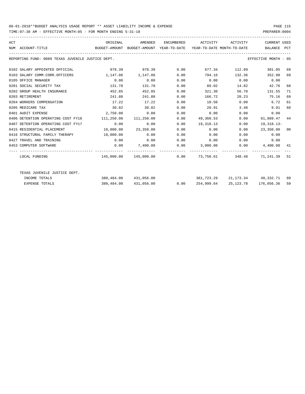TIME:07:38 AM - EFFECTIVE MONTH:05 - FOR MONTH ENDING 5-31-18 PREPARER:0004

| ACT | NUM ACCOUNT-TITLE                                 | ORIGINAL<br>BUDGET-AMOUNT BUDGET-AMOUNT YEAR-TO-DATE YEAR-TO-DATE MONTH-TO-DATE | AMENDED               |      | ENCUMBERED ACTIVITY ACTIVITY                                 |            | CURRENT USED<br>BALANCE PCT       |    |
|-----|---------------------------------------------------|---------------------------------------------------------------------------------|-----------------------|------|--------------------------------------------------------------|------------|-----------------------------------|----|
|     | REPORTING FUND: 0089 TEXAS JUVENILE JUSTICE DEPT. |                                                                                 |                       |      |                                                              |            | EFFECTIVE MONTH - 05              |    |
|     | 0102 SALARY APPOINTED OFFICIAL                    |                                                                                 | 978.39 978.39 0.00    |      | 677.34                                                       | 112.89     | 301.05                            | 69 |
|     | 0103 SALARY COMM.CORR.OFFICERS                    | 1,147.06 1,147.06                                                               |                       | 0.00 | 794.16                                                       | 132.36     | 352.90                            | 69 |
|     | 0105 OFFICE MANAGER                               | 0.00                                                                            | 0.00                  | 0.00 | $0.00$ $0.00$ $0.00$ $0.00$                                  |            |                                   |    |
|     | 0201 SOCIAL SECURITY TAX                          | 131.78                                                                          | 131.78                | 0.00 | 89.02                                                        | 14.82      | 42.76                             | 68 |
|     | 0202 GROUP HEALTH INSURANCE                       | 452.85                                                                          | 452.85                | 0.00 | 321.30                                                       | 56.70      | 131.55                            | 71 |
|     | 0203 RETIREMENT                                   | 241.88                                                                          | 241.88                | 0.00 | 166.72                                                       |            | 28.23 75.16                       | 69 |
|     | 0204 WORKERS COMPENSATION                         | 17.22                                                                           | 17.22                 | 0.00 |                                                              | 10.50 0.00 | 6.72                              | 61 |
|     | 0205 MEDICARE TAX                                 | 30.82                                                                           | 30.82                 | 0.00 | 20.91                                                        | 3.48       | 9.91                              | 68 |
|     | 0401 AUDIT EXPENSE                                | 2,750.00                                                                        | 0.00                  | 0.00 | 0.00                                                         | 0.00       | 0.00                              |    |
|     | 0406 DETENTION OPERATING COST FY18                | 111,250.00                                                                      | 111,250.00            | 0.00 | 49,360.53                                                    | 0.00       | 61,889.47 44                      |    |
|     | 0407 DETENTION OPERATING COST FY17                | 0.00                                                                            | 0.00                  | 0.00 | 19,318.13                                                    | 0.00       | 19,318.13-                        |    |
|     | 0415 RESIDENTIAL PLACEMENT                        | $10,000.00$ $23,350.00$                                                         |                       | 0.00 | 0.00                                                         | 0.00       | 23,350.00 00                      |    |
|     | 0416 STRUCTURAL FAMILY THERAPY 18,000.00          |                                                                                 | 0.00                  | 0.00 | 0.00                                                         | 0.00       | 0.00                              |    |
|     | 0427 TRAVEL AND TRAINING                          | 0.00                                                                            | 0.00                  | 0.00 | 0.00                                                         |            | $0.00$ 0.00                       |    |
|     | 0453 COMPUTER SOFTWARE                            |                                                                                 |                       |      | $0.00$ $7,400.00$ $0.00$ $3,000.00$ $0.00$ $4,400.00$ $41$   |            |                                   |    |
|     | LOCAL FUNDING                                     |                                                                                 |                       |      | $145.000.00$ $145.000.00$ 0.00 73.758.61 348.48 71.241.39 51 |            |                                   |    |
|     | TEXAS JUVENILE JUSTICE DEPT.                      |                                                                                 |                       |      |                                                              |            |                                   |    |
|     | INCOME TOTALS                                     |                                                                                 | 380,484.00 431,056.00 |      |                                                              |            | 381,723.29 21,173.34 49,332.71 89 |    |
|     | <b>EXPENSE TOTALS</b>                             |                                                                                 | 380,484.00 431,056.00 | 0.00 |                                                              |            | 254,999.64 25,123.78 176,056.36   | 59 |
|     |                                                   |                                                                                 |                       |      |                                                              |            |                                   |    |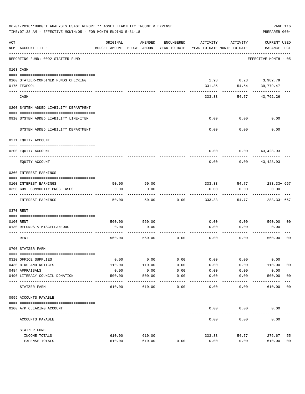|     | 06-01-2018**BUDGET ANALYSIS USAGE REPORT ** ASSET LIABILITY INCOME & EXPENSE<br>TIME: 07:38 AM - EFFECTIVE MONTH: 05 - FOR MONTH ENDING 5-31-18 |               |                                                     |            |                                        |               | PAGE 116<br>PREPARER: 0004         |                |
|-----|-------------------------------------------------------------------------------------------------------------------------------------------------|---------------|-----------------------------------------------------|------------|----------------------------------------|---------------|------------------------------------|----------------|
| ACT | NUM ACCOUNT-TITLE                                                                                                                               | ORIGINAL      | AMENDED<br>BUDGET-AMOUNT BUDGET-AMOUNT YEAR-TO-DATE | ENCUMBERED | ACTIVITY<br>YEAR-TO-DATE MONTH-TO-DATE | ACTIVITY      | <b>CURRENT USED</b><br>BALANCE PCT |                |
|     | REPORTING FUND: 0092 STATZER FUND                                                                                                               |               |                                                     |            |                                        |               | EFFECTIVE MONTH - 05               |                |
|     | 0103 CASH                                                                                                                                       |               |                                                     |            |                                        |               |                                    |                |
|     | 0100 STATZER-COMBINED FUNDS CHECKING<br>0175 TEXPOOL                                                                                            |               |                                                     |            | 1.98<br>331.35                         | 54.54         | $0.23$ 3,982.79<br>39,779.47       |                |
|     | CASH                                                                                                                                            |               |                                                     |            | 333.33                                 | 54.77         | 43,762.26                          |                |
|     | 0200 SYSTEM ADDED LIABILITY DEPARTMENT                                                                                                          |               |                                                     |            |                                        |               |                                    |                |
|     | 0910 SYSTEM ADDED LIABILITY LINE-ITEM                                                                                                           |               |                                                     |            | 0.00                                   | 0.00          | 0.00                               |                |
|     | SYSTEM ADDED LIABILITY DEPARTMENT                                                                                                               |               |                                                     |            | 0.00                                   | 0.00          | 0.00                               |                |
|     | 0271 EQUITY ACCOUNT                                                                                                                             |               |                                                     |            |                                        |               |                                    |                |
|     | 0200 EQUITY ACCOUNT                                                                                                                             |               |                                                     |            | 0.00                                   |               | $0.00$ 43,428.93                   |                |
|     | EQUITY ACCOUNT                                                                                                                                  |               |                                                     |            | 0.00                                   | 0.00          | 43,428.93                          |                |
|     | 0360 INTEREST EARNINGS                                                                                                                          |               |                                                     |            |                                        |               |                                    |                |
|     |                                                                                                                                                 |               |                                                     |            |                                        |               |                                    |                |
|     | 0100 INTEREST EARNINGS<br>0350 GOV. COMMODITY PROG. ASCS                                                                                        | 50.00<br>0.00 | 50.00<br>0.00                                       |            | 333.33<br>0.00                         | 54.77<br>0.00 | 283.33+ 667<br>0.00                |                |
|     |                                                                                                                                                 |               |                                                     |            |                                        |               |                                    |                |
|     | INTEREST EARNINGS                                                                                                                               | 50.00         | 50.00                                               | 0.00       | 333.33                                 | 54.77         | $283.33 + 667$                     |                |
|     | 0370 RENT                                                                                                                                       |               |                                                     |            |                                        |               |                                    |                |
|     | 0100 RENT                                                                                                                                       | 560.00        | 560.00                                              |            | 0.00                                   | 0.00          | 560.00                             | 0 <sub>0</sub> |
|     | 0130 REFUNDS & MISCELLANEOUS                                                                                                                    | 0.00          | 0.00                                                |            | 0.00                                   | 0.00          | 0.00                               |                |
|     | RENT                                                                                                                                            | 560.00        | 560.00                                              | 0.00       | 0.00                                   | 0.00          | 560.00                             | 0 <sub>0</sub> |
|     | 0700 STATZER FARM                                                                                                                               |               |                                                     |            |                                        |               |                                    |                |
|     | 0310 OFFICE SUPPLIES                                                                                                                            | 0.00          | 0.00                                                | 0.00       | 0.00                                   | 0.00          | 0.00                               |                |
|     | 0430 BIDS AND NOTICES                                                                                                                           | 110.00        | 110.00                                              | 0.00       | 0.00                                   | 0.00          | 110.00                             | 0 <sub>0</sub> |
|     | 0484 APPRAISALS                                                                                                                                 | 0.00          | 0.00                                                | 0.00       | 0.00                                   | 0.00          | 0.00                               |                |
|     | 0490 LITERACY COUNCIL DONATION                                                                                                                  | 500.00        | 500.00                                              | 0.00       | 0.00                                   | 0.00          | 500.00                             | 0 <sub>0</sub> |
|     | ---- ----<br>STATZER FARM                                                                                                                       | 610.00        | 610.00                                              | 0.00       | 0.00                                   | 0.00          | 610.00                             | 0 <sub>0</sub> |
|     | 0999 ACCOUNTS PAYABLE                                                                                                                           |               |                                                     |            |                                        |               |                                    |                |
|     | 0100 A/P CLEARING ACCOUNT                                                                                                                       |               |                                                     |            | 0.00                                   | 0.00          | 0.00                               |                |
|     | ACCOUNTS PAYABLE                                                                                                                                |               |                                                     |            | 0.00                                   | 0.00          | 0.00                               |                |
|     | STATZER FUND                                                                                                                                    |               |                                                     |            |                                        |               |                                    |                |
|     | INCOME TOTALS                                                                                                                                   | 610.00        | 610.00                                              |            | 333.33                                 | 54.77         | 276.67                             | 55             |
|     | EXPENSE TOTALS                                                                                                                                  | 610.00        | 610.00                                              | 0.00       | 0.00                                   | 0.00          | 610.00                             | 0 <sub>0</sub> |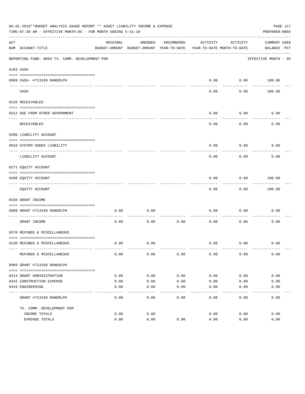|     | 06-01-2018**BUDGET ANALYSIS USAGE REPORT ** ASSET LIABILITY INCOME & EXPENSE<br>TIME: 07:38 AM - EFFECTIVE MONTH: 05 - FOR MONTH ENDING 5-31-18 |          |                                                     |            |                                        |                   | PREPARER: 0004              | PAGE 117 |
|-----|-------------------------------------------------------------------------------------------------------------------------------------------------|----------|-----------------------------------------------------|------------|----------------------------------------|-------------------|-----------------------------|----------|
| ACT | NUM ACCOUNT-TITLE                                                                                                                               | ORIGINAL | AMENDED<br>BUDGET-AMOUNT BUDGET-AMOUNT YEAR-TO-DATE | ENCUMBERED | ACTIVITY<br>YEAR-TO-DATE MONTH-TO-DATE | ACTIVITY          | CURRENT USED<br>BALANCE PCT |          |
|     | REPORTING FUND: 0093 TX. COMM. DEVELOPMENT PGM                                                                                                  |          |                                                     |            |                                        |                   | EFFECTIVE MONTH - 05        |          |
|     | 0103 CASH                                                                                                                                       |          |                                                     |            |                                        |                   |                             |          |
|     | 0909 CASH- #713169 RANDOLPH                                                                                                                     |          |                                                     |            | 0.00                                   |                   | $0.00$ 100.00               |          |
|     | CASH                                                                                                                                            |          |                                                     |            | $- - - -$<br>0.00                      | ---------<br>0.00 | 100.00                      |          |
|     | 0120 RECEIVABLES                                                                                                                                |          |                                                     |            |                                        |                   |                             |          |
|     | 0312 DUE FROM OTHER GOVERNMENT                                                                                                                  |          |                                                     |            | 0.00                                   | 0.00              | 0.00                        |          |
|     | RECEIVABLES                                                                                                                                     |          |                                                     |            | 0.00                                   | ---------<br>0.00 | 0.00                        |          |
|     | 0200 LIABILITY ACCOUNT                                                                                                                          |          |                                                     |            |                                        |                   |                             |          |
|     | 0910 SYSTEM ADDED LIABILITY<br>---- ---------------                                                                                             |          |                                                     |            | 0.00                                   | 0.00              | 0.00                        |          |
|     | LIABILITY ACCOUNT                                                                                                                               |          |                                                     |            | 0.00                                   | 0.00              | 0.00                        |          |
|     | 0271 EQUITY ACCOUNT                                                                                                                             |          |                                                     |            |                                        |                   |                             |          |
|     | 0200 EQUITY ACCOUNT<br>---------------------------------                                                                                        |          |                                                     |            | 0.00                                   | 0.00<br>--------- | 100.00<br>. <u>.</u> .      |          |
|     | EQUITY ACCOUNT                                                                                                                                  |          |                                                     |            | 0.00                                   | 0.00              | 100.00                      |          |
|     | 0330 GRANT INCOME                                                                                                                               |          |                                                     |            |                                        |                   |                             |          |
|     | 0909 GRANT #713169 RANDOLPH                                                                                                                     | 0.00     | 0.00                                                |            | 0.00                                   | 0.00              | 0.00                        |          |
|     | -------------------- -<br>GRANT INCOME                                                                                                          | 0.00     | 0.00                                                | 0.00       | 0.00                                   | 0.00              | 0.00                        |          |
|     | 0370 REFUNDS & MISCELLANEOUS                                                                                                                    |          |                                                     |            |                                        |                   |                             |          |
|     | 0130 REFUNDS & MISCELLANEOUS                                                                                                                    | 0.00     | 0.00                                                |            | 0.00                                   | 0.00              | 0.00                        |          |
|     | REFUNDS & MISCELLANEOUS                                                                                                                         | 0.00     | 0.00                                                | 0.00       | 0.00                                   | 0.00              | 0.00                        |          |
|     | 0909 GRANT #713169 RANDOLPH                                                                                                                     |          |                                                     |            |                                        |                   |                             |          |
|     |                                                                                                                                                 |          |                                                     |            |                                        |                   |                             |          |
|     | 0414 GRANT ADMINISTRATION                                                                                                                       | 0.00     | 0.00                                                | 0.00       | 0.00                                   | 0.00              | 0.00                        |          |
|     | 0415 CONSTRUCTION EXPENSE                                                                                                                       | 0.00     | 0.00                                                | 0.00       | 0.00                                   | 0.00              | 0.00                        |          |
|     | 0416 ENGINEERING                                                                                                                                | 0.00     | 0.00                                                | 0.00       | 0.00<br>-----                          | 0.00              | 0.00                        |          |
|     | GRANT #713169 RANDOLPH                                                                                                                          | 0.00     | 0.00                                                | 0.00       | 0.00                                   | 0.00              | 0.00                        |          |
|     | TX. COMM. DEVELOPMENT PGM                                                                                                                       |          |                                                     |            |                                        |                   |                             |          |
|     | INCOME TOTALS                                                                                                                                   | 0.00     | 0.00                                                |            | 0.00                                   | 0.00              | 0.00                        |          |
|     | EXPENSE TOTALS                                                                                                                                  | 0.00     | 0.00                                                | 0.00       | 0.00                                   | 0.00              | 0.00                        |          |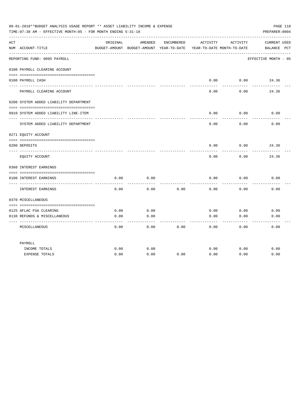|     | 06-01-2018**BUDGET ANALYSIS USAGE REPORT ** ASSET LIABILITY INCOME & EXPENSE<br>TIME: 07:38 AM - EFFECTIVE MONTH: 05 - FOR MONTH ENDING 5-31-18 |          |                                                     |            |                                        |                 | PAGE 118<br>PREPARER: 0004         |
|-----|-------------------------------------------------------------------------------------------------------------------------------------------------|----------|-----------------------------------------------------|------------|----------------------------------------|-----------------|------------------------------------|
| ACT | NUM ACCOUNT-TITLE                                                                                                                               | ORIGINAL | AMENDED<br>BUDGET-AMOUNT BUDGET-AMOUNT YEAR-TO-DATE | ENCUMBERED | ACTIVITY<br>YEAR-TO-DATE MONTH-TO-DATE | ACTIVITY        | <b>CURRENT USED</b><br>BALANCE PCT |
|     | REPORTING FUND: 0095 PAYROLL                                                                                                                    |          |                                                     |            |                                        |                 | EFFECTIVE MONTH - 05               |
|     | 0100 PAYROLL CLEARING ACCOUNT                                                                                                                   |          |                                                     |            |                                        |                 |                                    |
|     | 0100 PAYROLL CASH                                                                                                                               |          |                                                     |            | 0.00                                   | 0.00            | 24.36                              |
|     | PAYROLL CLEARING ACCOUNT                                                                                                                        |          |                                                     |            | 0.00                                   | 0.00            | 24.36                              |
|     | 0200 SYSTEM ADDED LIABILITY DEPARTMENT                                                                                                          |          |                                                     |            |                                        |                 |                                    |
|     | 0910 SYSTEM ADDED LIABILITY LINE-ITEM                                                                                                           |          |                                                     |            | 0.00                                   | 0.00            | 0.00                               |
|     | SYSTEM ADDED LIABILITY DEPARTMENT                                                                                                               |          |                                                     |            | 0.00                                   | -------<br>0.00 | 0.00                               |
|     | 0271 EQUITY ACCOUNT                                                                                                                             |          |                                                     |            |                                        |                 |                                    |
|     | 0200 DEPOSITS                                                                                                                                   |          |                                                     |            | 0.00                                   | 0.00            | 24.36                              |
|     | EQUITY ACCOUNT                                                                                                                                  |          |                                                     |            | 0.00                                   | 0.00            | 24.36                              |
|     | 0360 INTEREST EARNINGS                                                                                                                          |          |                                                     |            |                                        |                 |                                    |
|     | 0100 INTEREST EARNINGS<br>---- --------------                                                                                                   | 0.00     | 0.00                                                |            | 0.00                                   | 0.00            | 0.00                               |
|     | INTEREST EARNINGS                                                                                                                               | 0.00     | 0.00                                                | 0.00       | 0.00                                   | 0.00            | 0.00                               |
|     | 0370 MISCELLANEOUS                                                                                                                              |          |                                                     |            |                                        |                 |                                    |
|     | 0125 AFLAC FSA CLEARING                                                                                                                         | 0.00     | 0.00                                                |            | 0.00                                   | 0.00            | 0.00                               |
|     | 0130 REFUNDS & MISCELLANEOUS                                                                                                                    | 0.00     | 0.00                                                |            | 0.00                                   | 0.00            | 0.00                               |
|     | MISCELLANEOUS                                                                                                                                   | 0.00     | 0.00                                                | 0.00       | 0.00                                   | 0.00            | 0.00                               |
|     | PAYROLL                                                                                                                                         |          |                                                     |            |                                        |                 |                                    |
|     | INCOME TOTALS                                                                                                                                   | 0.00     | 0.00                                                |            | 0.00                                   | 0.00            | 0.00                               |
|     | <b>EXPENSE TOTALS</b>                                                                                                                           | 0.00     | 0.00                                                | 0.00       | 0.00                                   | 0.00            | 0.00                               |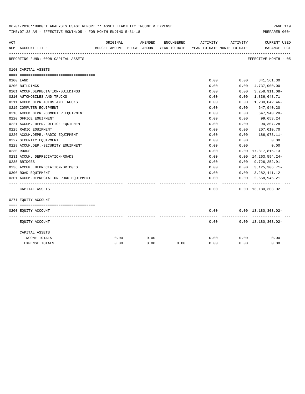|     | 00-01-2018''SUDGET ANALYSIS USAGE REPORT '' ASSET LIABILITY INCOME & EXPENSE<br>TIME: 07:38 AM - EFFECTIVE MONTH: 05 - FOR MONTH ENDING 5-31-18 |          |         |            |                                                                     |          | PAGE 119<br>PREPARER: 0004                  |
|-----|-------------------------------------------------------------------------------------------------------------------------------------------------|----------|---------|------------|---------------------------------------------------------------------|----------|---------------------------------------------|
| ACT |                                                                                                                                                 | ORIGINAL | AMENDED | ENCUMBERED | ACTIVITY                                                            | ACTIVITY | <b>CURRENT USED</b>                         |
|     | NUM ACCOUNT-TITLE                                                                                                                               |          |         |            | BUDGET-AMOUNT BUDGET-AMOUNT YEAR-TO-DATE YEAR-TO-DATE MONTH-TO-DATE |          | BALANCE PCT                                 |
|     | REPORTING FUND: 0098 CAPITAL ASSETS                                                                                                             |          |         |            |                                                                     |          | EFFECTIVE MONTH - 05                        |
|     | 0160 CAPITAL ASSETS                                                                                                                             |          |         |            |                                                                     |          |                                             |
|     |                                                                                                                                                 |          |         |            |                                                                     |          |                                             |
|     | 0100 LAND                                                                                                                                       |          |         |            | 0.00                                                                |          | $0.00$ $341,561.30$                         |
|     | 0200 BUILDINGS                                                                                                                                  |          |         |            | 0.00                                                                | 0.00     | 4,737,000.00                                |
|     | 0201 ACCUM.DEPRECIATION-BUILDINGS                                                                                                               |          |         |            | 0.00                                                                | 0.00     | $3,258,911.08-$                             |
|     | 0210 AUTOMOBILES AND TRUCKS                                                                                                                     |          |         |            | 0.00                                                                | 0.00     | 1,836,648.71                                |
|     | 0211 ACCUM.DEPR.AUTOS AND TRUCKS                                                                                                                |          |         |            | 0.00                                                                | 0.00     | 1,280,042.46-                               |
|     | 0215 COMPUTER EQUIPMENT                                                                                                                         |          |         |            | 0.00                                                                | 0.00     | 647,940.20                                  |
|     | 0216 ACCUM.DEPR.-COMPUTER EQUIPMENT                                                                                                             |          |         |            | 0.00                                                                | 0.00     | 647,940.20-                                 |
|     | 0220 OFFICE EQUIPMENT                                                                                                                           |          |         |            | 0.00                                                                | 0.00     | 99,653.24                                   |
|     | 0221 ACCUM. DEPR. - OFFICE EQUIPMENT                                                                                                            |          |         |            | 0.00                                                                | 0.00     | 94,307.28-                                  |
|     | 0225 RADIO EQUIPMENT                                                                                                                            |          |         |            | 0.00                                                                | 0.00     | 207,010.70                                  |
|     | 0226 ACCUM.DEPR.-RADIO EQUIPMENT                                                                                                                |          |         |            | 0.00                                                                | 0.00     | 186,973.11-                                 |
|     | 0227 SECURITY EQUIPMENT                                                                                                                         |          |         |            | 0.00                                                                | 0.00     | 0.00                                        |
|     | 0228 ACCUM.DEP. - SECURITY EQUIPMENT                                                                                                            |          |         |            | 0.00                                                                | 0.00     | 0.00                                        |
|     | 0230 ROADS                                                                                                                                      |          |         |            | 0.00                                                                | 0.00     | 17,817,815.13                               |
|     | 0231 ACCUM. DEPRECIATION-ROADS                                                                                                                  |          |         |            | 0.00                                                                | 0.00     | 14, 263, 594. 24-                           |
|     | 0235 BRIDGES                                                                                                                                    |          |         |            | 0.00                                                                | 0.00     | 9,726,252.91                                |
|     | 0236 ACCUM. DEPRECIATION-BRIDGES                                                                                                                |          |         |            | 0.00                                                                | 0.00     | $3,125,306.71-$                             |
|     | 0300 ROAD EQUIPMENT                                                                                                                             |          |         |            | 0.00                                                                |          | $0.00 \quad 3,282,441.12$                   |
|     | 0301 ACCUM.DEPRECIATION-ROAD EOUIPMENT                                                                                                          |          |         |            | 0.00                                                                | 0.00     | $2,658,945.21-$                             |
|     | CAPITAL ASSETS                                                                                                                                  |          |         |            | -----<br>0.00                                                       | .        | -------------<br>$0.00 \quad 13,180,303.02$ |
|     | 0271 EQUITY ACCOUNT                                                                                                                             |          |         |            |                                                                     |          |                                             |
|     |                                                                                                                                                 |          |         |            |                                                                     |          |                                             |
|     | 0200 EQUITY ACCOUNT                                                                                                                             |          |         |            | 0.00                                                                |          | $0.00 \quad 13,180,303.02 -$                |
|     | EQUITY ACCOUNT                                                                                                                                  |          |         |            | 0.00                                                                |          | $0.00 \quad 13,180,303.02 -$                |
|     | CAPITAL ASSETS                                                                                                                                  |          |         |            |                                                                     |          |                                             |
|     | INCOME TOTALS                                                                                                                                   | 0.00     | 0.00    |            | 0.00                                                                | 0.00     | 0.00                                        |
|     | EXPENSE TOTALS                                                                                                                                  | 0.00     | 0.00    | 0.00       | 0.00                                                                | 0.00     | 0.00                                        |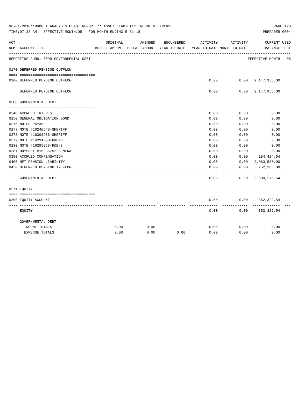| 06-01-2018**BUDGET ANALYSIS USAGE REPORT ** ASSET LIABILITY INCOME & EXPENSE<br>PAGE 120<br>TIME: 07:38 AM - EFFECTIVE MONTH: 05 - FOR MONTH ENDING 5-31-18<br>PREPARER: 0004 |                                                        |          |         |            |                                                                                 |              |                                              |  |
|-------------------------------------------------------------------------------------------------------------------------------------------------------------------------------|--------------------------------------------------------|----------|---------|------------|---------------------------------------------------------------------------------|--------------|----------------------------------------------|--|
| ACT                                                                                                                                                                           | NUM ACCOUNT-TITLE                                      | ORIGINAL | AMENDED | ENCUMBERED | ACTIVITY<br>BUDGET-AMOUNT BUDGET-AMOUNT YEAR-TO-DATE YEAR-TO-DATE MONTH-TO-DATE | ACTIVITY     | <b>CURRENT USED</b><br>BALANCE PCT           |  |
|                                                                                                                                                                               | REPORTING FUND: 0099 GOVERNMENTAL DEBT                 |          |         |            |                                                                                 |              | --------------------<br>EFFECTIVE MONTH - 05 |  |
|                                                                                                                                                                               | 0170 DEFERRED PENSION OUTFLOW                          |          |         |            |                                                                                 |              |                                              |  |
|                                                                                                                                                                               | 0200 DEFERRED PENSION OUTFLOW                          |          |         |            | 0.00                                                                            |              | $0.00 \quad 2.147.956.00$                    |  |
|                                                                                                                                                                               | DEFERRED PENSION OUTFLOW                               |          |         |            | --------<br>0.00                                                                | ---------    | -------------<br>$0.00 \quad 2,147,956.00$   |  |
|                                                                                                                                                                               | 0200 GOVERNMENTAL DEBT                                 |          |         |            |                                                                                 |              |                                              |  |
|                                                                                                                                                                               |                                                        |          |         |            |                                                                                 |              |                                              |  |
|                                                                                                                                                                               | 0240 ACCRUED INTEREST                                  |          |         |            | 0.00                                                                            | 0.00         | 0.00                                         |  |
|                                                                                                                                                                               | 0250 GENERAL OBLIGATION BOND                           |          |         |            | 0.00                                                                            | 0.00         | 0.00                                         |  |
|                                                                                                                                                                               | 0275 NOTES PAYABLE                                     |          |         |            | 0.00                                                                            | 0.00         | 0.00                                         |  |
|                                                                                                                                                                               | 0277 NOTE #16240648-SHERIFF                            |          |         |            | 0.00                                                                            | 0.00         | 0.00                                         |  |
|                                                                                                                                                                               | 0278 NOTE #16308936-SHERIFF                            |          |         |            | 0.00<br>0.00                                                                    | 0.00         | 0.00                                         |  |
|                                                                                                                                                                               | 0279 NOTE #16291000-R&B#3<br>0280 NOTE #16295968-R&B#3 |          |         |            | 0.00                                                                            | 0.00<br>0.00 | 0.00<br>0.00                                 |  |
|                                                                                                                                                                               | 0281 ODYSSEY #16235752-GENERAL                         |          |         |            | 0.00                                                                            | 0.00         | 0.00                                         |  |
|                                                                                                                                                                               | 0350 ACCRUED COMPENSATION                              |          |         |            | 0.00                                                                            | 0.00         | 184,424.54                                   |  |
|                                                                                                                                                                               | 0400 NET PENSION LIABILITY                             |          |         |            | 0.00                                                                            |              | $0.00 \quad 2,063,586.00$                    |  |
|                                                                                                                                                                               | 0450 DEFERRED PENSION IN FLOW                          |          |         |            | 0.00                                                                            | 0.00         | 252,268.00                                   |  |
|                                                                                                                                                                               | GOVERNMENTAL DEBT                                      |          |         |            | 0.00                                                                            | --------     | $0.00 \quad 2,500,278.54$                    |  |
|                                                                                                                                                                               | 0271 EOUITY                                            |          |         |            |                                                                                 |              |                                              |  |
|                                                                                                                                                                               |                                                        |          |         |            |                                                                                 |              |                                              |  |
|                                                                                                                                                                               | 0200 EQUITY ACCOUNT                                    |          |         |            | 0.00                                                                            |              | $0.00$ 352,322.54-                           |  |
|                                                                                                                                                                               | EQUITY                                                 |          |         |            | 0.00                                                                            | 0.00         | 352,322.54-                                  |  |
|                                                                                                                                                                               | GOVERNMENTAL DEBT                                      |          |         |            |                                                                                 |              |                                              |  |
|                                                                                                                                                                               | INCOME TOTALS                                          | 0.00     | 0.00    |            | 0.00                                                                            | 0.00         | 0.00                                         |  |
|                                                                                                                                                                               | <b>EXPENSE TOTALS</b>                                  | 0.00     | 0.00    | 0.00       | 0.00                                                                            | 0.00         | 0.00                                         |  |